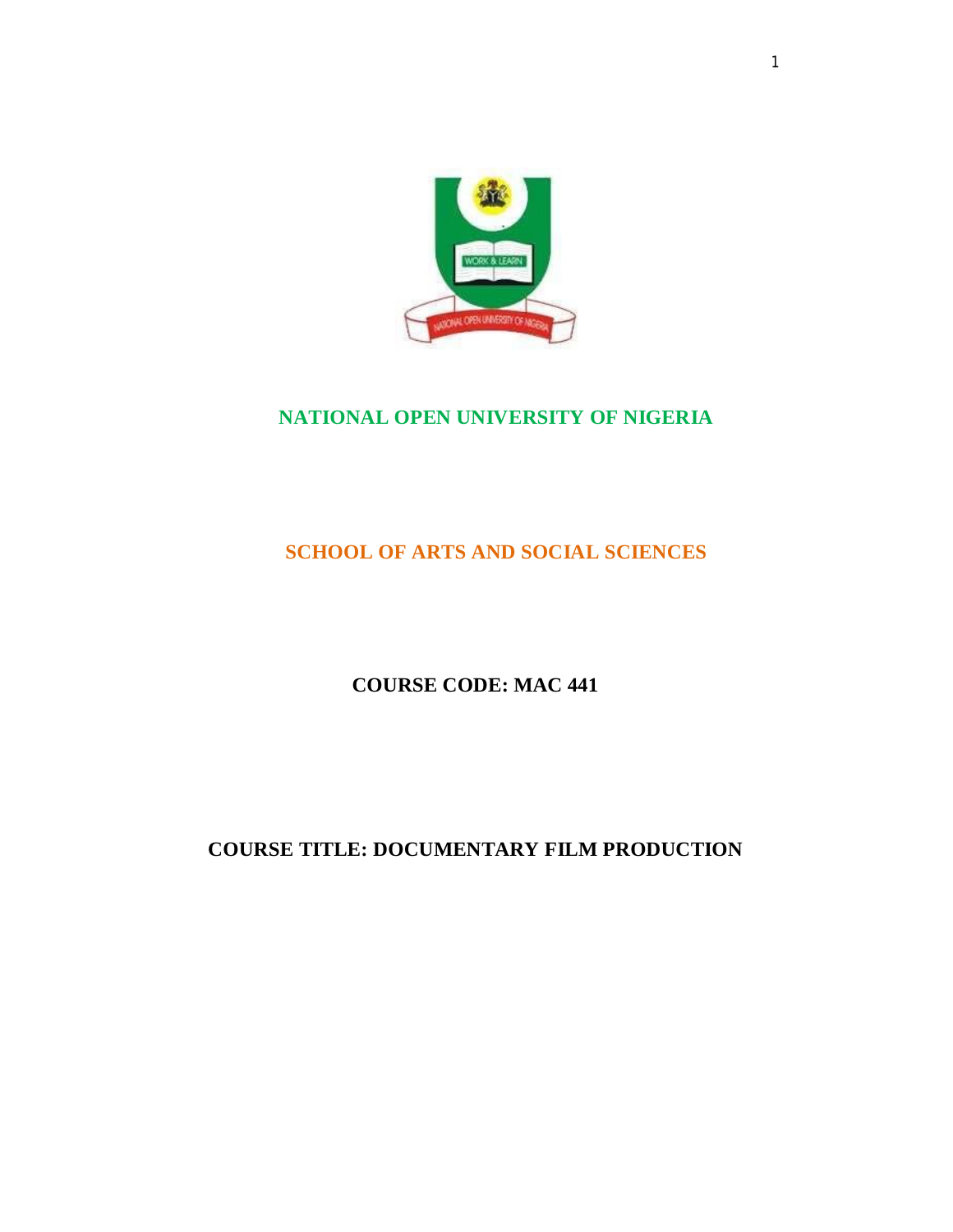

# **NATIONAL OPEN UNIVERSITY OF NIGERIA**

## **SCHOOL OF ARTS AND SOCIAL SCIENCES**

## **COURSE CODE: MAC 441**

## **COURSE TITLE: DOCUMENTARY FILM PRODUCTION**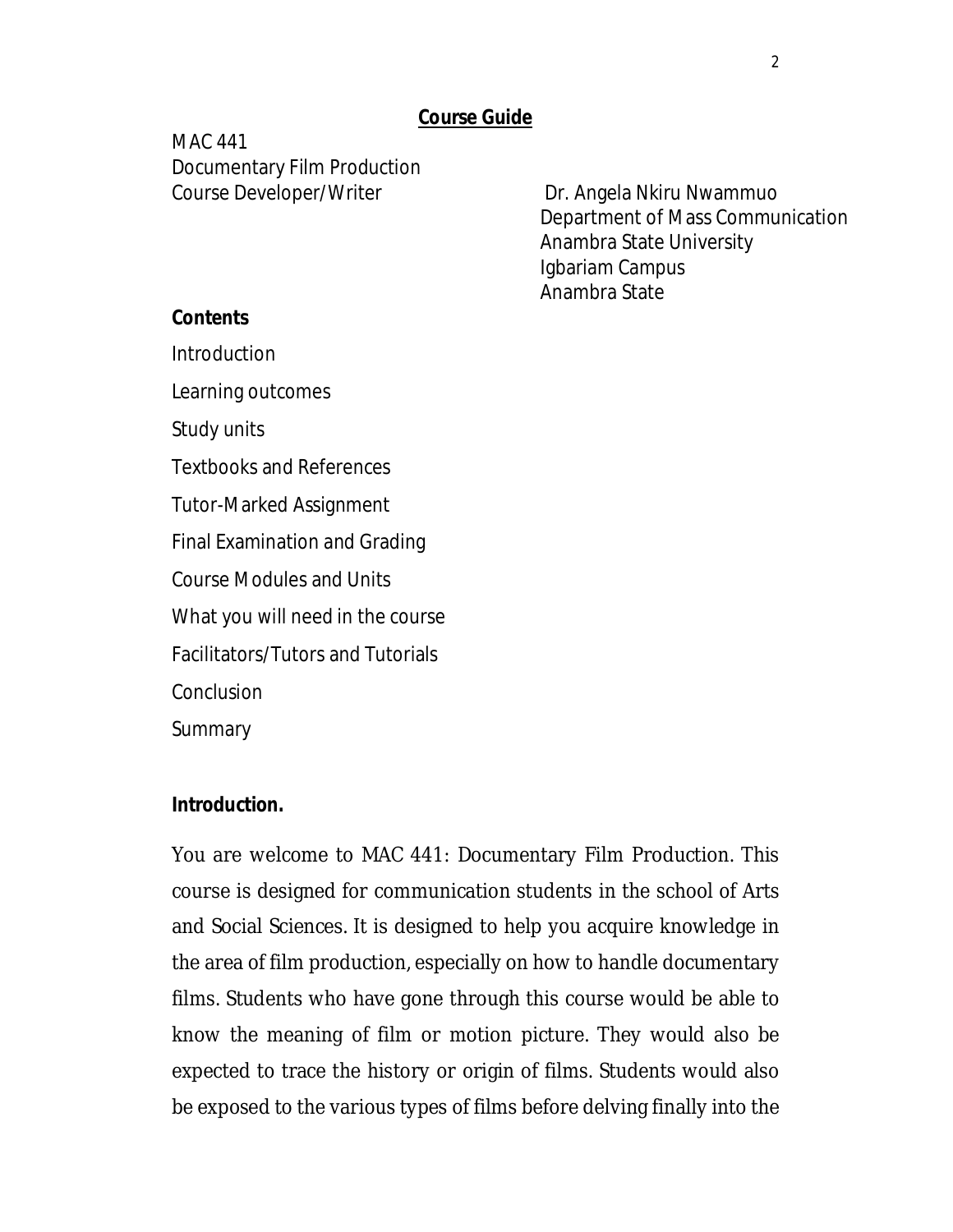### **Course Guide**

MAC 441 Documentary Film Production Course Developer/Writer **Dr. Angela Nkiru Nwammuo** 

Department of Mass Communication Anambra State University Igbariam Campus Anambra State

#### **Contents**

Introduction

Learning outcomes

Study units

Textbooks and References

Tutor-Marked Assignment

Final Examination and Grading

Course Modules and Units

What you will need in the course

Facilitators/Tutors and Tutorials

Conclusion

**Summary** 

#### **Introduction.**

You are welcome to MAC 441: Documentary Film Production. This course is designed for communication students in the school of Arts and Social Sciences. It is designed to help you acquire knowledge in the area of film production, especially on how to handle documentary films. Students who have gone through this course would be able to know the meaning of film or motion picture. They would also be expected to trace the history or origin of films. Students would also be exposed to the various types of films before delving finally into the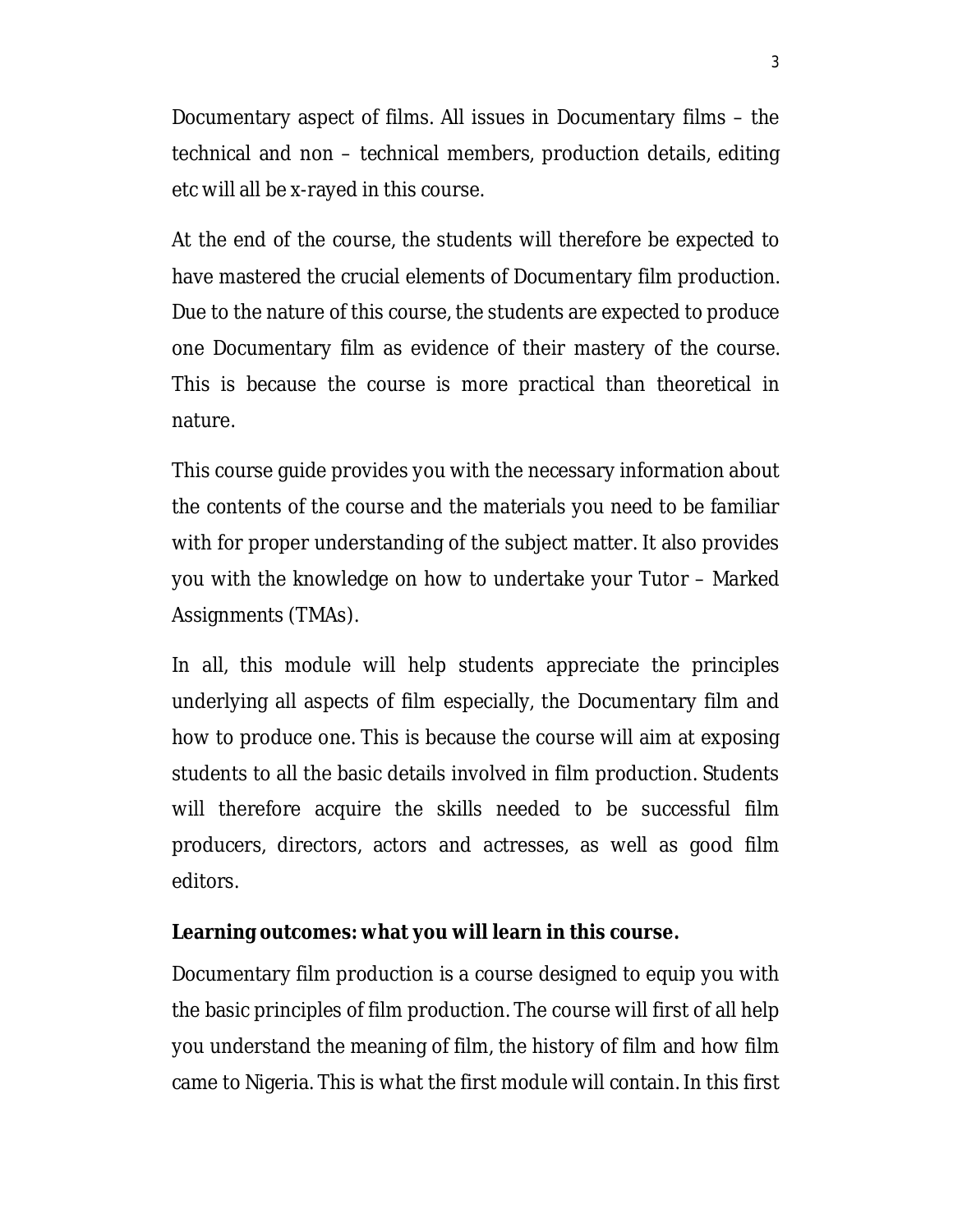Documentary aspect of films. All issues in Documentary films – the technical and non – technical members, production details, editing etc will all be x-rayed in this course.

At the end of the course, the students will therefore be expected to have mastered the crucial elements of Documentary film production. Due to the nature of this course, the students are expected to produce one Documentary film as evidence of their mastery of the course. This is because the course is more practical than theoretical in nature.

This course guide provides you with the necessary information about the contents of the course and the materials you need to be familiar with for proper understanding of the subject matter. It also provides you with the knowledge on how to undertake your Tutor – Marked Assignments (TMAs).

In all, this module will help students appreciate the principles underlying all aspects of film especially, the Documentary film and how to produce one. This is because the course will aim at exposing students to all the basic details involved in film production. Students will therefore acquire the skills needed to be successful film producers, directors, actors and actresses, as well as good film editors.

#### **Learning outcomes: what you will learn in this course.**

Documentary film production is a course designed to equip you with the basic principles of film production. The course will first of all help you understand the meaning of film, the history of film and how film came to Nigeria. This is what the first module will contain. In this first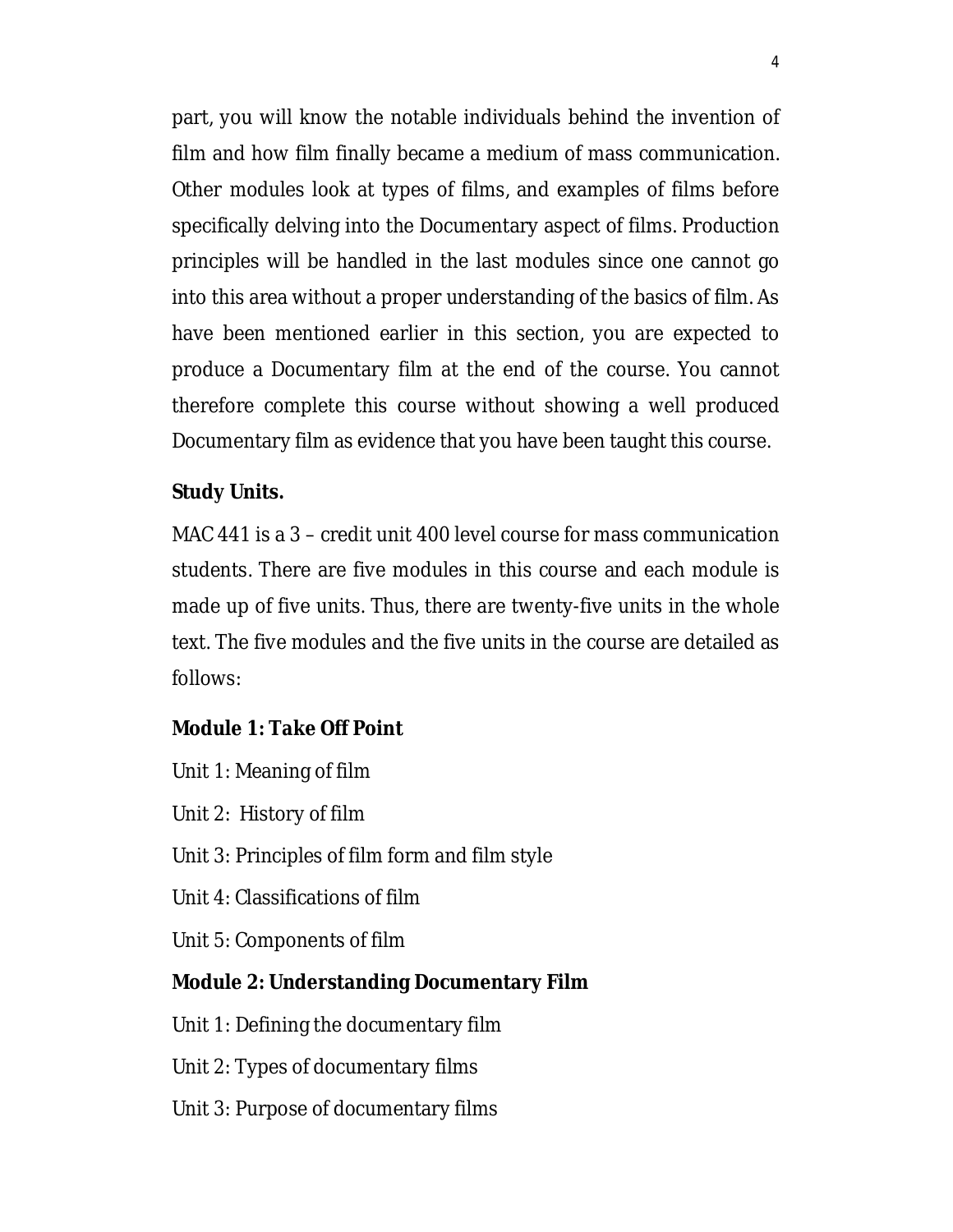part, you will know the notable individuals behind the invention of film and how film finally became a medium of mass communication. Other modules look at types of films, and examples of films before specifically delving into the Documentary aspect of films. Production principles will be handled in the last modules since one cannot go into this area without a proper understanding of the basics of film. As have been mentioned earlier in this section, you are expected to produce a Documentary film at the end of the course. You cannot therefore complete this course without showing a well produced Documentary film as evidence that you have been taught this course.

### **Study Units.**

MAC 441 is a 3 – credit unit 400 level course for mass communication students. There are five modules in this course and each module is made up of five units. Thus, there are twenty-five units in the whole text. The five modules and the five units in the course are detailed as follows:

### **Module 1: Take Off Point**

- Unit 1: Meaning of film
- Unit 2: History of film
- Unit 3: Principles of film form and film style
- Unit 4: Classifications of film
- Unit 5: Components of film

### **Module 2: Understanding Documentary Film**

- Unit 1: Defining the documentary film
- Unit 2: Types of documentary films
- Unit 3: Purpose of documentary films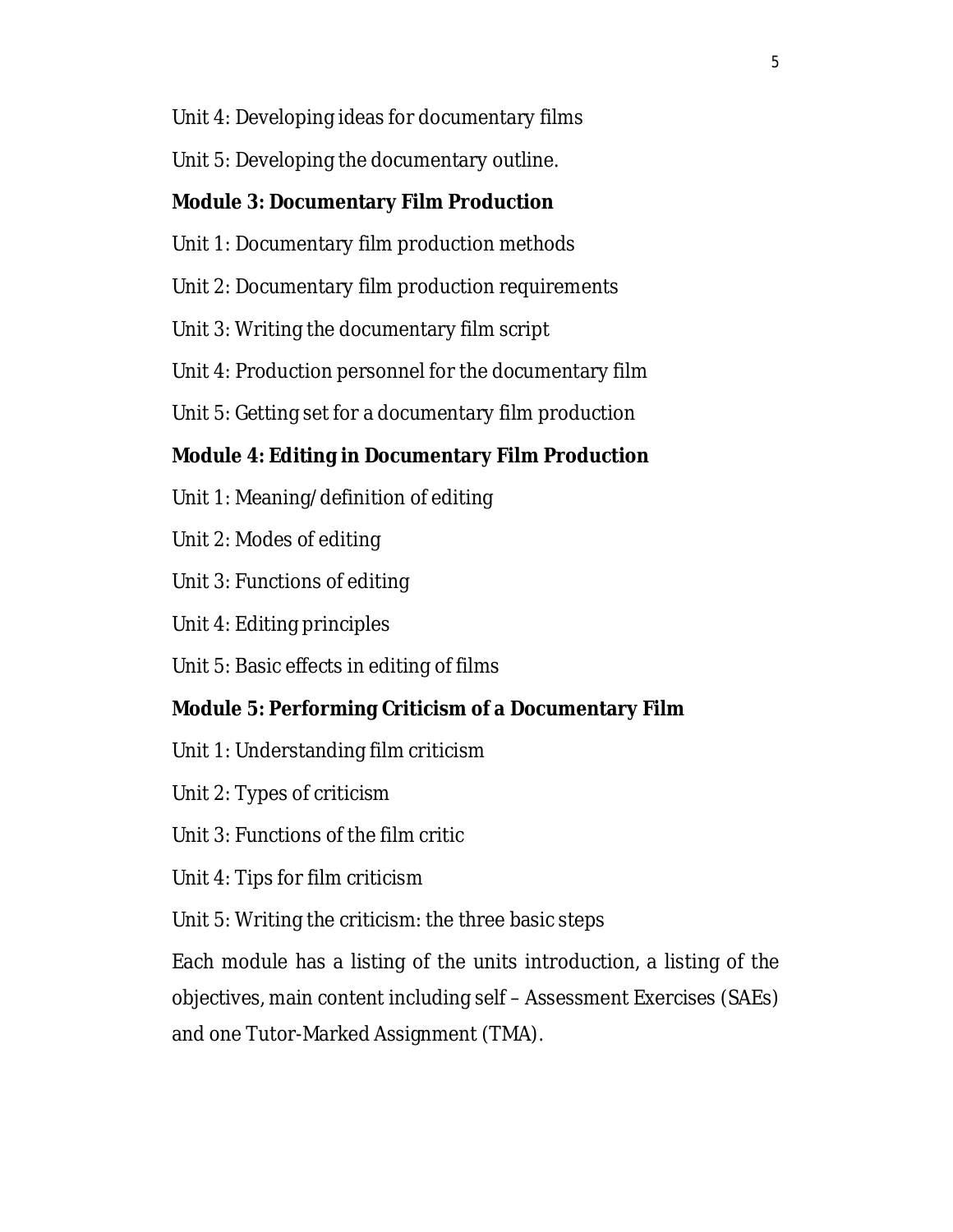- Unit 4: Developing ideas for documentary films
- Unit 5: Developing the documentary outline.

### **Module 3: Documentary Film Production**

- Unit 1: Documentary film production methods
- Unit 2: Documentary film production requirements
- Unit 3: Writing the documentary film script
- Unit 4: Production personnel for the documentary film
- Unit 5: Getting set for a documentary film production

## **Module 4: Editing in Documentary Film Production**

- Unit 1: Meaning/definition of editing
- Unit 2: Modes of editing
- Unit 3: Functions of editing
- Unit 4: Editing principles
- Unit 5: Basic effects in editing of films

## **Module 5: Performing Criticism of a Documentary Film**

- Unit 1: Understanding film criticism
- Unit 2: Types of criticism
- Unit 3: Functions of the film critic
- Unit 4: Tips for film criticism
- Unit 5: Writing the criticism: the three basic steps

Each module has a listing of the units introduction, a listing of the objectives, main content including self – Assessment Exercises (SAEs) and one Tutor-Marked Assignment (TMA).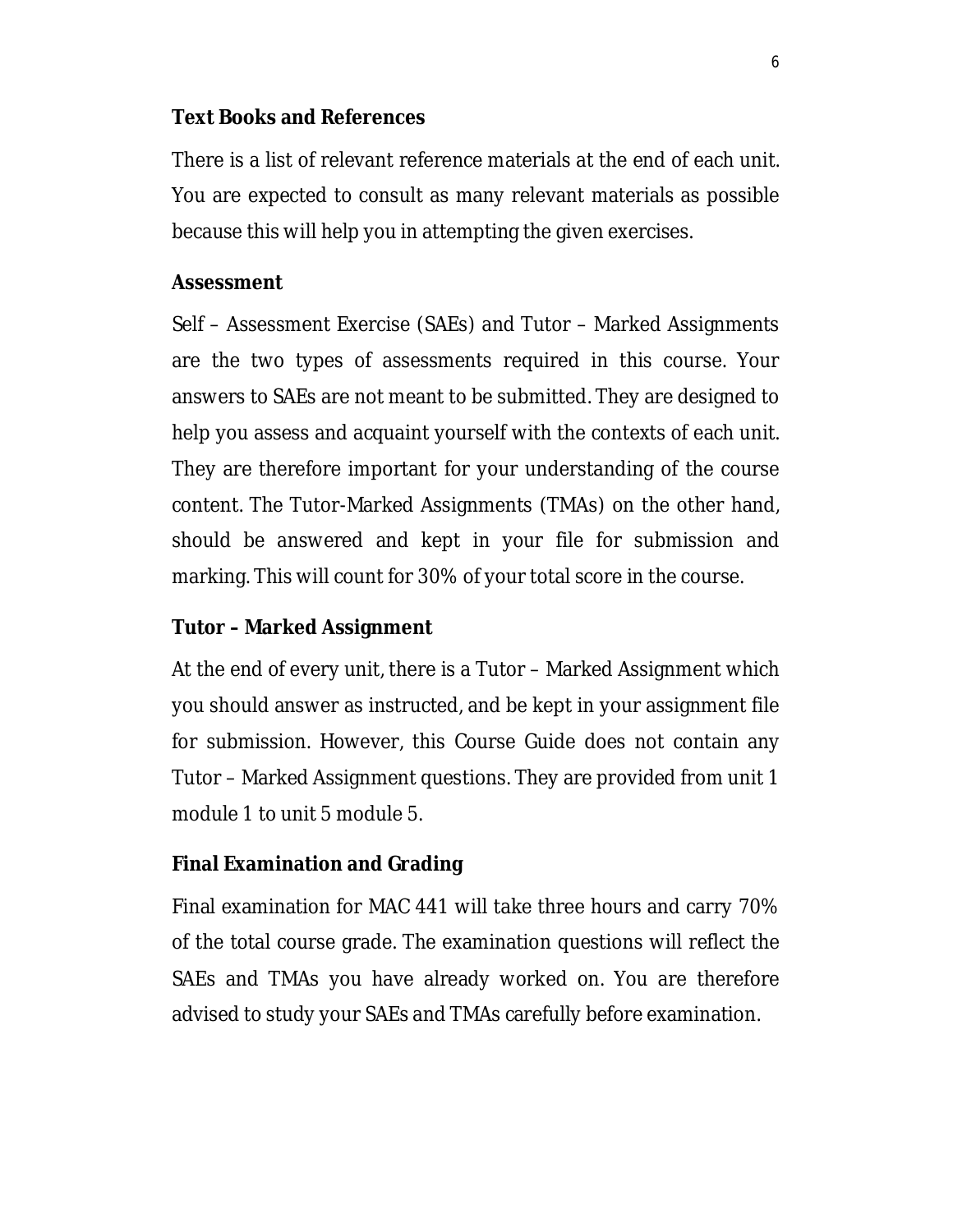### **Text Books and References**

There is a list of relevant reference materials at the end of each unit. You are expected to consult as many relevant materials as possible because this will help you in attempting the given exercises.

### **Assessment**

Self – Assessment Exercise (SAEs) and Tutor – Marked Assignments are the two types of assessments required in this course. Your answers to SAEs are not meant to be submitted. They are designed to help you assess and acquaint yourself with the contexts of each unit. They are therefore important for your understanding of the course content. The Tutor-Marked Assignments (TMAs) on the other hand, should be answered and kept in your file for submission and marking. This will count for 30% of your total score in the course.

### **Tutor – Marked Assignment**

At the end of every unit, there is a Tutor – Marked Assignment which you should answer as instructed, and be kept in your assignment file for submission. However, this Course Guide does not contain any Tutor – Marked Assignment questions. They are provided from unit 1 module 1 to unit 5 module 5.

### **Final Examination and Grading**

Final examination for MAC 441 will take three hours and carry 70% of the total course grade. The examination questions will reflect the SAEs and TMAs you have already worked on. You are therefore advised to study your SAEs and TMAs carefully before examination.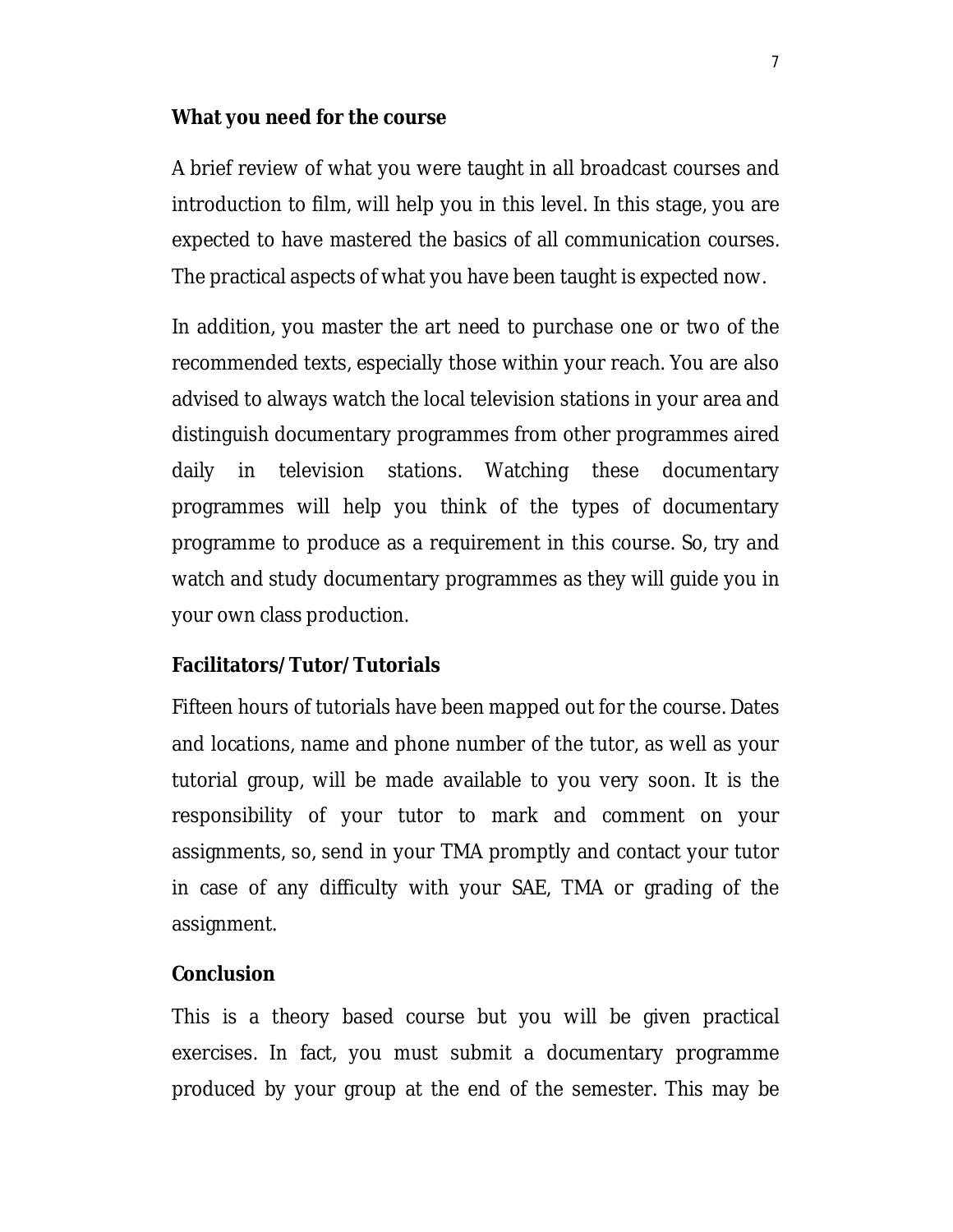#### **What you need for the course**

A brief review of what you were taught in all broadcast courses and introduction to film, will help you in this level. In this stage, you are expected to have mastered the basics of all communication courses. The practical aspects of what you have been taught is expected now.

In addition, you master the art need to purchase one or two of the recommended texts, especially those within your reach. You are also advised to always watch the local television stations in your area and distinguish documentary programmes from other programmes aired daily in television stations. Watching these documentary programmes will help you think of the types of documentary programme to produce as a requirement in this course. So, try and watch and study documentary programmes as they will guide you in your own class production.

### **Facilitators/Tutor/Tutorials**

Fifteen hours of tutorials have been mapped out for the course. Dates and locations, name and phone number of the tutor, as well as your tutorial group, will be made available to you very soon. It is the responsibility of your tutor to mark and comment on your assignments, so, send in your TMA promptly and contact your tutor in case of any difficulty with your SAE, TMA or grading of the assignment.

#### **Conclusion**

This is a theory based course but you will be given practical exercises. In fact, you must submit a documentary programme produced by your group at the end of the semester. This may be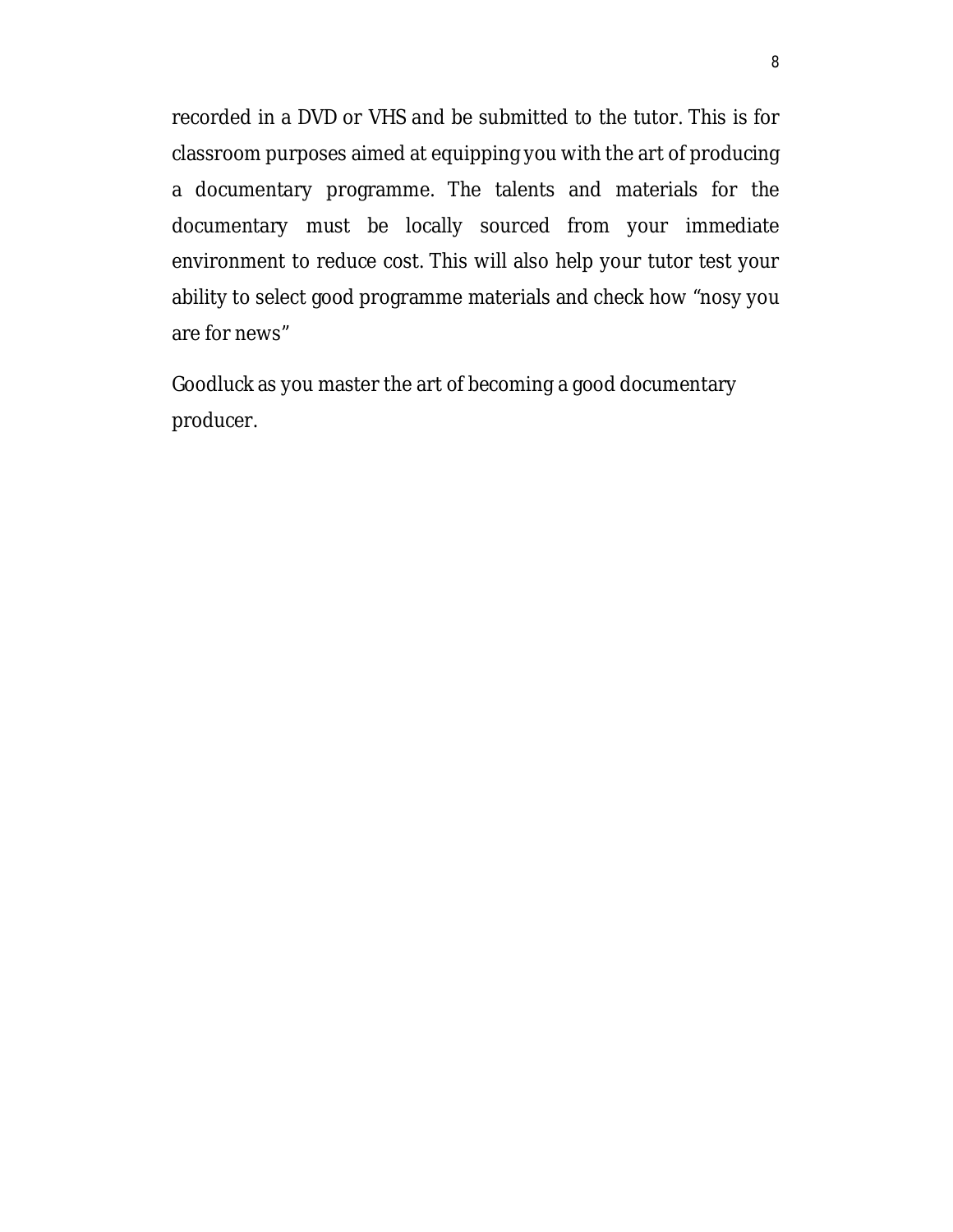recorded in a DVD or VHS and be submitted to the tutor. This is for classroom purposes aimed at equipping you with the art of producing a documentary programme. The talents and materials for the documentary must be locally sourced from your immediate environment to reduce cost. This will also help your tutor test your ability to select good programme materials and check how "nosy you are for news"

Goodluck as you master the art of becoming a good documentary producer.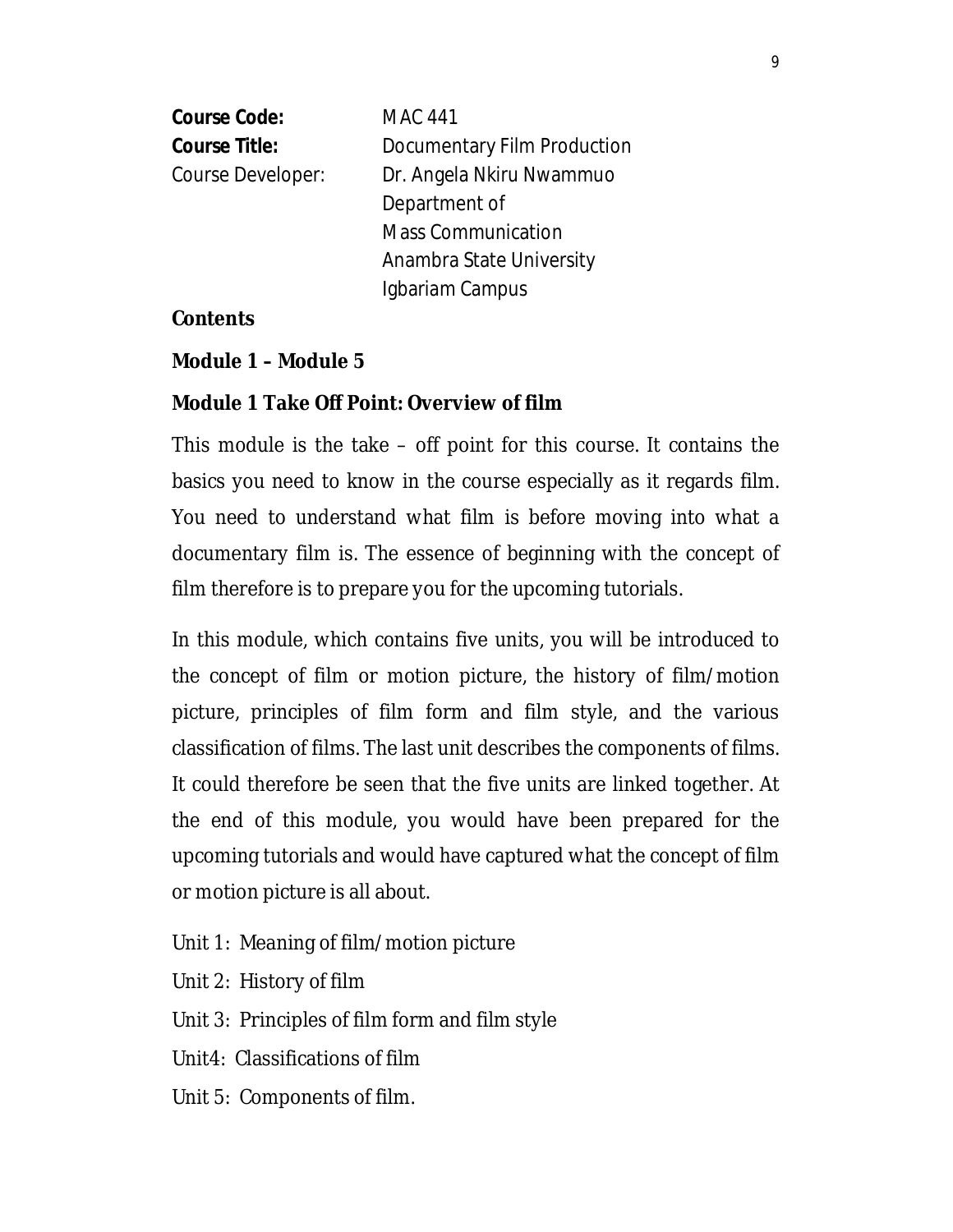| <b>Course Code:</b>  | <b>MAC 441</b>              |
|----------------------|-----------------------------|
| <b>Course Title:</b> | Documentary Film Production |
| Course Developer:    | Dr. Angela Nkiru Nwammuo    |
|                      | Department of               |
|                      | <b>Mass Communication</b>   |
|                      | Anambra State University    |
|                      | Igbariam Campus             |

### **Contents**

### **Module 1 – Module 5**

### **Module 1 Take Off Point: Overview of film**

This module is the take – off point for this course. It contains the basics you need to know in the course especially as it regards film. You need to understand what film is before moving into what a documentary film is. The essence of beginning with the concept of film therefore is to prepare you for the upcoming tutorials.

In this module, which contains five units, you will be introduced to the concept of film or motion picture, the history of film/motion picture, principles of film form and film style, and the various classification of films. The last unit describes the components of films. It could therefore be seen that the five units are linked together. At the end of this module, you would have been prepared for the upcoming tutorials and would have captured what the concept of film or motion picture is all about.

- Unit 1: Meaning of film/motion picture
- Unit 2: History of film
- Unit 3: Principles of film form and film style
- Unit4: Classifications of film
- Unit 5: Components of film.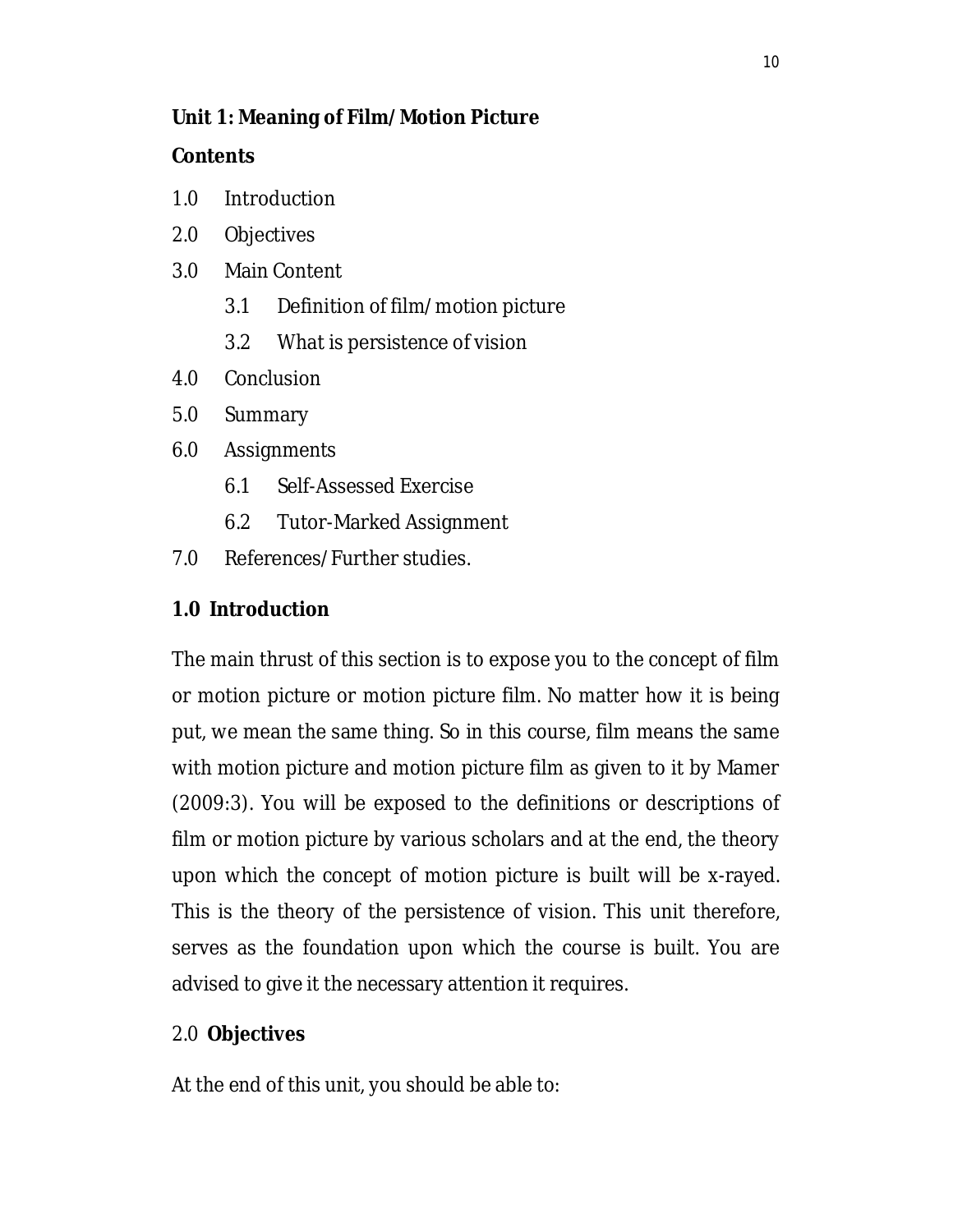## **Unit 1: Meaning of Film/Motion Picture**

### **Contents**

- 1.0 Introduction
- 2.0 Objectives
- 3.0 Main Content
	- 3.1 Definition of film/motion picture
	- 3.2 What is persistence of vision
- 4.0 Conclusion
- 5.0 Summary
- 6.0 Assignments
	- 6.1 Self-Assessed Exercise
	- 6.2 Tutor-Marked Assignment
- 7.0 References/Further studies.

# **1.0 Introduction**

The main thrust of this section is to expose you to the concept of film or motion picture or motion picture film. No matter how it is being put, we mean the same thing. So in this course, film means the same with motion picture and motion picture film as given to it by Mamer (2009:3). You will be exposed to the definitions or descriptions of film or motion picture by various scholars and at the end, the theory upon which the concept of motion picture is built will be x-rayed. This is the theory of the persistence of vision. This unit therefore, serves as the foundation upon which the course is built. You are advised to give it the necessary attention it requires.

# 2.0 **Objectives**

At the end of this unit, you should be able to: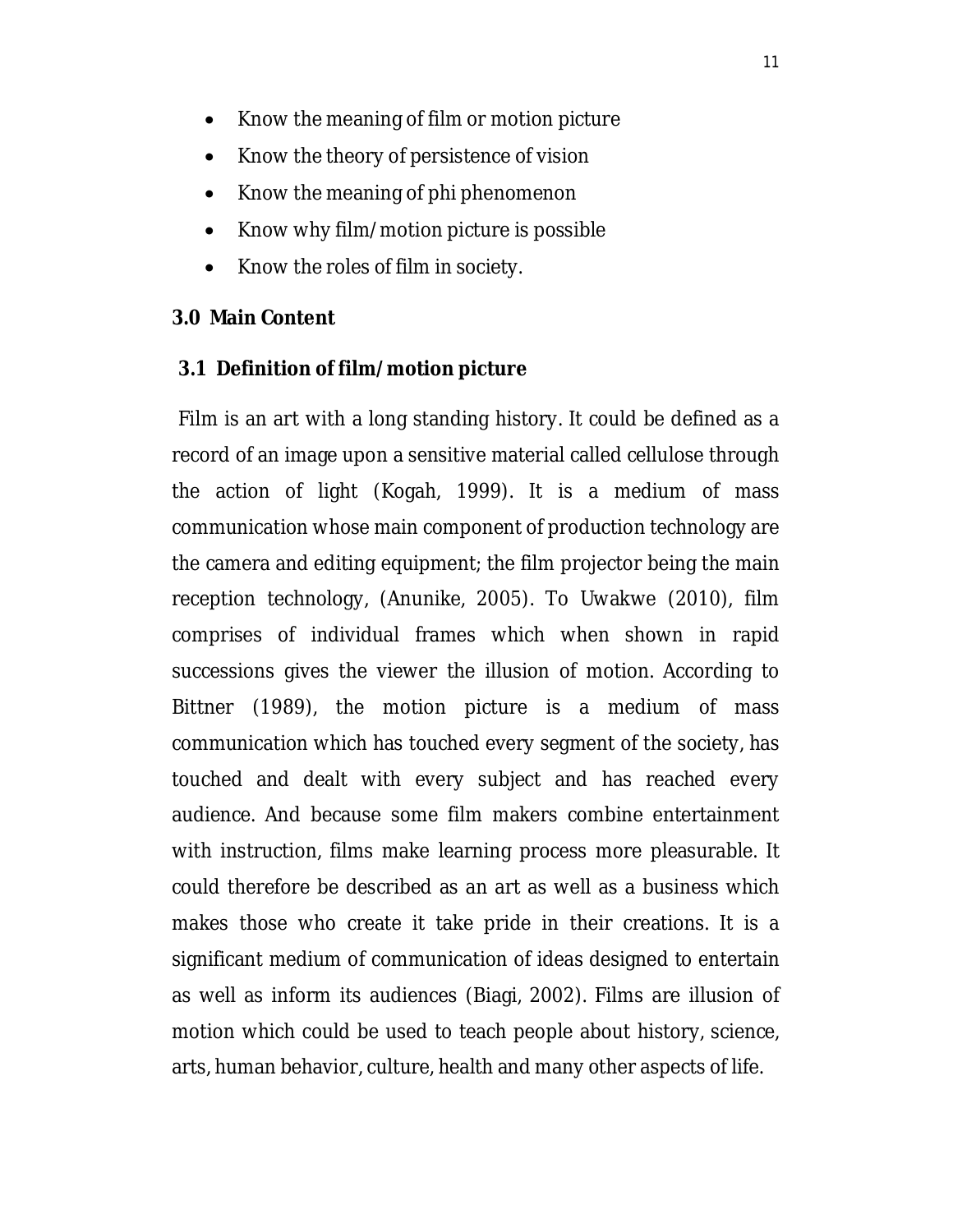- Know the meaning of film or motion picture
- Know the theory of persistence of vision
- Know the meaning of phi phenomenon
- Know why film/motion picture is possible
- Know the roles of film in society.

#### **3.0 Main Content**

#### **3.1 Definition of film/motion picture**

Film is an art with a long standing history. It could be defined as a record of an image upon a sensitive material called cellulose through the action of light (Kogah, 1999). It is a medium of mass communication whose main component of production technology are the camera and editing equipment; the film projector being the main reception technology, (Anunike, 2005). To Uwakwe (2010), film comprises of individual frames which when shown in rapid successions gives the viewer the illusion of motion. According to Bittner (1989), the motion picture is a medium of mass communication which has touched every segment of the society, has touched and dealt with every subject and has reached every audience. And because some film makers combine entertainment with instruction, films make learning process more pleasurable. It could therefore be described as an art as well as a business which makes those who create it take pride in their creations. It is a significant medium of communication of ideas designed to entertain as well as inform its audiences (Biagi, 2002). Films are illusion of motion which could be used to teach people about history, science, arts, human behavior, culture, health and many other aspects of life.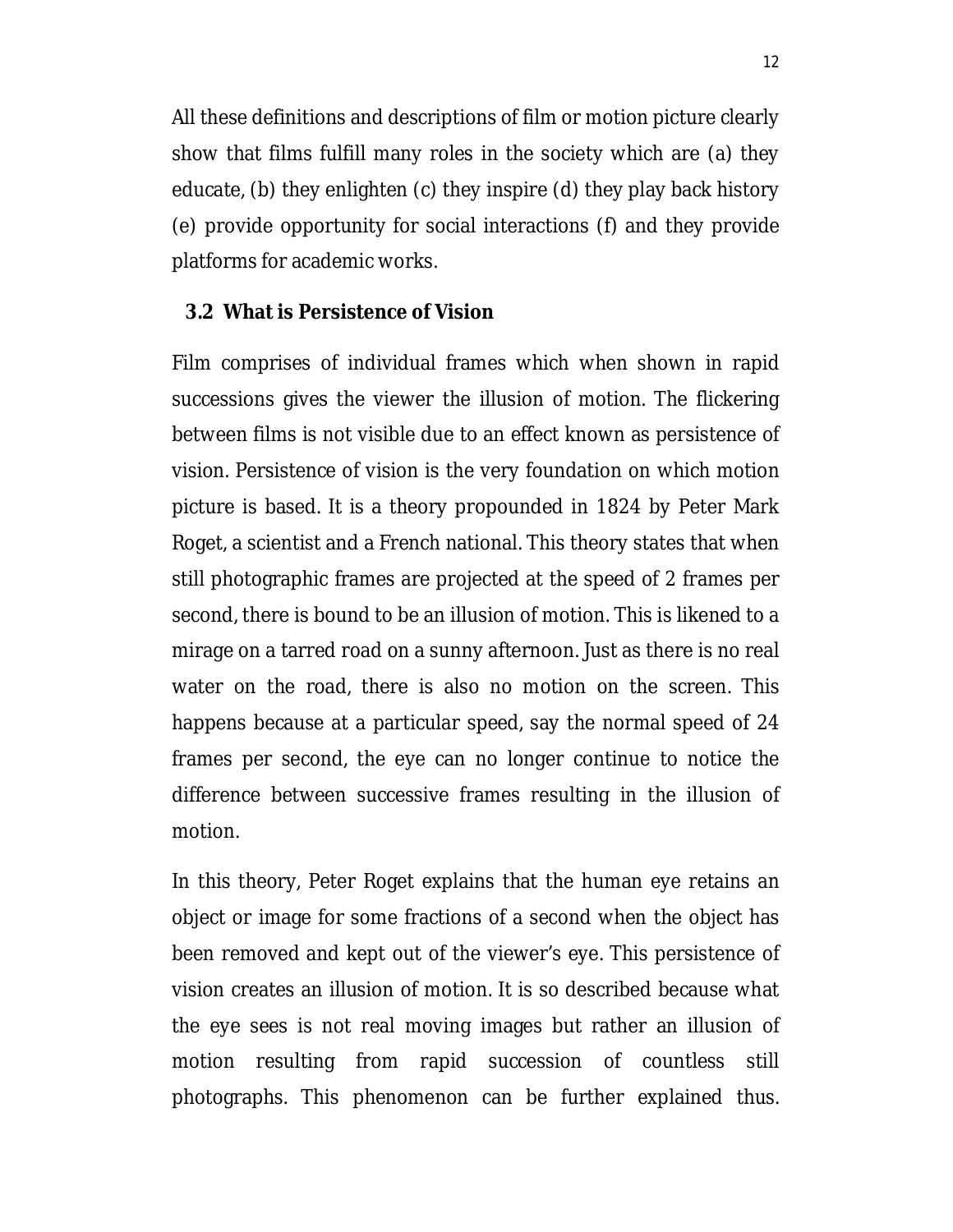All these definitions and descriptions of film or motion picture clearly show that films fulfill many roles in the society which are (a) they educate, (b) they enlighten (c) they inspire (d) they play back history (e) provide opportunity for social interactions (f) and they provide platforms for academic works.

#### **3.2 What is Persistence of Vision**

Film comprises of individual frames which when shown in rapid successions gives the viewer the illusion of motion. The flickering between films is not visible due to an effect known as persistence of vision. Persistence of vision is the very foundation on which motion picture is based. It is a theory propounded in 1824 by Peter Mark Roget, a scientist and a French national. This theory states that when still photographic frames are projected at the speed of 2 frames per second, there is bound to be an illusion of motion. This is likened to a mirage on a tarred road on a sunny afternoon. Just as there is no real water on the road, there is also no motion on the screen. This happens because at a particular speed, say the normal speed of 24 frames per second, the eye can no longer continue to notice the difference between successive frames resulting in the illusion of motion.

In this theory, Peter Roget explains that the human eye retains an object or image for some fractions of a second when the object has been removed and kept out of the viewer's eye. This persistence of vision creates an illusion of motion. It is so described because what the eye sees is not real moving images but rather an illusion of motion resulting from rapid succession of countless still photographs. This phenomenon can be further explained thus.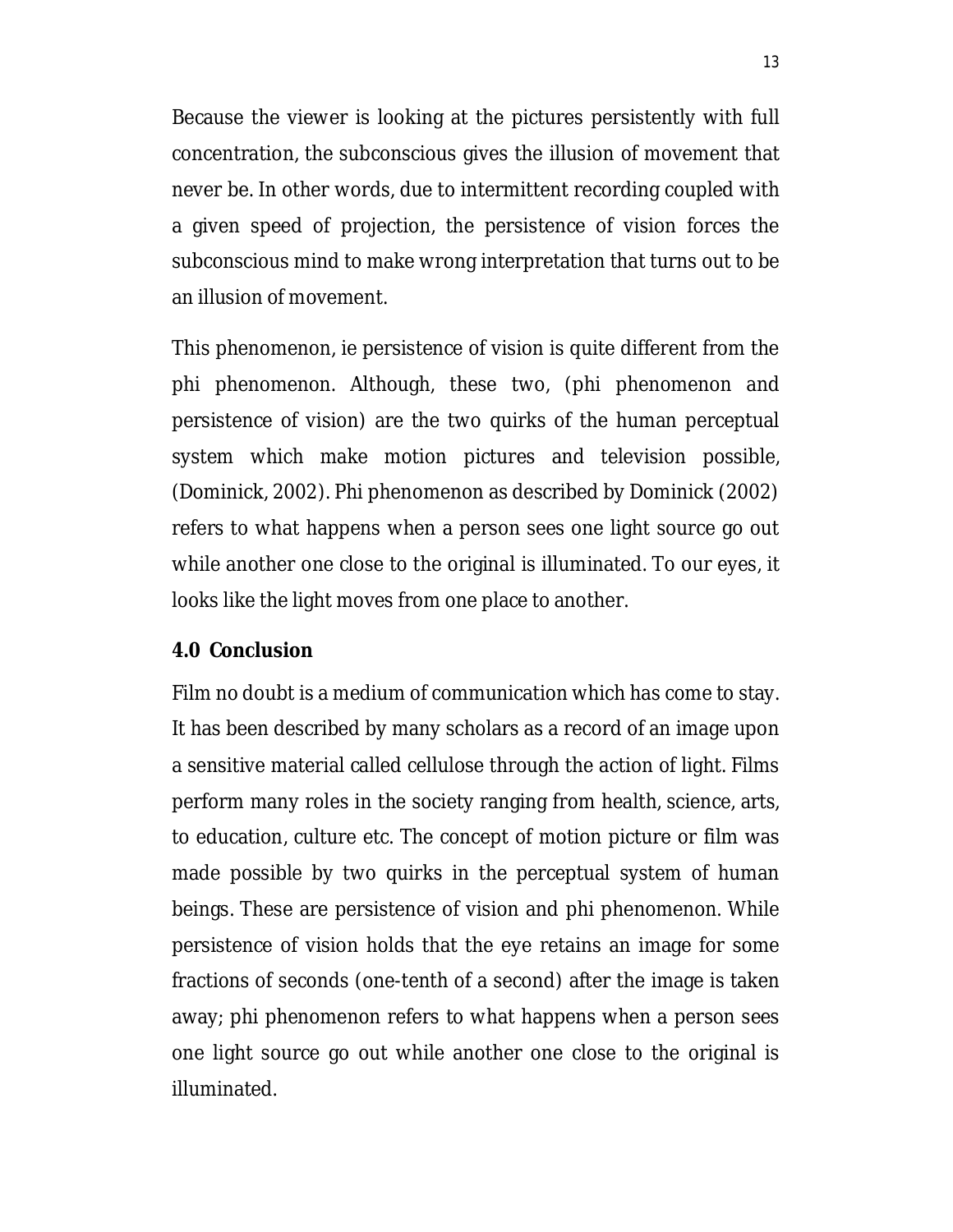Because the viewer is looking at the pictures persistently with full concentration, the subconscious gives the illusion of movement that never be. In other words, due to intermittent recording coupled with a given speed of projection, the persistence of vision forces the subconscious mind to make wrong interpretation that turns out to be an illusion of movement.

This phenomenon, ie persistence of vision is quite different from the phi phenomenon. Although, these two, (phi phenomenon and persistence of vision) are the two quirks of the human perceptual system which make motion pictures and television possible, (Dominick, 2002). Phi phenomenon as described by Dominick (2002) refers to what happens when a person sees one light source go out while another one close to the original is illuminated. To our eyes, it looks like the light moves from one place to another.

#### **4.0 Conclusion**

Film no doubt is a medium of communication which has come to stay. It has been described by many scholars as a record of an image upon a sensitive material called cellulose through the action of light. Films perform many roles in the society ranging from health, science, arts, to education, culture etc. The concept of motion picture or film was made possible by two quirks in the perceptual system of human beings. These are persistence of vision and phi phenomenon. While persistence of vision holds that the eye retains an image for some fractions of seconds (one-tenth of a second) after the image is taken away; phi phenomenon refers to what happens when a person sees one light source go out while another one close to the original is illuminated.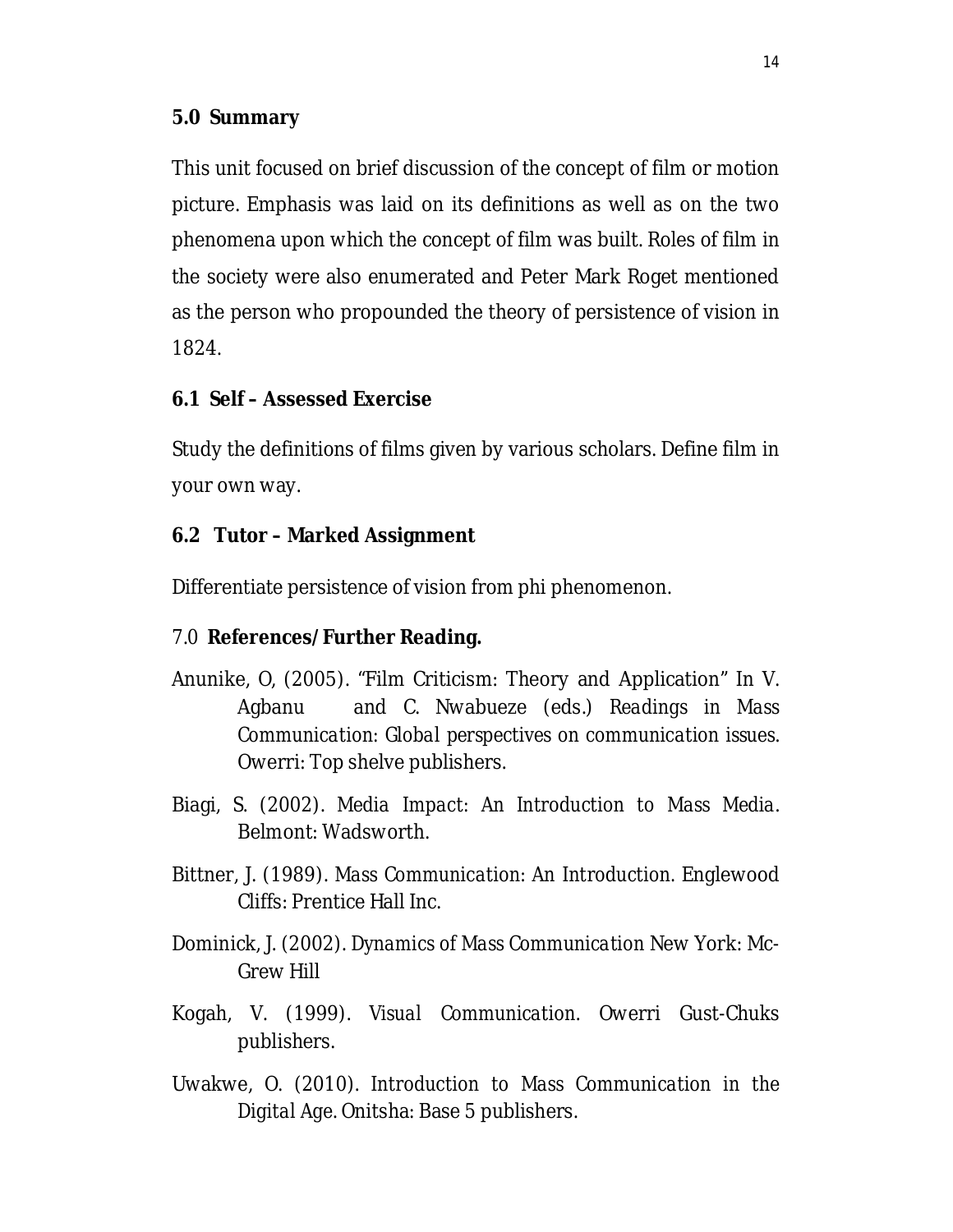### **5.0 Summary**

This unit focused on brief discussion of the concept of film or motion picture. Emphasis was laid on its definitions as well as on the two phenomena upon which the concept of film was built. Roles of film in the society were also enumerated and Peter Mark Roget mentioned as the person who propounded the theory of persistence of vision in 1824.

### **6.1 Self – Assessed Exercise**

Study the definitions of films given by various scholars. Define film in your own way.

### **6.2 Tutor – Marked Assignment**

Differentiate persistence of vision from phi phenomenon.

### 7.0 **References/Further Reading.**

- Anunike, O, (2005). "Film Criticism: Theory and Application" In V. Agbanu and C. Nwabueze (eds.) *Readings in Mass Communication: Global perspectives on communication issues*. Owerri: Top shelve publishers.
- Biagi, S. (2002). *Media Impact: An Introduction to Mass Media*. Belmont: Wadsworth.
- Bittner, J. (1989). *Mass Communication: An Introduction.* Englewood Cliffs: Prentice Hall Inc.
- Dominick, J. (2002). *Dynamics of Mass Communication* New York: Mc-Grew Hill
- Kogah, V. (1999). *Visual Communication*. Owerri Gust-Chuks publishers.
- Uwakwe, O. (2010). *Introduction to Mass Communication in the Digital Age*. Onitsha: Base 5 publishers.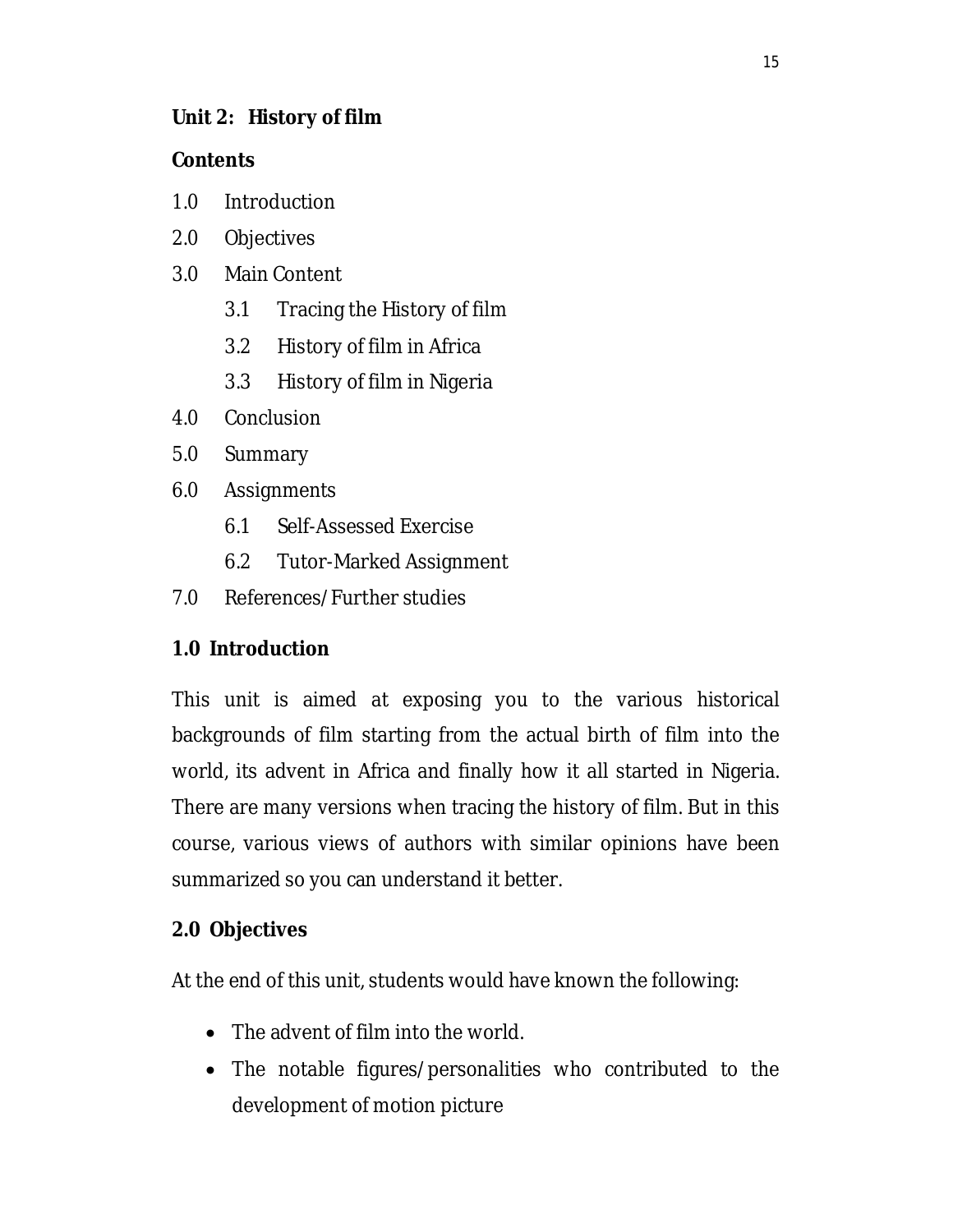## **Unit 2: History of film**

## **Contents**

- 1.0 Introduction
- 2.0 Objectives
- 3.0 Main Content
	- 3.1 Tracing the History of film
	- 3.2 History of film in Africa
	- 3.3 History of film in Nigeria
- 4.0 Conclusion
- 5.0 Summary
- 6.0 Assignments
	- 6.1 Self-Assessed Exercise
	- 6.2 Tutor-Marked Assignment
- 7.0 References/Further studies

# **1.0 Introduction**

This unit is aimed at exposing you to the various historical backgrounds of film starting from the actual birth of film into the world, its advent in Africa and finally how it all started in Nigeria. There are many versions when tracing the history of film. But in this course, various views of authors with similar opinions have been summarized so you can understand it better.

# **2.0 Objectives**

At the end of this unit, students would have known the following:

- The advent of film into the world.
- The notable figures/personalities who contributed to the development of motion picture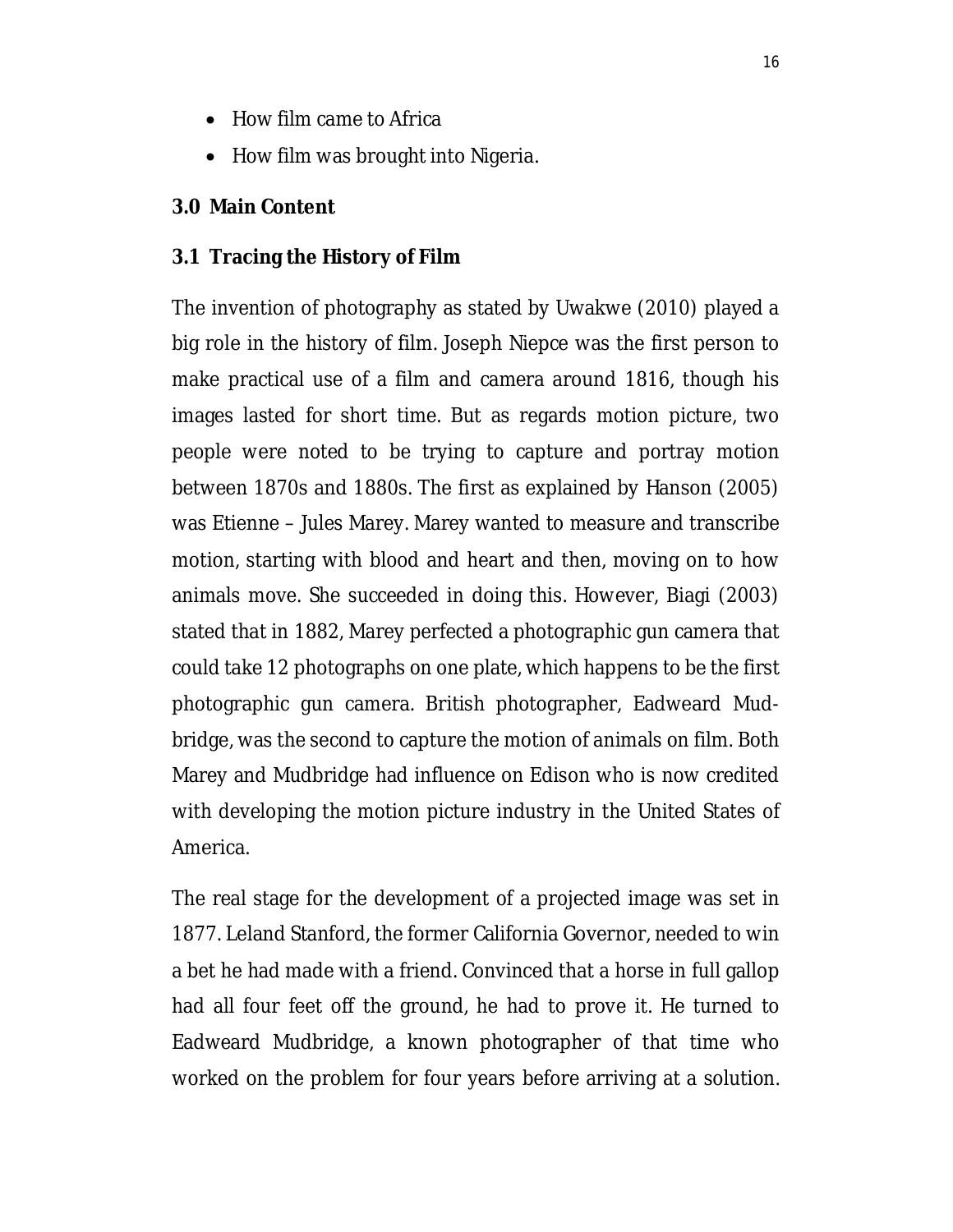- How film came to Africa
- How film was brought into Nigeria.

#### **3.0 Main Content**

#### **3.1 Tracing the History of Film**

The invention of photography as stated by Uwakwe (2010) played a big role in the history of film. Joseph Niepce was the first person to make practical use of a film and camera around 1816, though his images lasted for short time. But as regards motion picture, two people were noted to be trying to capture and portray motion between 1870s and 1880s. The first as explained by Hanson (2005) was Etienne – Jules Marey. Marey wanted to measure and transcribe motion, starting with blood and heart and then, moving on to how animals move. She succeeded in doing this. However, Biagi (2003) stated that in 1882, Marey perfected a photographic gun camera that could take 12 photographs on one plate, which happens to be the first photographic gun camera. British photographer, Eadweard Mudbridge, was the second to capture the motion of animals on film. Both Marey and Mudbridge had influence on Edison who is now credited with developing the motion picture industry in the United States of America.

The real stage for the development of a projected image was set in 1877. Leland Stanford, the former California Governor, needed to win a bet he had made with a friend. Convinced that a horse in full gallop had all four feet off the ground, he had to prove it. He turned to Eadweard Mudbridge, a known photographer of that time who worked on the problem for four years before arriving at a solution.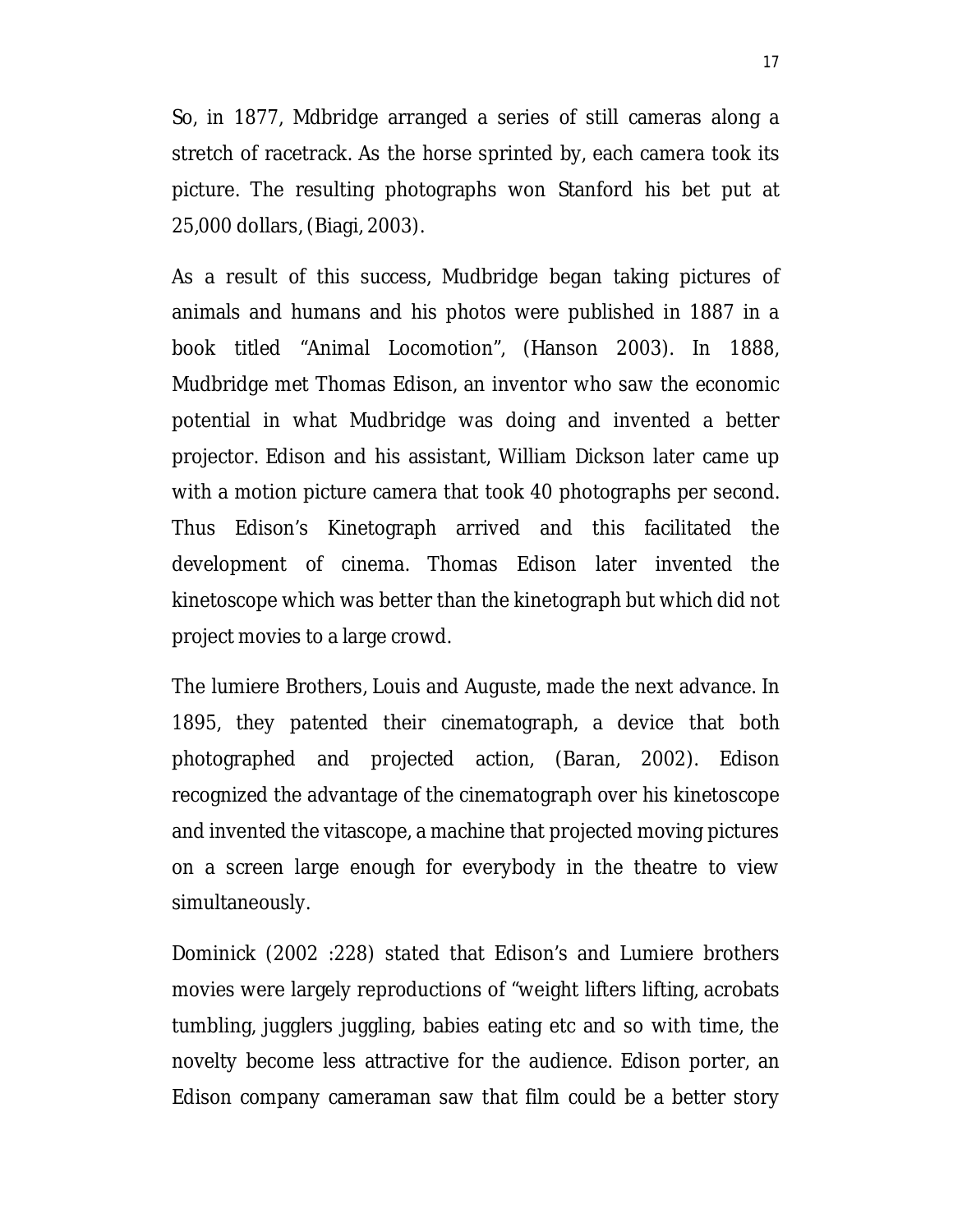So, in 1877, Mdbridge arranged a series of still cameras along a stretch of racetrack. As the horse sprinted by, each camera took its picture. The resulting photographs won Stanford his bet put at 25,000 dollars, (Biagi, 2003).

As a result of this success, Mudbridge began taking pictures of animals and humans and his photos were published in 1887 in a book titled "Animal Locomotion", (Hanson 2003). In 1888, Mudbridge met Thomas Edison, an inventor who saw the economic potential in what Mudbridge was doing and invented a better projector. Edison and his assistant, William Dickson later came up with a motion picture camera that took 40 photographs per second. Thus Edison's Kinetograph arrived and this facilitated the development of cinema. Thomas Edison later invented the kinetoscope which was better than the kinetograph but which did not project movies to a large crowd.

The lumiere Brothers, Louis and Auguste, made the next advance. In 1895, they patented their cinematograph, a device that both photographed and projected action, (Baran, 2002). Edison recognized the advantage of the cinematograph over his kinetoscope and invented the vitascope, a machine that projected moving pictures on a screen large enough for everybody in the theatre to view simultaneously.

Dominick (2002 :228) stated that Edison's and Lumiere brothers movies were largely reproductions of "weight lifters lifting, acrobats tumbling, jugglers juggling, babies eating etc and so with time, the novelty become less attractive for the audience. Edison porter, an Edison company cameraman saw that film could be a better story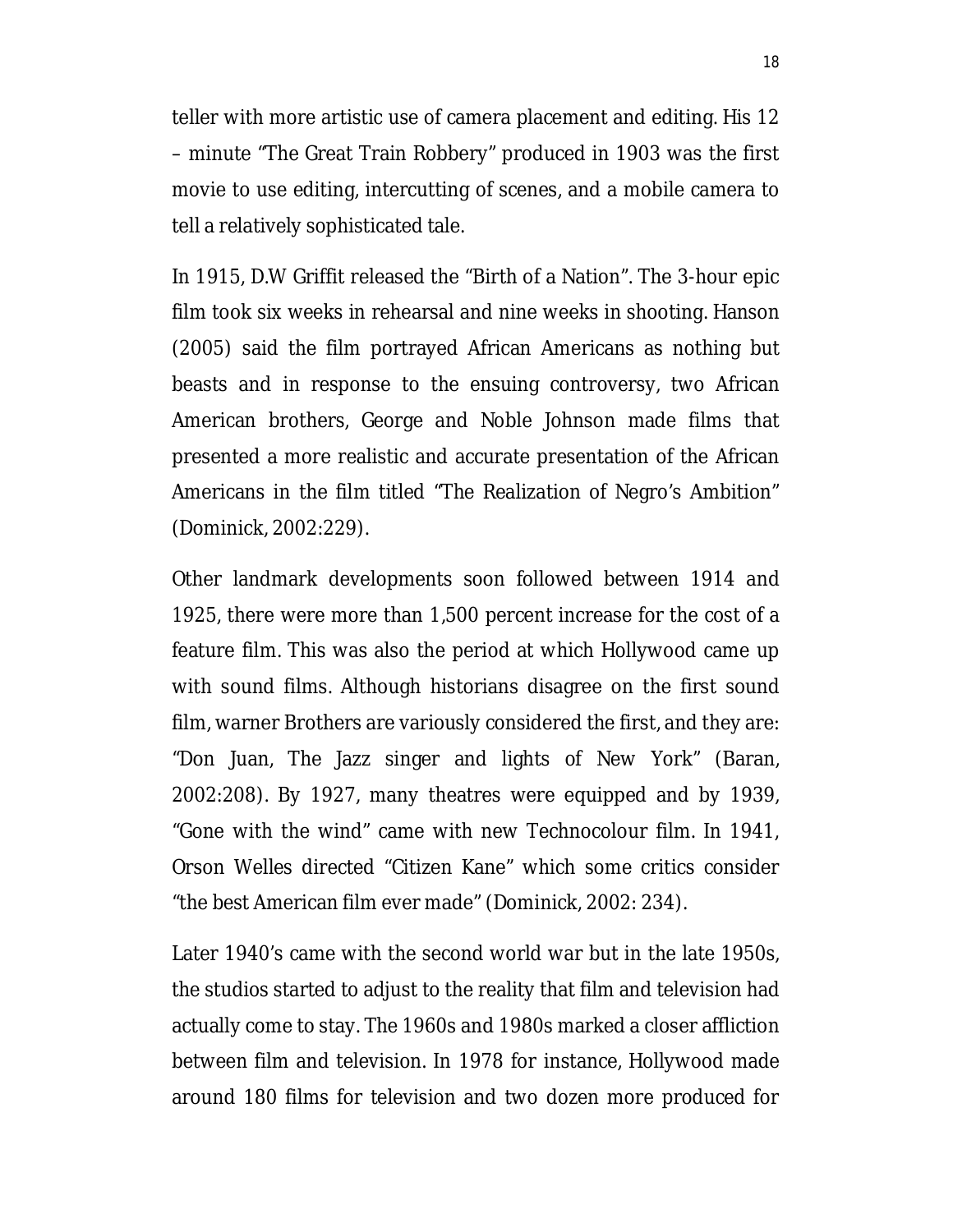teller with more artistic use of camera placement and editing. His 12 – minute "The Great Train Robbery" produced in 1903 was the first movie to use editing, intercutting of scenes, and a mobile camera to tell a relatively sophisticated tale.

In 1915, D.W Griffit released the "Birth of a Nation". The 3-hour epic film took six weeks in rehearsal and nine weeks in shooting. Hanson (2005) said the film portrayed African Americans as nothing but beasts and in response to the ensuing controversy, two African American brothers, George and Noble Johnson made films that presented a more realistic and accurate presentation of the African Americans in the film titled "The Realization of Negro's Ambition" (Dominick, 2002:229).

Other landmark developments soon followed between 1914 and 1925, there were more than 1,500 percent increase for the cost of a feature film. This was also the period at which Hollywood came up with sound films. Although historians disagree on the first sound film, warner Brothers are variously considered the first, and they are: "Don Juan, The Jazz singer and lights of New York" (Baran, 2002:208). By 1927, many theatres were equipped and by 1939, "Gone with the wind" came with new Technocolour film. In 1941, Orson Welles directed "Citizen Kane" which some critics consider "the best American film ever made" (Dominick, 2002: 234).

Later 1940's came with the second world war but in the late 1950s, the studios started to adjust to the reality that film and television had actually come to stay. The 1960s and 1980s marked a closer affliction between film and television. In 1978 for instance, Hollywood made around 180 films for television and two dozen more produced for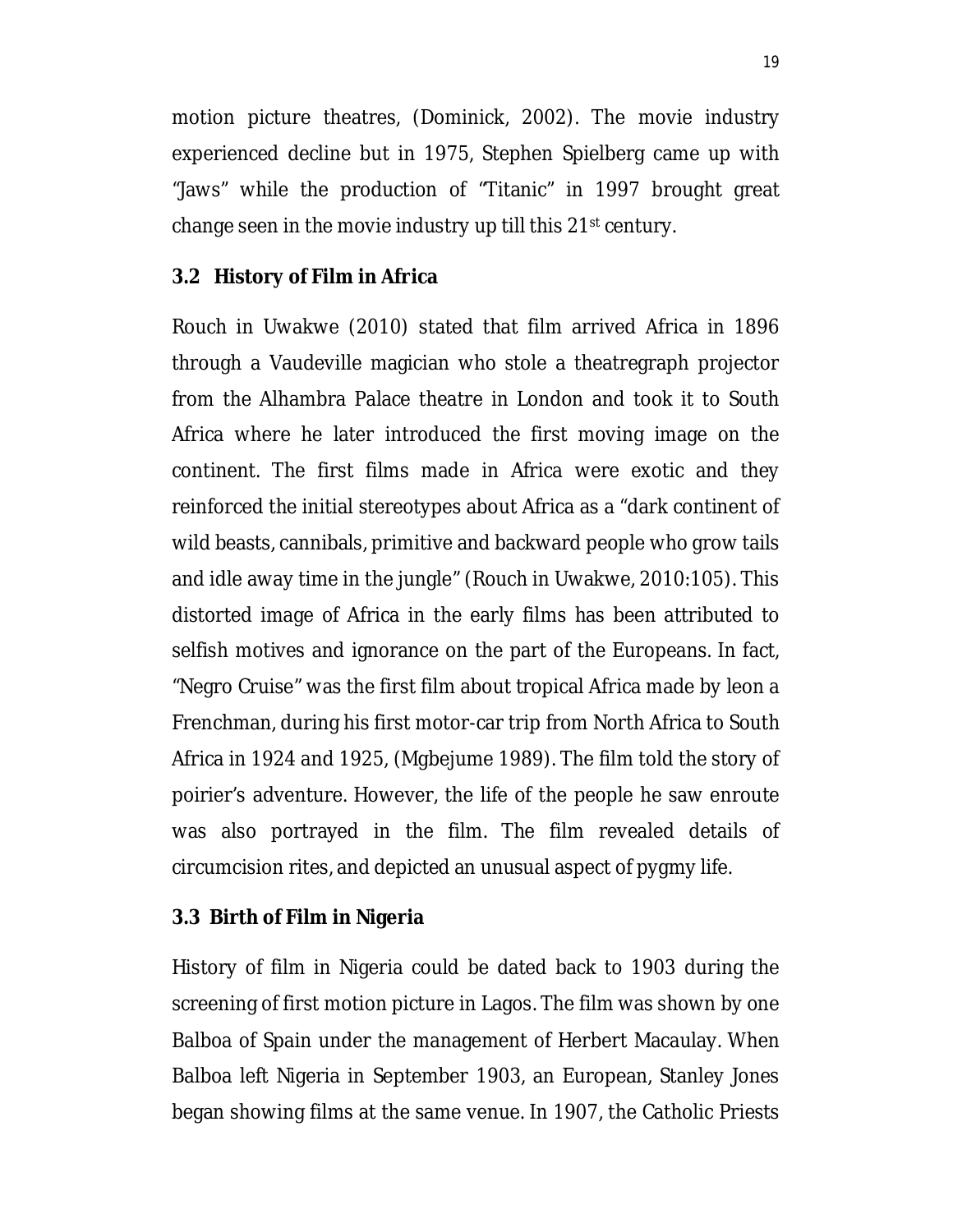motion picture theatres, (Dominick, 2002). The movie industry experienced decline but in 1975, Stephen Spielberg came up with "Jaws" while the production of "Titanic" in 1997 brought great change seen in the movie industry up till this 21<sup>st</sup> century.

### **3.2 History of Film in Africa**

Rouch in Uwakwe (2010) stated that film arrived Africa in 1896 through a Vaudeville magician who stole a theatregraph projector from the Alhambra Palace theatre in London and took it to South Africa where he later introduced the first moving image on the continent. The first films made in Africa were exotic and they reinforced the initial stereotypes about Africa as a "dark continent of wild beasts, cannibals, primitive and backward people who grow tails and idle away time in the jungle" (Rouch in Uwakwe, 2010:105). This distorted image of Africa in the early films has been attributed to selfish motives and ignorance on the part of the Europeans. In fact, "Negro Cruise" was the first film about tropical Africa made by leon a Frenchman, during his first motor-car trip from North Africa to South Africa in 1924 and 1925, (Mgbejume 1989). The film told the story of poirier's adventure. However, the life of the people he saw enroute was also portrayed in the film. The film revealed details of circumcision rites, and depicted an unusual aspect of pygmy life.

### **3.3 Birth of Film in Nigeria**

History of film in Nigeria could be dated back to 1903 during the screening of first motion picture in Lagos. The film was shown by one Balboa of Spain under the management of Herbert Macaulay. When Balboa left Nigeria in September 1903, an European, Stanley Jones began showing films at the same venue. In 1907, the Catholic Priests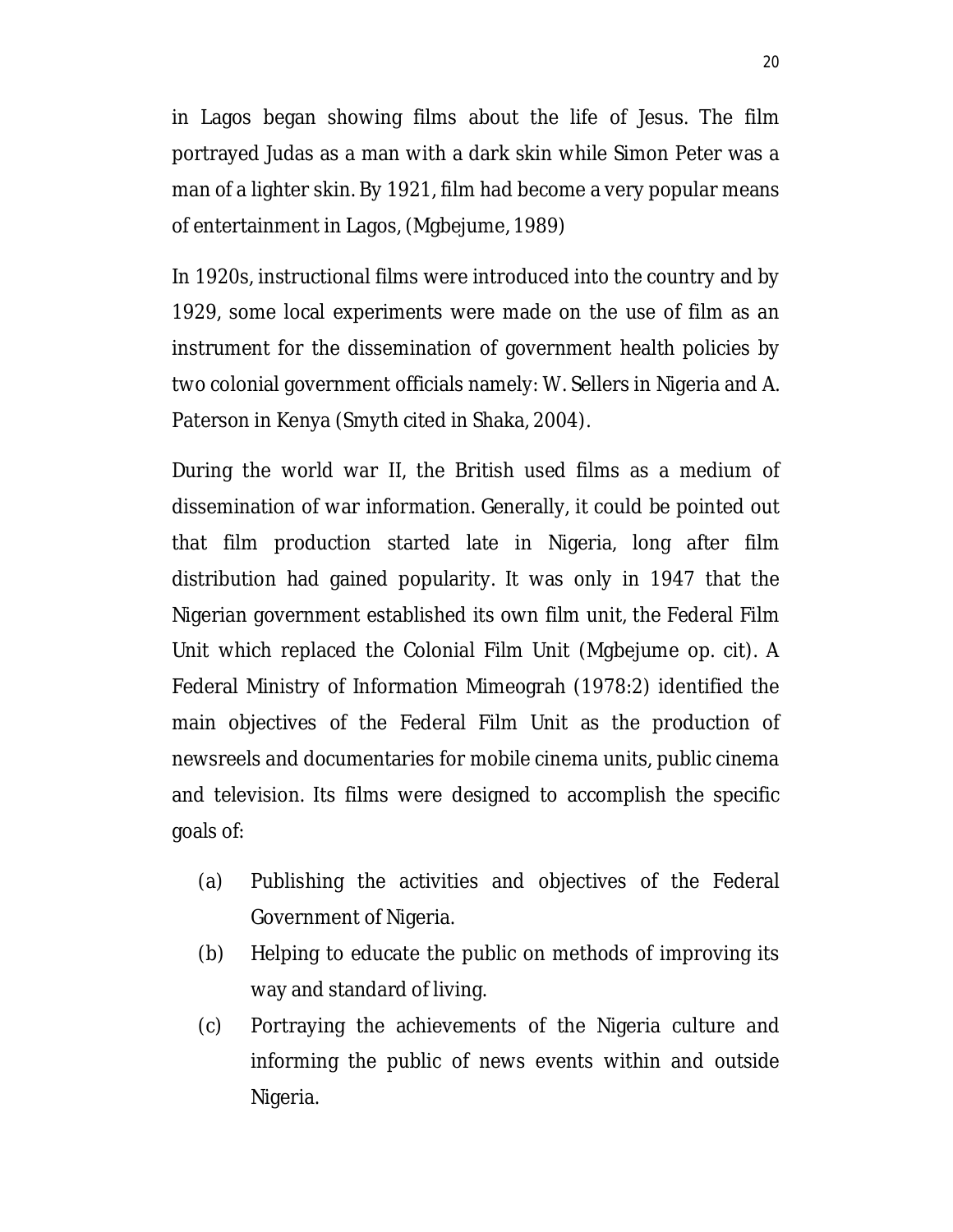in Lagos began showing films about the life of Jesus. The film portrayed Judas as a man with a dark skin while Simon Peter was a man of a lighter skin. By 1921, film had become a very popular means of entertainment in Lagos, (Mgbejume, 1989)

In 1920s, instructional films were introduced into the country and by 1929, some local experiments were made on the use of film as an instrument for the dissemination of government health policies by two colonial government officials namely: W. Sellers in Nigeria and A. Paterson in Kenya (Smyth cited in Shaka, 2004).

During the world war II, the British used films as a medium of dissemination of war information. Generally, it could be pointed out that film production started late in Nigeria, long after film distribution had gained popularity. It was only in 1947 that the Nigerian government established its own film unit, the Federal Film Unit which replaced the Colonial Film Unit (Mgbejume op. cit). A Federal Ministry of Information Mimeograh (1978:2) identified the main objectives of the Federal Film Unit as the production of newsreels and documentaries for mobile cinema units, public cinema and television. Its films were designed to accomplish the specific goals of:

- (a) Publishing the activities and objectives of the Federal Government of Nigeria.
- (b) Helping to educate the public on methods of improving its way and standard of living.
- (c) Portraying the achievements of the Nigeria culture and informing the public of news events within and outside Nigeria.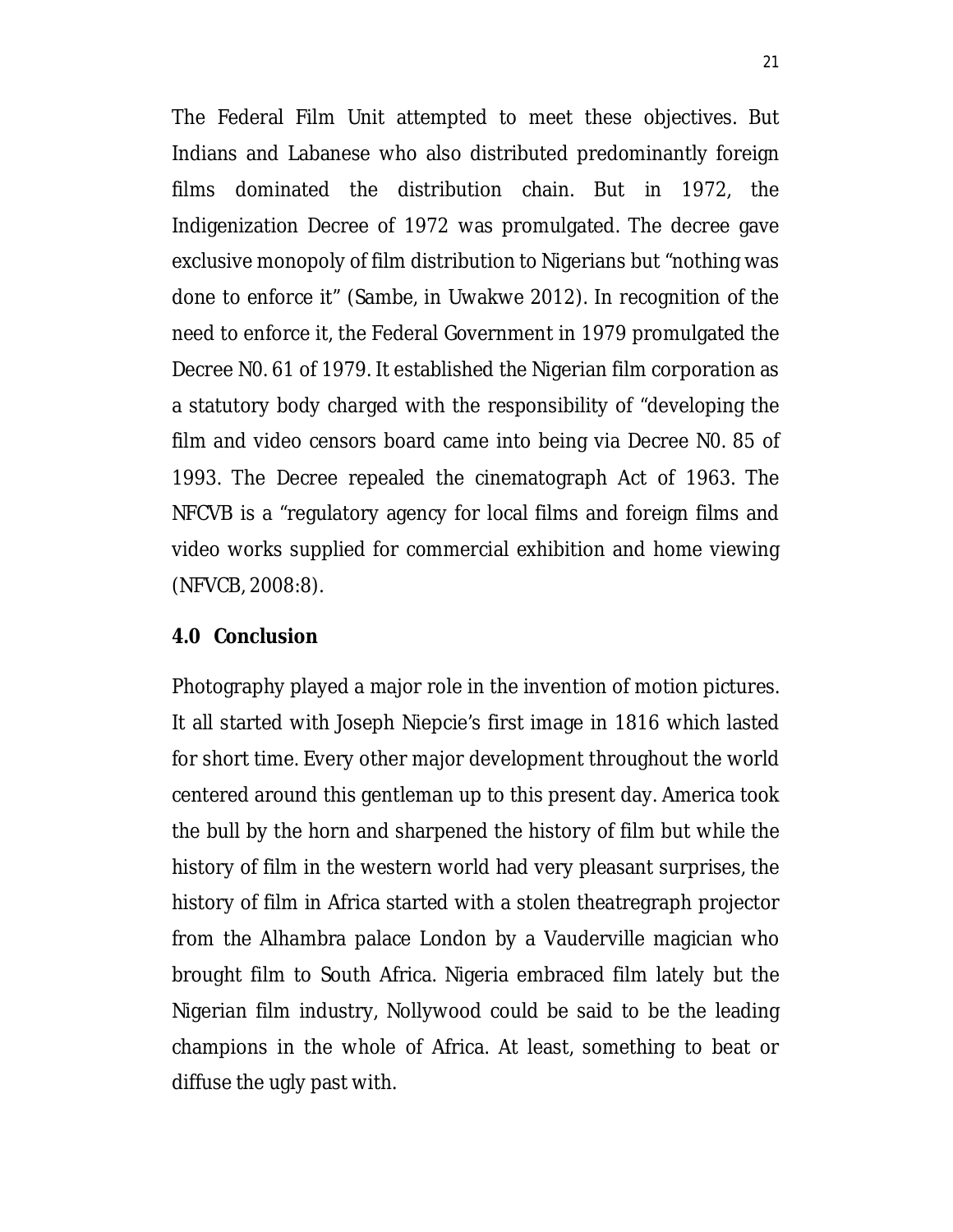The Federal Film Unit attempted to meet these objectives. But Indians and Labanese who also distributed predominantly foreign films dominated the distribution chain. But in 1972, the Indigenization Decree of 1972 was promulgated. The decree gave exclusive monopoly of film distribution to Nigerians but "nothing was done to enforce it" (Sambe, in Uwakwe 2012). In recognition of the need to enforce it, the Federal Government in 1979 promulgated the Decree N0. 61 of 1979. It established the Nigerian film corporation as a statutory body charged with the responsibility of "developing the film and video censors board came into being via Decree N0. 85 of 1993. The Decree repealed the cinematograph Act of 1963. The NFCVB is a "regulatory agency for local films and foreign films and video works supplied for commercial exhibition and home viewing (NFVCB, 2008:8).

#### **4.0 Conclusion**

Photography played a major role in the invention of motion pictures. It all started with Joseph Niepcie's first image in 1816 which lasted for short time. Every other major development throughout the world centered around this gentleman up to this present day. America took the bull by the horn and sharpened the history of film but while the history of film in the western world had very pleasant surprises, the history of film in Africa started with a stolen theatregraph projector from the Alhambra palace London by a Vauderville magician who brought film to South Africa. Nigeria embraced film lately but the Nigerian film industry, Nollywood could be said to be the leading champions in the whole of Africa. At least, something to beat or diffuse the ugly past with.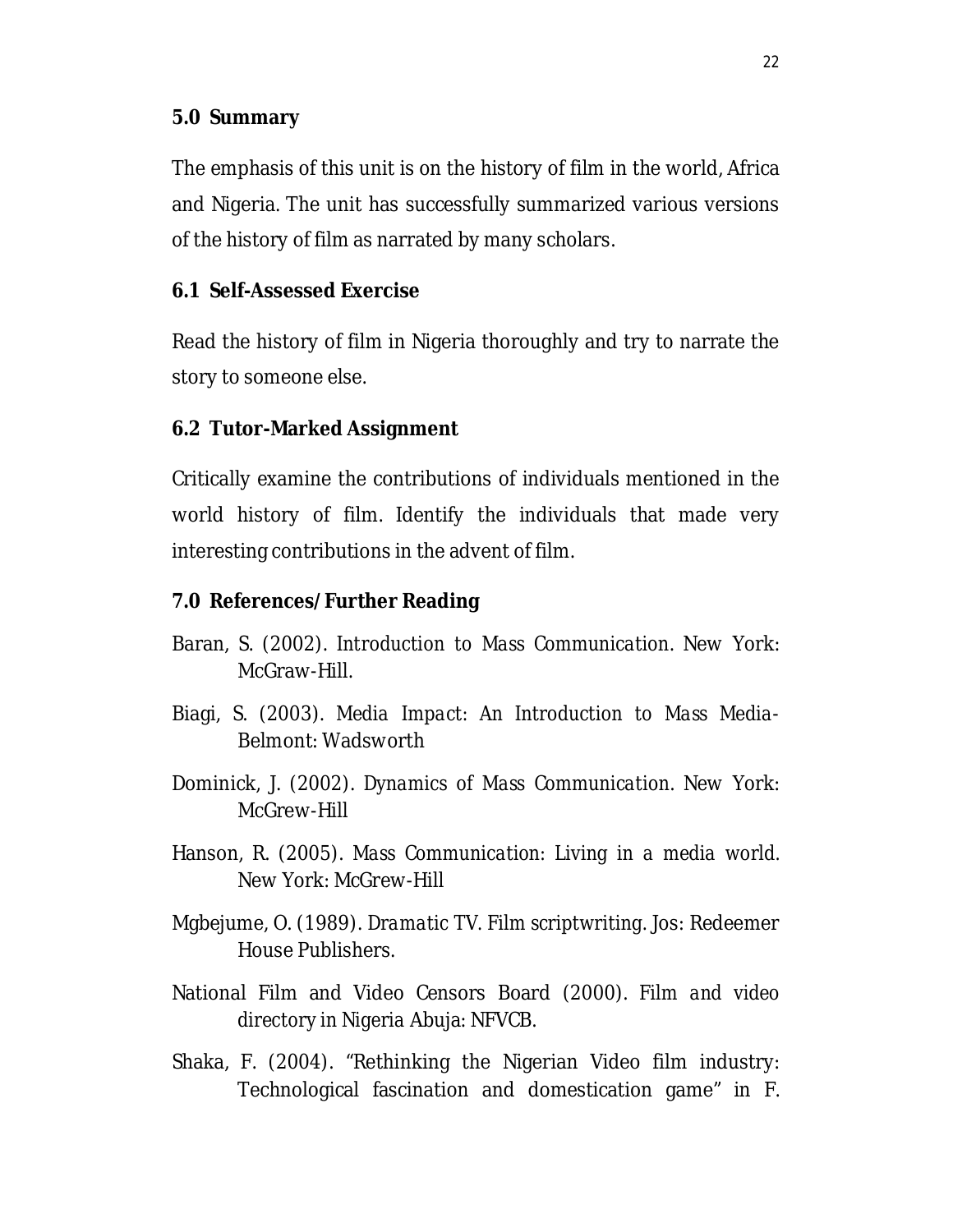### **5.0 Summary**

The emphasis of this unit is on the history of film in the world, Africa and Nigeria. The unit has successfully summarized various versions of the history of film as narrated by many scholars.

#### **6.1 Self-Assessed Exercise**

Read the history of film in Nigeria thoroughly and try to narrate the story to someone else.

#### **6.2 Tutor-Marked Assignment**

Critically examine the contributions of individuals mentioned in the world history of film. Identify the individuals that made very interesting contributions in the advent of film.

#### **7.0 References/Further Reading**

- Baran, S. (2002). *Introduction to Mass Communication*. New York: McGraw-Hill.
- Biagi, S. (2003). *Media Impact: An Introduction to Mass Media*-Belmont: Wadsworth
- Dominick, J. (2002). *Dynamics of Mass Communication*. New York: McGrew-Hill
- Hanson, R. (2005). *Mass Communication: Living in a media world.* New York: McGrew-Hill
- Mgbejume, O. (1989). *Dramatic TV. Film scriptwriting.* Jos: Redeemer House Publishers.
- National Film and Video Censors Board (2000). *Film and video directory in Nigeria* Abuja: NFVCB.
- Shaka, F. (2004). "Rethinking the Nigerian Video film industry: Technological fascination and domestication game" in F.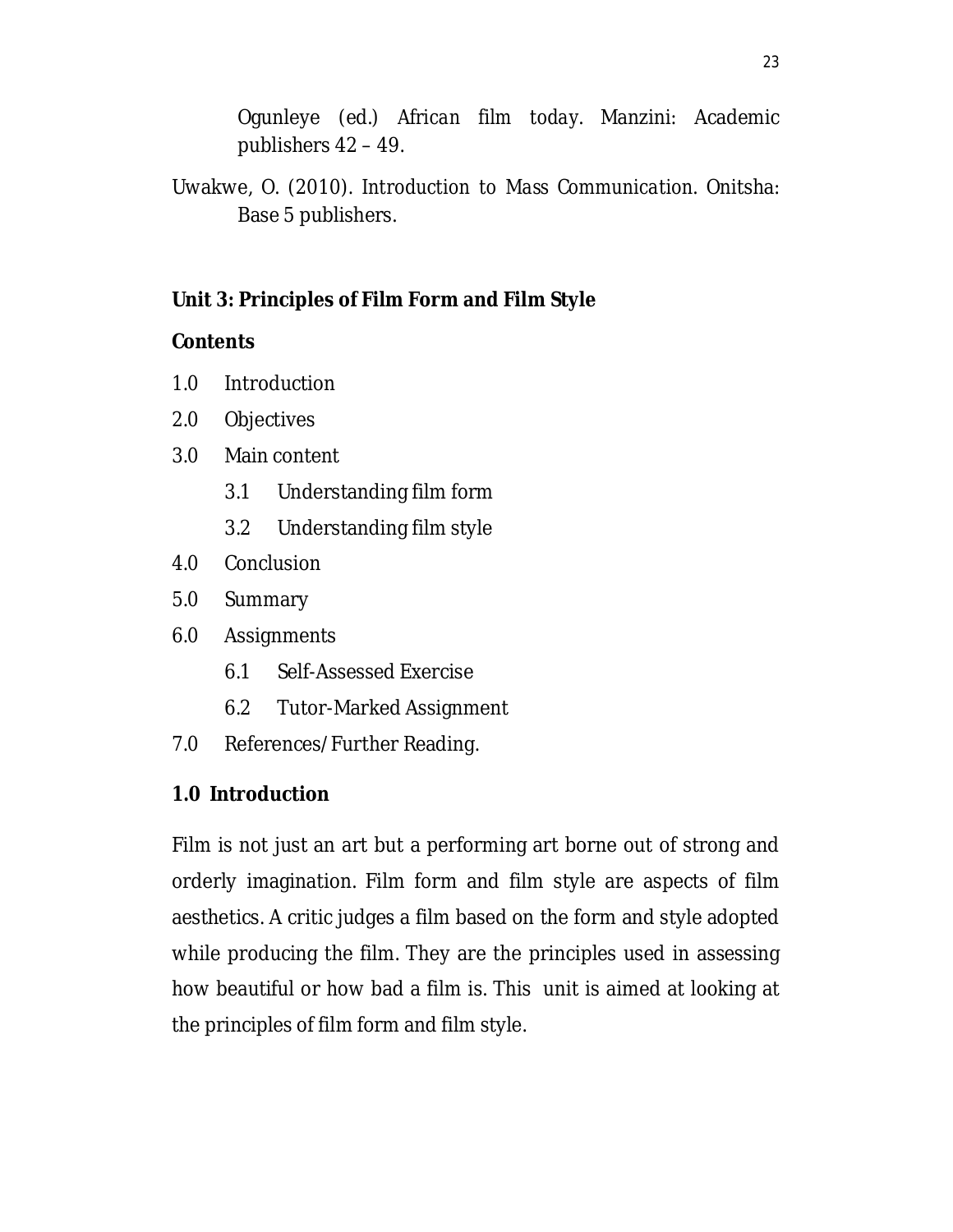Ogunleye (ed.) *African film today*. Manzini: Academic publishers 42 – 49.

Uwakwe, O. (2010). *Introduction to Mass Communication*. Onitsha: Base 5 publishers.

# **Unit 3: Principles of Film Form and Film Style**

## **Contents**

- 1.0 Introduction
- 2.0 Objectives
- 3.0 Main content
	- 3.1 Understanding film form
	- 3.2 Understanding film style
- 4.0 Conclusion
- 5.0 Summary
- 6.0 Assignments
	- 6.1 Self-Assessed Exercise
	- 6.2 Tutor-Marked Assignment
- 7.0 References/Further Reading.

# **1.0 Introduction**

Film is not just an art but a performing art borne out of strong and orderly imagination. Film form and film style are aspects of film aesthetics. A critic judges a film based on the form and style adopted while producing the film. They are the principles used in assessing how beautiful or how bad a film is. This unit is aimed at looking at the principles of film form and film style.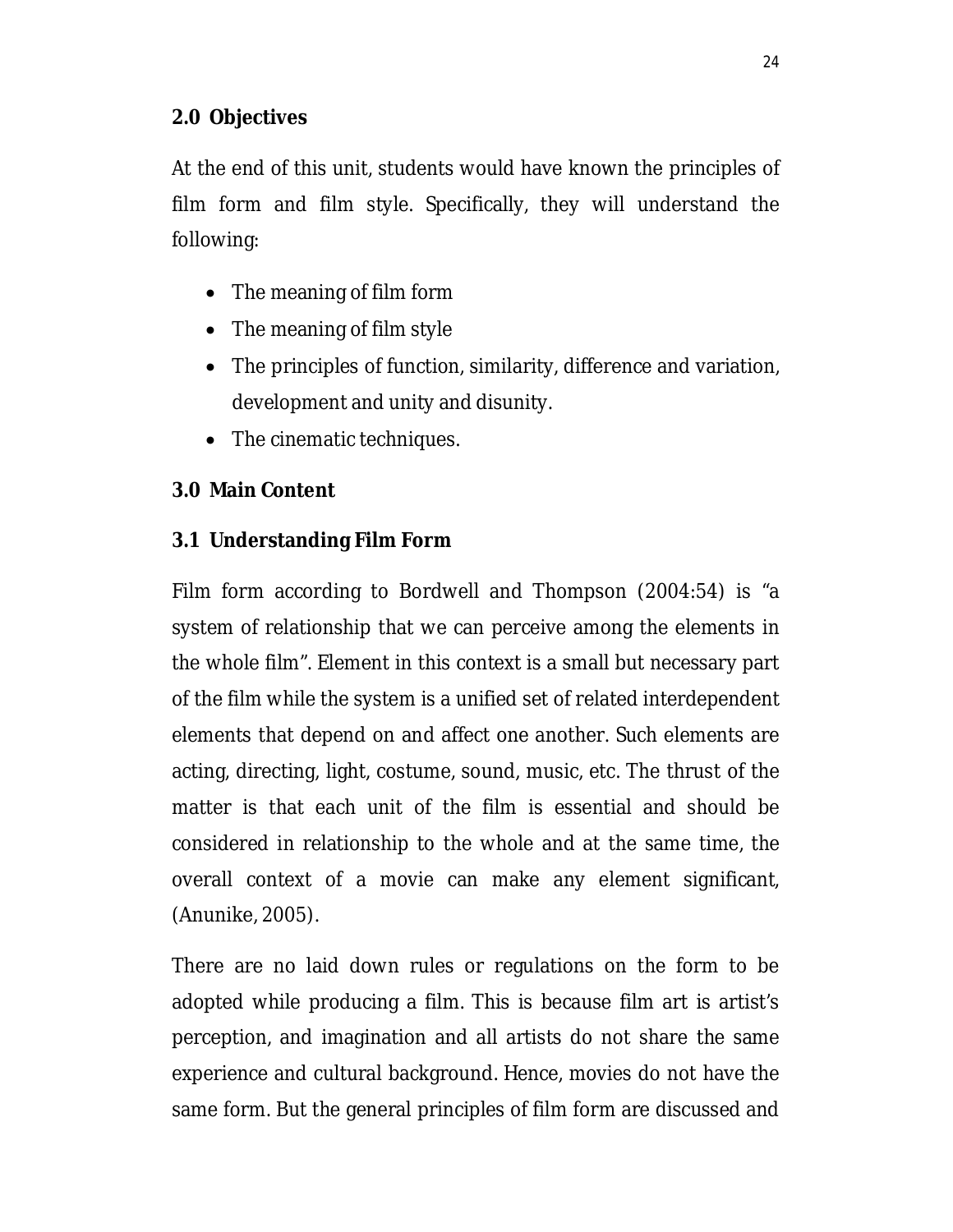## **2.0 Objectives**

At the end of this unit, students would have known the principles of film form and film style. Specifically, they will understand the following:

- The meaning of film form
- The meaning of film style
- The principles of function, similarity, difference and variation, development and unity and disunity.
- The cinematic techniques.

## **3.0 Main Content**

## **3.1 Understanding Film Form**

Film form according to Bordwell and Thompson (2004:54) is "a system of relationship that we can perceive among the elements in the whole film". Element in this context is a small but necessary part of the film while the system is a unified set of related interdependent elements that depend on and affect one another. Such elements are acting, directing, light, costume, sound, music, etc. The thrust of the matter is that each unit of the film is essential and should be considered in relationship to the whole and at the same time, the overall context of a movie can make any element significant, (Anunike, 2005).

There are no laid down rules or regulations on the form to be adopted while producing a film. This is because film art is artist's perception, and imagination and all artists do not share the same experience and cultural background. Hence, movies do not have the same form. But the general principles of film form are discussed and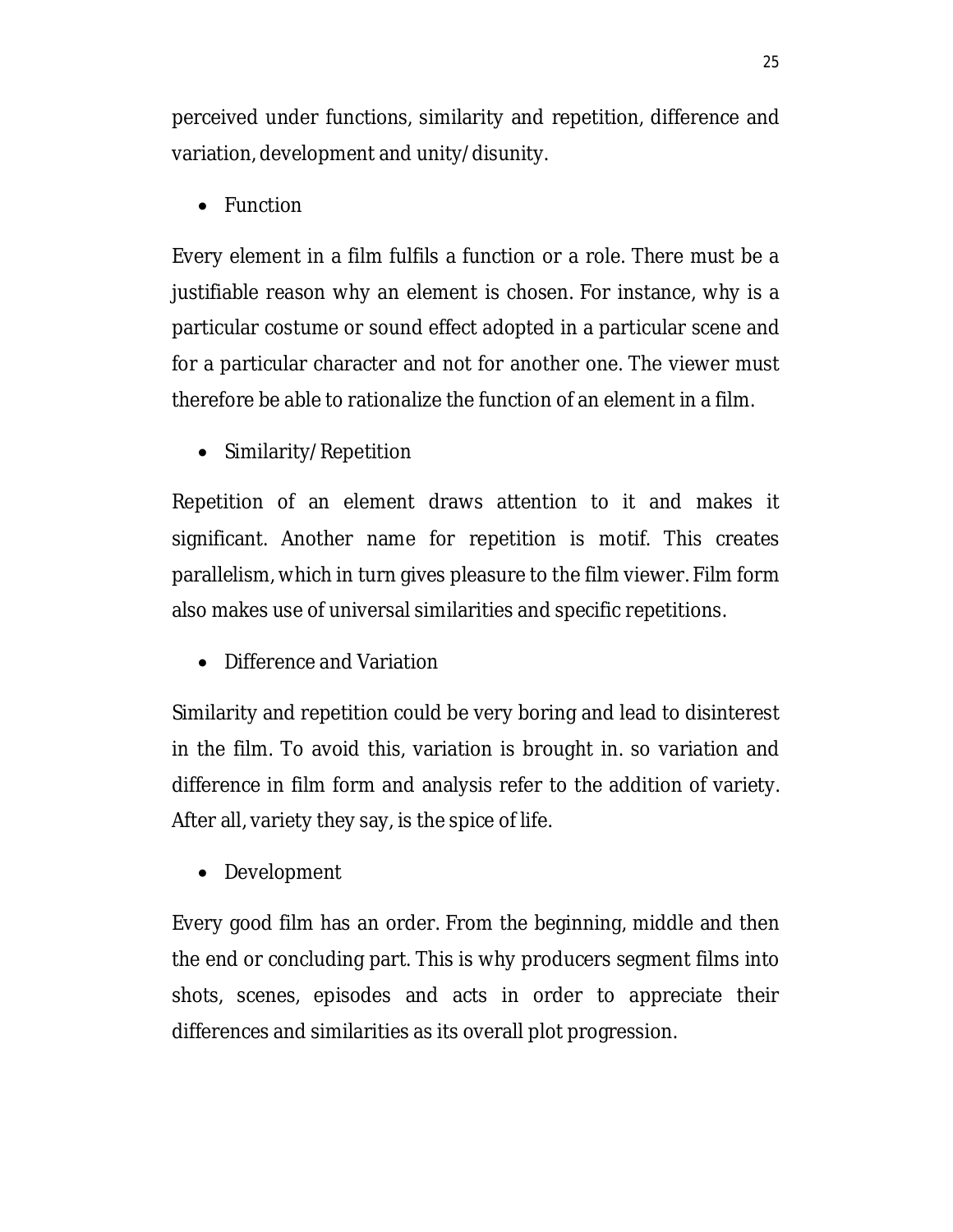perceived under functions, similarity and repetition, difference and variation, development and unity/disunity.

• Function

Every element in a film fulfils a function or a role. There must be a justifiable reason why an element is chosen. For instance, why is a particular costume or sound effect adopted in a particular scene and for a particular character and not for another one. The viewer must therefore be able to rationalize the function of an element in a film.

• Similarity/Repetition

Repetition of an element draws attention to it and makes it significant. Another name for repetition is motif. This creates parallelism, which in turn gives pleasure to the film viewer. Film form also makes use of universal similarities and specific repetitions.

• Difference and Variation

Similarity and repetition could be very boring and lead to disinterest in the film. To avoid this, variation is brought in. so variation and difference in film form and analysis refer to the addition of variety. After all, variety they say, is the spice of life.

Development

Every good film has an order. From the beginning, middle and then the end or concluding part. This is why producers segment films into shots, scenes, episodes and acts in order to appreciate their differences and similarities as its overall plot progression.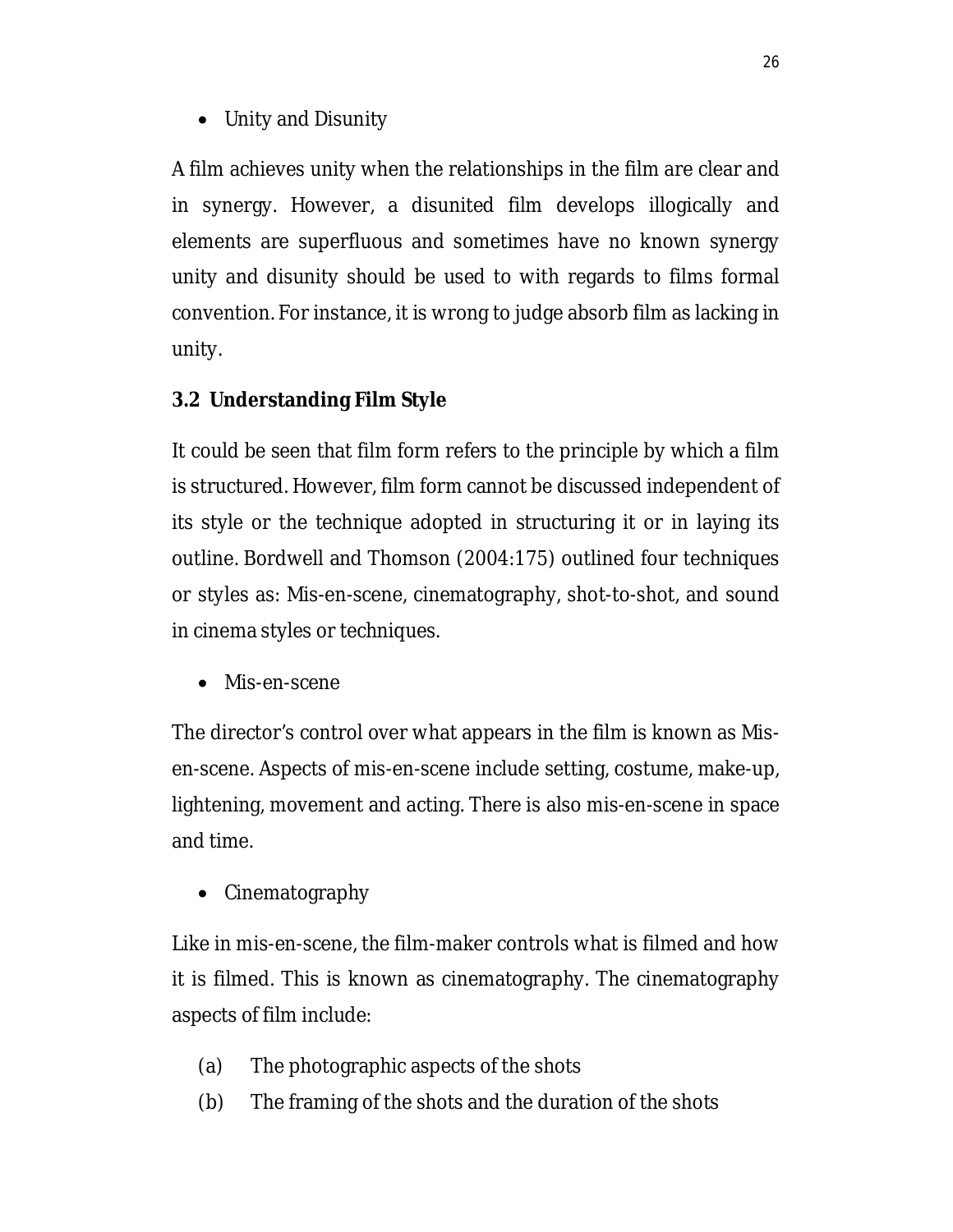Unity and Disunity

A film achieves unity when the relationships in the film are clear and in synergy. However, a disunited film develops illogically and elements are superfluous and sometimes have no known synergy unity and disunity should be used to with regards to films formal convention. For instance, it is wrong to judge absorb film as lacking in unity.

## **3.2 Understanding Film Style**

It could be seen that film form refers to the principle by which a film is structured. However, film form cannot be discussed independent of its style or the technique adopted in structuring it or in laying its outline. Bordwell and Thomson (2004:175) outlined four techniques or styles as: Mis-en-scene, cinematography, shot-to-shot, and sound in cinema styles or techniques.

• Mis-en-scene

The director's control over what appears in the film is known as Misen-scene. Aspects of mis-en-scene include setting, costume, make-up, lightening, movement and acting. There is also mis-en-scene in space and time.

• Cinematography

Like in mis-en-scene, the film-maker controls what is filmed and how it is filmed. This is known as cinematography. The cinematography aspects of film include:

- (a) The photographic aspects of the shots
- (b) The framing of the shots and the duration of the shots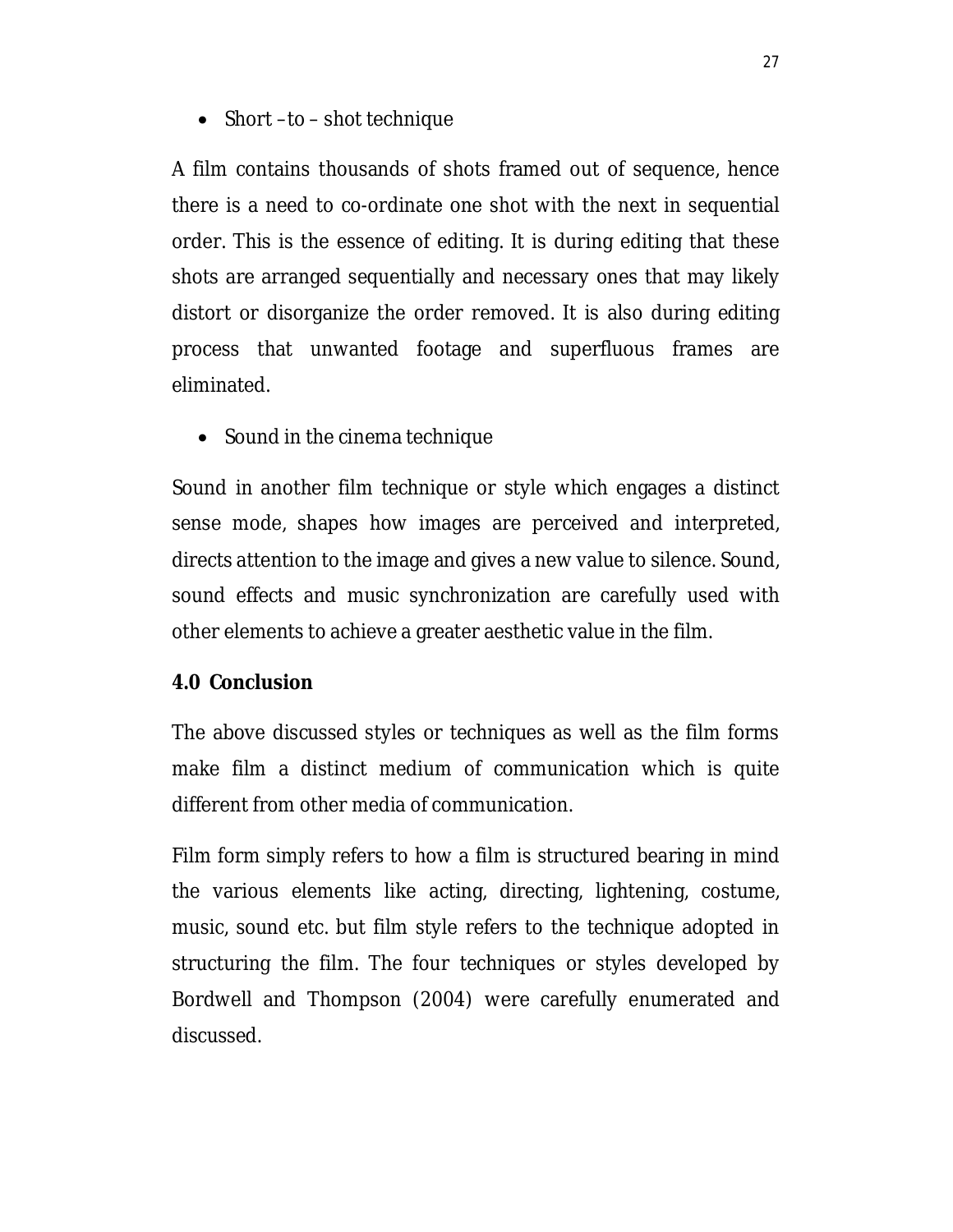• Short –to – shot technique

A film contains thousands of shots framed out of sequence, hence there is a need to co-ordinate one shot with the next in sequential order. This is the essence of editing. It is during editing that these shots are arranged sequentially and necessary ones that may likely distort or disorganize the order removed. It is also during editing process that unwanted footage and superfluous frames are eliminated.

• Sound in the cinema technique

Sound in another film technique or style which engages a distinct sense mode, shapes how images are perceived and interpreted, directs attention to the image and gives a new value to silence. Sound, sound effects and music synchronization are carefully used with other elements to achieve a greater aesthetic value in the film.

### **4.0 Conclusion**

The above discussed styles or techniques as well as the film forms make film a distinct medium of communication which is quite different from other media of communication.

Film form simply refers to how a film is structured bearing in mind the various elements like acting, directing, lightening, costume, music, sound etc. but film style refers to the technique adopted in structuring the film. The four techniques or styles developed by Bordwell and Thompson (2004) were carefully enumerated and discussed.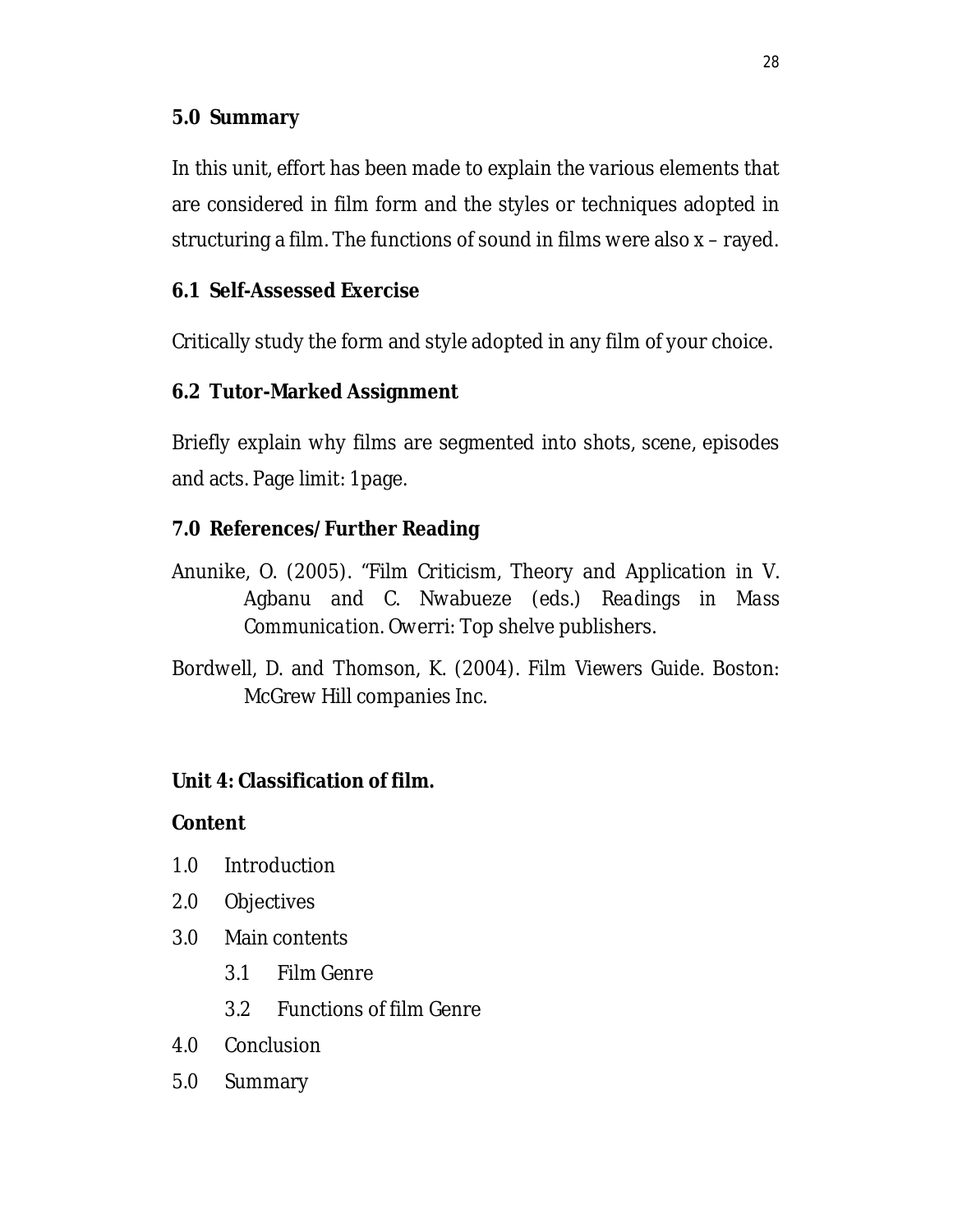## **5.0 Summary**

In this unit, effort has been made to explain the various elements that are considered in film form and the styles or techniques adopted in structuring a film. The functions of sound in films were also x – rayed.

## **6.1 Self-Assessed Exercise**

Critically study the form and style adopted in any film of your choice.

## **6.2 Tutor-Marked Assignment**

Briefly explain why films are segmented into shots, scene, episodes and acts. Page limit: 1page.

## **7.0 References/Further Reading**

- Anunike, O. (2005). "Film Criticism, Theory and Application in V. Agbanu and C. Nwabueze (eds.) *Readings in Mass Communication*. Owerri: Top shelve publishers.
- Bordwell, D. and Thomson, K. (2004). *Film Viewers Guide*. Boston: McGrew Hill companies Inc.

## **Unit 4: Classification of film.**

### **Content**

- 1.0 Introduction
- 2.0 Objectives
- 3.0 Main contents
	- 3.1 Film Genre
	- 3.2 Functions of film Genre
- 4.0 Conclusion
- 5.0 Summary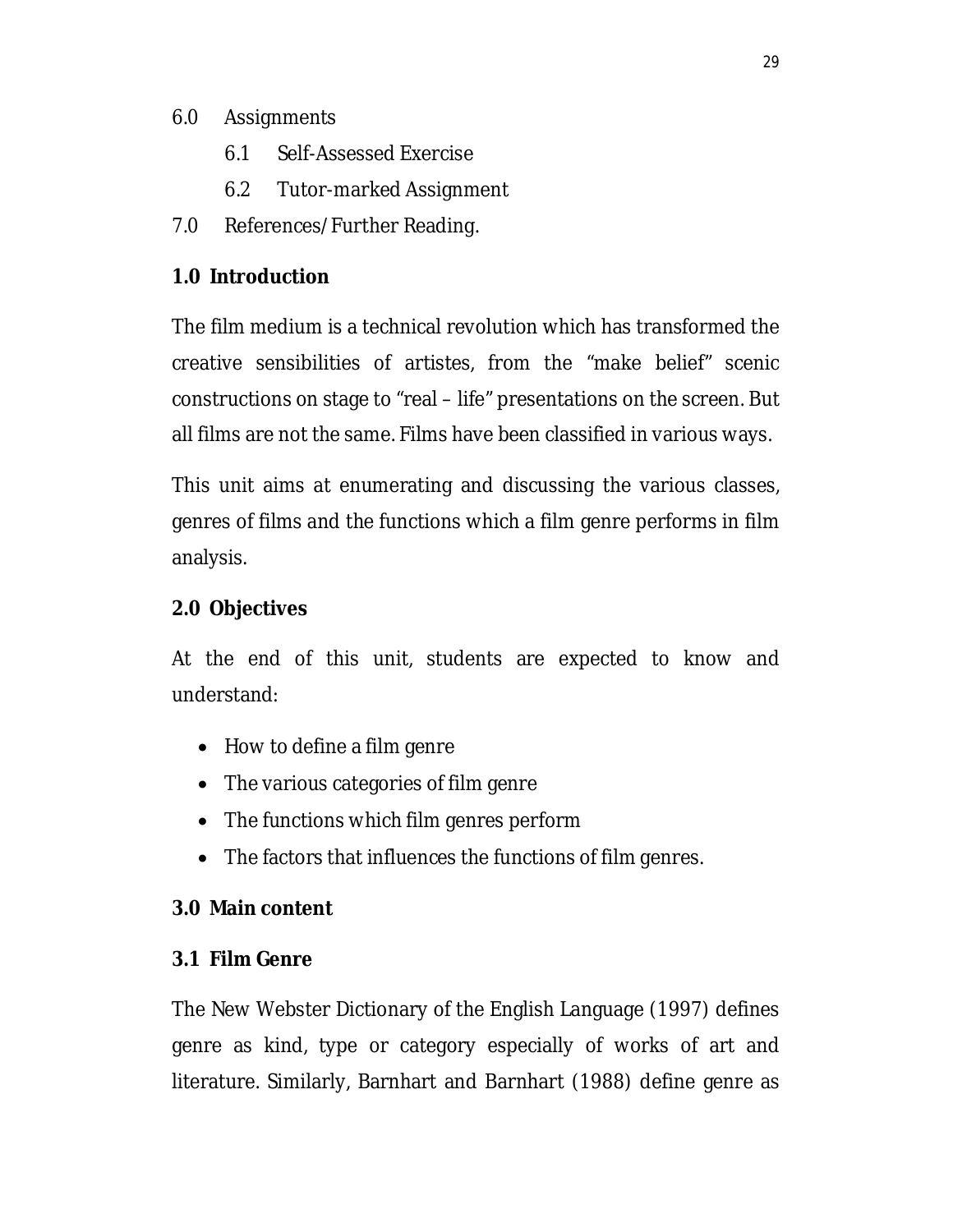## 6.0 Assignments

- 6.1 Self-Assessed Exercise
- 6.2 Tutor-marked Assignment
- 7.0 References/Further Reading.

# **1.0 Introduction**

The film medium is a technical revolution which has transformed the creative sensibilities of artistes, from the "make belief" scenic constructions on stage to "real – life" presentations on the screen. But all films are not the same. Films have been classified in various ways.

This unit aims at enumerating and discussing the various classes, genres of films and the functions which a film genre performs in film analysis.

# **2.0 Objectives**

At the end of this unit, students are expected to know and understand:

- How to define a film genre
- The various categories of film genre
- The functions which film genres perform
- The factors that influences the functions of film genres.

## **3.0 Main content**

# **3.1 Film Genre**

The New Webster Dictionary of the English Language (1997) defines genre as kind, type or category especially of works of art and literature. Similarly, Barnhart and Barnhart (1988) define genre as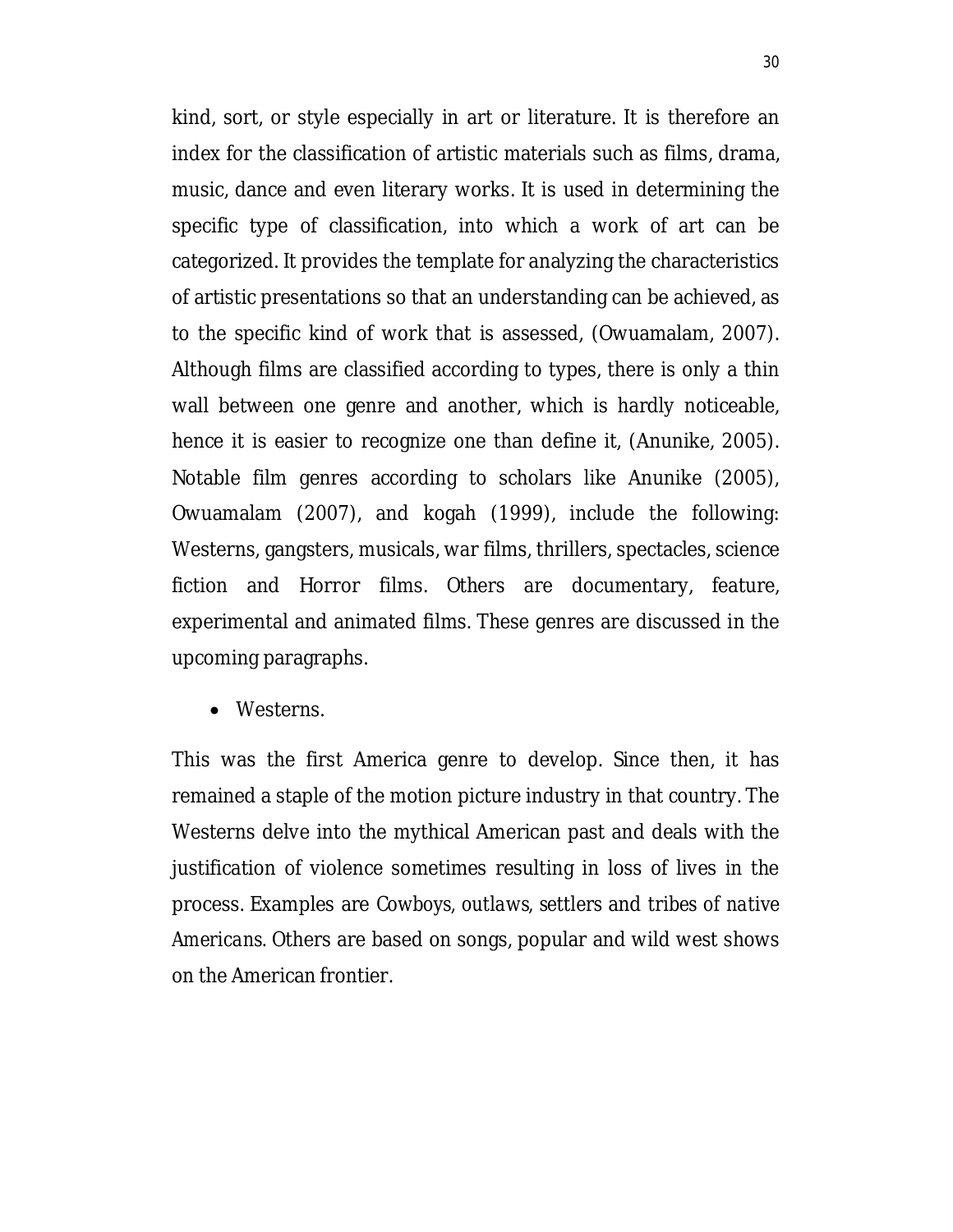kind, sort, or style especially in art or literature. It is therefore an index for the classification of artistic materials such as films, drama, music, dance and even literary works. It is used in determining the specific type of classification, into which a work of art can be categorized. It provides the template for analyzing the characteristics of artistic presentations so that an understanding can be achieved, as to the specific kind of work that is assessed, (Owuamalam, 2007). Although films are classified according to types, there is only a thin wall between one genre and another, which is hardly noticeable, hence it is easier to recognize one than define it, (Anunike, 2005). Notable film genres according to scholars like Anunike (2005), Owuamalam (2007), and kogah (1999), include the following: Westerns, gangsters, musicals, war films, thrillers, spectacles, science fiction and Horror films. Others are documentary, feature, experimental and animated films. These genres are discussed in the upcoming paragraphs.

• Westerns.

This was the first America genre to develop. Since then, it has remained a staple of the motion picture industry in that country. The Westerns delve into the mythical American past and deals with the justification of violence sometimes resulting in loss of lives in the process. Examples are *Cowboys, outlaws, settlers* and *tribes of native Americans.* Others are based on songs, popular and wild west shows on the American frontier.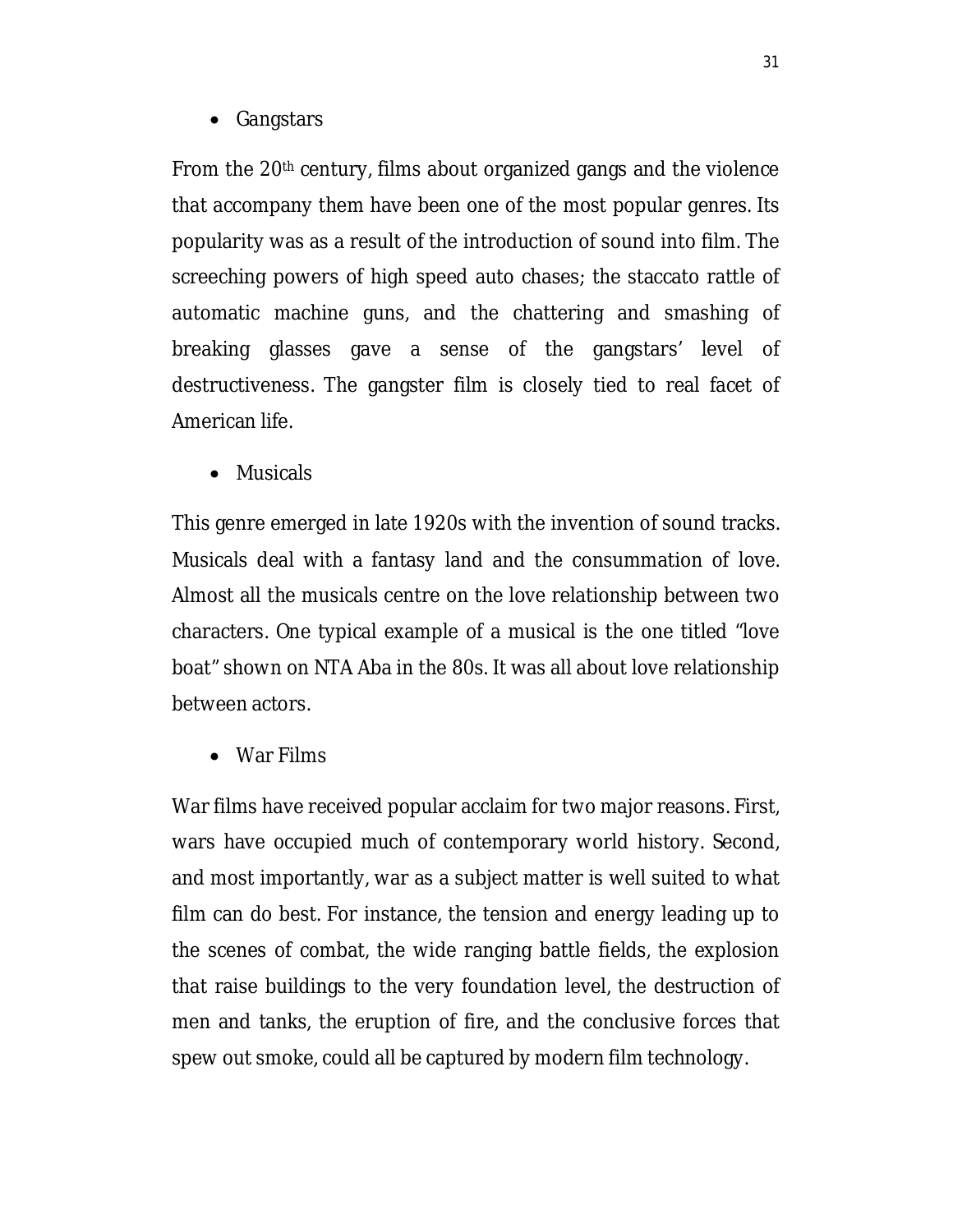• Gangstars

From the 20th century, films about organized gangs and the violence that accompany them have been one of the most popular genres. Its popularity was as a result of the introduction of sound into film. The screeching powers of high speed auto chases; the staccato rattle of automatic machine guns, and the chattering and smashing of breaking glasses gave a sense of the gangstars' level of destructiveness. The gangster film is closely tied to real facet of American life.

• Musicals

This genre emerged in late 1920s with the invention of sound tracks. Musicals deal with a fantasy land and the consummation of love. Almost all the musicals centre on the love relationship between two characters. One typical example of a musical is the one titled "love boat" shown on NTA Aba in the 80s. It was all about love relationship between actors.

War Films

War films have received popular acclaim for two major reasons. First, wars have occupied much of contemporary world history. Second, and most importantly, war as a subject matter is well suited to what film can do best. For instance, the tension and energy leading up to the scenes of combat, the wide ranging battle fields, the explosion that raise buildings to the very foundation level, the destruction of men and tanks, the eruption of fire, and the conclusive forces that spew out smoke, could all be captured by modern film technology.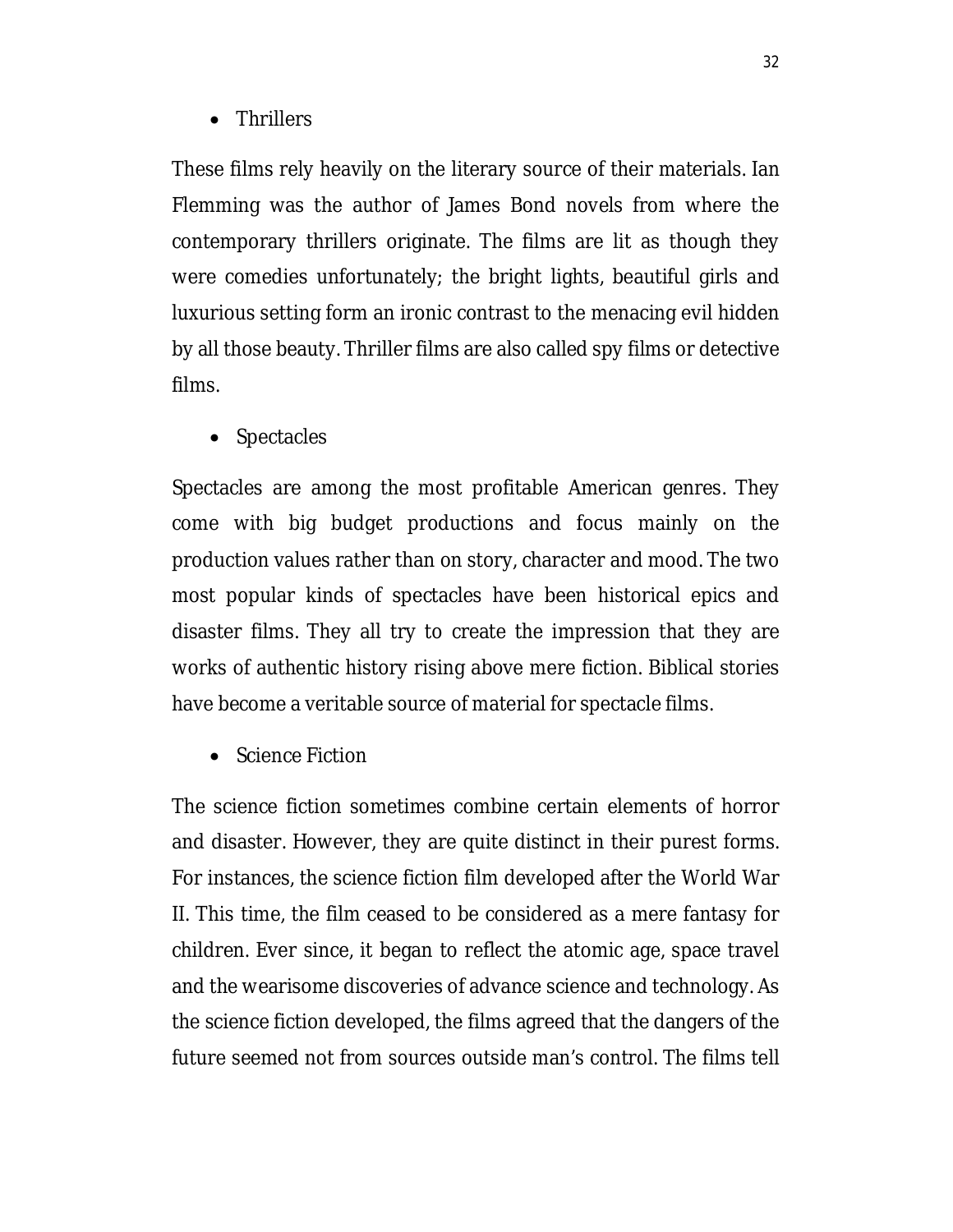• Thrillers

These films rely heavily on the literary source of their materials. Ian Flemming was the author of James Bond novels from where the contemporary thrillers originate. The films are lit as though they were comedies unfortunately; the bright lights, beautiful girls and luxurious setting form an ironic contrast to the menacing evil hidden by all those beauty. Thriller films are also called spy films or detective films.

• Spectacles

Spectacles are among the most profitable American genres. They come with big budget productions and focus mainly on the production values rather than on story, character and mood. The two most popular kinds of spectacles have been historical epics and disaster films. They all try to create the impression that they are works of authentic history rising above mere fiction. Biblical stories have become a veritable source of material for spectacle films.

• Science Fiction

The science fiction sometimes combine certain elements of horror and disaster. However, they are quite distinct in their purest forms. For instances, the science fiction film developed after the World War II. This time, the film ceased to be considered as a mere fantasy for children. Ever since, it began to reflect the atomic age, space travel and the wearisome discoveries of advance science and technology. As the science fiction developed, the films agreed that the dangers of the future seemed not from sources outside man's control. The films tell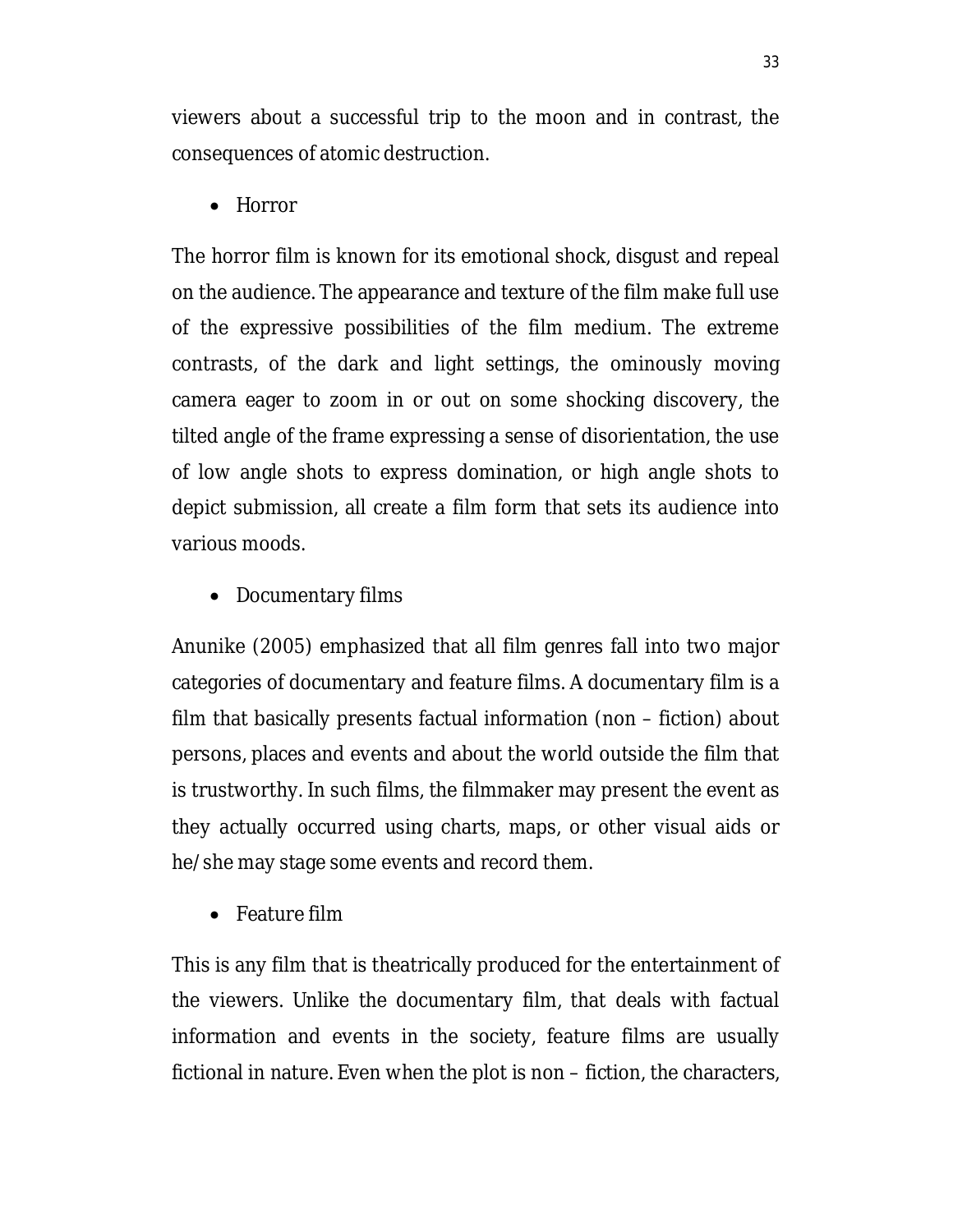viewers about a successful trip to the moon and in contrast, the consequences of atomic destruction.

• Horror

The horror film is known for its emotional shock, disgust and repeal on the audience. The appearance and texture of the film make full use of the expressive possibilities of the film medium. The extreme contrasts, of the dark and light settings, the ominously moving camera eager to zoom in or out on some shocking discovery, the tilted angle of the frame expressing a sense of disorientation, the use of low angle shots to express domination, or high angle shots to depict submission, all create a film form that sets its audience into various moods.

• Documentary films

Anunike (2005) emphasized that all film genres fall into two major categories of documentary and feature films. A documentary film is a film that basically presents factual information (non – fiction) about persons, places and events and about the world outside the film that is trustworthy. In such films, the filmmaker may present the event as they actually occurred using charts, maps, or other visual aids or he/she may stage some events and record them.

• Feature film

This is any film that is theatrically produced for the entertainment of the viewers. Unlike the documentary film, that deals with factual information and events in the society, feature films are usually fictional in nature. Even when the plot is non – fiction, the characters,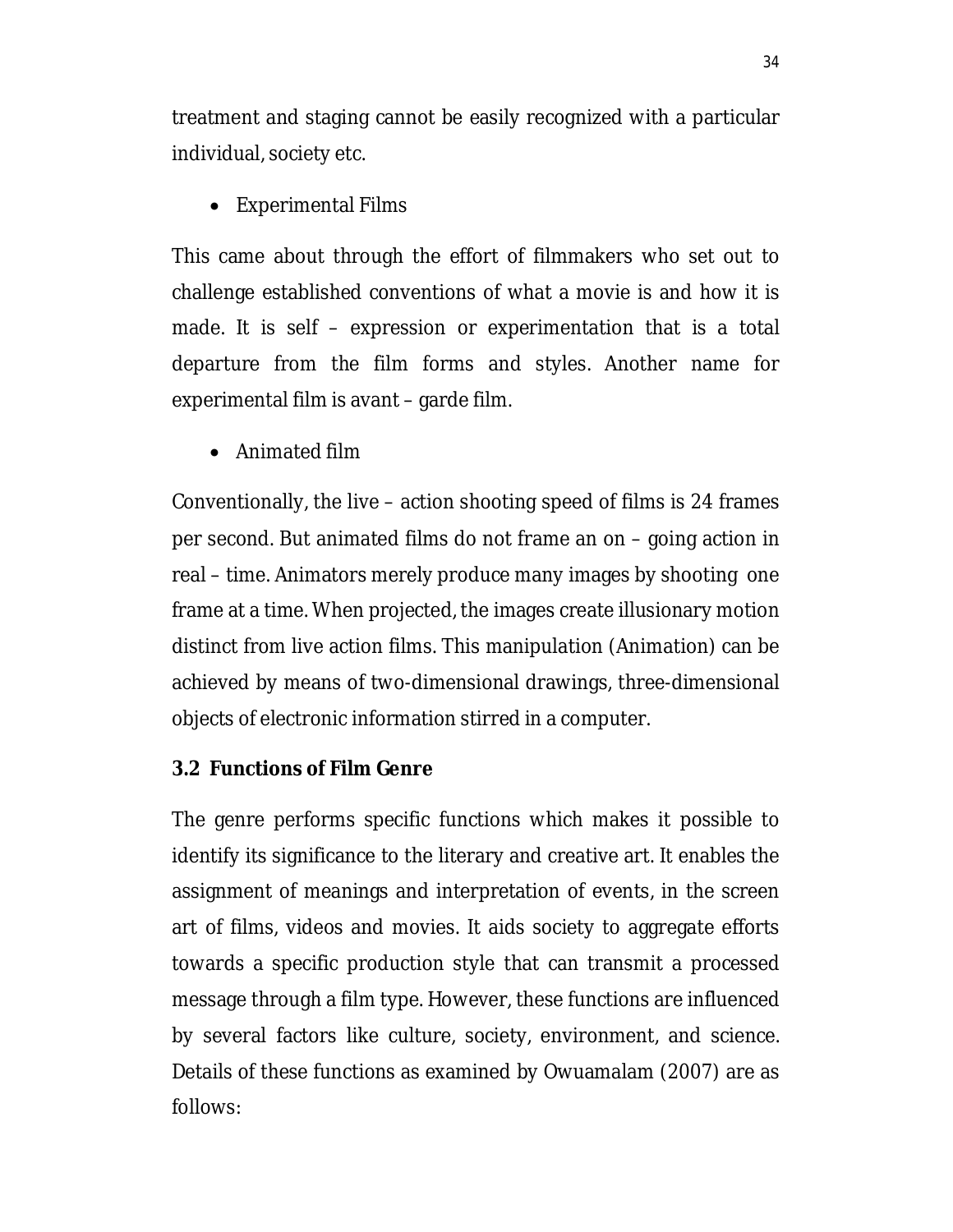treatment and staging cannot be easily recognized with a particular individual, society etc.

• Experimental Films

This came about through the effort of filmmakers who set out to challenge established conventions of what a movie is and how it is made. It is self – expression or experimentation that is a total departure from the film forms and styles. Another name for experimental film is avant – garde film.

Animated film

Conventionally, the live – action shooting speed of films is 24 frames per second. But animated films do not frame an on – going action in real – time. Animators merely produce many images by shooting one frame at a time. When projected, the images create illusionary motion distinct from live action films. This manipulation (Animation) can be achieved by means of two-dimensional drawings, three-dimensional objects of electronic information stirred in a computer.

# **3.2 Functions of Film Genre**

The genre performs specific functions which makes it possible to identify its significance to the literary and creative art. It enables the assignment of meanings and interpretation of events, in the screen art of films, videos and movies. It aids society to aggregate efforts towards a specific production style that can transmit a processed message through a film type. However, these functions are influenced by several factors like culture, society, environment, and science. Details of these functions as examined by Owuamalam (2007) are as follows: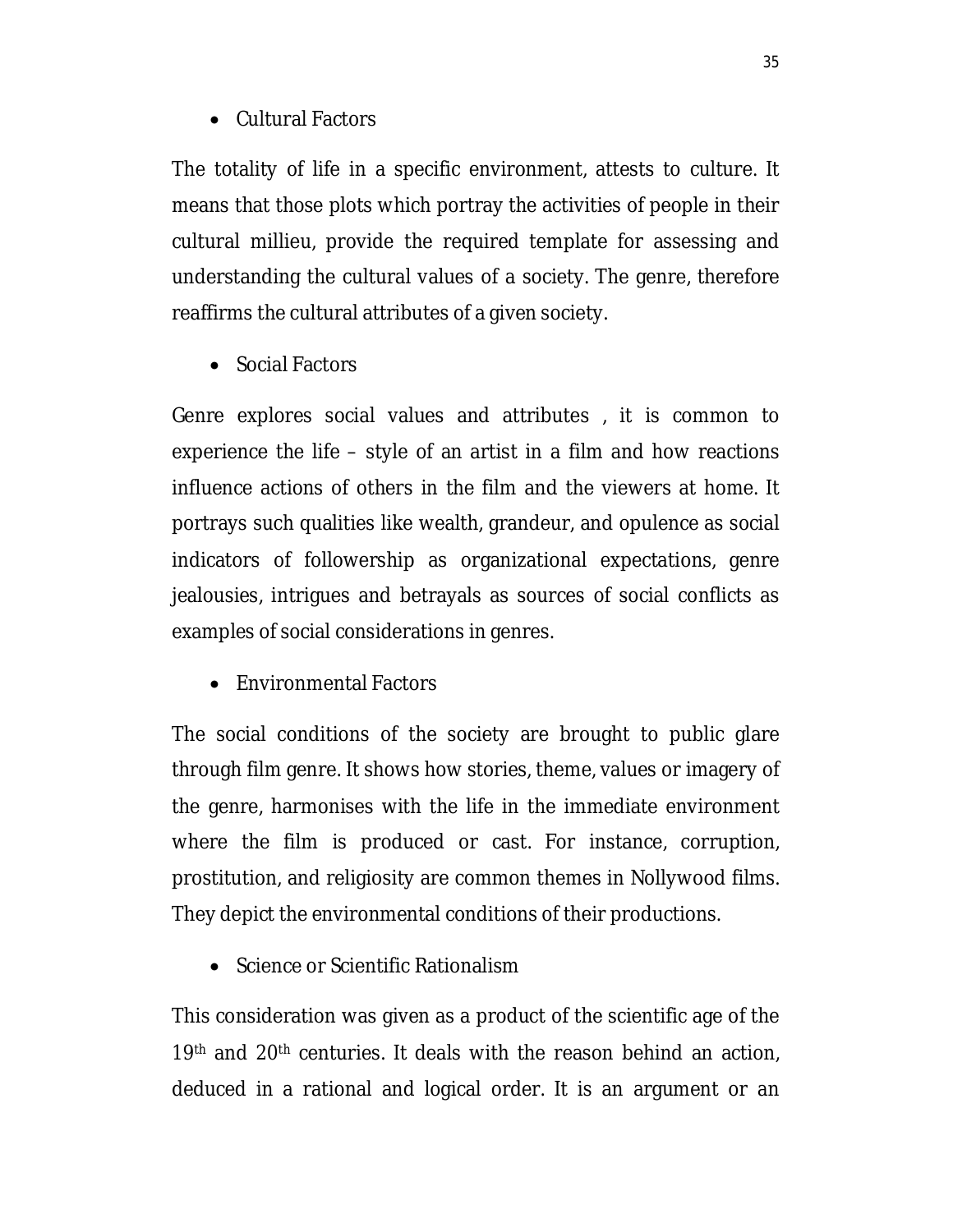### Cultural Factors

The totality of life in a specific environment, attests to culture. It means that those plots which portray the activities of people in their cultural millieu, provide the required template for assessing and understanding the cultural values of a society. The genre, therefore reaffirms the cultural attributes of a given society.

• Social Factors

Genre explores social values and attributes , it is common to experience the life – style of an artist in a film and how reactions influence actions of others in the film and the viewers at home. It portrays such qualities like wealth, grandeur, and opulence as social indicators of followership as organizational expectations, genre jealousies, intrigues and betrayals as sources of social conflicts as examples of social considerations in genres.

Environmental Factors

The social conditions of the society are brought to public glare through film genre. It shows how stories, theme, values or imagery of the genre, harmonises with the life in the immediate environment where the film is produced or cast. For instance, corruption, prostitution, and religiosity are common themes in Nollywood films. They depict the environmental conditions of their productions.

• Science or Scientific Rationalism

This consideration was given as a product of the scientific age of the 19th and 20th centuries. It deals with the reason behind an action, deduced in a rational and logical order. It is an argument or an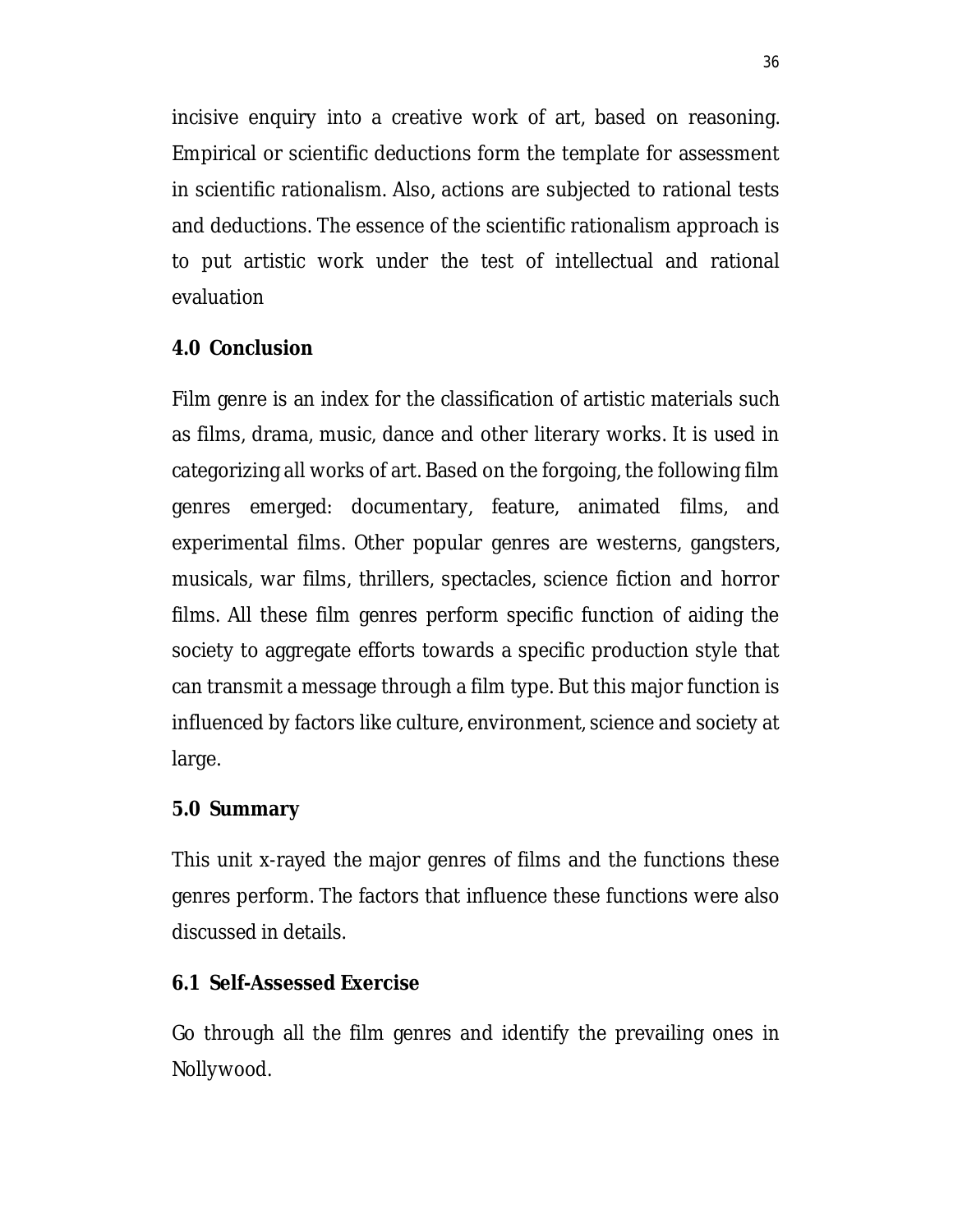incisive enquiry into a creative work of art, based on reasoning. Empirical or scientific deductions form the template for assessment in scientific rationalism. Also, actions are subjected to rational tests and deductions. The essence of the scientific rationalism approach is to put artistic work under the test of intellectual and rational evaluation

### **4.0 Conclusion**

Film genre is an index for the classification of artistic materials such as films, drama, music, dance and other literary works. It is used in categorizing all works of art. Based on the forgoing, the following film genres emerged: documentary, feature, animated films, and experimental films. Other popular genres are westerns, gangsters, musicals, war films, thrillers, spectacles, science fiction and horror films. All these film genres perform specific function of aiding the society to aggregate efforts towards a specific production style that can transmit a message through a film type. But this major function is influenced by factors like culture, environment, science and society at large.

### **5.0 Summary**

This unit x-rayed the major genres of films and the functions these genres perform. The factors that influence these functions were also discussed in details.

### **6.1 Self-Assessed Exercise**

Go through all the film genres and identify the prevailing ones in Nollywood.

36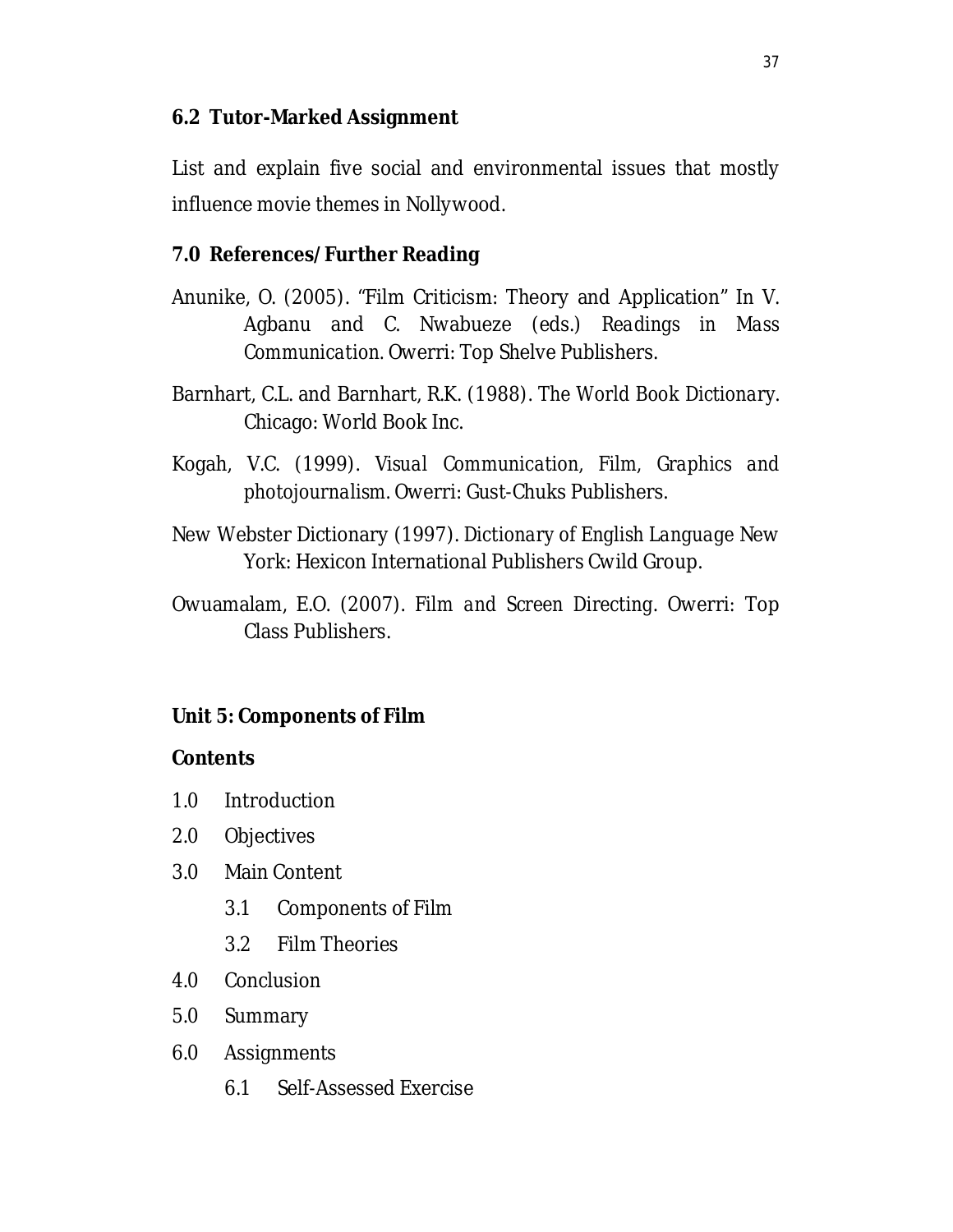## **6.2 Tutor-Marked Assignment**

List and explain five social and environmental issues that mostly influence movie themes in Nollywood.

# **7.0 References/Further Reading**

- Anunike, O. (2005). "Film Criticism: Theory and Application" In V. Agbanu and C. Nwabueze (eds.) *Readings in Mass Communication.* Owerri: Top Shelve Publishers.
- Barnhart, C.L. and Barnhart, R.K. (1988). *The World Book Dictionary*. Chicago: World Book Inc.
- Kogah, V.C. (1999). *Visual Communication, Film, Graphics and photojournalism.* Owerri: Gust-Chuks Publishers.
- New Webster Dictionary (1997). *Dictionary of English Language* New York: Hexicon International Publishers Cwild Group.
- Owuamalam, E.O. (2007). *Film and Screen Directing*. Owerri: Top Class Publishers.

### **Unit 5: Components of Film**

#### **Contents**

- 1.0 Introduction
- 2.0 Objectives
- 3.0 Main Content
	- 3.1 Components of Film
	- 3.2 Film Theories
- 4.0 Conclusion
- 5.0 Summary
- 6.0 Assignments
	- 6.1 Self-Assessed Exercise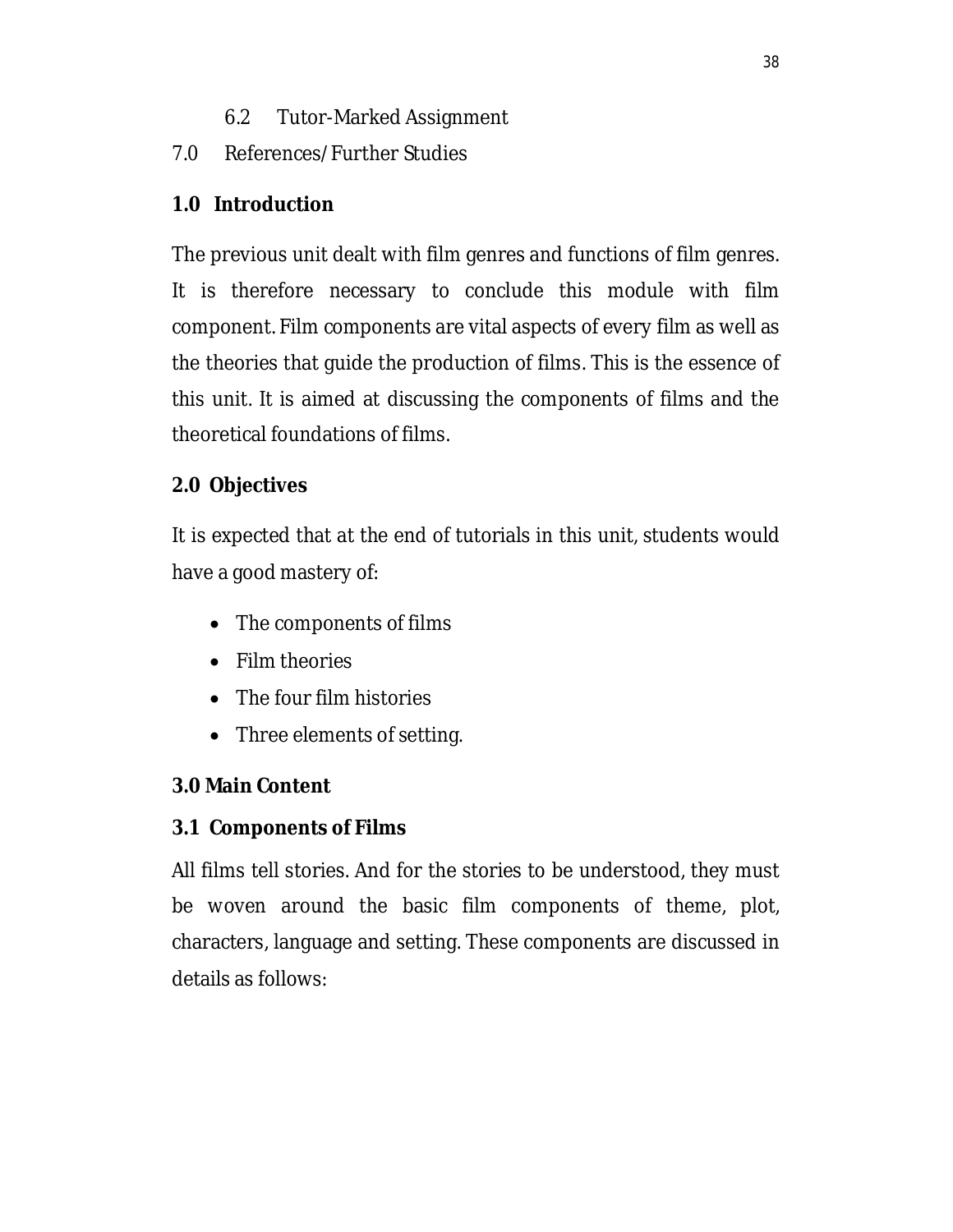- 6.2 Tutor-Marked Assignment
- 7.0 References/Further Studies

# **1.0 Introduction**

The previous unit dealt with film genres and functions of film genres. It is therefore necessary to conclude this module with film component. Film components are vital aspects of every film as well as the theories that guide the production of films. This is the essence of this unit. It is aimed at discussing the components of films and the theoretical foundations of films.

# **2.0 Objectives**

It is expected that at the end of tutorials in this unit, students would have a good mastery of:

- The components of films
- Film theories
- The four film histories
- Three elements of setting.

# **3.0 Main Content**

# **3.1 Components of Films**

All films tell stories. And for the stories to be understood, they must be woven around the basic film components of theme, plot, characters, language and setting. These components are discussed in details as follows: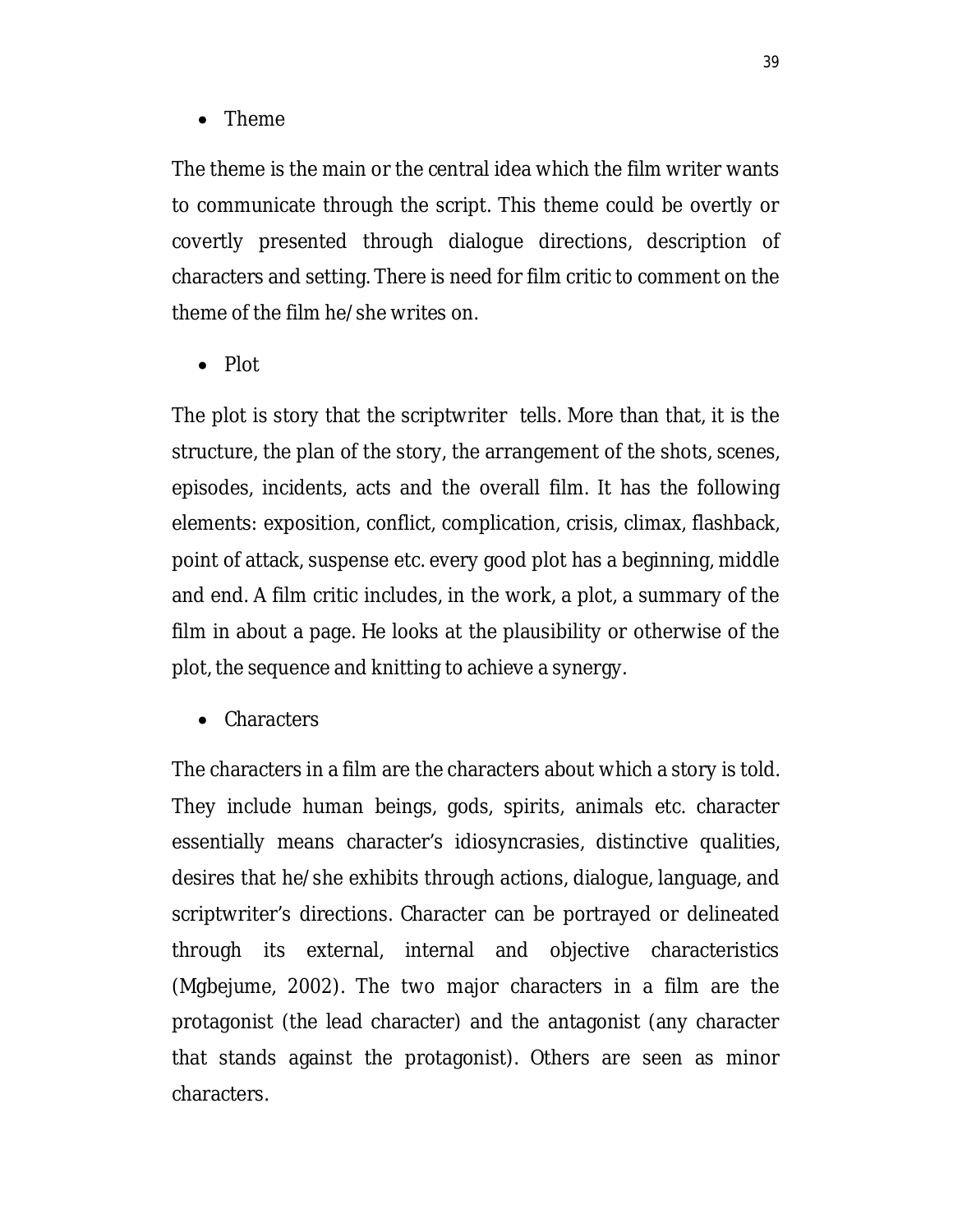• Theme

The theme is the main or the central idea which the film writer wants to communicate through the script. This theme could be overtly or covertly presented through dialogue directions, description of characters and setting. There is need for film critic to comment on the theme of the film he/she writes on.

 $\bullet$  Plot

The plot is story that the scriptwriter tells. More than that, it is the structure, the plan of the story, the arrangement of the shots, scenes, episodes, incidents, acts and the overall film. It has the following elements: exposition, conflict, complication, crisis, climax, flashback, point of attack, suspense etc. every good plot has a beginning, middle and end. A film critic includes, in the work, a plot, a summary of the film in about a page. He looks at the plausibility or otherwise of the plot, the sequence and knitting to achieve a synergy.

• Characters

The characters in a film are the characters about which a story is told. They include human beings, gods, spirits, animals etc. character essentially means character's idiosyncrasies, distinctive qualities, desires that he/she exhibits through actions, dialogue, language, and scriptwriter's directions. Character can be portrayed or delineated through its external, internal and objective characteristics (Mgbejume, 2002). The two major characters in a film are the protagonist (the lead character) and the antagonist (any character that stands against the protagonist). Others are seen as minor characters.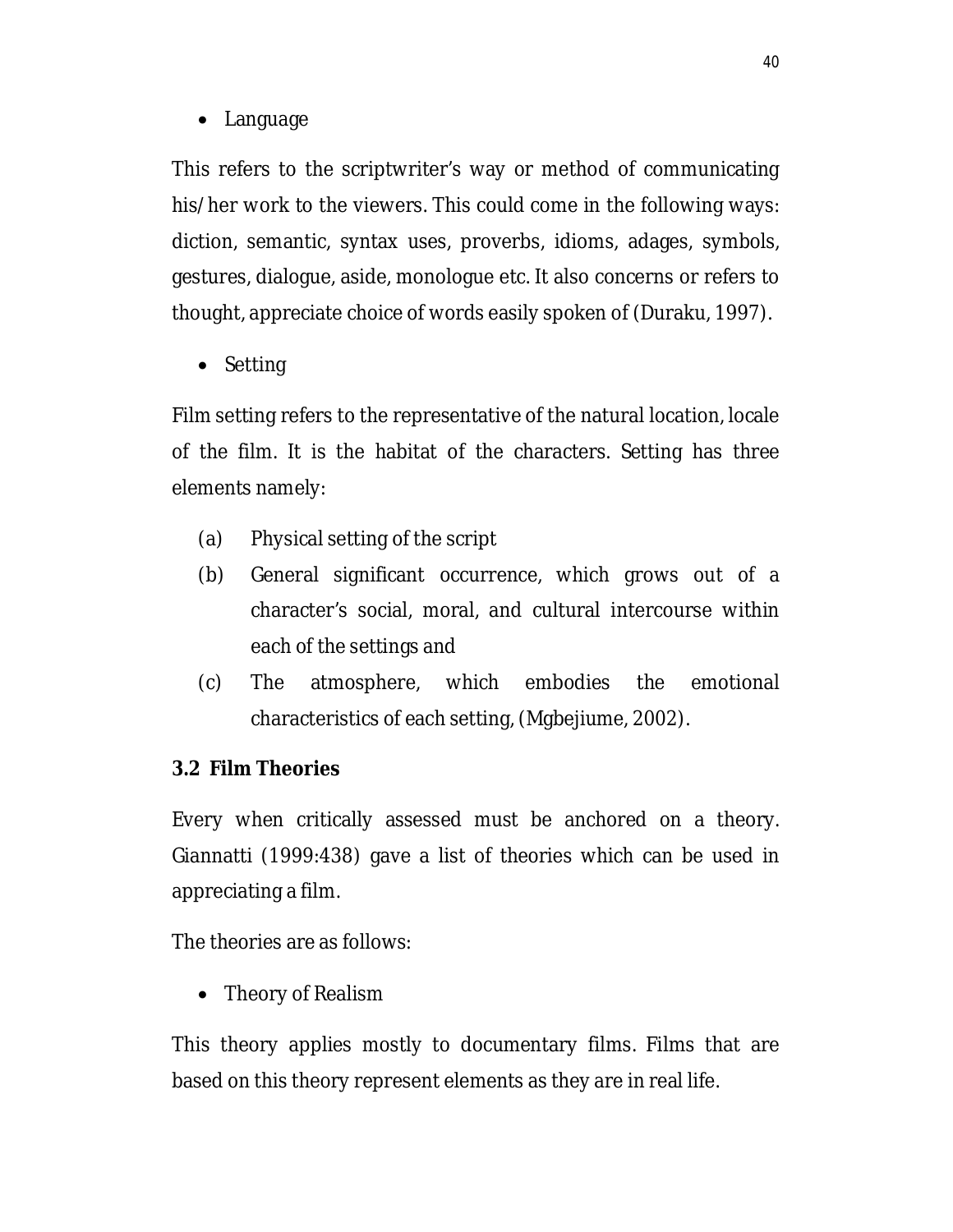• Language

This refers to the scriptwriter's way or method of communicating his/her work to the viewers. This could come in the following ways: diction, semantic, syntax uses, proverbs, idioms, adages, symbols, gestures, dialogue, aside, monologue etc. It also concerns or refers to thought, appreciate choice of words easily spoken of (Duraku, 1997).

• Setting

Film setting refers to the representative of the natural location, locale of the film. It is the habitat of the characters. Setting has three elements namely:

- (a) Physical setting of the script
- (b) General significant occurrence, which grows out of a character's social, moral, and cultural intercourse within each of the settings and
- (c) The atmosphere, which embodies the emotional characteristics of each setting, (Mgbejiume, 2002).

# **3.2 Film Theories**

Every when critically assessed must be anchored on a theory. Giannatti (1999:438) gave a list of theories which can be used in appreciating a film.

The theories are as follows:

• Theory of Realism

This theory applies mostly to documentary films. Films that are based on this theory represent elements as they are in real life.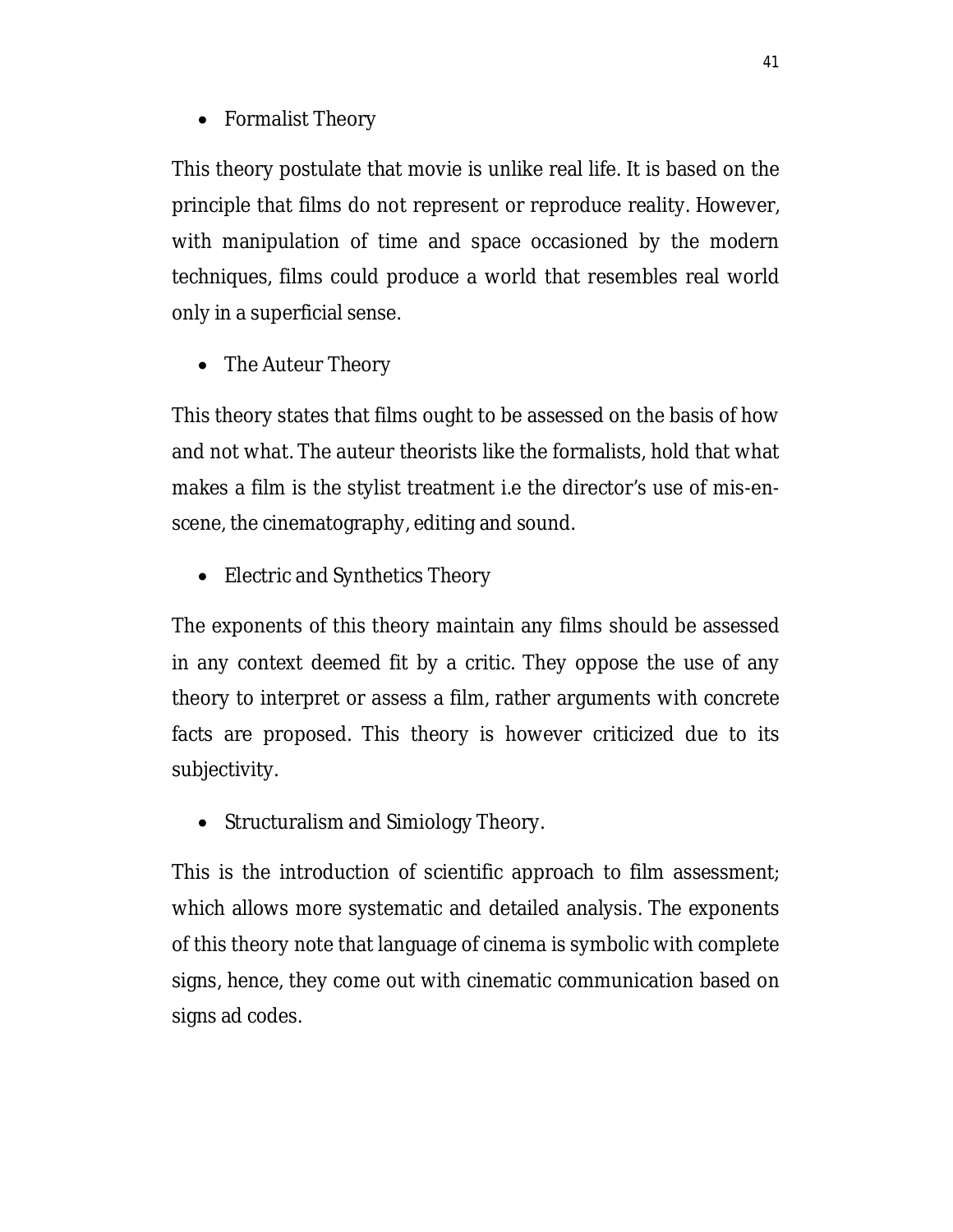• Formalist Theory

This theory postulate that movie is unlike real life. It is based on the principle that films do not represent or reproduce reality. However, with manipulation of time and space occasioned by the modern techniques, films could produce a world that resembles real world only in a superficial sense.

• The Auteur Theory

This theory states that films ought to be assessed on the basis of how and not what. The auteur theorists like the formalists, hold that what makes a film is the stylist treatment i.e the director's use of mis-enscene, the cinematography, editing and sound.

• Electric and Synthetics Theory

The exponents of this theory maintain any films should be assessed in any context deemed fit by a critic. They oppose the use of any theory to interpret or assess a film, rather arguments with concrete facts are proposed. This theory is however criticized due to its subjectivity.

• Structuralism and Simiology Theory.

This is the introduction of scientific approach to film assessment; which allows more systematic and detailed analysis. The exponents of this theory note that language of cinema is symbolic with complete signs, hence, they come out with cinematic communication based on signs ad codes.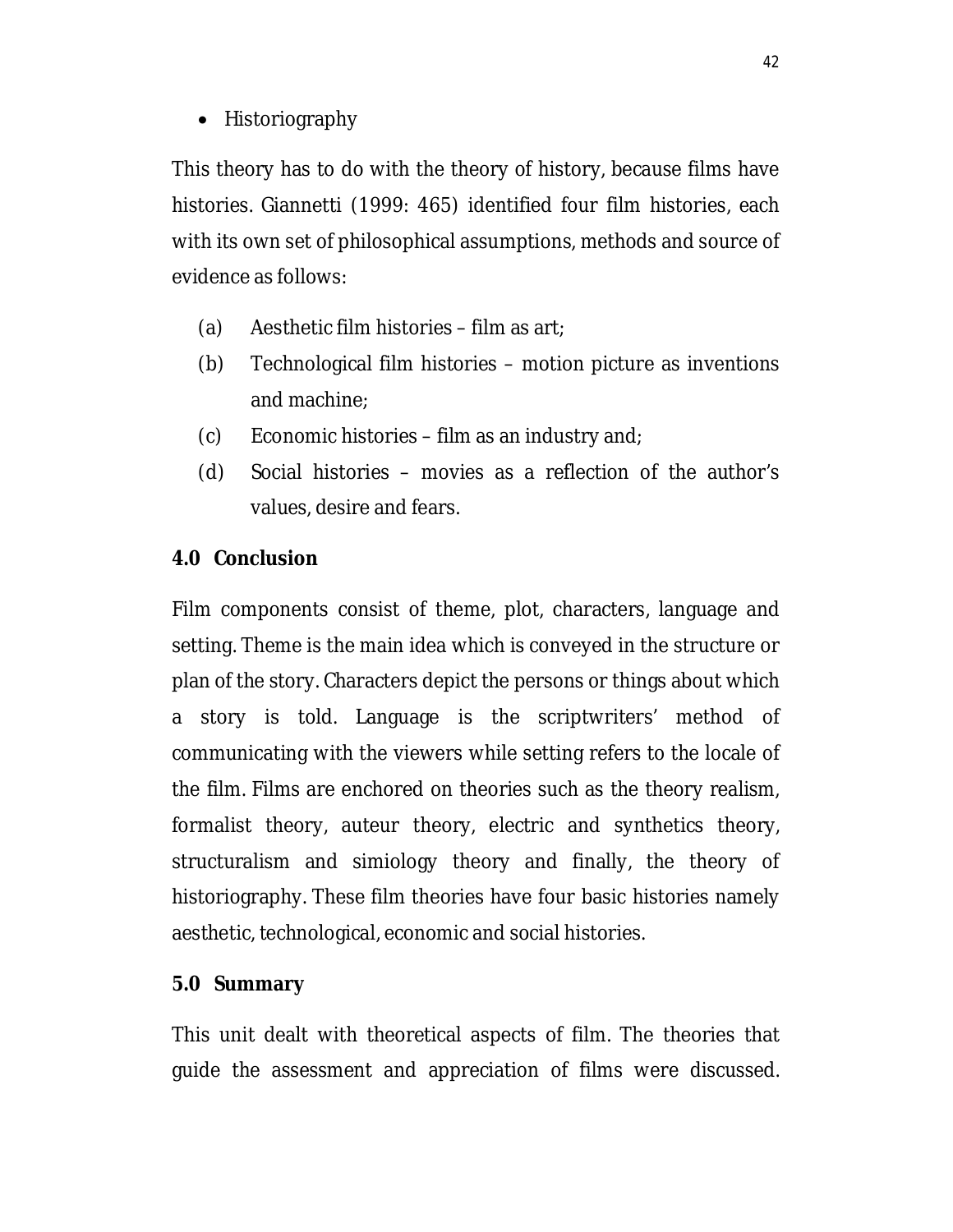• Historiography

This theory has to do with the theory of history, because films have histories. Giannetti (1999: 465) identified four film histories, each with its own set of philosophical assumptions, methods and source of evidence as follows:

- (a) Aesthetic film histories film as art;
- (b) Technological film histories motion picture as inventions and machine;
- (c) Economic histories film as an industry and;
- (d) Social histories movies as a reflection of the author's values, desire and fears.

## **4.0 Conclusion**

Film components consist of theme, plot, characters, language and setting. Theme is the main idea which is conveyed in the structure or plan of the story. Characters depict the persons or things about which a story is told. Language is the scriptwriters' method of communicating with the viewers while setting refers to the locale of the film. Films are enchored on theories such as the theory realism, formalist theory, auteur theory, electric and synthetics theory, structuralism and simiology theory and finally, the theory of historiography. These film theories have four basic histories namely aesthetic, technological, economic and social histories.

### **5.0 Summary**

This unit dealt with theoretical aspects of film. The theories that guide the assessment and appreciation of films were discussed.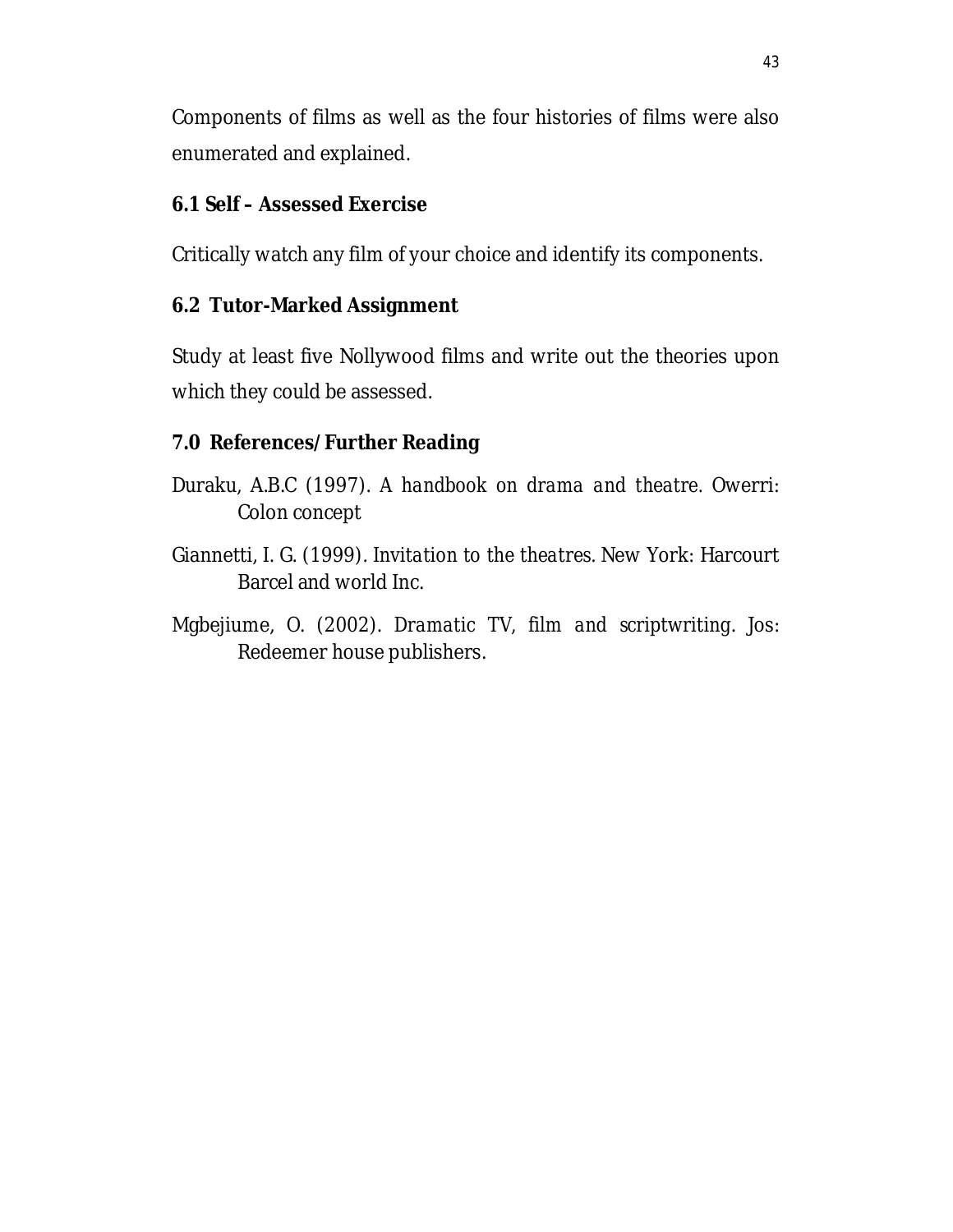Components of films as well as the four histories of films were also enumerated and explained.

# **6.1 Self – Assessed Exercise**

Critically watch any film of your choice and identify its components.

## **6.2 Tutor-Marked Assignment**

Study at least five Nollywood films and write out the theories upon which they could be assessed.

# **7.0 References/Further Reading**

- Duraku, A.B.C (1997). *A handbook on drama and theatre.* Owerri: Colon concept
- Giannetti, I. G. (1999). *Invitation to the theatres*. New York: Harcourt Barcel and world Inc.
- Mgbejiume, O. (2002). *Dramatic TV, film and scriptwriting*. Jos: Redeemer house publishers.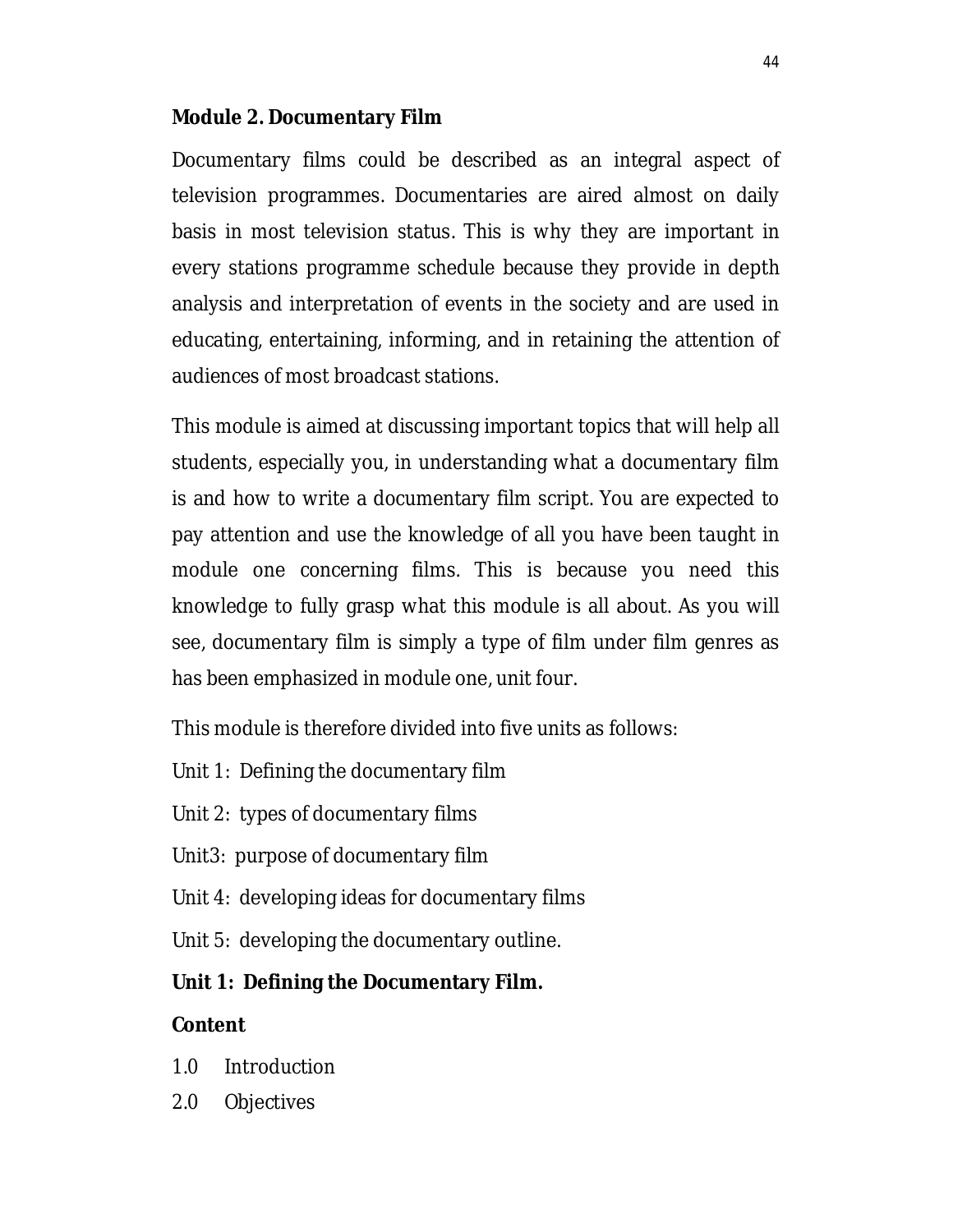### **Module 2. Documentary Film**

Documentary films could be described as an integral aspect of television programmes. Documentaries are aired almost on daily basis in most television status. This is why they are important in every stations programme schedule because they provide in depth analysis and interpretation of events in the society and are used in educating, entertaining, informing, and in retaining the attention of audiences of most broadcast stations.

This module is aimed at discussing important topics that will help all students, especially you, in understanding what a documentary film is and how to write a documentary film script. You are expected to pay attention and use the knowledge of all you have been taught in module one concerning films. This is because you need this knowledge to fully grasp what this module is all about. As you will see, documentary film is simply a type of film under film genres as has been emphasized in module one, unit four.

This module is therefore divided into five units as follows:

- Unit 1: Defining the documentary film
- Unit 2: types of documentary films
- Unit3: purpose of documentary film
- Unit 4: developing ideas for documentary films
- Unit 5: developing the documentary outline.

# **Unit 1: Defining the Documentary Film.**

# **Content**

- 1.0 Introduction
- 2.0 Objectives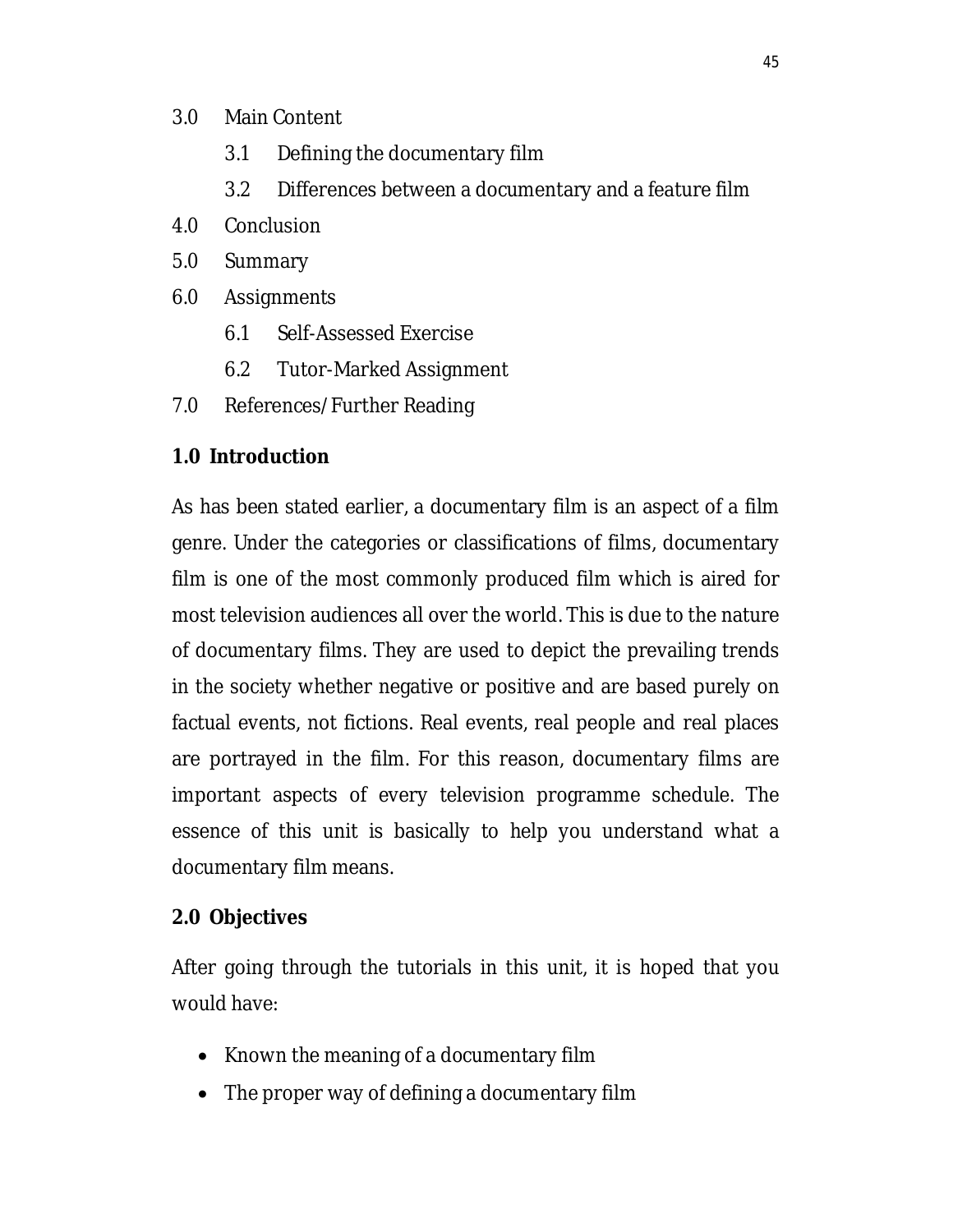### 3.0 Main Content

- 3.1 Defining the documentary film
- 3.2 Differences between a documentary and a feature film
- 4.0 Conclusion
- 5.0 Summary
- 6.0 Assignments
	- 6.1 Self-Assessed Exercise
	- 6.2 Tutor-Marked Assignment
- 7.0 References/Further Reading

# **1.0 Introduction**

As has been stated earlier, a documentary film is an aspect of a film genre. Under the categories or classifications of films, documentary film is one of the most commonly produced film which is aired for most television audiences all over the world. This is due to the nature of documentary films. They are used to depict the prevailing trends in the society whether negative or positive and are based purely on factual events, not fictions. Real events, real people and real places are portrayed in the film. For this reason, documentary films are important aspects of every television programme schedule. The essence of this unit is basically to help you understand what a documentary film means.

# **2.0 Objectives**

After going through the tutorials in this unit, it is hoped that you would have:

- Known the meaning of a documentary film
- The proper way of defining a documentary film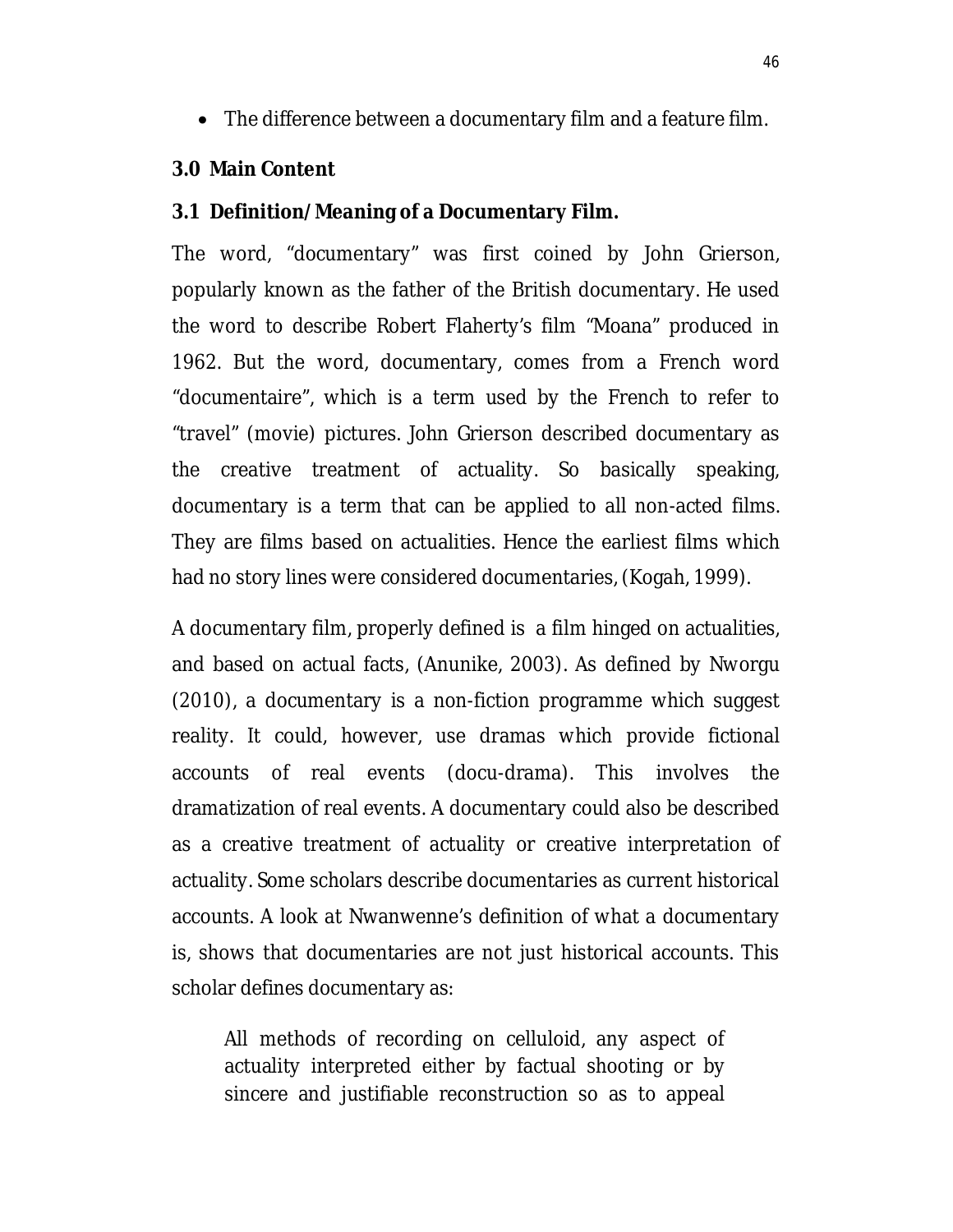The difference between a documentary film and a feature film.

#### **3.0 Main Content**

#### **3.1 Definition/Meaning of a Documentary Film.**

The word, "documentary" was first coined by John Grierson, popularly known as the father of the British documentary. He used the word to describe Robert Flaherty's film "Moana" produced in 1962. But the word, documentary, comes from a French word "documentaire", which is a term used by the French to refer to "travel" (movie) pictures. John Grierson described documentary as the creative treatment of actuality. So basically speaking, documentary is a term that can be applied to all non-acted films. They are films based on actualities. Hence the earliest films which had no story lines were considered documentaries, (Kogah, 1999).

A documentary film, properly defined is a film hinged on actualities, and based on actual facts, (Anunike, 2003). As defined by Nworgu (2010), a documentary is a non-fiction programme which suggest reality. It could, however, use dramas which provide fictional accounts of real events (docu-drama). This involves the dramatization of real events. A documentary could also be described as a creative treatment of actuality or creative interpretation of actuality. Some scholars describe documentaries as current historical accounts. A look at Nwanwenne's definition of what a documentary is, shows that documentaries are not just historical accounts. This scholar defines documentary as:

All methods of recording on celluloid, any aspect of actuality interpreted either by factual shooting or by sincere and justifiable reconstruction so as to appeal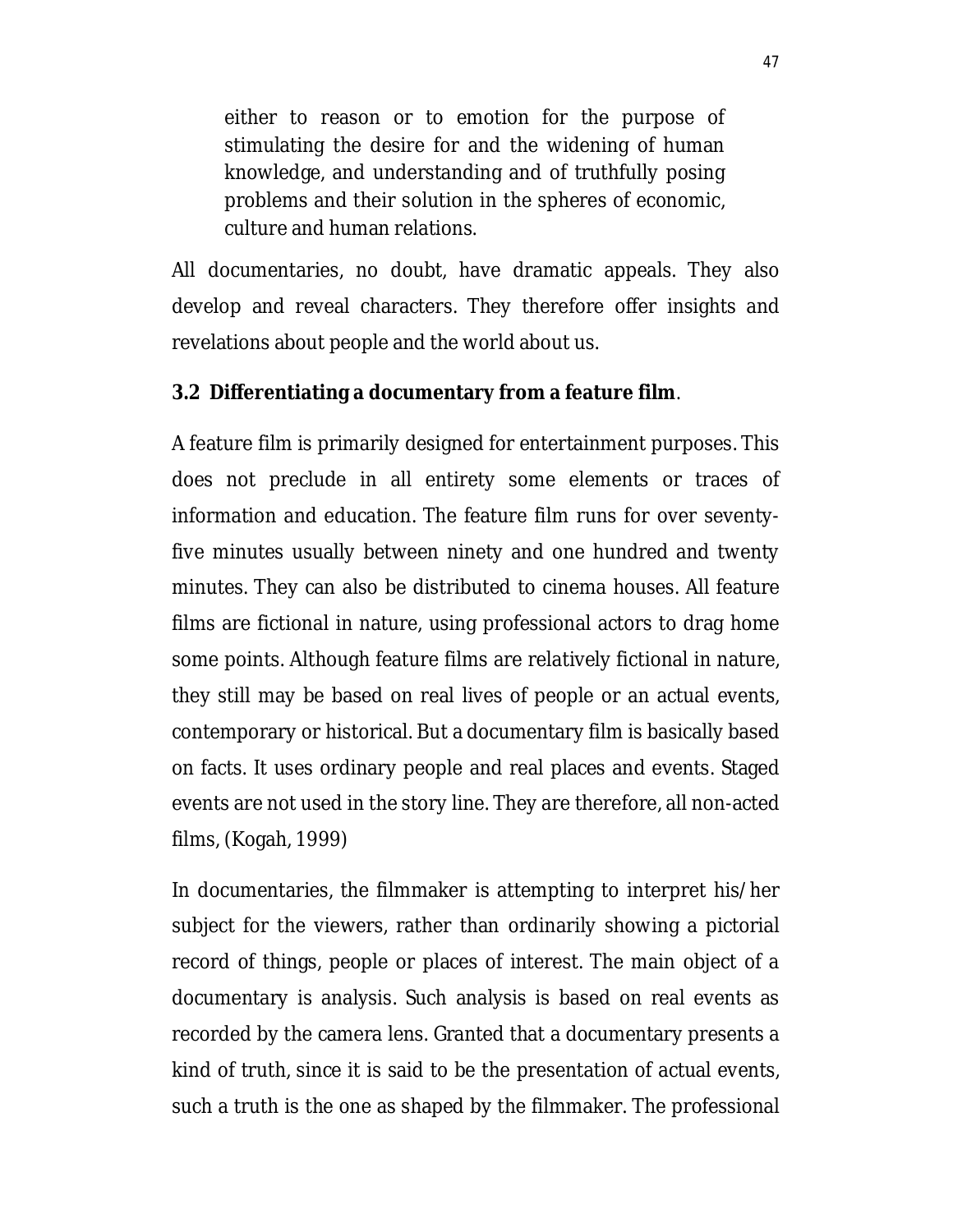either to reason or to emotion for the purpose of stimulating the desire for and the widening of human knowledge, and understanding and of truthfully posing problems and their solution in the spheres of economic, culture and human relations.

All documentaries, no doubt, have dramatic appeals. They also develop and reveal characters. They therefore offer insights and revelations about people and the world about us.

#### **3.2 Differentiating a documentary from a feature film**.

A feature film is primarily designed for entertainment purposes. This does not preclude in all entirety some elements or traces of information and education. The feature film runs for over seventyfive minutes usually between ninety and one hundred and twenty minutes. They can also be distributed to cinema houses. All feature films are fictional in nature, using professional actors to drag home some points. Although feature films are relatively fictional in nature, they still may be based on real lives of people or an actual events, contemporary or historical. But a documentary film is basically based on facts. It uses ordinary people and real places and events. Staged events are not used in the story line. They are therefore, all non-acted films, (Kogah, 1999)

In documentaries, the filmmaker is attempting to interpret his/her subject for the viewers, rather than ordinarily showing a pictorial record of things, people or places of interest. The main object of a documentary is analysis. Such analysis is based on real events as recorded by the camera lens. Granted that a documentary presents a kind of truth, since it is said to be the presentation of actual events, such a truth is the one as shaped by the filmmaker. The professional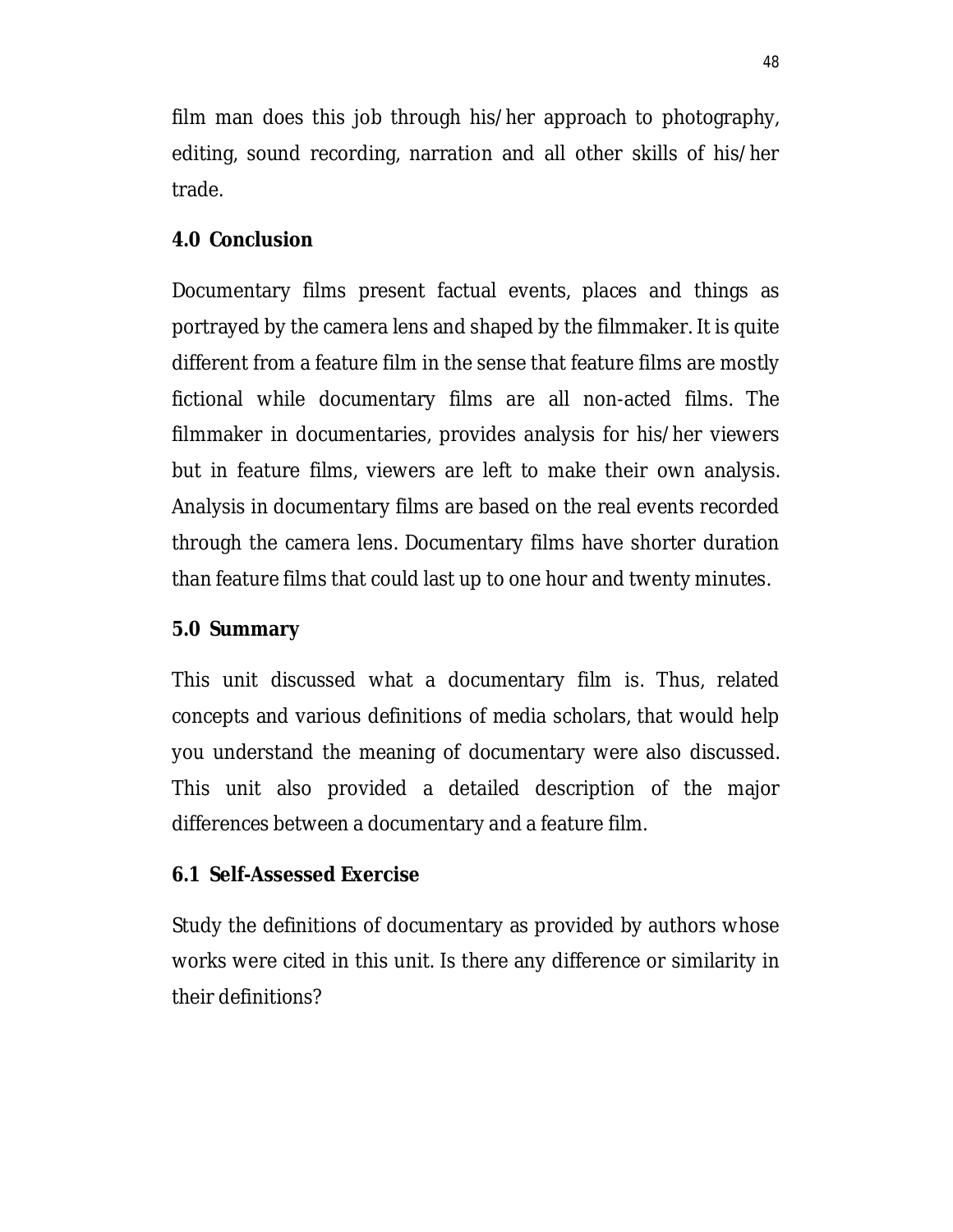film man does this job through his/her approach to photography, editing, sound recording, narration and all other skills of his/her trade.

### **4.0 Conclusion**

Documentary films present factual events, places and things as portrayed by the camera lens and shaped by the filmmaker. It is quite different from a feature film in the sense that feature films are mostly fictional while documentary films are all non-acted films. The filmmaker in documentaries, provides analysis for his/her viewers but in feature films, viewers are left to make their own analysis. Analysis in documentary films are based on the real events recorded through the camera lens. Documentary films have shorter duration than feature films that could last up to one hour and twenty minutes.

#### **5.0 Summary**

This unit discussed what a documentary film is. Thus, related concepts and various definitions of media scholars, that would help you understand the meaning of documentary were also discussed. This unit also provided a detailed description of the major differences between a documentary and a feature film.

#### **6.1 Self-Assessed Exercise**

Study the definitions of documentary as provided by authors whose works were cited in this unit. Is there any difference or similarity in their definitions?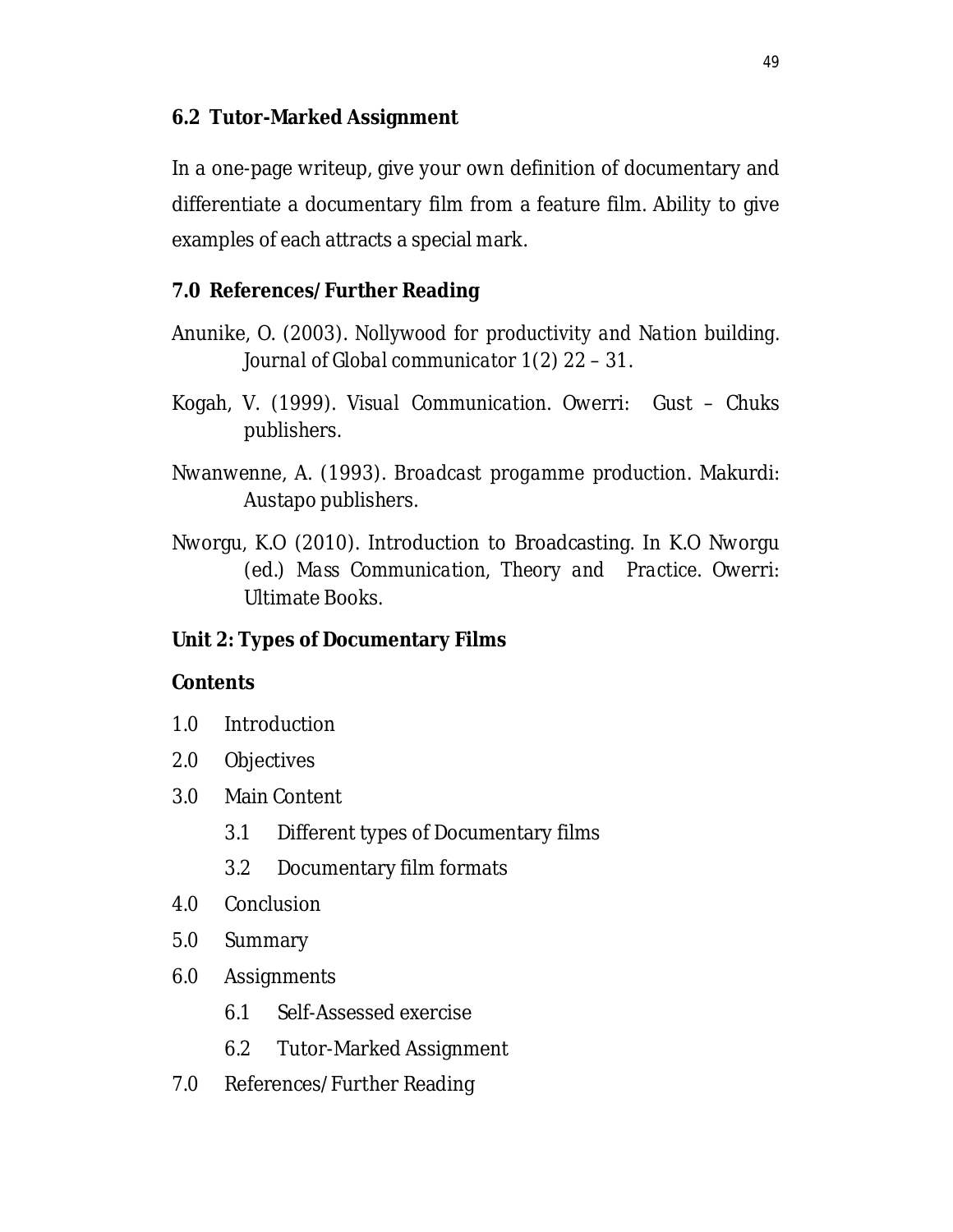# **6.2 Tutor-Marked Assignment**

In a one-page writeup, give your own definition of documentary and differentiate a documentary film from a feature film. Ability to give examples of each attracts a special mark.

# **7.0 References/Further Reading**

- Anunike, O. (2003). *Nollywood for productivity and Nation building. Journal of Global communicator* 1(2) 22 – 31.
- Kogah, V. (1999). *Visual Communication*. Owerri: Gust Chuks publishers.
- Nwanwenne, A. (1993). *Broadcast progamme production*. Makurdi: Austapo publishers.
- Nworgu, K.O (2010). Introduction to Broadcasting. In K.O Nworgu (ed.) *Mass Communication, Theory and Practice*. Owerri: Ultimate Books.

### **Unit 2: Types of Documentary Films**

#### **Contents**

- 1.0 Introduction
- 2.0 Objectives
- 3.0 Main Content
	- 3.1 Different types of Documentary films
	- 3.2 Documentary film formats
- 4.0 Conclusion
- 5.0 Summary
- 6.0 Assignments
	- 6.1 Self-Assessed exercise
	- 6.2 Tutor-Marked Assignment
- 7.0 References/Further Reading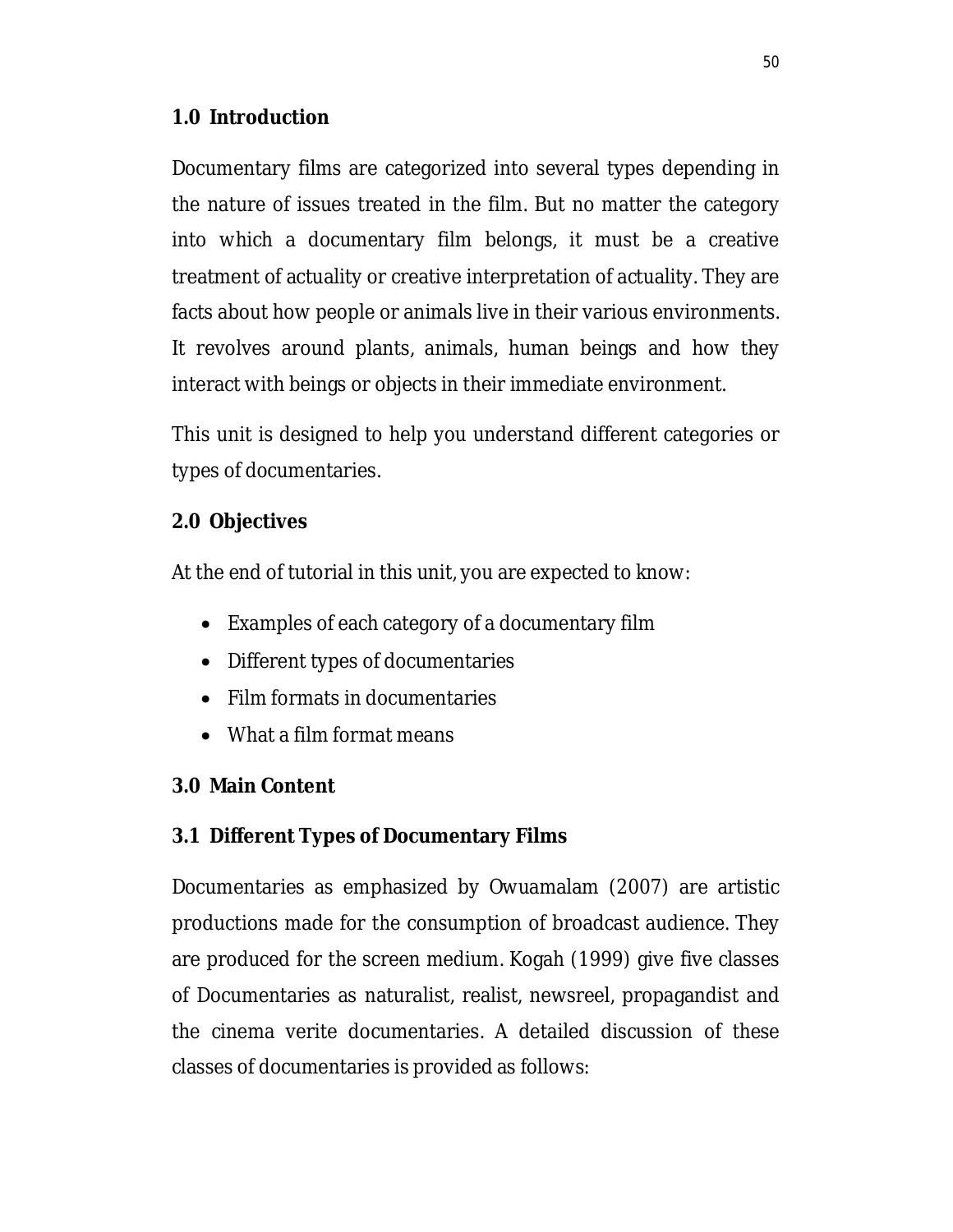## **1.0 Introduction**

Documentary films are categorized into several types depending in the nature of issues treated in the film. But no matter the category into which a documentary film belongs, it must be a creative treatment of actuality or creative interpretation of actuality. They are facts about how people or animals live in their various environments. It revolves around plants, animals, human beings and how they interact with beings or objects in their immediate environment.

This unit is designed to help you understand different categories or types of documentaries.

### **2.0 Objectives**

At the end of tutorial in this unit, you are expected to know:

- Examples of each category of a documentary film
- Different types of documentaries
- Film formats in documentaries
- What a film format means

# **3.0 Main Content**

# **3.1 Different Types of Documentary Films**

Documentaries as emphasized by Owuamalam (2007) are artistic productions made for the consumption of broadcast audience. They are produced for the screen medium. Kogah (1999) give five classes of Documentaries as naturalist, realist, newsreel, propagandist and the cinema verite documentaries. A detailed discussion of these classes of documentaries is provided as follows: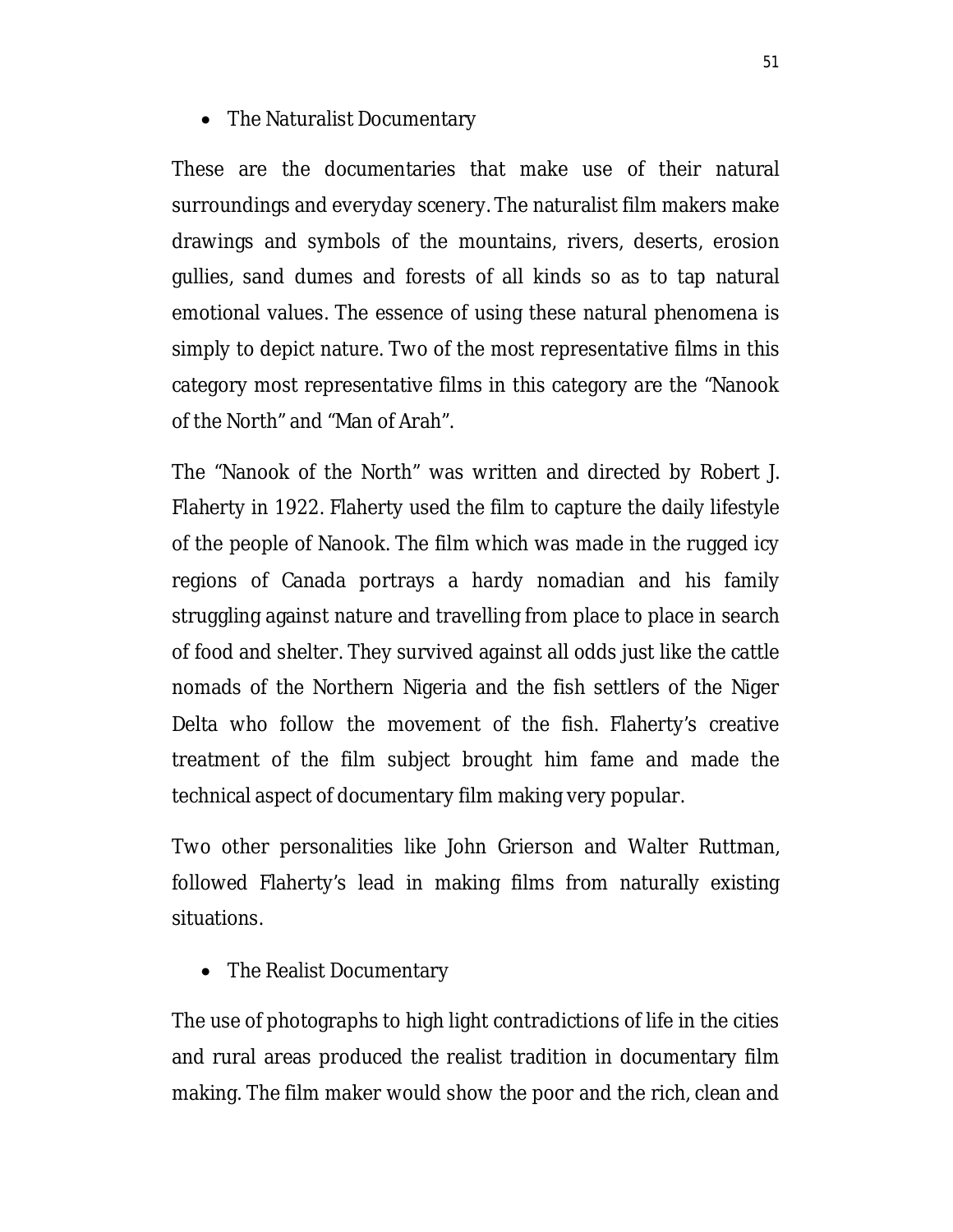• The Naturalist Documentary

These are the documentaries that make use of their natural surroundings and everyday scenery. The naturalist film makers make drawings and symbols of the mountains, rivers, deserts, erosion gullies, sand dumes and forests of all kinds so as to tap natural emotional values. The essence of using these natural phenomena is simply to depict nature. Two of the most representative films in this category most representative films in this category are the "Nanook of the North" and "Man of Arah".

The "Nanook of the North" was written and directed by Robert J. Flaherty in 1922. Flaherty used the film to capture the daily lifestyle of the people of Nanook. The film which was made in the rugged icy regions of Canada portrays a hardy nomadian and his family struggling against nature and travelling from place to place in search of food and shelter. They survived against all odds just like the cattle nomads of the Northern Nigeria and the fish settlers of the Niger Delta who follow the movement of the fish. Flaherty's creative treatment of the film subject brought him fame and made the technical aspect of documentary film making very popular.

Two other personalities like John Grierson and Walter Ruttman, followed Flaherty's lead in making films from naturally existing situations.

• The Realist Documentary

The use of photographs to high light contradictions of life in the cities and rural areas produced the realist tradition in documentary film making. The film maker would show the poor and the rich, clean and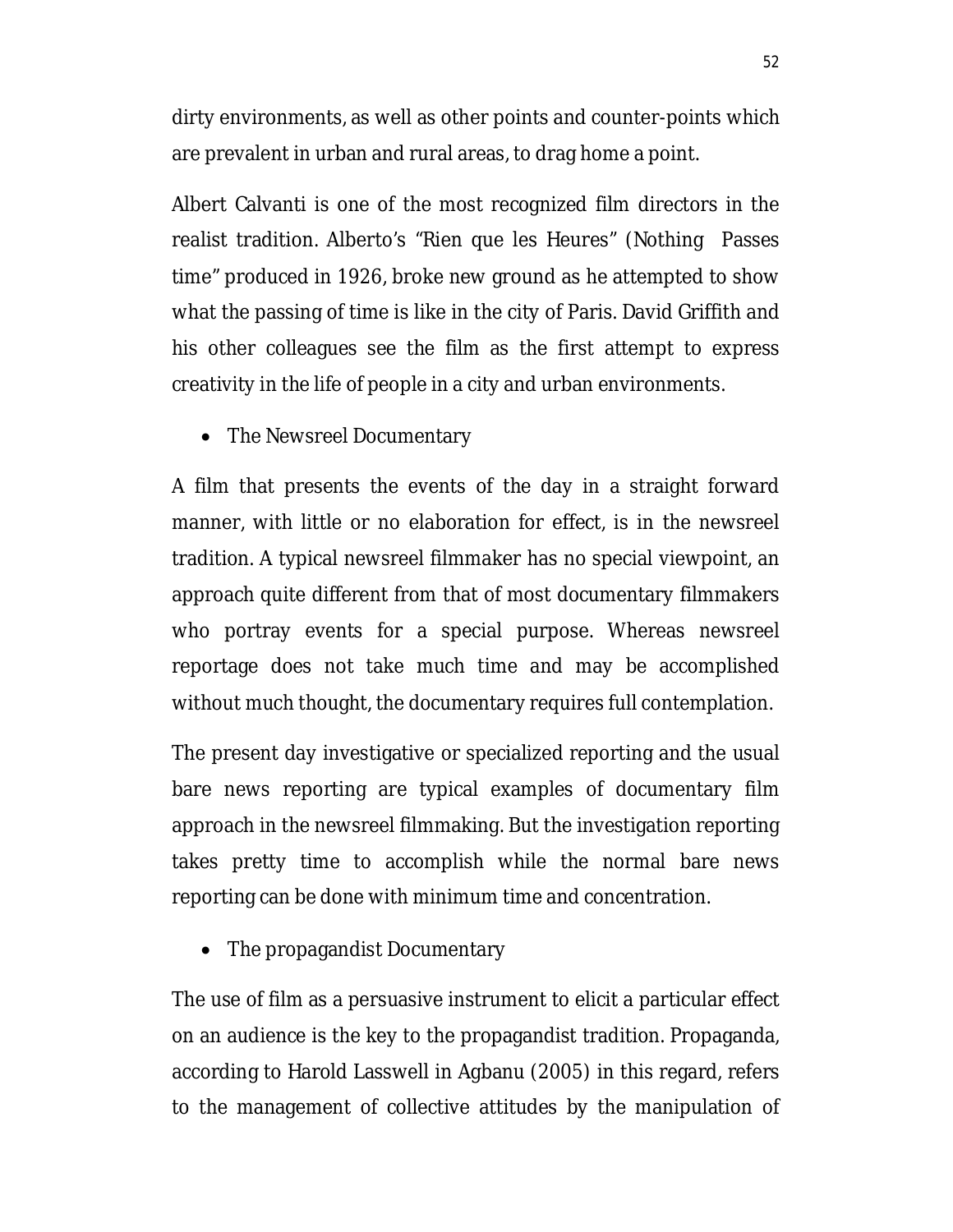dirty environments, as well as other points and counter-points which are prevalent in urban and rural areas, to drag home a point.

Albert Calvanti is one of the most recognized film directors in the realist tradition. Alberto's "Rien que les Heures" (Nothing Passes time" produced in 1926, broke new ground as he attempted to show what the passing of time is like in the city of Paris. David Griffith and his other colleagues see the film as the first attempt to express creativity in the life of people in a city and urban environments.

• The Newsreel Documentary

A film that presents the events of the day in a straight forward manner, with little or no elaboration for effect, is in the newsreel tradition. A typical newsreel filmmaker has no special viewpoint, an approach quite different from that of most documentary filmmakers who portray events for a special purpose. Whereas newsreel reportage does not take much time and may be accomplished without much thought, the documentary requires full contemplation.

The present day investigative or specialized reporting and the usual bare news reporting are typical examples of documentary film approach in the newsreel filmmaking. But the investigation reporting takes pretty time to accomplish while the normal bare news reporting can be done with minimum time and concentration.

• The propagandist Documentary

The use of film as a persuasive instrument to elicit a particular effect on an audience is the key to the propagandist tradition. Propaganda, according to Harold Lasswell in Agbanu (2005) in this regard, refers to the management of collective attitudes by the manipulation of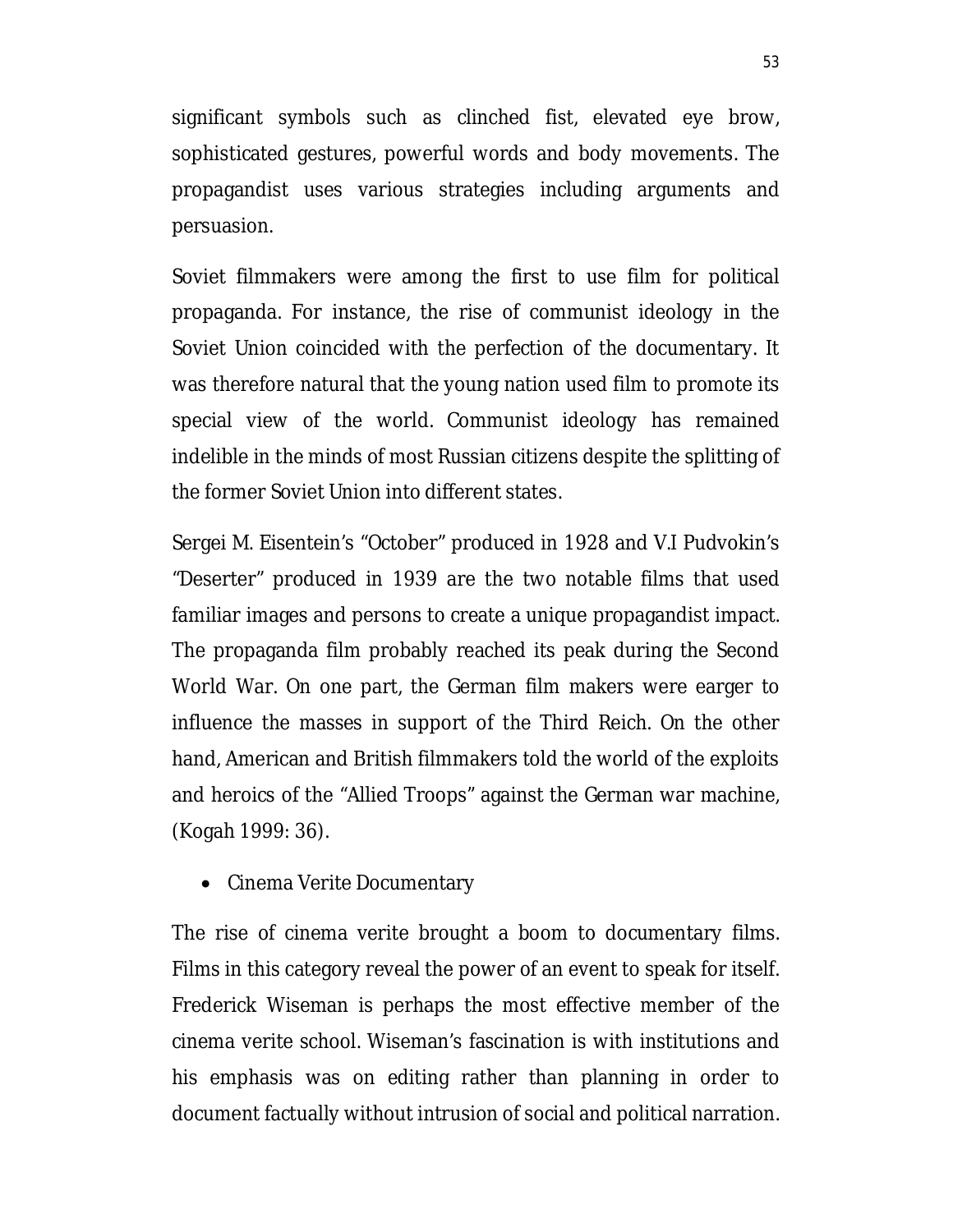significant symbols such as clinched fist, elevated eye brow, sophisticated gestures, powerful words and body movements. The propagandist uses various strategies including arguments and persuasion.

Soviet filmmakers were among the first to use film for political propaganda. For instance, the rise of communist ideology in the Soviet Union coincided with the perfection of the documentary. It was therefore natural that the young nation used film to promote its special view of the world. Communist ideology has remained indelible in the minds of most Russian citizens despite the splitting of the former Soviet Union into different states.

Sergei M. Eisentein's "October" produced in 1928 and V.I Pudvokin's "Deserter" produced in 1939 are the two notable films that used familiar images and persons to create a unique propagandist impact. The propaganda film probably reached its peak during the Second World War. On one part, the German film makers were earger to influence the masses in support of the Third Reich. On the other hand, American and British filmmakers told the world of the exploits and heroics of the "Allied Troops" against the German war machine, (Kogah 1999: 36).

• Cinema Verite Documentary

The rise of cinema verite brought a boom to documentary films. Films in this category reveal the power of an event to speak for itself. Frederick Wiseman is perhaps the most effective member of the cinema verite school. Wiseman's fascination is with institutions and his emphasis was on editing rather than planning in order to document factually without intrusion of social and political narration.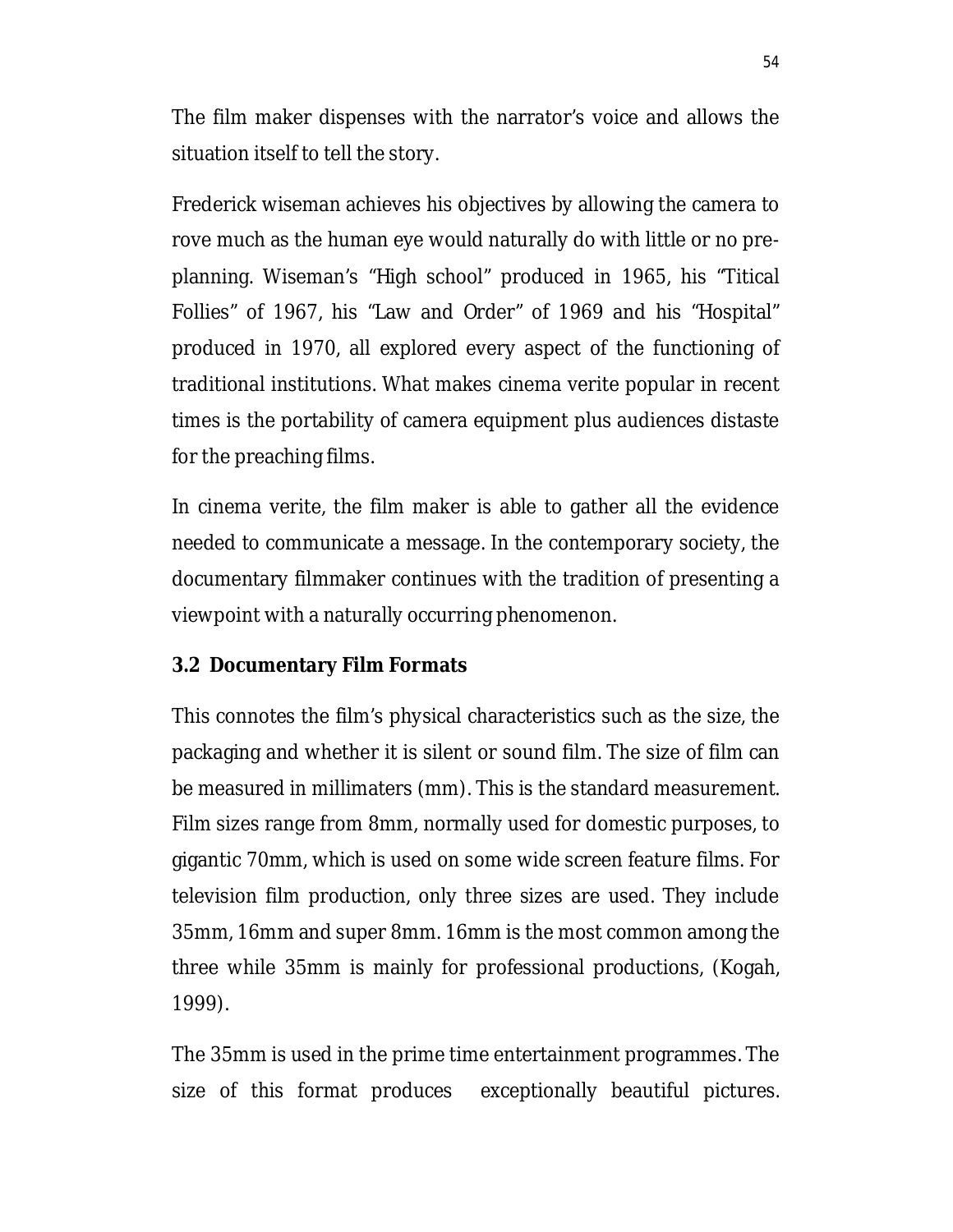The film maker dispenses with the narrator's voice and allows the situation itself to tell the story.

Frederick wiseman achieves his objectives by allowing the camera to rove much as the human eye would naturally do with little or no preplanning. Wiseman's "High school" produced in 1965, his "Titical Follies" of 1967, his "Law and Order" of 1969 and his "Hospital" produced in 1970, all explored every aspect of the functioning of traditional institutions. What makes cinema verite popular in recent times is the portability of camera equipment plus audiences distaste for the preaching films.

In cinema verite, the film maker is able to gather all the evidence needed to communicate a message. In the contemporary society, the documentary filmmaker continues with the tradition of presenting a viewpoint with a naturally occurring phenomenon.

### **3.2 Documentary Film Formats**

This connotes the film's physical characteristics such as the size, the packaging and whether it is silent or sound film. The size of film can be measured in millimaters (mm). This is the standard measurement. Film sizes range from 8mm, normally used for domestic purposes, to gigantic 70mm, which is used on some wide screen feature films. For television film production, only three sizes are used. They include 35mm, 16mm and super 8mm. 16mm is the most common among the three while 35mm is mainly for professional productions, (Kogah, 1999).

The 35mm is used in the prime time entertainment programmes. The size of this format produces exceptionally beautiful pictures.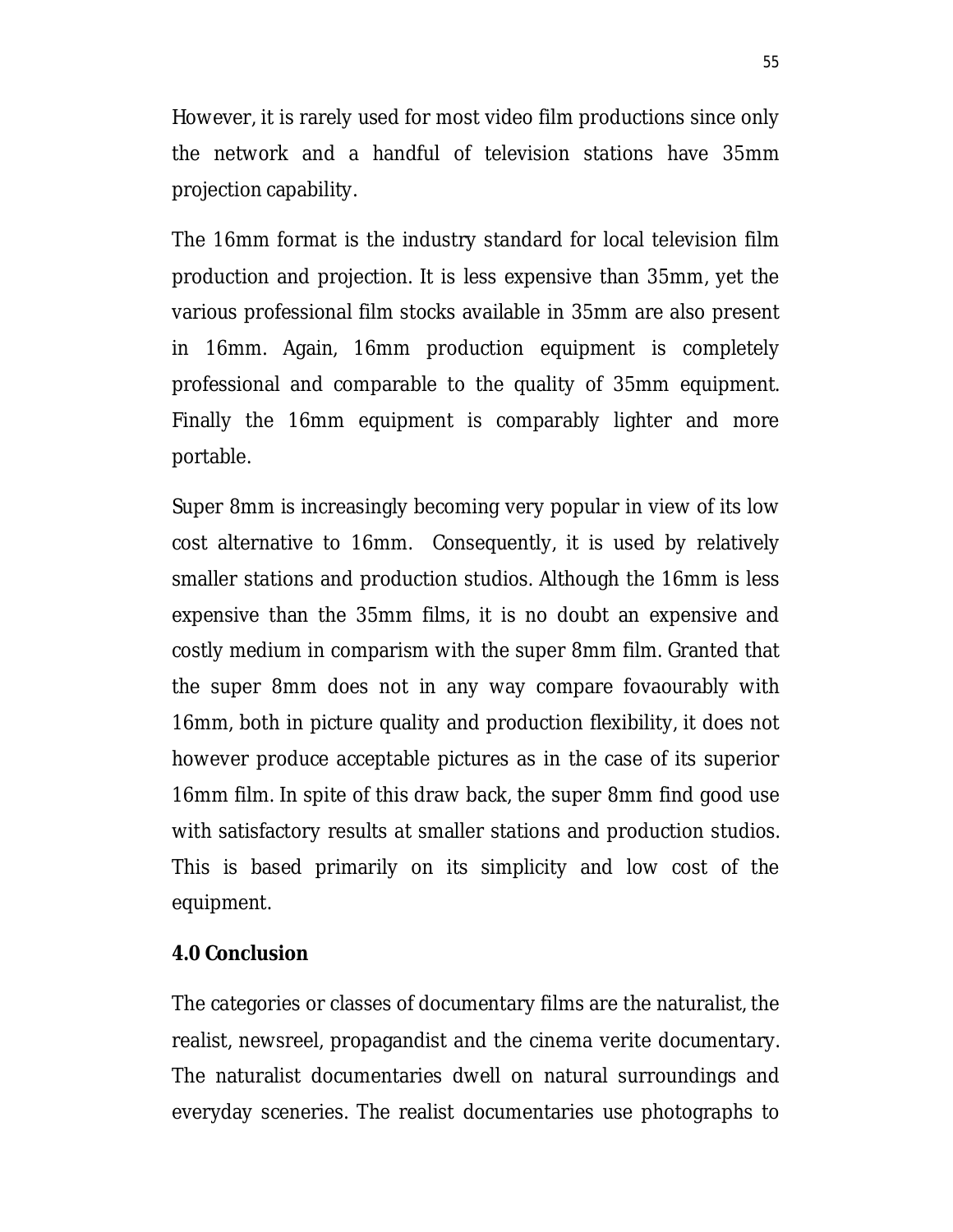However, it is rarely used for most video film productions since only the network and a handful of television stations have 35mm projection capability.

The 16mm format is the industry standard for local television film production and projection. It is less expensive than 35mm, yet the various professional film stocks available in 35mm are also present in 16mm. Again, 16mm production equipment is completely professional and comparable to the quality of 35mm equipment. Finally the 16mm equipment is comparably lighter and more portable.

Super 8mm is increasingly becoming very popular in view of its low cost alternative to 16mm. Consequently, it is used by relatively smaller stations and production studios. Although the 16mm is less expensive than the 35mm films, it is no doubt an expensive and costly medium in comparism with the super 8mm film. Granted that the super 8mm does not in any way compare fovaourably with 16mm, both in picture quality and production flexibility, it does not however produce acceptable pictures as in the case of its superior 16mm film. In spite of this draw back, the super 8mm find good use with satisfactory results at smaller stations and production studios. This is based primarily on its simplicity and low cost of the equipment.

#### **4.0 Conclusion**

The categories or classes of documentary films are the naturalist, the realist, newsreel, propagandist and the cinema verite documentary. The naturalist documentaries dwell on natural surroundings and everyday sceneries. The realist documentaries use photographs to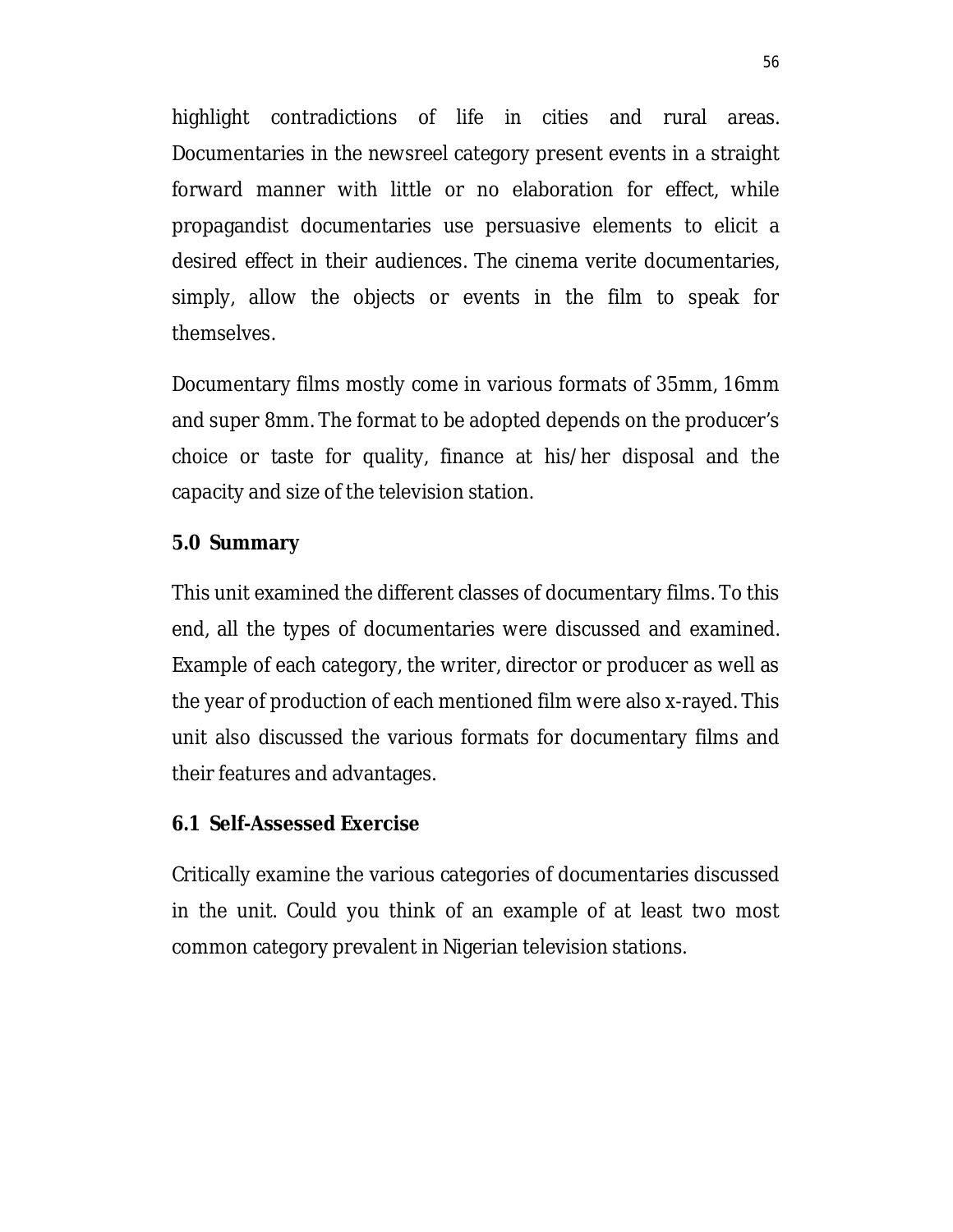highlight contradictions of life in cities and rural areas. Documentaries in the newsreel category present events in a straight forward manner with little or no elaboration for effect, while propagandist documentaries use persuasive elements to elicit a desired effect in their audiences. The cinema verite documentaries, simply, allow the objects or events in the film to speak for themselves.

Documentary films mostly come in various formats of 35mm, 16mm and super 8mm. The format to be adopted depends on the producer's choice or taste for quality, finance at his/her disposal and the capacity and size of the television station.

#### **5.0 Summary**

This unit examined the different classes of documentary films. To this end, all the types of documentaries were discussed and examined. Example of each category, the writer, director or producer as well as the year of production of each mentioned film were also x-rayed. This unit also discussed the various formats for documentary films and their features and advantages.

#### **6.1 Self-Assessed Exercise**

Critically examine the various categories of documentaries discussed in the unit. Could you think of an example of at least two most common category prevalent in Nigerian television stations.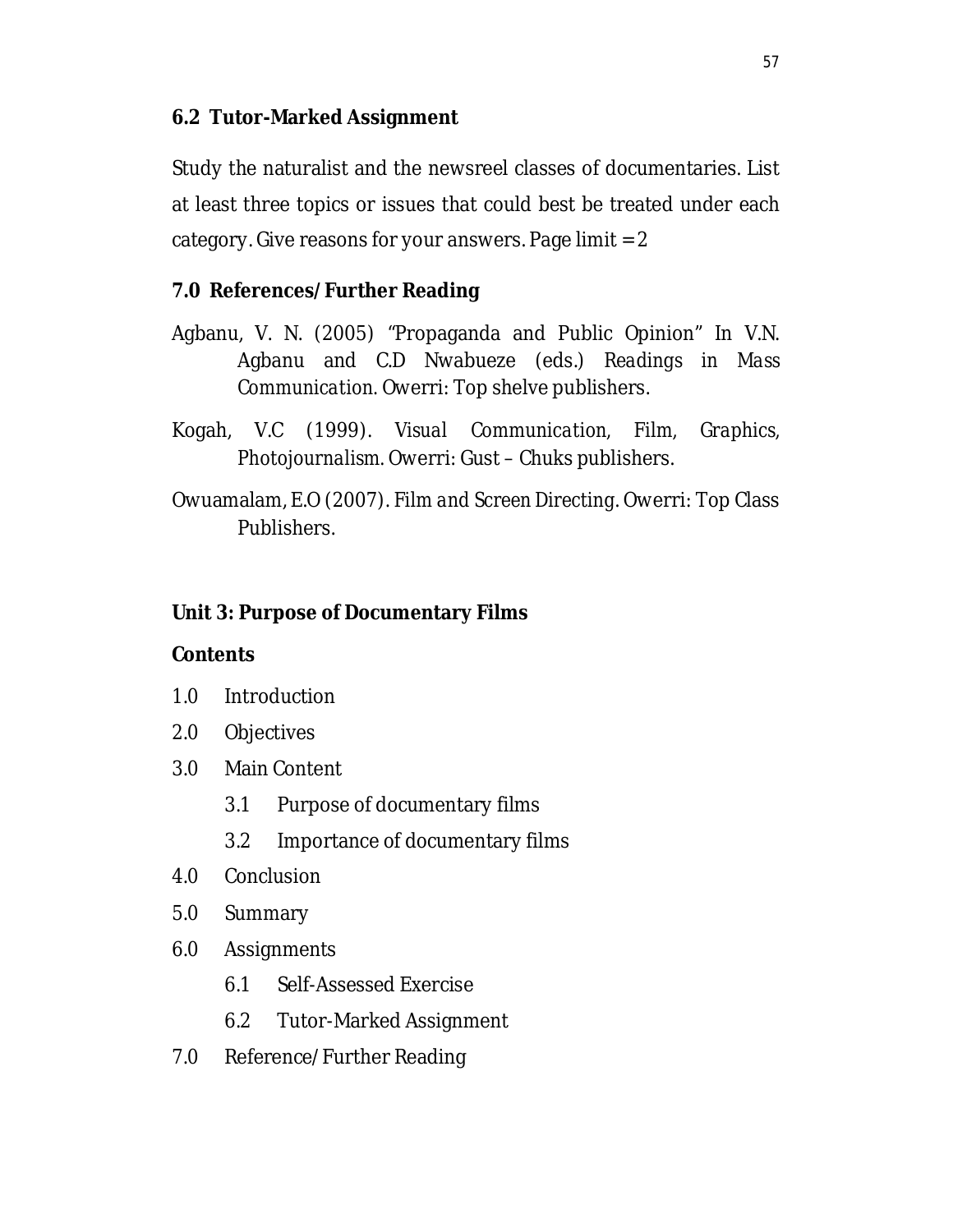# **6.2 Tutor-Marked Assignment**

Study the naturalist and the newsreel classes of documentaries. List at least three topics or issues that could best be treated under each category. Give reasons for your answers. Page limit  $= 2$ 

## **7.0 References/Further Reading**

- Agbanu, V. N. (2005) "Propaganda and Public Opinion" In V.N. Agbanu and C.D Nwabueze (eds.) *Readings in Mass Communication.* Owerri: Top shelve publishers.
- Kogah, V.C (1999). *Visual Communication, Film, Graphics, Photojournalism.* Owerri: Gust – Chuks publishers.
- Owuamalam, E.O (2007). *Film and Screen Directing*. Owerri: Top Class Publishers.

### **Unit 3: Purpose of Documentary Films**

#### **Contents**

- 1.0 Introduction
- 2.0 Objectives
- 3.0 Main Content
	- 3.1 Purpose of documentary films
	- 3.2 Importance of documentary films
- 4.0 Conclusion
- 5.0 Summary
- 6.0 Assignments
	- 6.1 Self-Assessed Exercise
	- 6.2 Tutor-Marked Assignment
- 7.0 Reference/Further Reading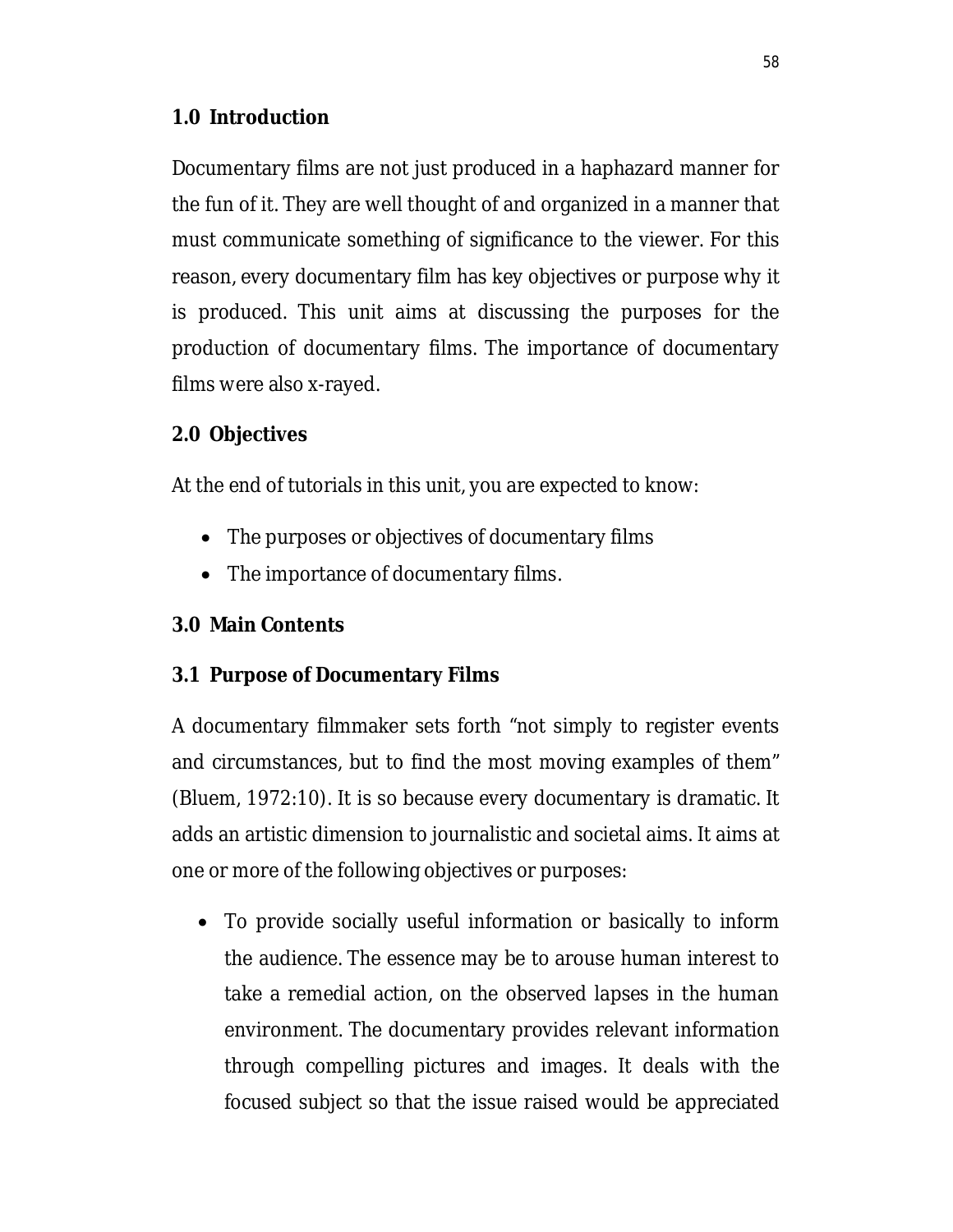# **1.0 Introduction**

Documentary films are not just produced in a haphazard manner for the fun of it. They are well thought of and organized in a manner that must communicate something of significance to the viewer. For this reason, every documentary film has key objectives or purpose why it is produced. This unit aims at discussing the purposes for the production of documentary films. The importance of documentary films were also x-rayed.

# **2.0 Objectives**

At the end of tutorials in this unit, you are expected to know:

- The purposes or objectives of documentary films
- The importance of documentary films.

# **3.0 Main Contents**

# **3.1 Purpose of Documentary Films**

A documentary filmmaker sets forth "not simply to register events and circumstances, but to find the most moving examples of them" (Bluem, 1972:10). It is so because every documentary is dramatic. It adds an artistic dimension to journalistic and societal aims. It aims at one or more of the following objectives or purposes:

 To provide socially useful information or basically to inform the audience. The essence may be to arouse human interest to take a remedial action, on the observed lapses in the human environment. The documentary provides relevant information through compelling pictures and images. It deals with the focused subject so that the issue raised would be appreciated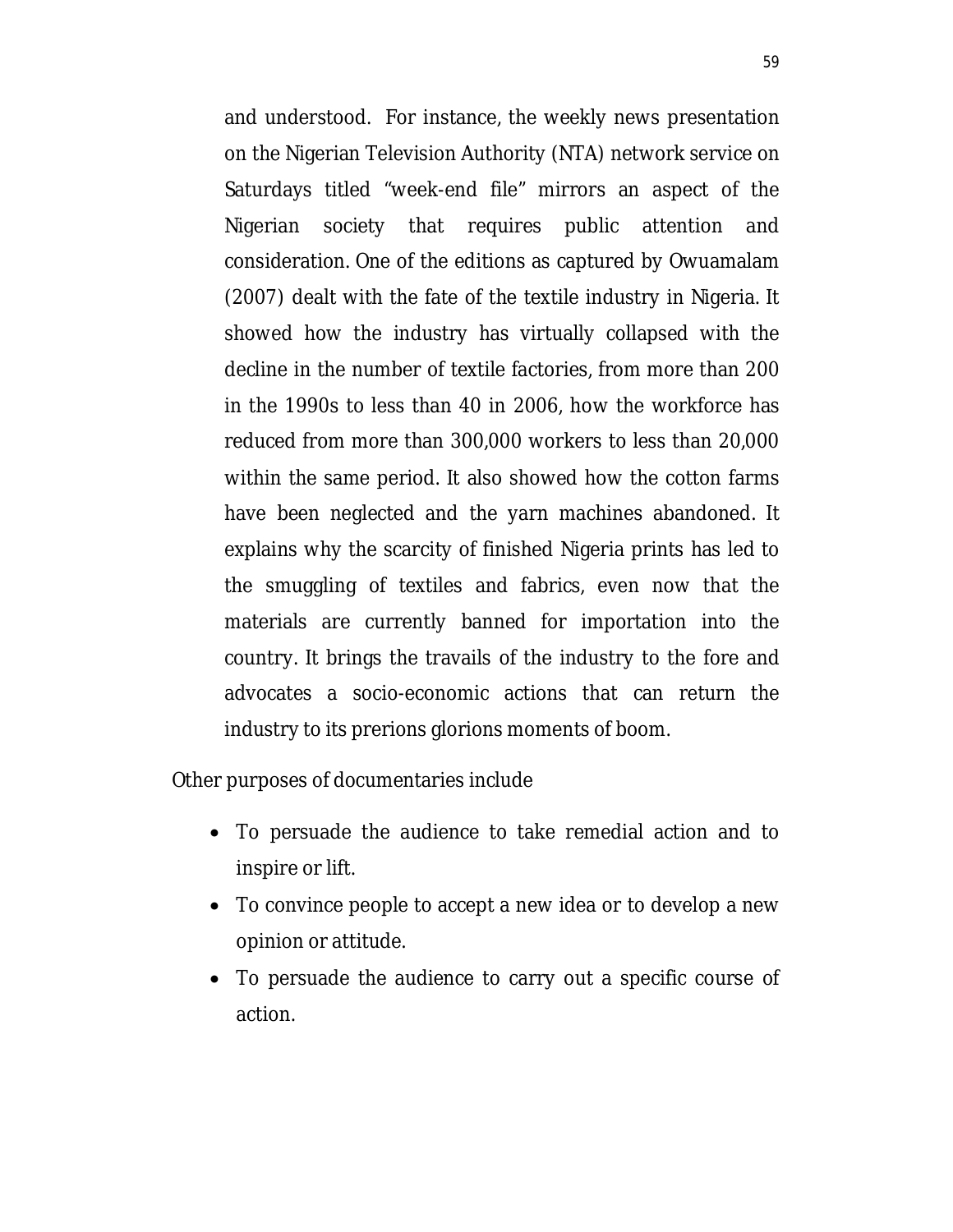and understood. For instance, the weekly news presentation on the Nigerian Television Authority (NTA) network service on Saturdays titled "week-end file" mirrors an aspect of the Nigerian society that requires public attention and consideration. One of the editions as captured by Owuamalam (2007) dealt with the fate of the textile industry in Nigeria. It showed how the industry has virtually collapsed with the decline in the number of textile factories, from more than 200 in the 1990s to less than 40 in 2006, how the workforce has reduced from more than 300,000 workers to less than 20,000 within the same period. It also showed how the cotton farms have been neglected and the yarn machines abandoned. It explains why the scarcity of finished Nigeria prints has led to the smuggling of textiles and fabrics, even now that the materials are currently banned for importation into the country. It brings the travails of the industry to the fore and advocates a socio-economic actions that can return the industry to its prerions glorions moments of boom.

Other purposes of documentaries include

- To persuade the audience to take remedial action and to inspire or lift.
- To convince people to accept a new idea or to develop a new opinion or attitude.
- To persuade the audience to carry out a specific course of action.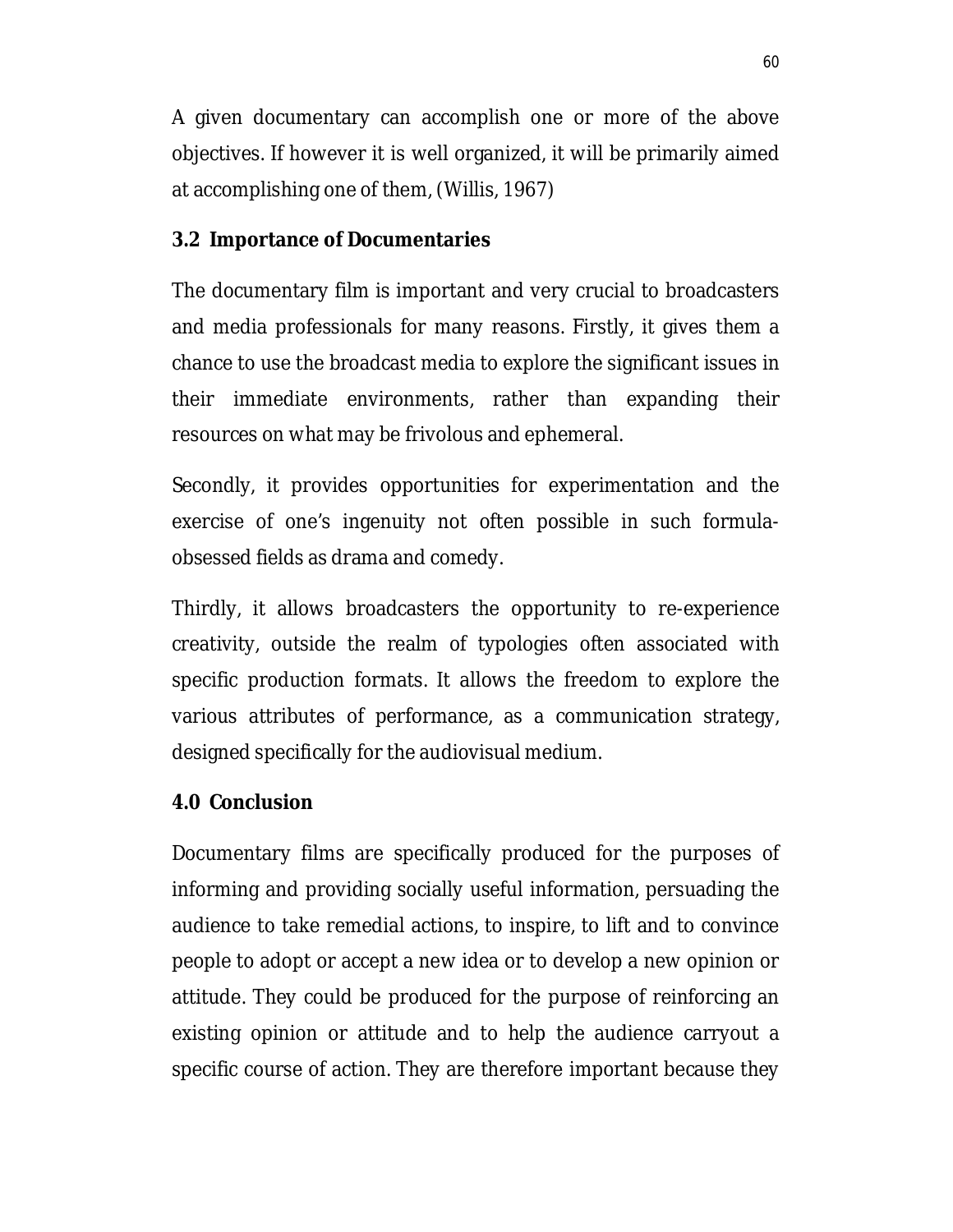A given documentary can accomplish one or more of the above objectives. If however it is well organized, it will be primarily aimed at accomplishing one of them, (Willis, 1967)

### **3.2 Importance of Documentaries**

The documentary film is important and very crucial to broadcasters and media professionals for many reasons. Firstly, it gives them a chance to use the broadcast media to explore the significant issues in their immediate environments, rather than expanding their resources on what may be frivolous and ephemeral.

Secondly, it provides opportunities for experimentation and the exercise of one's ingenuity not often possible in such formulaobsessed fields as drama and comedy.

Thirdly, it allows broadcasters the opportunity to re-experience creativity, outside the realm of typologies often associated with specific production formats. It allows the freedom to explore the various attributes of performance, as a communication strategy, designed specifically for the audiovisual medium.

# **4.0 Conclusion**

Documentary films are specifically produced for the purposes of informing and providing socially useful information, persuading the audience to take remedial actions, to inspire, to lift and to convince people to adopt or accept a new idea or to develop a new opinion or attitude. They could be produced for the purpose of reinforcing an existing opinion or attitude and to help the audience carryout a specific course of action. They are therefore important because they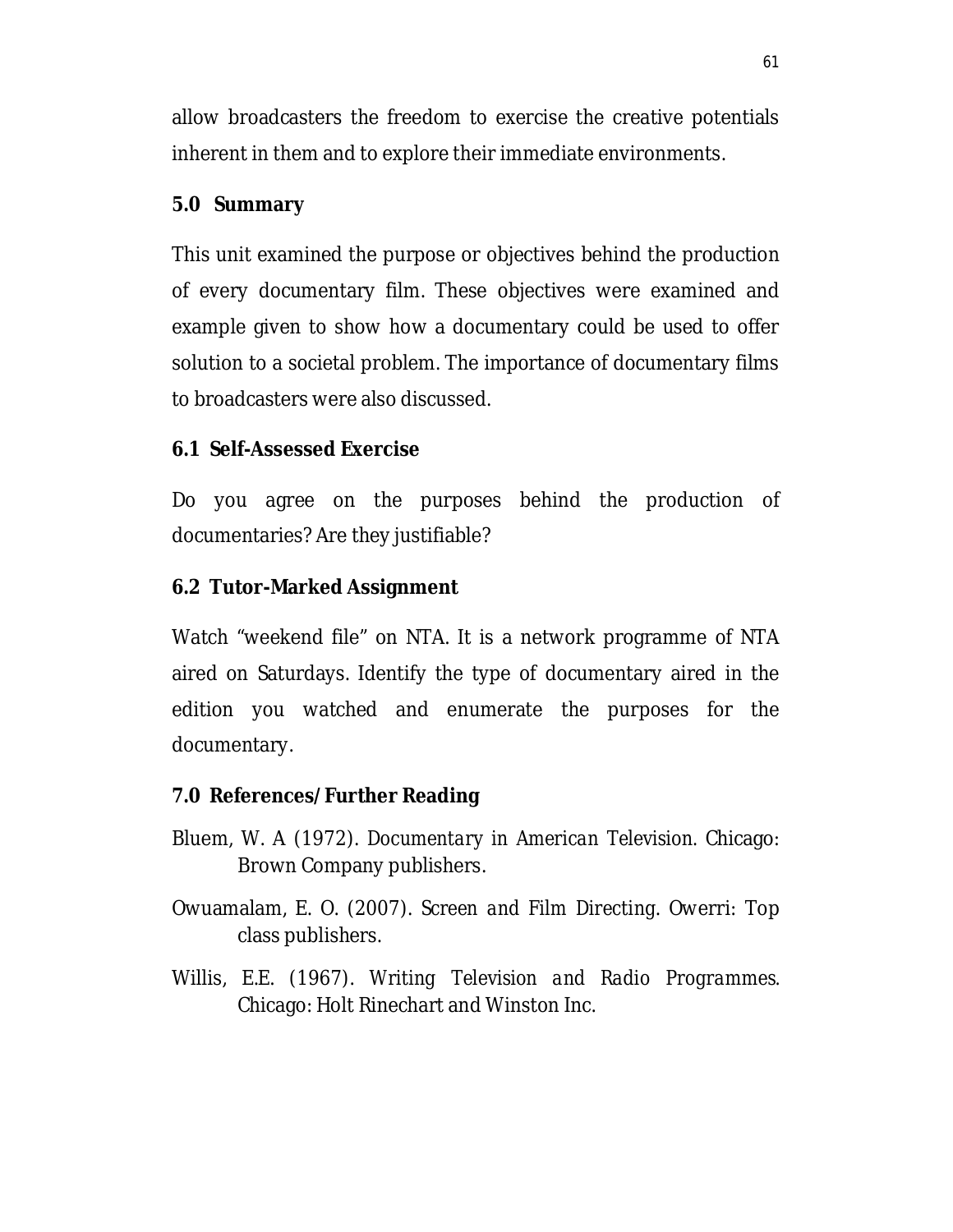allow broadcasters the freedom to exercise the creative potentials inherent in them and to explore their immediate environments.

### **5.0 Summary**

This unit examined the purpose or objectives behind the production of every documentary film. These objectives were examined and example given to show how a documentary could be used to offer solution to a societal problem. The importance of documentary films to broadcasters were also discussed.

## **6.1 Self-Assessed Exercise**

Do you agree on the purposes behind the production of documentaries? Are they justifiable?

## **6.2 Tutor-Marked Assignment**

Watch "weekend file" on NTA. It is a network programme of NTA aired on Saturdays. Identify the type of documentary aired in the edition you watched and enumerate the purposes for the documentary.

### **7.0 References/Further Reading**

- Bluem, W. A (1972). *Documentary in American Television.* Chicago: Brown Company publishers.
- Owuamalam, E. O. (2007). *Screen and Film Directing*. Owerri: Top class publishers.
- Willis, E.E. (1967). *Writing Television and Radio Programmes.* Chicago: Holt Rinechart and Winston Inc.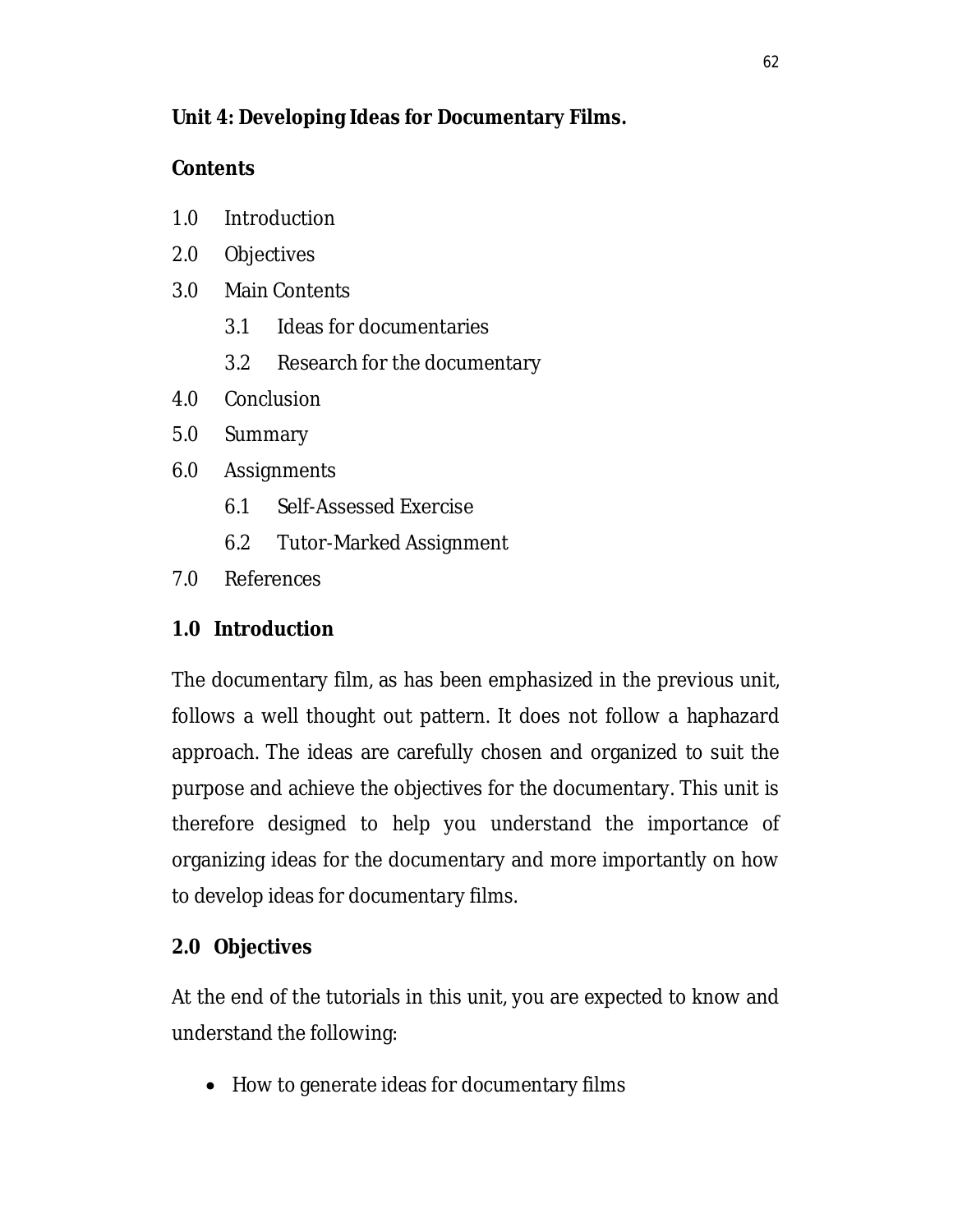# **Unit 4: Developing Ideas for Documentary Films.**

# **Contents**

- 1.0 Introduction
- 2.0 Objectives
- 3.0 Main Contents
	- 3.1 Ideas for documentaries
	- 3.2 Research for the documentary
- 4.0 Conclusion
- 5.0 Summary
- 6.0 Assignments
	- 6.1 Self-Assessed Exercise
	- 6.2 Tutor-Marked Assignment
- 7.0 References

# **1.0 Introduction**

The documentary film, as has been emphasized in the previous unit, follows a well thought out pattern. It does not follow a haphazard approach. The ideas are carefully chosen and organized to suit the purpose and achieve the objectives for the documentary. This unit is therefore designed to help you understand the importance of organizing ideas for the documentary and more importantly on how to develop ideas for documentary films.

# **2.0 Objectives**

At the end of the tutorials in this unit, you are expected to know and understand the following:

• How to generate ideas for documentary films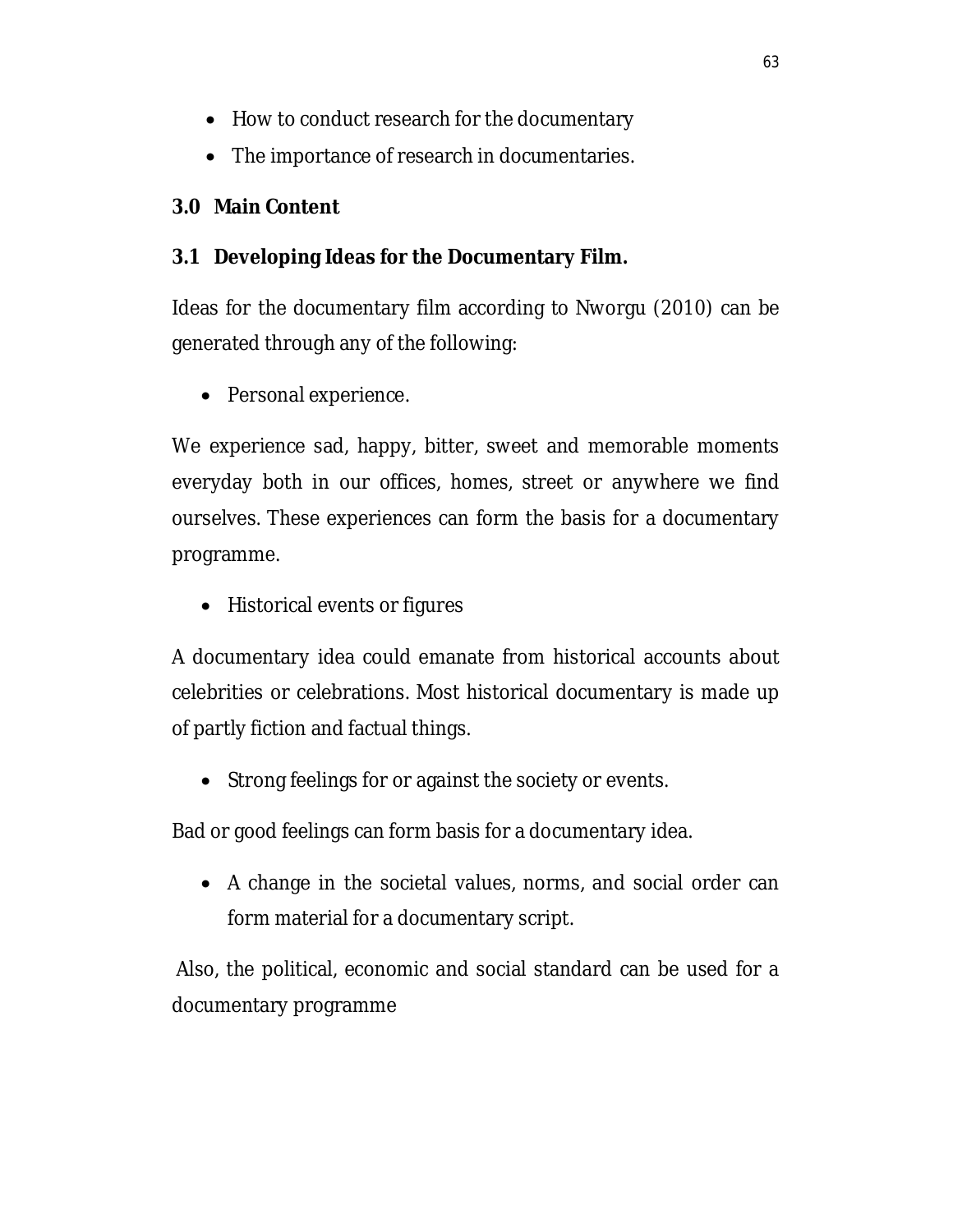- How to conduct research for the documentary
- The importance of research in documentaries.

# **3.0 Main Content**

## **3.1 Developing Ideas for the Documentary Film.**

Ideas for the documentary film according to Nworgu (2010) can be generated through any of the following:

• Personal experience.

We experience sad, happy, bitter, sweet and memorable moments everyday both in our offices, homes, street or anywhere we find ourselves. These experiences can form the basis for a documentary programme.

• Historical events or figures

A documentary idea could emanate from historical accounts about celebrities or celebrations. Most historical documentary is made up of partly fiction and factual things.

• Strong feelings for or against the society or events.

Bad or good feelings can form basis for a documentary idea.

 A change in the societal values, norms, and social order can form material for a documentary script.

Also, the political, economic and social standard can be used for a documentary programme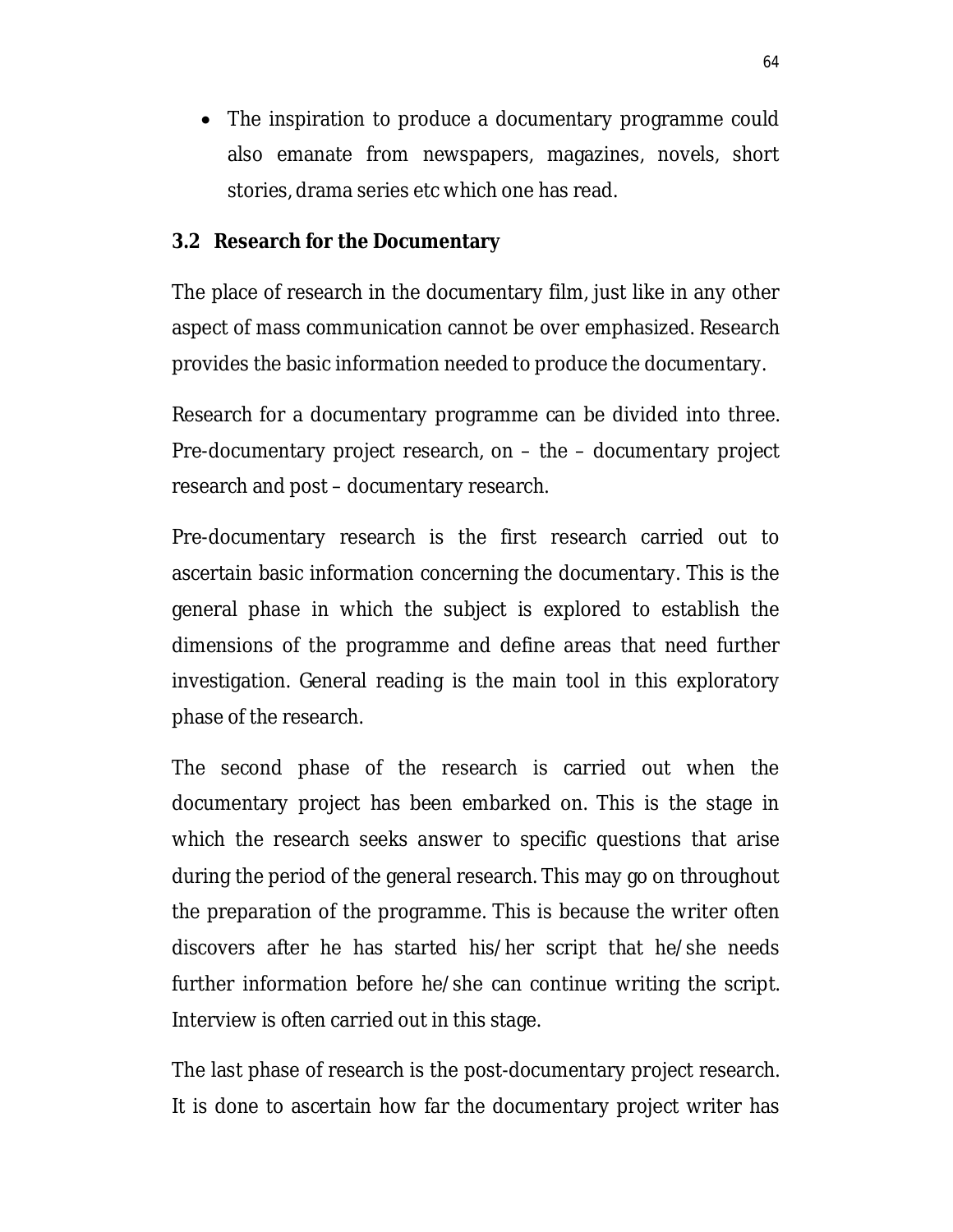The inspiration to produce a documentary programme could also emanate from newspapers, magazines, novels, short stories, drama series etc which one has read.

### **3.2 Research for the Documentary**

The place of research in the documentary film, just like in any other aspect of mass communication cannot be over emphasized. Research provides the basic information needed to produce the documentary.

Research for a documentary programme can be divided into three. Pre-documentary project research, on – the – documentary project research and post – documentary research.

Pre-documentary research is the first research carried out to ascertain basic information concerning the documentary. This is the general phase in which the subject is explored to establish the dimensions of the programme and define areas that need further investigation. General reading is the main tool in this exploratory phase of the research.

The second phase of the research is carried out when the documentary project has been embarked on. This is the stage in which the research seeks answer to specific questions that arise during the period of the general research. This may go on throughout the preparation of the programme. This is because the writer often discovers after he has started his/her script that he/she needs further information before he/she can continue writing the script. Interview is often carried out in this stage.

The last phase of research is the post-documentary project research. It is done to ascertain how far the documentary project writer has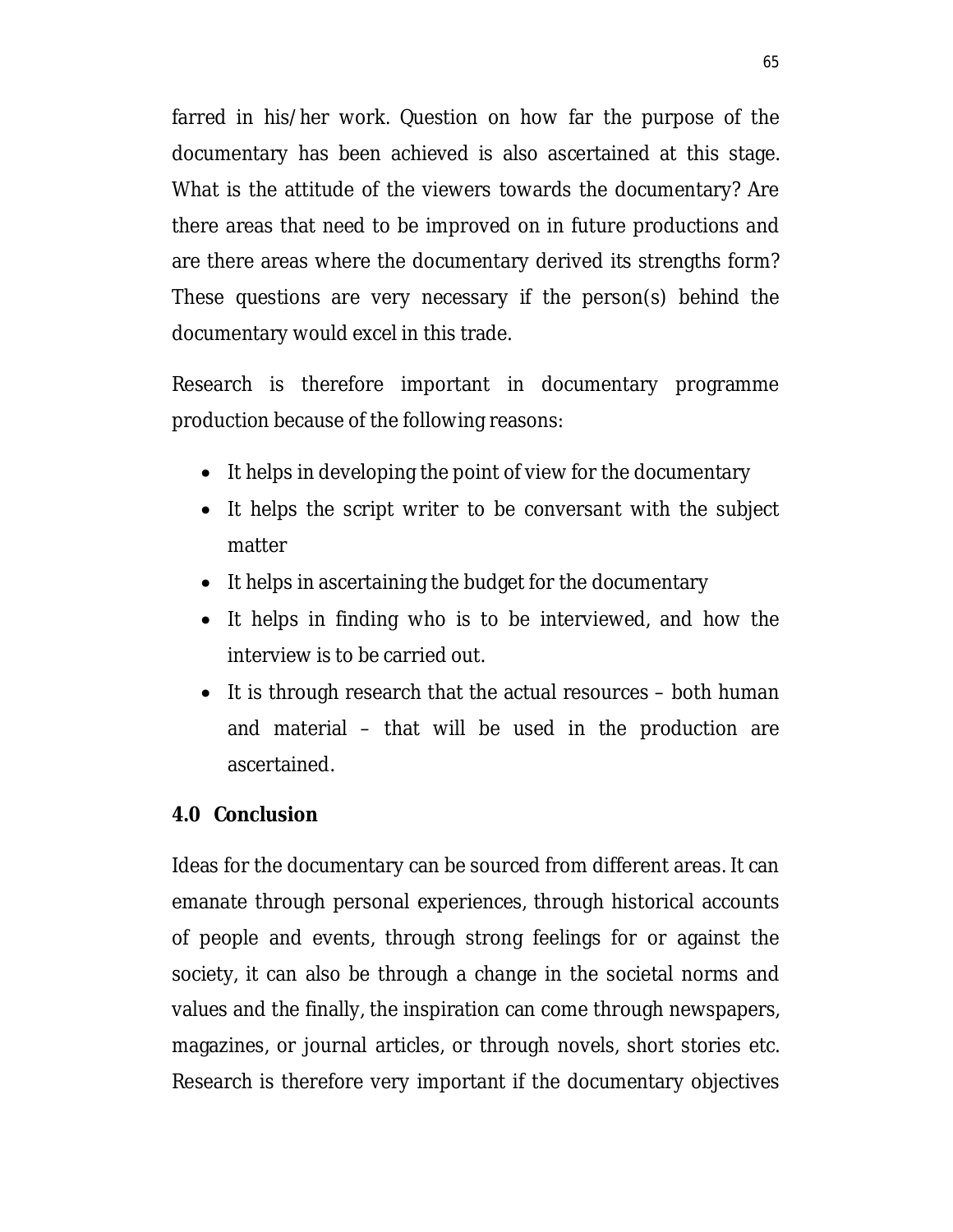farred in his/her work. Question on how far the purpose of the documentary has been achieved is also ascertained at this stage. What is the attitude of the viewers towards the documentary? Are there areas that need to be improved on in future productions and are there areas where the documentary derived its strengths form? These questions are very necessary if the person(s) behind the documentary would excel in this trade.

Research is therefore important in documentary programme production because of the following reasons:

- It helps in developing the point of view for the documentary
- It helps the script writer to be conversant with the subject matter
- It helps in ascertaining the budget for the documentary
- It helps in finding who is to be interviewed, and how the interview is to be carried out.
- $\bullet$  It is through research that the actual resources both human and material – that will be used in the production are ascertained.

#### **4.0 Conclusion**

Ideas for the documentary can be sourced from different areas. It can emanate through personal experiences, through historical accounts of people and events, through strong feelings for or against the society, it can also be through a change in the societal norms and values and the finally, the inspiration can come through newspapers, magazines, or journal articles, or through novels, short stories etc. Research is therefore very important if the documentary objectives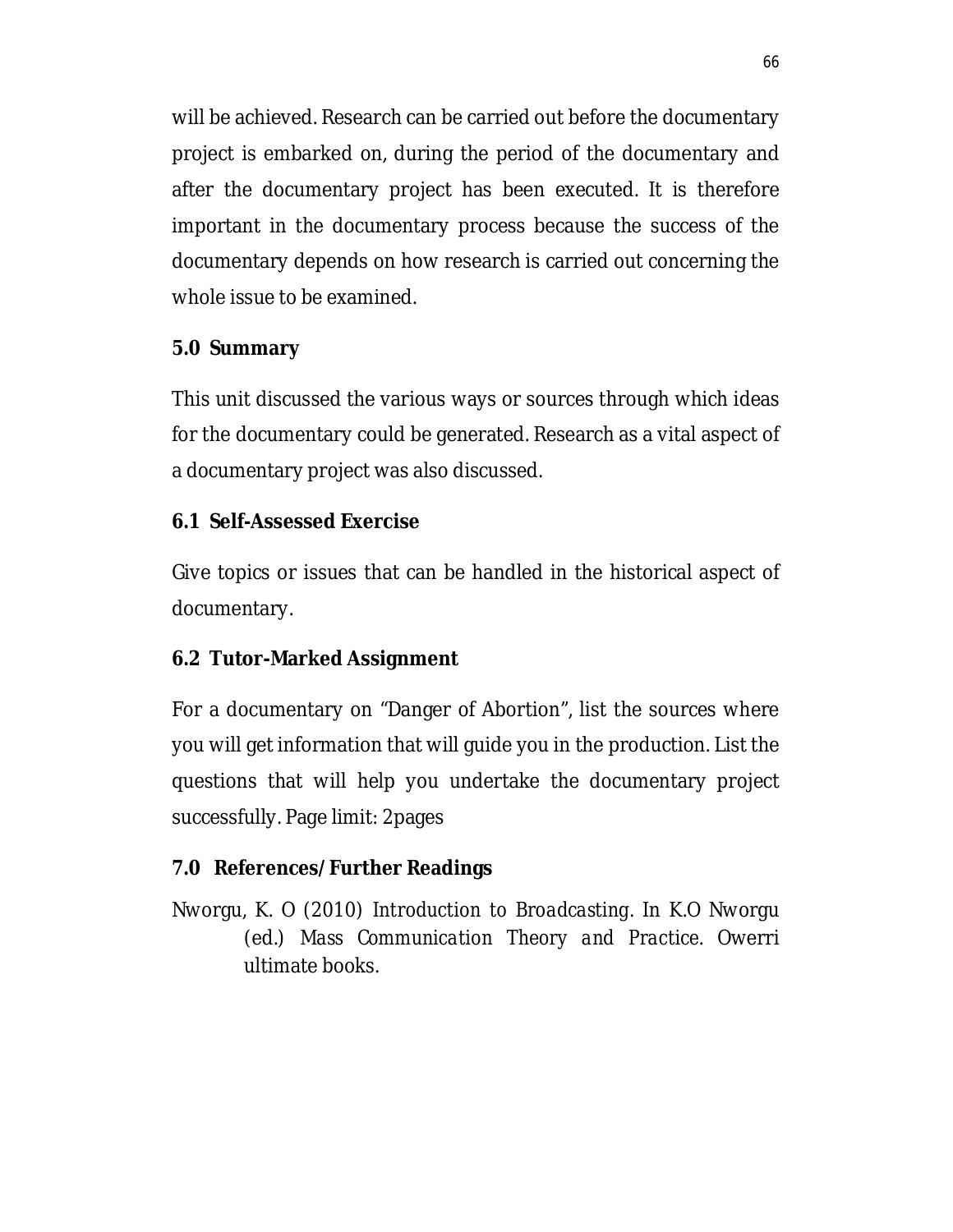will be achieved. Research can be carried out before the documentary project is embarked on, during the period of the documentary and after the documentary project has been executed. It is therefore important in the documentary process because the success of the documentary depends on how research is carried out concerning the whole issue to be examined.

## **5.0 Summary**

This unit discussed the various ways or sources through which ideas for the documentary could be generated. Research as a vital aspect of a documentary project was also discussed.

## **6.1 Self-Assessed Exercise**

Give topics or issues that can be handled in the historical aspect of documentary.

# **6.2 Tutor-Marked Assignment**

For a documentary on "Danger of Abortion", list the sources where you will get information that will guide you in the production. List the questions that will help you undertake the documentary project successfully. Page limit: 2pages

# **7.0 References/Further Readings**

Nworgu, K. O (2010) *Introduction to Broadcasting*. In K.O Nworgu (ed.) *Mass Communication Theory and Practice*. Owerri ultimate books.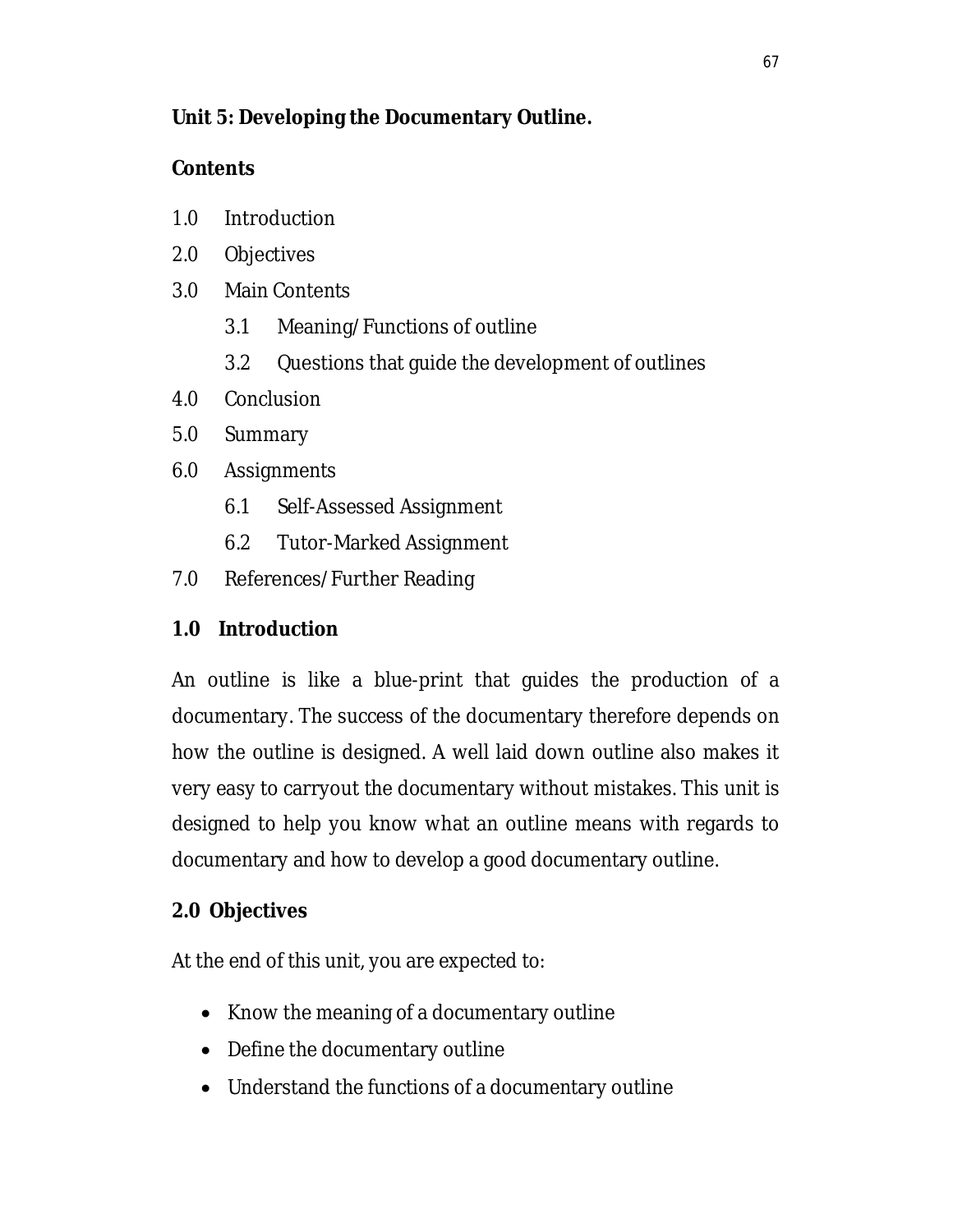# **Unit 5: Developing the Documentary Outline.**

# **Contents**

- 1.0 Introduction
- 2.0 Objectives
- 3.0 Main Contents
	- 3.1 Meaning/Functions of outline
	- 3.2 Questions that guide the development of outlines
- 4.0 Conclusion
- 5.0 Summary
- 6.0 Assignments
	- 6.1 Self-Assessed Assignment
	- 6.2 Tutor-Marked Assignment
- 7.0 References/Further Reading

### **1.0 Introduction**

An outline is like a blue-print that guides the production of a documentary. The success of the documentary therefore depends on how the outline is designed. A well laid down outline also makes it very easy to carryout the documentary without mistakes. This unit is designed to help you know what an outline means with regards to documentary and how to develop a good documentary outline.

# **2.0 Objectives**

At the end of this unit, you are expected to:

- Know the meaning of a documentary outline
- Define the documentary outline
- Understand the functions of a documentary outline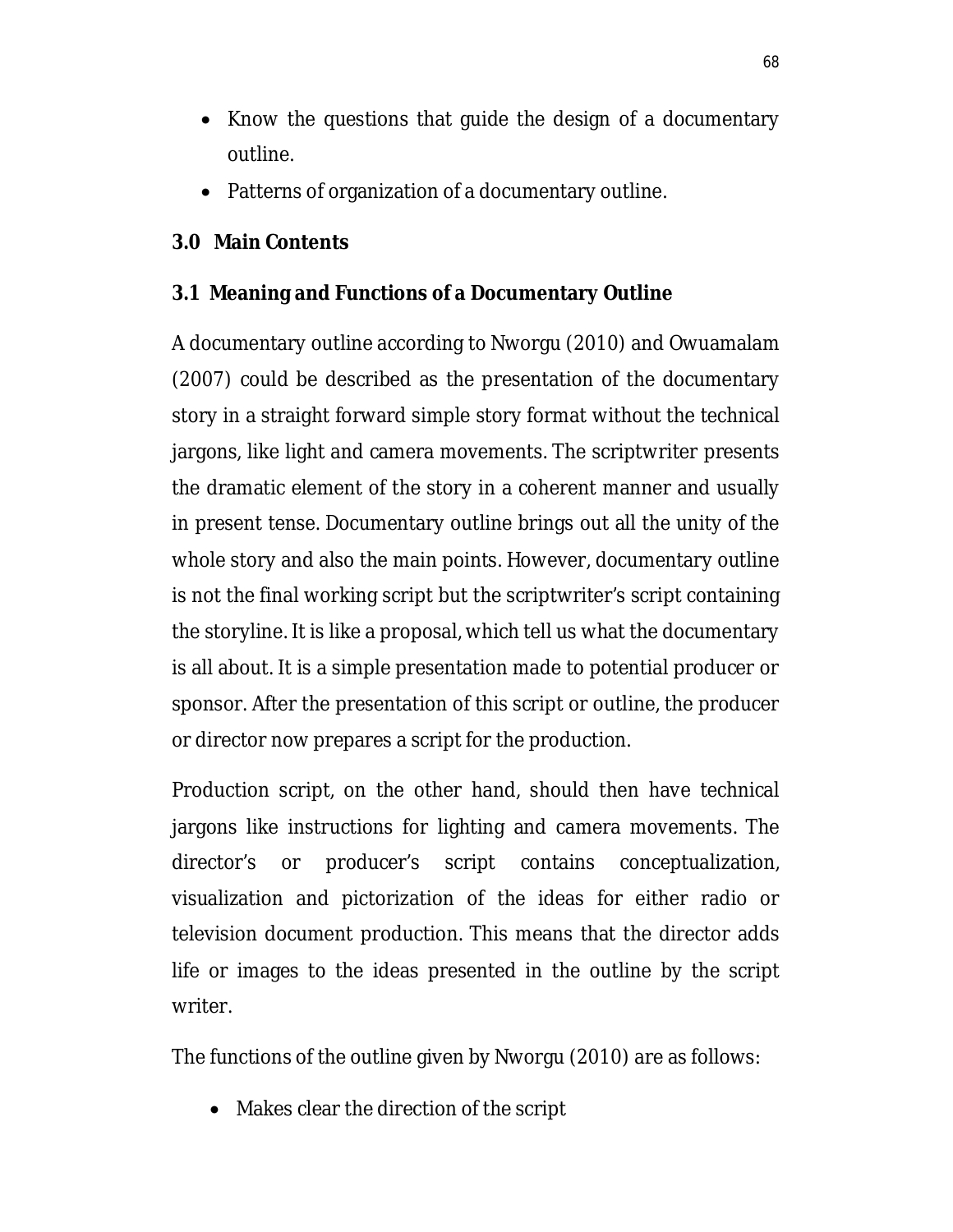- Know the questions that guide the design of a documentary outline.
- Patterns of organization of a documentary outline.

# **3.0 Main Contents**

### **3.1 Meaning and Functions of a Documentary Outline**

A documentary outline according to Nworgu (2010) and Owuamalam (2007) could be described as the presentation of the documentary story in a straight forward simple story format without the technical jargons, like light and camera movements. The scriptwriter presents the dramatic element of the story in a coherent manner and usually in present tense. Documentary outline brings out all the unity of the whole story and also the main points. However, documentary outline is not the final working script but the scriptwriter's script containing the storyline. It is like a proposal, which tell us what the documentary is all about. It is a simple presentation made to potential producer or sponsor. After the presentation of this script or outline, the producer or director now prepares a script for the production.

Production script, on the other hand, should then have technical jargons like instructions for lighting and camera movements. The director's or producer's script contains conceptualization, visualization and pictorization of the ideas for either radio or television document production. This means that the director adds life or images to the ideas presented in the outline by the script writer.

The functions of the outline given by Nworgu (2010) are as follows:

Makes clear the direction of the script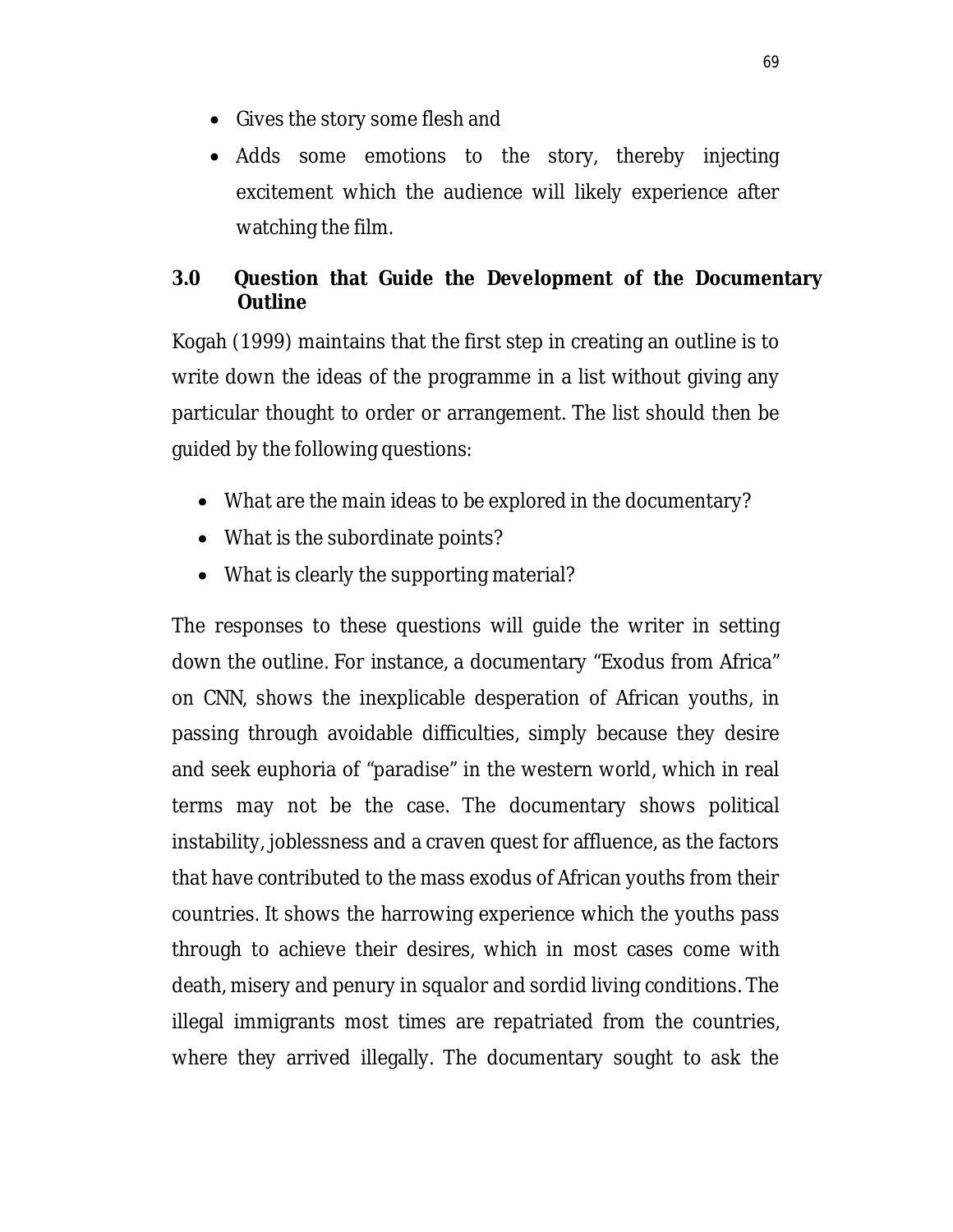- Gives the story some flesh and
- Adds some emotions to the story, thereby injecting excitement which the audience will likely experience after watching the film.

# **3.0 Question that Guide the Development of the Documentary Outline**

Kogah (1999) maintains that the first step in creating an outline is to write down the ideas of the programme in a list without giving any particular thought to order or arrangement. The list should then be guided by the following questions:

- What are the main ideas to be explored in the documentary?
- What is the subordinate points?
- What is clearly the supporting material?

The responses to these questions will guide the writer in setting down the outline. For instance, a documentary "Exodus from Africa" on CNN, shows the inexplicable desperation of African youths, in passing through avoidable difficulties, simply because they desire and seek euphoria of "paradise" in the western world, which in real terms may not be the case. The documentary shows political instability, joblessness and a craven quest for affluence, as the factors that have contributed to the mass exodus of African youths from their countries. It shows the harrowing experience which the youths pass through to achieve their desires, which in most cases come with death, misery and penury in squalor and sordid living conditions. The illegal immigrants most times are repatriated from the countries, where they arrived illegally. The documentary sought to ask the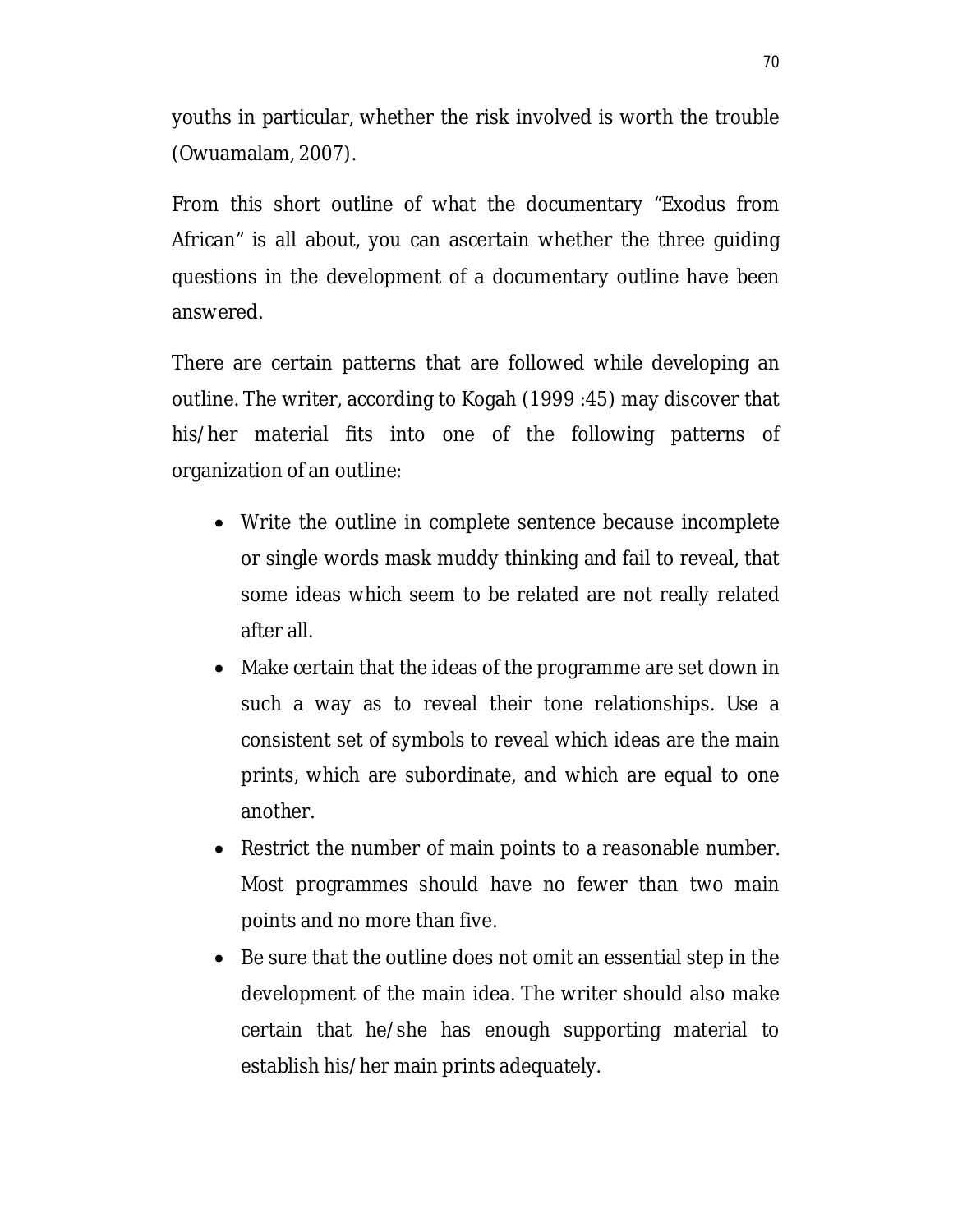youths in particular, whether the risk involved is worth the trouble (Owuamalam, 2007).

From this short outline of what the documentary "Exodus from African" is all about, you can ascertain whether the three guiding questions in the development of a documentary outline have been answered.

There are certain patterns that are followed while developing an outline. The writer, according to Kogah (1999 :45) may discover that his/her material fits into one of the following patterns of organization of an outline:

- Write the outline in complete sentence because incomplete or single words mask muddy thinking and fail to reveal, that some ideas which seem to be related are not really related after all.
- Make certain that the ideas of the programme are set down in such a way as to reveal their tone relationships. Use a consistent set of symbols to reveal which ideas are the main prints, which are subordinate, and which are equal to one another.
- Restrict the number of main points to a reasonable number. Most programmes should have no fewer than two main points and no more than five.
- Be sure that the outline does not omit an essential step in the development of the main idea. The writer should also make certain that he/she has enough supporting material to establish his/her main prints adequately.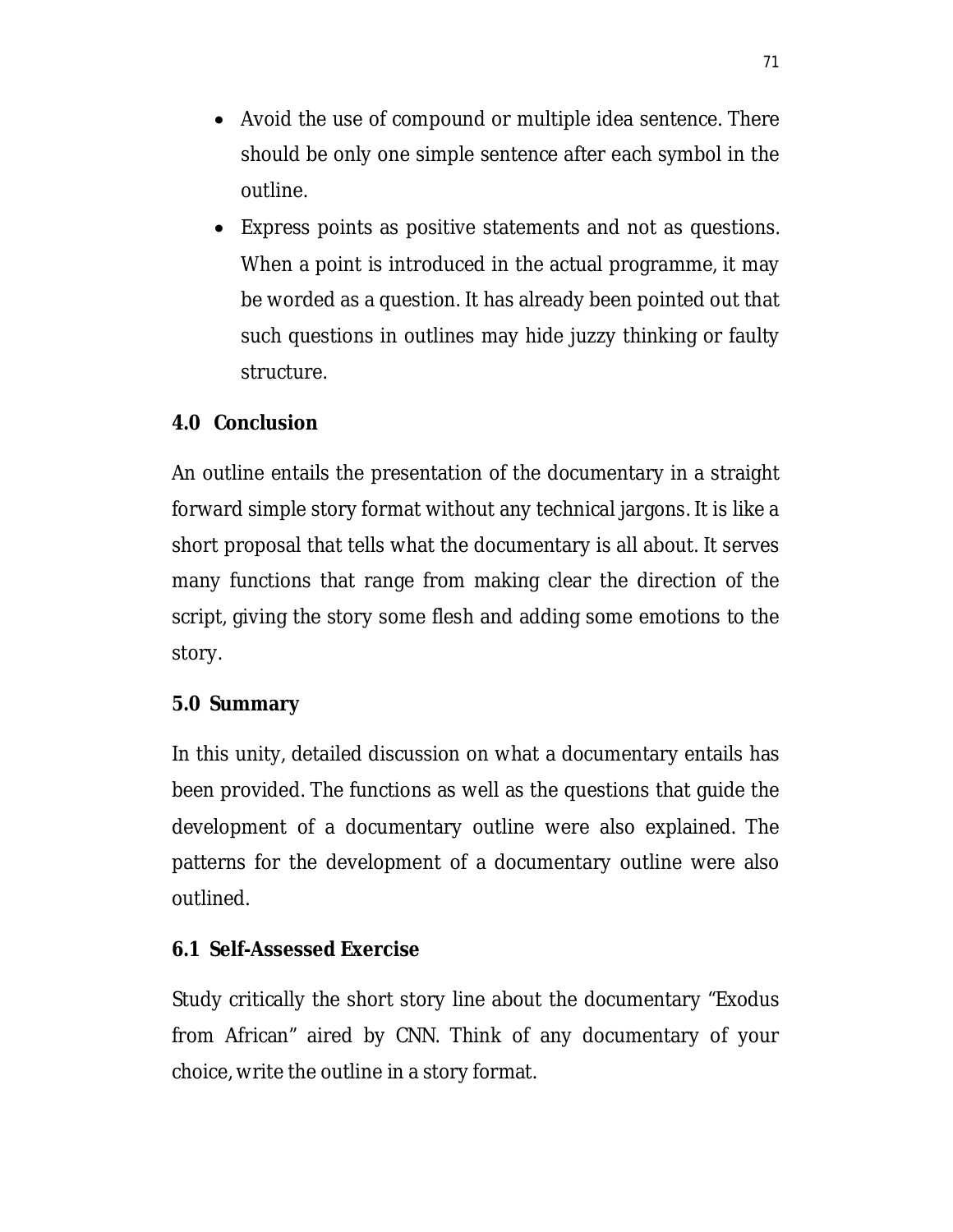- Avoid the use of compound or multiple idea sentence. There should be only one simple sentence after each symbol in the outline.
- Express points as positive statements and not as questions. When a point is introduced in the actual programme, it may be worded as a question. It has already been pointed out that such questions in outlines may hide juzzy thinking or faulty structure.

## **4.0 Conclusion**

An outline entails the presentation of the documentary in a straight forward simple story format without any technical jargons. It is like a short proposal that tells what the documentary is all about. It serves many functions that range from making clear the direction of the script, giving the story some flesh and adding some emotions to the story.

#### **5.0 Summary**

In this unity, detailed discussion on what a documentary entails has been provided. The functions as well as the questions that guide the development of a documentary outline were also explained. The patterns for the development of a documentary outline were also outlined.

### **6.1 Self-Assessed Exercise**

Study critically the short story line about the documentary "Exodus from African" aired by CNN. Think of any documentary of your choice, write the outline in a story format.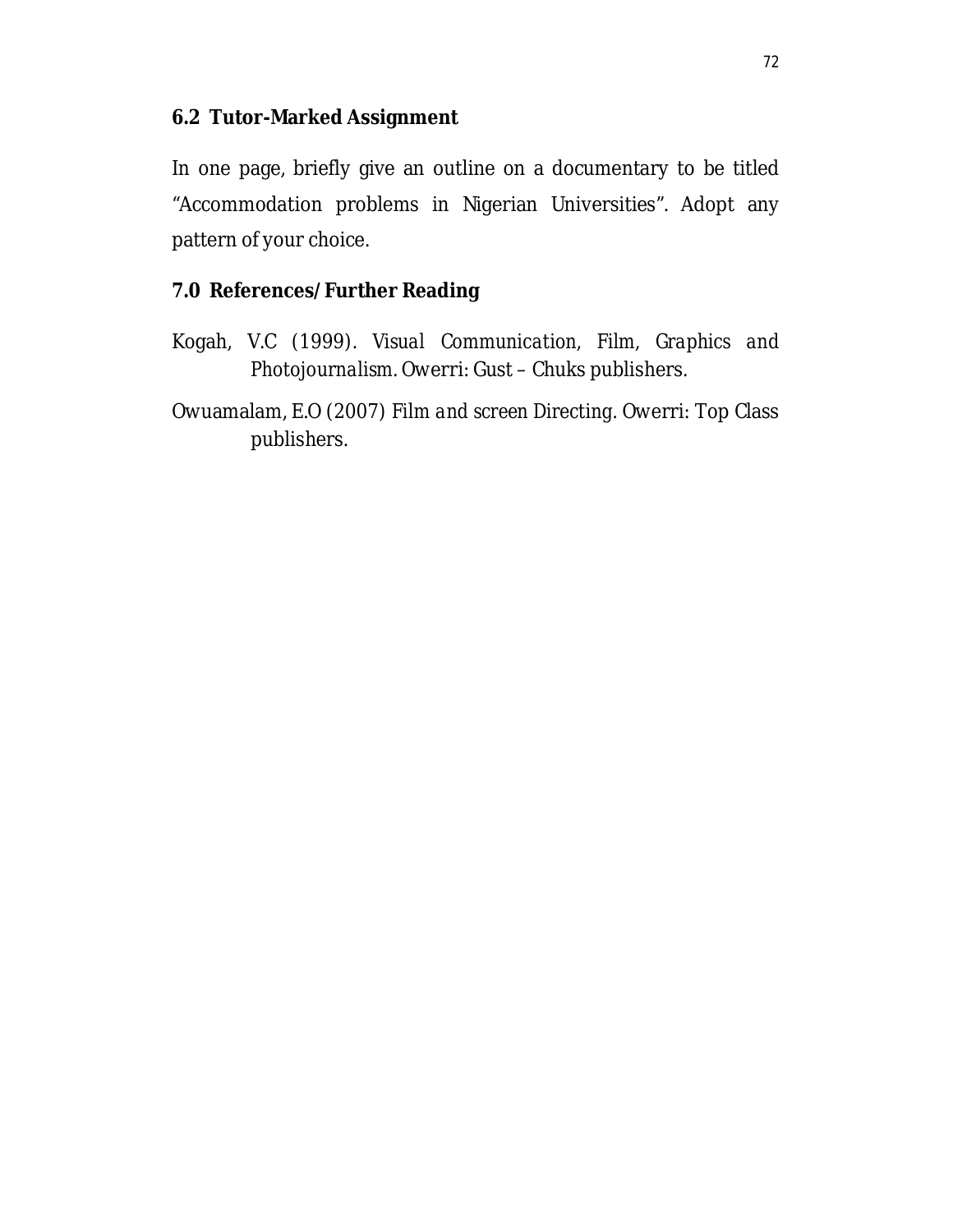### **6.2 Tutor-Marked Assignment**

In one page, briefly give an outline on a documentary to be titled "Accommodation problems in Nigerian Universities". Adopt any pattern of your choice.

### **7.0 References/Further Reading**

Kogah, V.C (1999). *Visual Communication, Film, Graphics and Photojournalism.* Owerri: Gust – Chuks publishers.

Owuamalam, E.O (2007) *Film and screen Directing.* Owerri: Top Class publishers.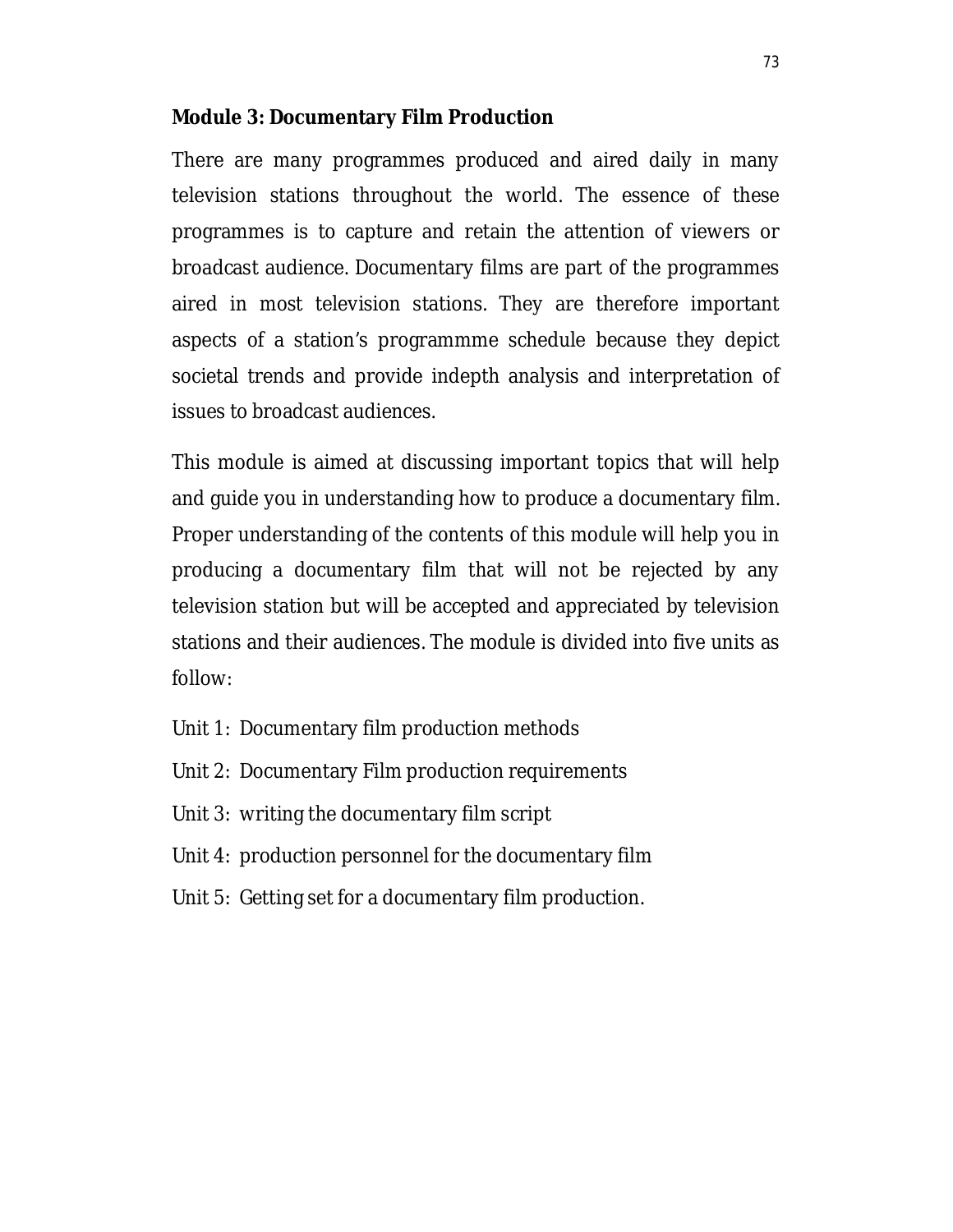#### **Module 3: Documentary Film Production**

There are many programmes produced and aired daily in many television stations throughout the world. The essence of these programmes is to capture and retain the attention of viewers or broadcast audience. Documentary films are part of the programmes aired in most television stations. They are therefore important aspects of a station's programmme schedule because they depict societal trends and provide indepth analysis and interpretation of issues to broadcast audiences.

This module is aimed at discussing important topics that will help and guide you in understanding how to produce a documentary film. Proper understanding of the contents of this module will help you in producing a documentary film that will not be rejected by any television station but will be accepted and appreciated by television stations and their audiences. The module is divided into five units as follow:

- Unit 1: Documentary film production methods
- Unit 2: Documentary Film production requirements
- Unit 3: writing the documentary film script
- Unit 4: production personnel for the documentary film
- Unit 5: Getting set for a documentary film production.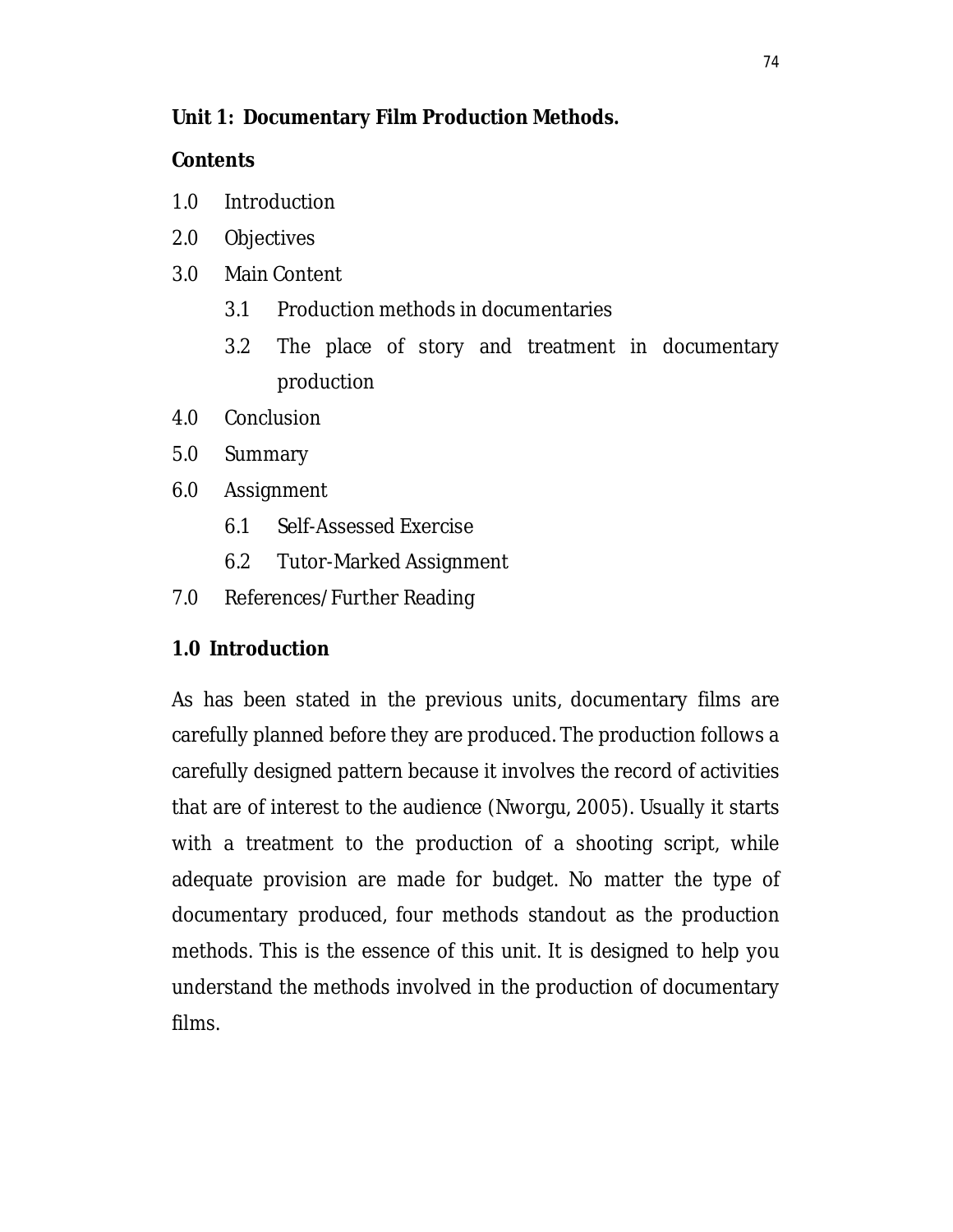## **Unit 1: Documentary Film Production Methods.**

## **Contents**

- 1.0 Introduction
- 2.0 Objectives
- 3.0 Main Content
	- 3.1 Production methods in documentaries
	- 3.2 The place of story and treatment in documentary production
- 4.0 Conclusion
- 5.0 Summary
- 6.0 Assignment
	- 6.1 Self-Assessed Exercise
	- 6.2 Tutor-Marked Assignment
- 7.0 References/Further Reading

# **1.0 Introduction**

As has been stated in the previous units, documentary films are carefully planned before they are produced. The production follows a carefully designed pattern because it involves the record of activities that are of interest to the audience (Nworgu, 2005). Usually it starts with a treatment to the production of a shooting script, while adequate provision are made for budget. No matter the type of documentary produced, four methods standout as the production methods. This is the essence of this unit. It is designed to help you understand the methods involved in the production of documentary films.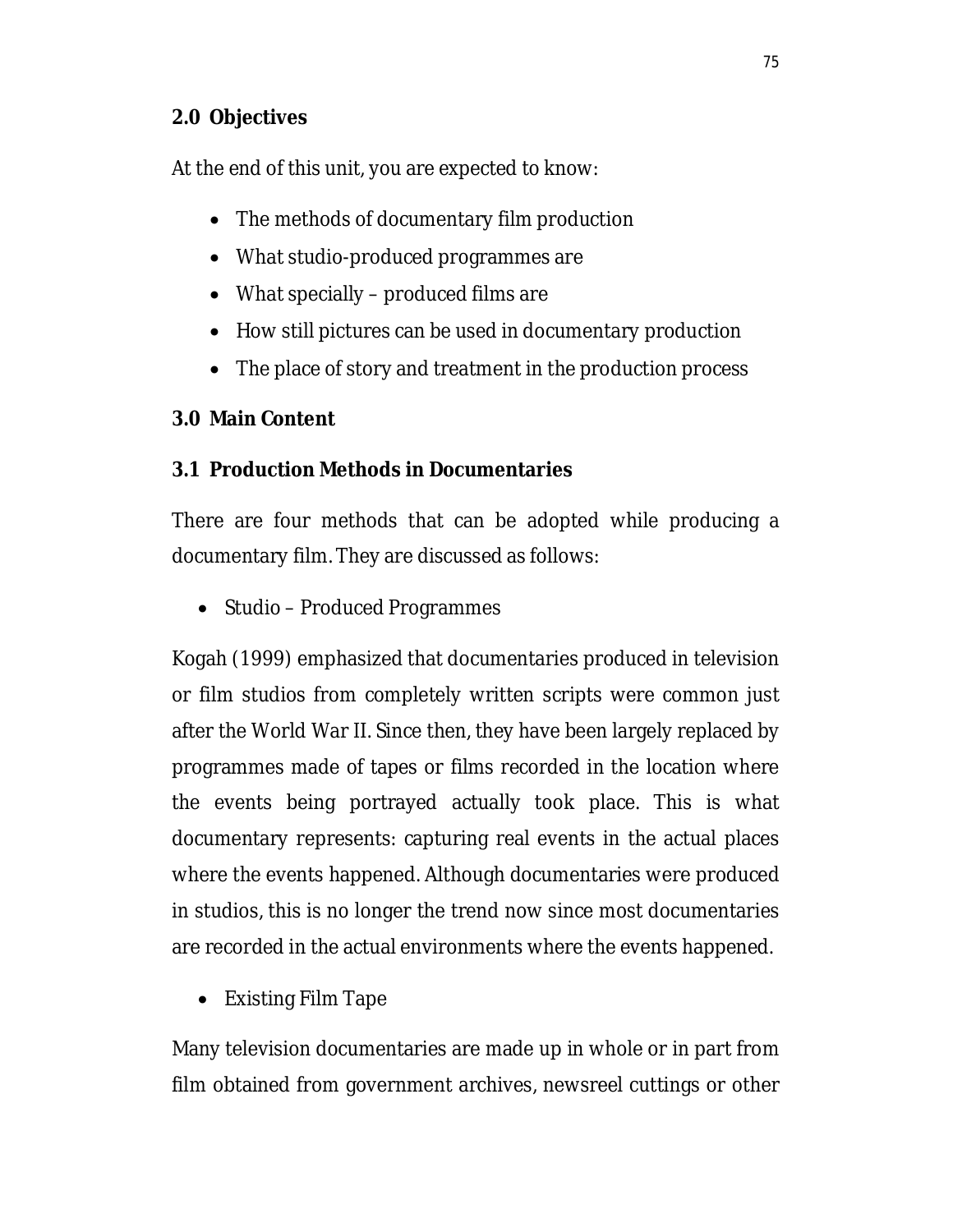## **2.0 Objectives**

At the end of this unit, you are expected to know:

- The methods of documentary film production
- What studio-produced programmes are
- What specially produced films are
- How still pictures can be used in documentary production
- The place of story and treatment in the production process

# **3.0 Main Content**

# **3.1 Production Methods in Documentaries**

There are four methods that can be adopted while producing a documentary film. They are discussed as follows:

• Studio – Produced Programmes

Kogah (1999) emphasized that documentaries produced in television or film studios from completely written scripts were common just after the World War II. Since then, they have been largely replaced by programmes made of tapes or films recorded in the location where the events being portrayed actually took place. This is what documentary represents: capturing real events in the actual places where the events happened. Although documentaries were produced in studios, this is no longer the trend now since most documentaries are recorded in the actual environments where the events happened.

• Existing Film Tape

Many television documentaries are made up in whole or in part from film obtained from government archives, newsreel cuttings or other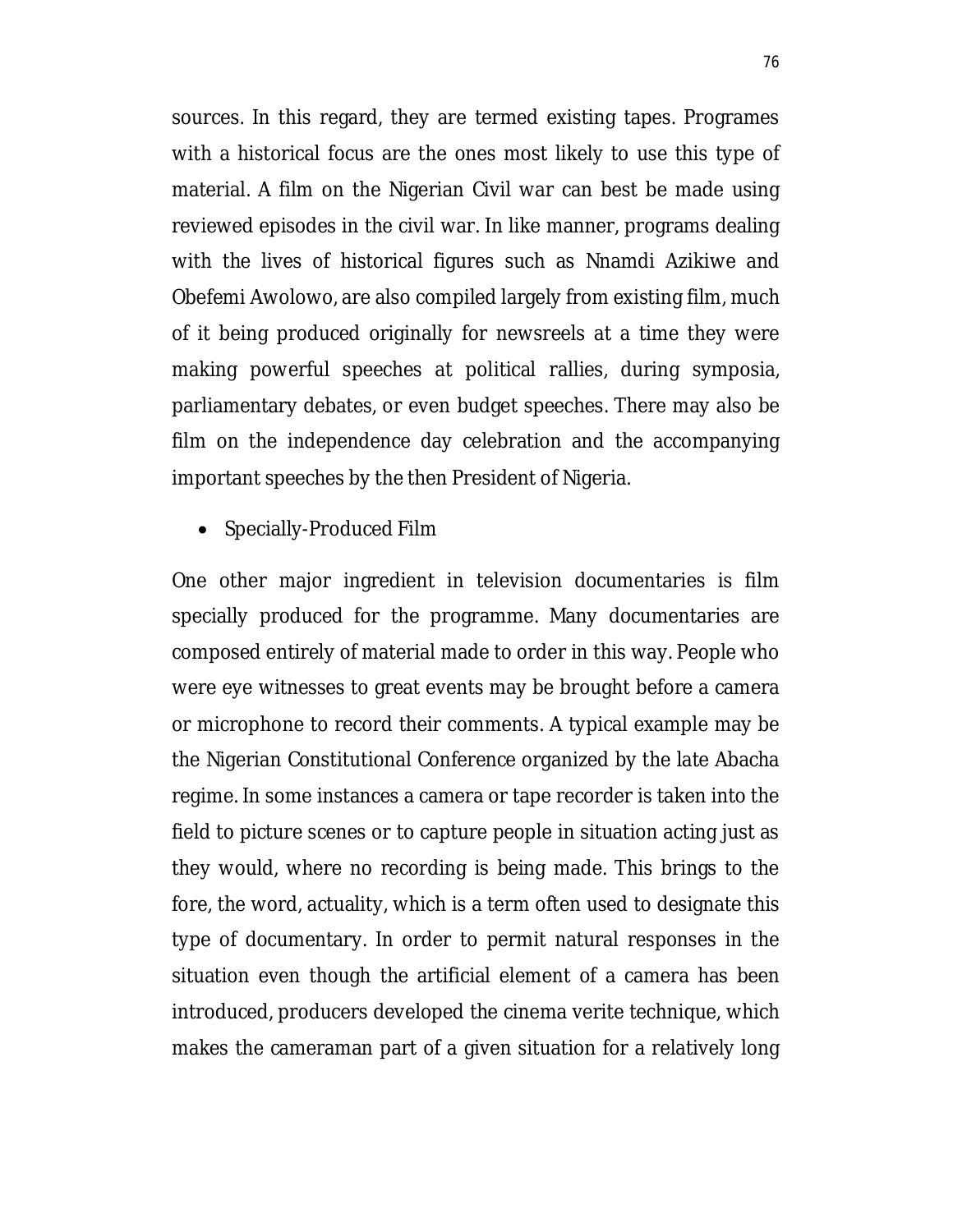sources. In this regard, they are termed existing tapes. Programes with a historical focus are the ones most likely to use this type of material. A film on the Nigerian Civil war can best be made using reviewed episodes in the civil war. In like manner, programs dealing with the lives of historical figures such as Nnamdi Azikiwe and Obefemi Awolowo, are also compiled largely from existing film, much of it being produced originally for newsreels at a time they were making powerful speeches at political rallies, during symposia, parliamentary debates, or even budget speeches. There may also be film on the independence day celebration and the accompanying important speeches by the then President of Nigeria.

• Specially-Produced Film

One other major ingredient in television documentaries is film specially produced for the programme. Many documentaries are composed entirely of material made to order in this way. People who were eye witnesses to great events may be brought before a camera or microphone to record their comments. A typical example may be the Nigerian Constitutional Conference organized by the late Abacha regime. In some instances a camera or tape recorder is taken into the field to picture scenes or to capture people in situation acting just as they would, where no recording is being made. This brings to the fore, the word, actuality, which is a term often used to designate this type of documentary. In order to permit natural responses in the situation even though the artificial element of a camera has been introduced, producers developed the cinema verite technique, which makes the cameraman part of a given situation for a relatively long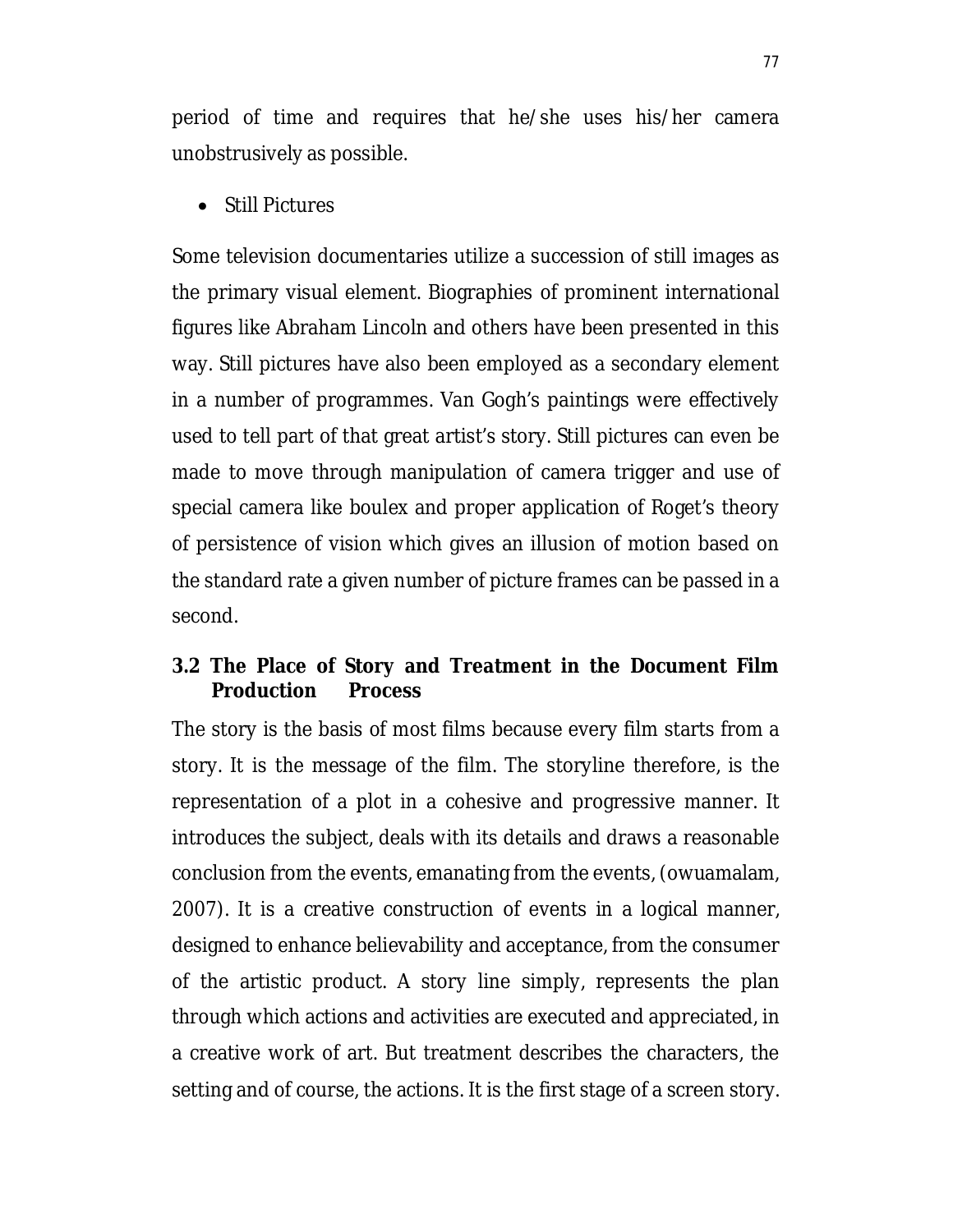period of time and requires that he/she uses his/her camera unobstrusively as possible.

• Still Pictures

Some television documentaries utilize a succession of still images as the primary visual element. Biographies of prominent international figures like Abraham Lincoln and others have been presented in this way. Still pictures have also been employed as a secondary element in a number of programmes. Van Gogh's paintings were effectively used to tell part of that great artist's story. Still pictures can even be made to move through manipulation of camera trigger and use of special camera like boulex and proper application of Roget's theory of persistence of vision which gives an illusion of motion based on the standard rate a given number of picture frames can be passed in a second.

#### **3.2 The Place of Story and Treatment in the Document Film Production Process**

The story is the basis of most films because every film starts from a story. It is the message of the film. The storyline therefore, is the representation of a plot in a cohesive and progressive manner. It introduces the subject, deals with its details and draws a reasonable conclusion from the events, emanating from the events, (owuamalam, 2007). It is a creative construction of events in a logical manner, designed to enhance believability and acceptance, from the consumer of the artistic product. A story line simply, represents the plan through which actions and activities are executed and appreciated, in a creative work of art. But treatment describes the characters, the setting and of course, the actions. It is the first stage of a screen story.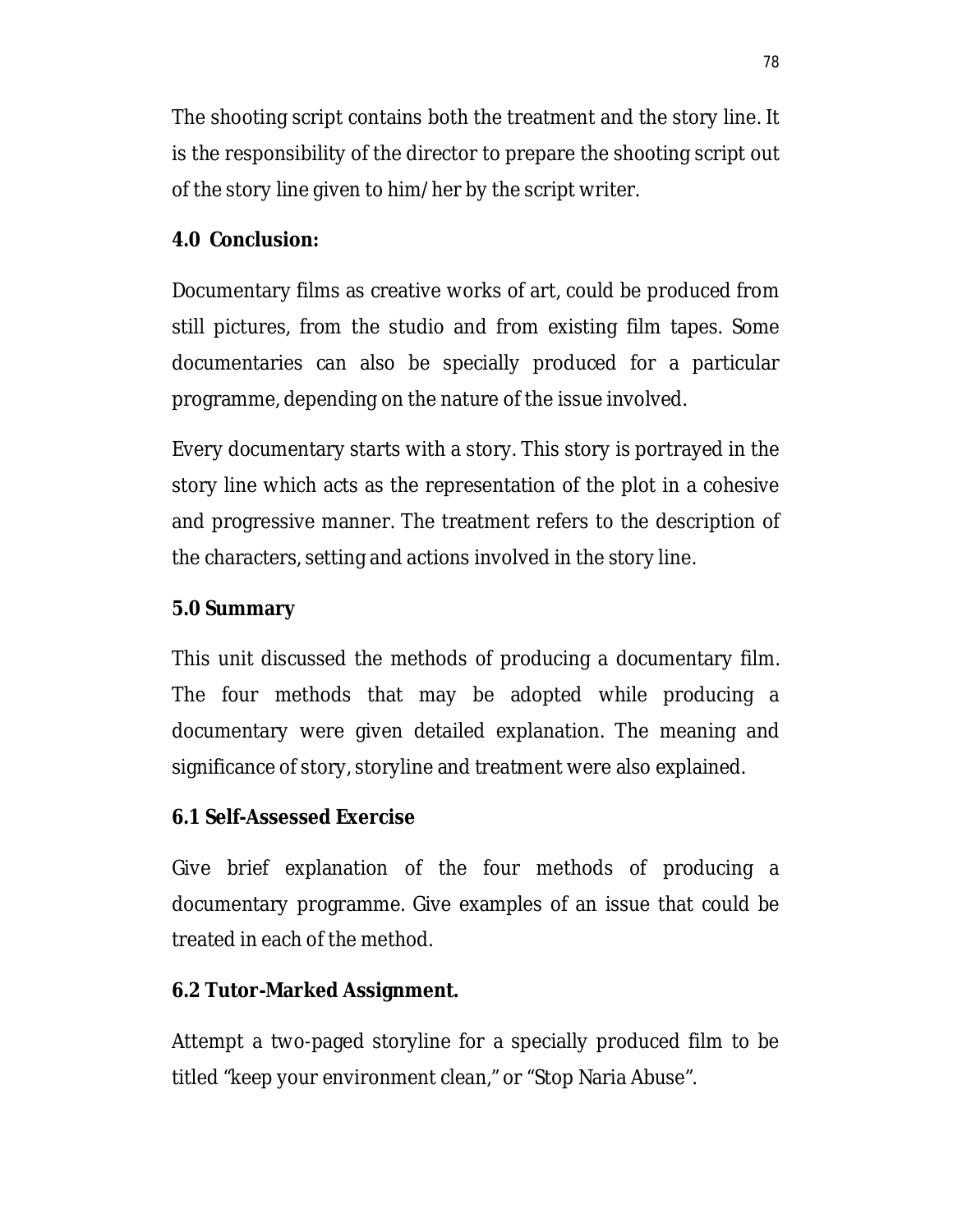The shooting script contains both the treatment and the story line. It is the responsibility of the director to prepare the shooting script out of the story line given to him/her by the script writer.

## **4.0 Conclusion:**

Documentary films as creative works of art, could be produced from still pictures, from the studio and from existing film tapes. Some documentaries can also be specially produced for a particular programme, depending on the nature of the issue involved.

Every documentary starts with a story. This story is portrayed in the story line which acts as the representation of the plot in a cohesive and progressive manner. The treatment refers to the description of the characters, setting and actions involved in the story line.

## **5.0 Summary**

This unit discussed the methods of producing a documentary film. The four methods that may be adopted while producing a documentary were given detailed explanation. The meaning and significance of story, storyline and treatment were also explained.

## **6.1 Self-Assessed Exercise**

Give brief explanation of the four methods of producing a documentary programme. Give examples of an issue that could be treated in each of the method.

## **6.2 Tutor-Marked Assignment.**

Attempt a two-paged storyline for a specially produced film to be titled "keep your environment clean," or "Stop Naria Abuse".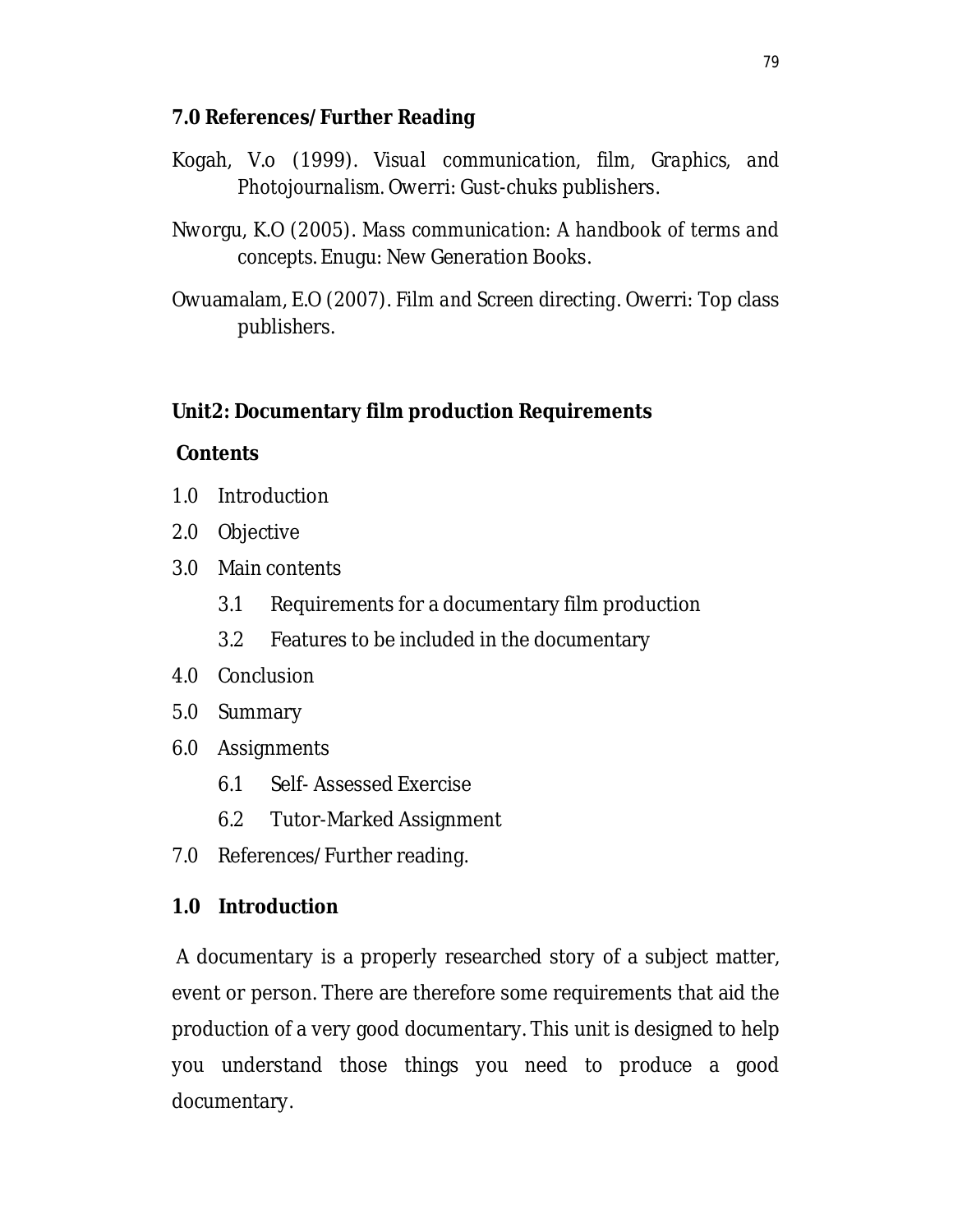## **7.0 References/Further Reading**

- Kogah, V.o (1999). *Visual communication, film, Graphics, and Photojournalism.* Owerri: Gust-chuks publishers.
- Nworgu, K.O (2005). *Mass communication: A handbook of terms and concepts*. Enugu: New Generation Books.
- Owuamalam, E.O (2007). *Film and Screen directing*. Owerri: Top class publishers.

## **Unit2: Documentary film production Requirements**

#### **Contents**

- 1.0 Introduction
- 2.0 Objective
- 3.0 Main contents
	- 3.1 Requirements for a documentary film production
	- 3.2 Features to be included in the documentary
- 4.0 Conclusion
- 5.0 Summary
- 6.0 Assignments
	- 6.1 Self- Assessed Exercise
	- 6.2 Tutor-Marked Assignment
- 7.0 References/Further reading.

## **1.0 Introduction**

A documentary is a properly researched story of a subject matter, event or person. There are therefore some requirements that aid the production of a very good documentary. This unit is designed to help you understand those things you need to produce a good documentary.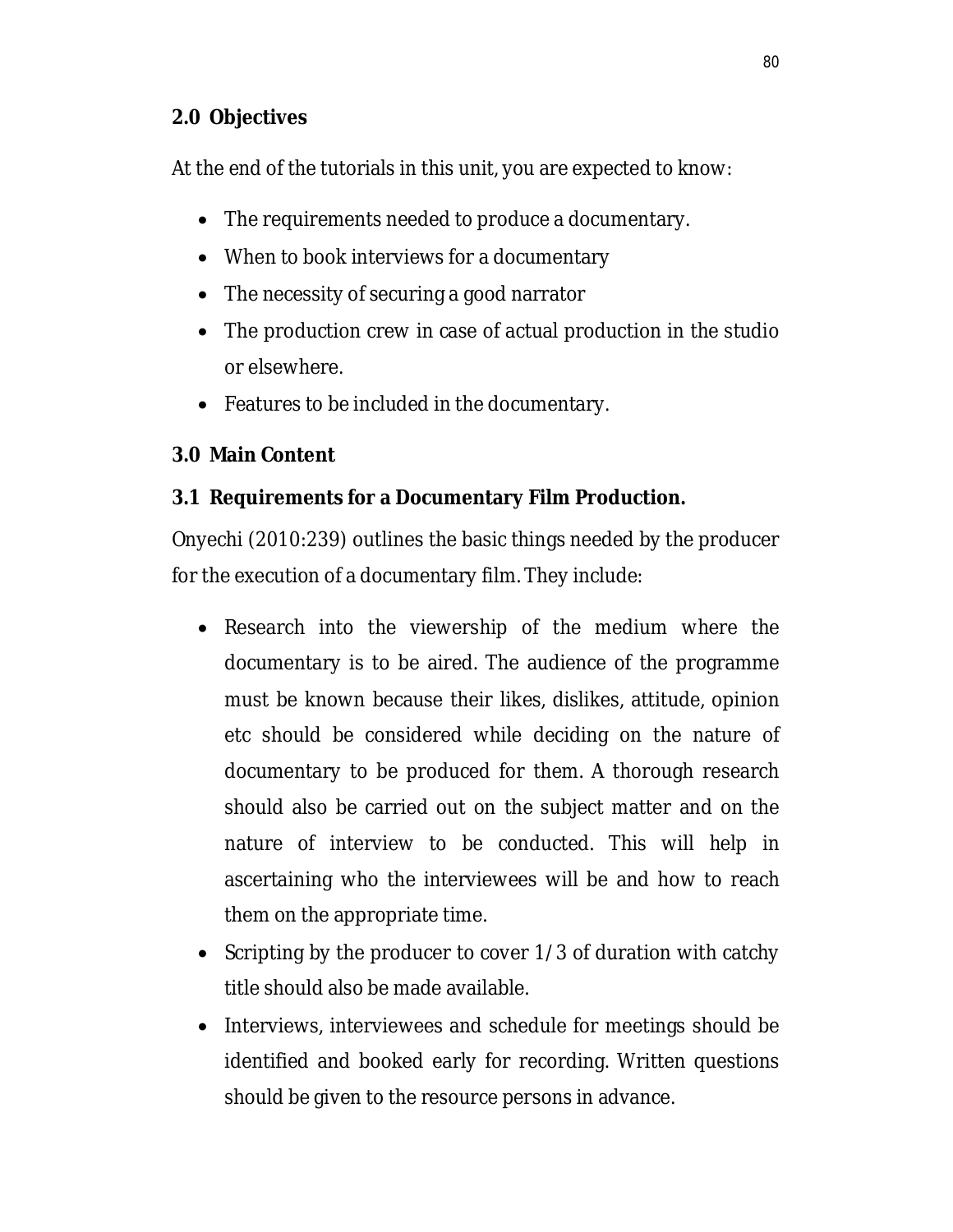## **2.0 Objectives**

At the end of the tutorials in this unit, you are expected to know:

- The requirements needed to produce a documentary.
- When to book interviews for a documentary
- The necessity of securing a good narrator
- The production crew in case of actual production in the studio or elsewhere.
- Features to be included in the documentary.

## **3.0 Main Content**

# **3.1 Requirements for a Documentary Film Production.**

Onyechi (2010:239) outlines the basic things needed by the producer for the execution of a documentary film. They include:

- Research into the viewership of the medium where the documentary is to be aired. The audience of the programme must be known because their likes, dislikes, attitude, opinion etc should be considered while deciding on the nature of documentary to be produced for them. A thorough research should also be carried out on the subject matter and on the nature of interview to be conducted. This will help in ascertaining who the interviewees will be and how to reach them on the appropriate time.
- Scripting by the producer to cover 1/3 of duration with catchy title should also be made available.
- Interviews, interviewees and schedule for meetings should be identified and booked early for recording. Written questions should be given to the resource persons in advance.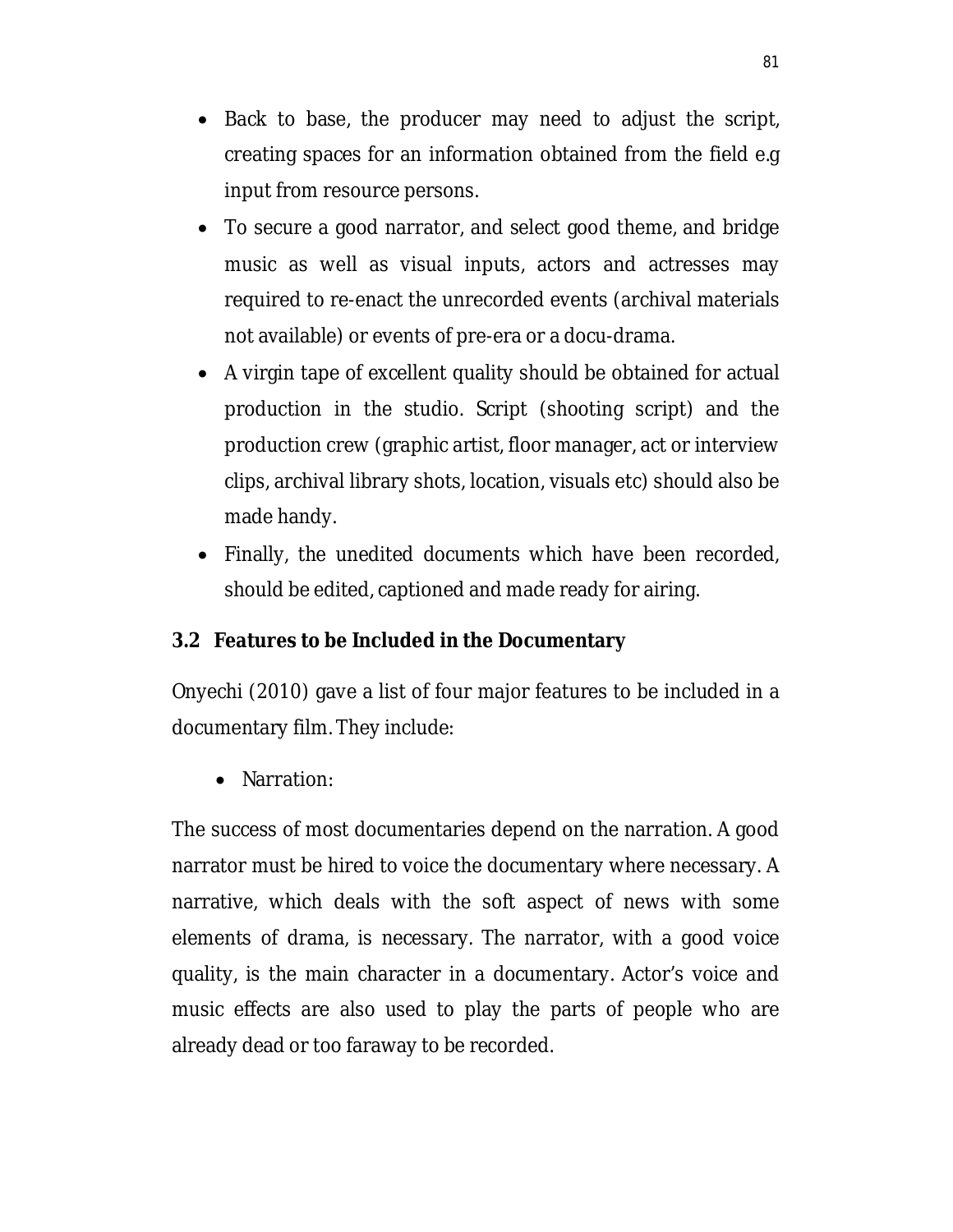- Back to base, the producer may need to adjust the script, creating spaces for an information obtained from the field e.g input from resource persons.
- To secure a good narrator, and select good theme, and bridge music as well as visual inputs, actors and actresses may required to re-enact the unrecorded events (archival materials not available) or events of pre-era or a docu-drama.
- A virgin tape of excellent quality should be obtained for actual production in the studio. Script (shooting script) and the production crew (graphic artist, floor manager, act or interview clips, archival library shots, location, visuals etc) should also be made handy.
- Finally, the unedited documents which have been recorded, should be edited, captioned and made ready for airing.

# **3.2 Features to be Included in the Documentary**

Onyechi (2010) gave a list of four major features to be included in a documentary film. They include:

• Narration:

The success of most documentaries depend on the narration. A good narrator must be hired to voice the documentary where necessary. A narrative, which deals with the soft aspect of news with some elements of drama, is necessary. The narrator, with a good voice quality, is the main character in a documentary. Actor's voice and music effects are also used to play the parts of people who are already dead or too faraway to be recorded.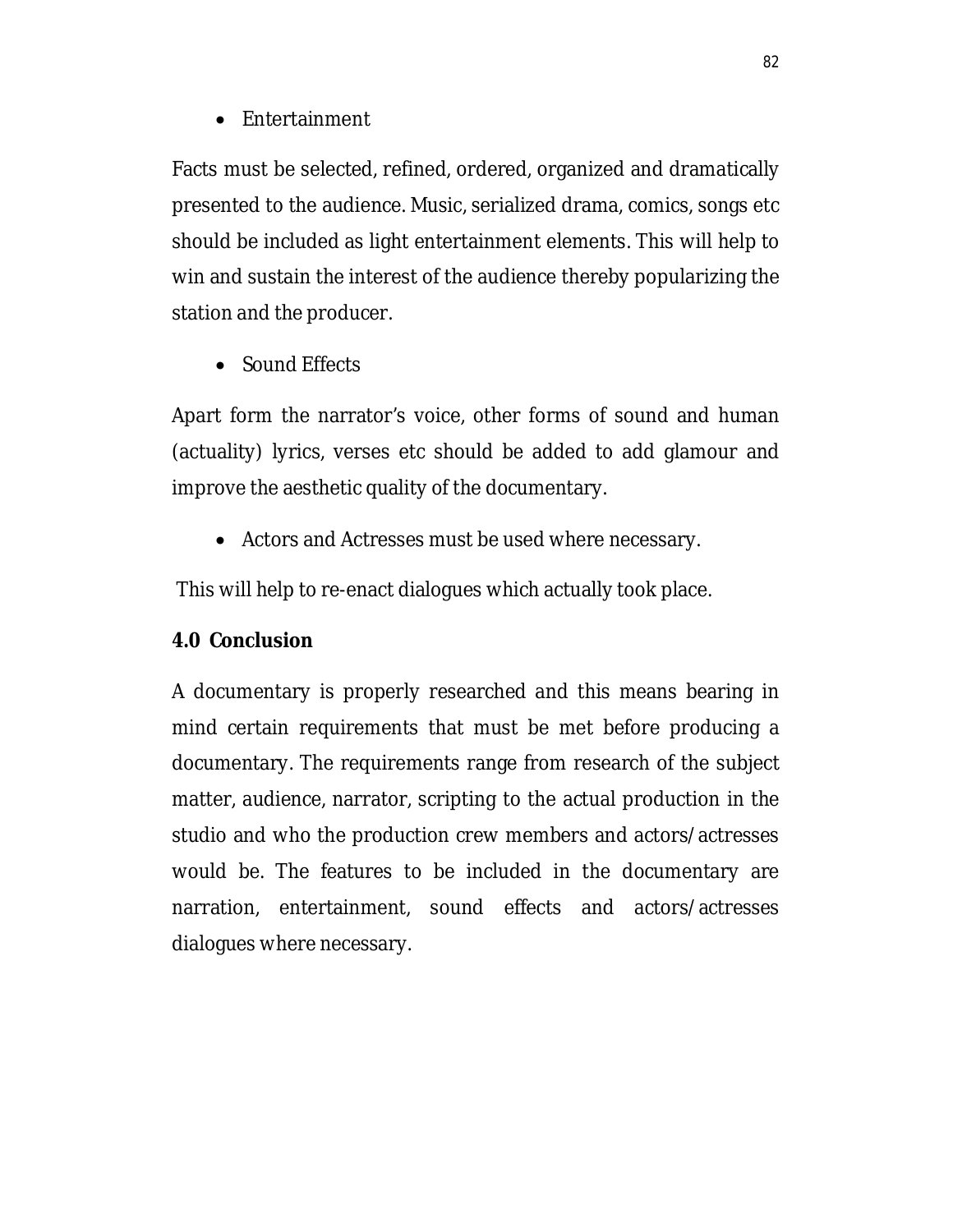• Entertainment

Facts must be selected, refined, ordered, organized and dramatically presented to the audience. Music, serialized drama, comics, songs etc should be included as light entertainment elements. This will help to win and sustain the interest of the audience thereby popularizing the station and the producer.

• Sound Effects

Apart form the narrator's voice, other forms of sound and human (actuality) lyrics, verses etc should be added to add glamour and improve the aesthetic quality of the documentary.

Actors and Actresses must be used where necessary.

This will help to re-enact dialogues which actually took place.

## **4.0 Conclusion**

A documentary is properly researched and this means bearing in mind certain requirements that must be met before producing a documentary. The requirements range from research of the subject matter, audience, narrator, scripting to the actual production in the studio and who the production crew members and actors/actresses would be. The features to be included in the documentary are narration, entertainment, sound effects and actors/actresses dialogues where necessary.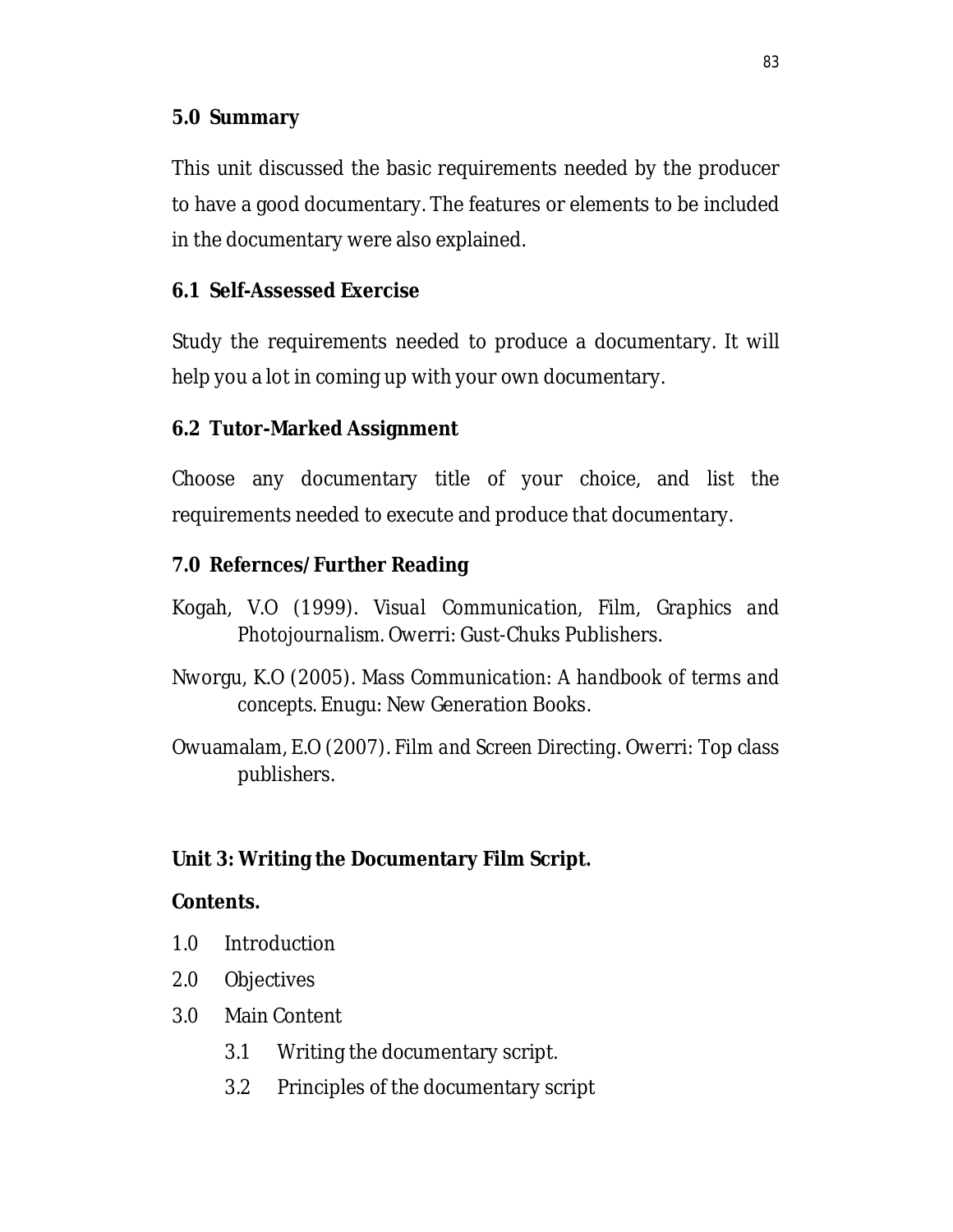## **5.0 Summary**

This unit discussed the basic requirements needed by the producer to have a good documentary. The features or elements to be included in the documentary were also explained.

## **6.1 Self-Assessed Exercise**

Study the requirements needed to produce a documentary. It will help you a lot in coming up with your own documentary.

## **6.2 Tutor-Marked Assignment**

Choose any documentary title of your choice, and list the requirements needed to execute and produce that documentary.

## **7.0 Refernces/Further Reading**

- Kogah, V.O (1999). *Visual Communication, Film, Graphics and Photojournalism.* Owerri: Gust-Chuks Publishers.
- Nworgu, K.O (2005). *Mass Communication: A handbook of terms and concepts.* Enugu: New Generation Books.
- Owuamalam, E.O (2007). *Film and Screen Directing*. Owerri: Top class publishers.

## **Unit 3: Writing the Documentary Film Script.**

#### **Contents.**

- 1.0 Introduction
- 2.0 Objectives
- 3.0 Main Content
	- 3.1 Writing the documentary script.
	- 3.2 Principles of the documentary script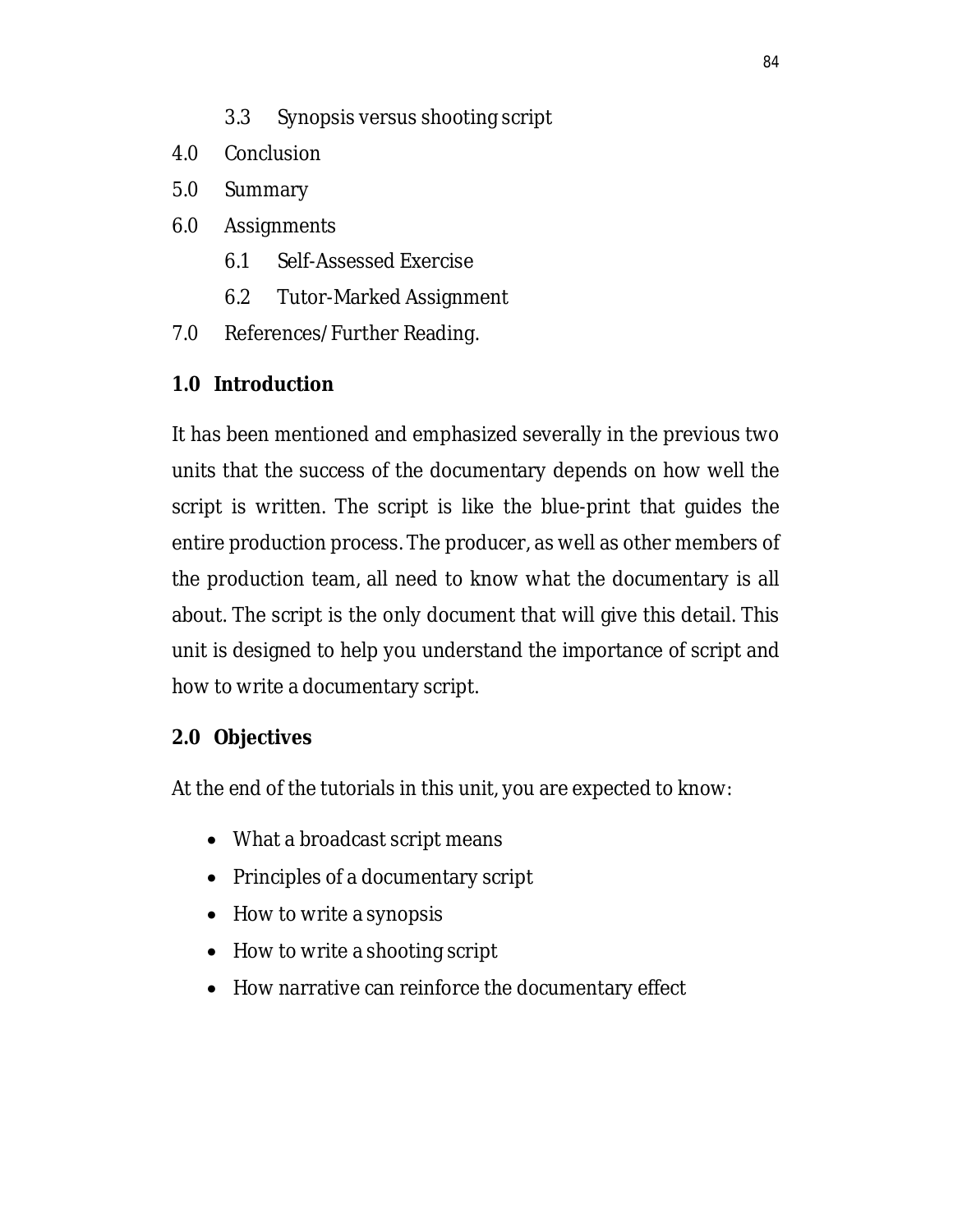- 3.3 Synopsis versus shooting script
- 4.0 Conclusion
- 5.0 Summary
- 6.0 Assignments
	- 6.1 Self-Assessed Exercise
	- 6.2 Tutor-Marked Assignment
- 7.0 References/Further Reading.

# **1.0 Introduction**

It has been mentioned and emphasized severally in the previous two units that the success of the documentary depends on how well the script is written. The script is like the blue-print that guides the entire production process. The producer, as well as other members of the production team, all need to know what the documentary is all about. The script is the only document that will give this detail. This unit is designed to help you understand the importance of script and how to write a documentary script.

# **2.0 Objectives**

At the end of the tutorials in this unit, you are expected to know:

- What a broadcast script means
- Principles of a documentary script
- How to write a synopsis
- How to write a shooting script
- How narrative can reinforce the documentary effect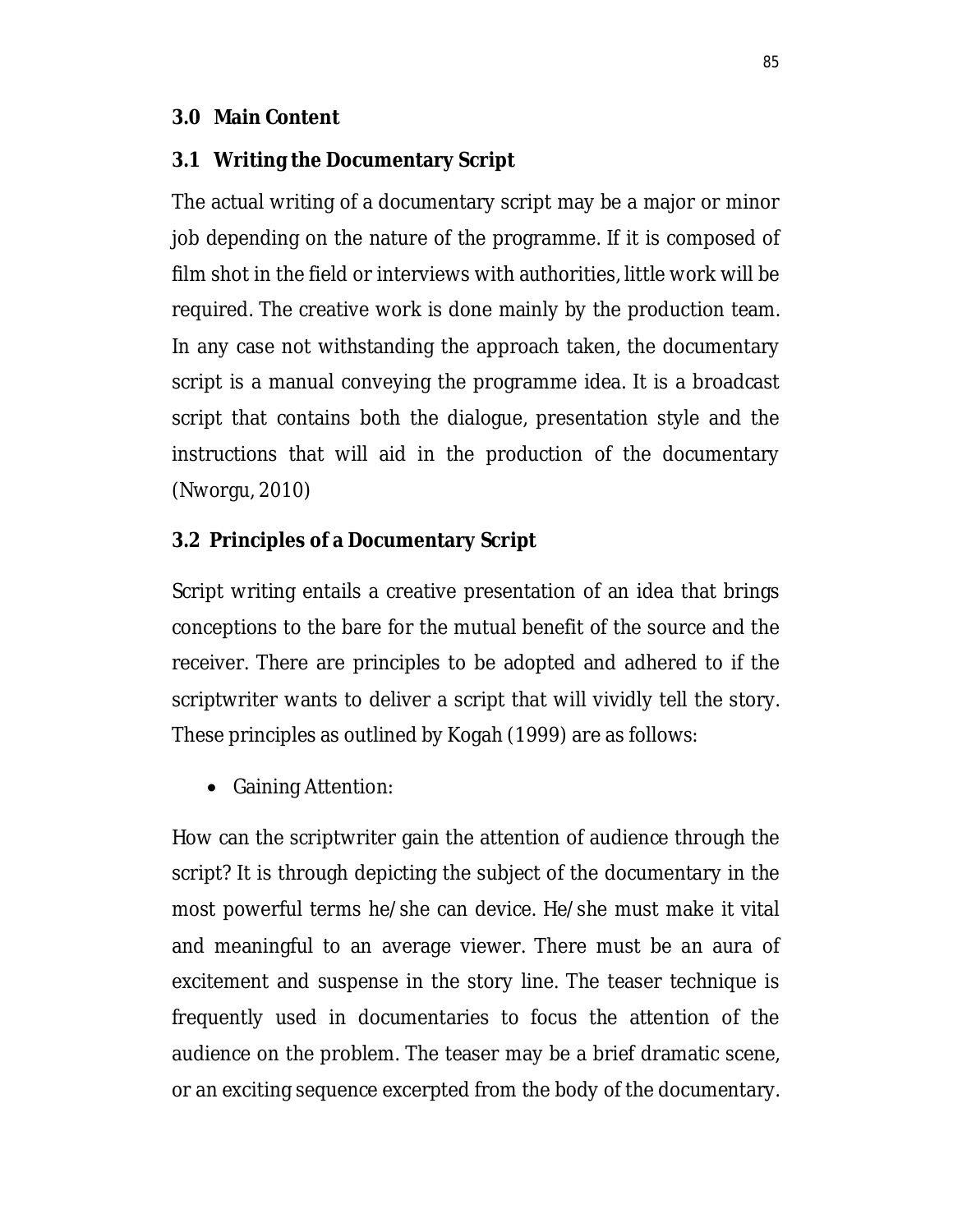#### **3.0 Main Content**

## **3.1 Writing the Documentary Script**

The actual writing of a documentary script may be a major or minor job depending on the nature of the programme. If it is composed of film shot in the field or interviews with authorities, little work will be required. The creative work is done mainly by the production team. In any case not withstanding the approach taken, the documentary script is a manual conveying the programme idea. It is a broadcast script that contains both the dialogue, presentation style and the instructions that will aid in the production of the documentary (Nworgu, 2010)

## **3.2 Principles of a Documentary Script**

Script writing entails a creative presentation of an idea that brings conceptions to the bare for the mutual benefit of the source and the receiver. There are principles to be adopted and adhered to if the scriptwriter wants to deliver a script that will vividly tell the story. These principles as outlined by Kogah (1999) are as follows:

• Gaining Attention:

How can the scriptwriter gain the attention of audience through the script? It is through depicting the subject of the documentary in the most powerful terms he/she can device. He/she must make it vital and meaningful to an average viewer. There must be an aura of excitement and suspense in the story line. The teaser technique is frequently used in documentaries to focus the attention of the audience on the problem. The teaser may be a brief dramatic scene, or an exciting sequence excerpted from the body of the documentary.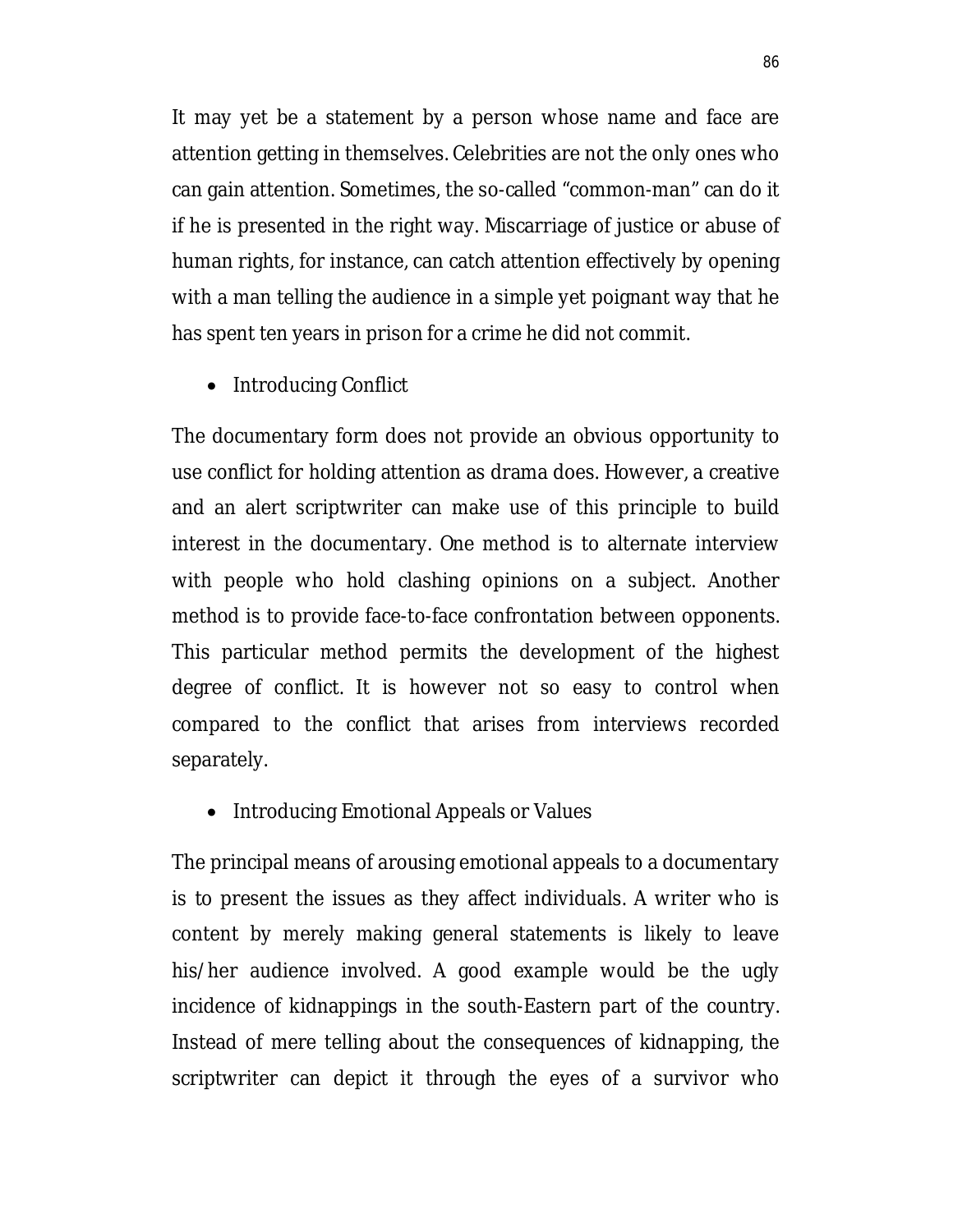It may yet be a statement by a person whose name and face are attention getting in themselves. Celebrities are not the only ones who can gain attention. Sometimes, the so-called "common-man" can do it if he is presented in the right way. Miscarriage of justice or abuse of human rights, for instance, can catch attention effectively by opening with a man telling the audience in a simple yet poignant way that he has spent ten years in prison for a crime he did not commit.

• Introducing Conflict

The documentary form does not provide an obvious opportunity to use conflict for holding attention as drama does. However, a creative and an alert scriptwriter can make use of this principle to build interest in the documentary. One method is to alternate interview with people who hold clashing opinions on a subject. Another method is to provide face-to-face confrontation between opponents. This particular method permits the development of the highest degree of conflict. It is however not so easy to control when compared to the conflict that arises from interviews recorded separately.

• Introducing Emotional Appeals or Values

The principal means of arousing emotional appeals to a documentary is to present the issues as they affect individuals. A writer who is content by merely making general statements is likely to leave his/her audience involved. A good example would be the ugly incidence of kidnappings in the south-Eastern part of the country. Instead of mere telling about the consequences of kidnapping, the scriptwriter can depict it through the eyes of a survivor who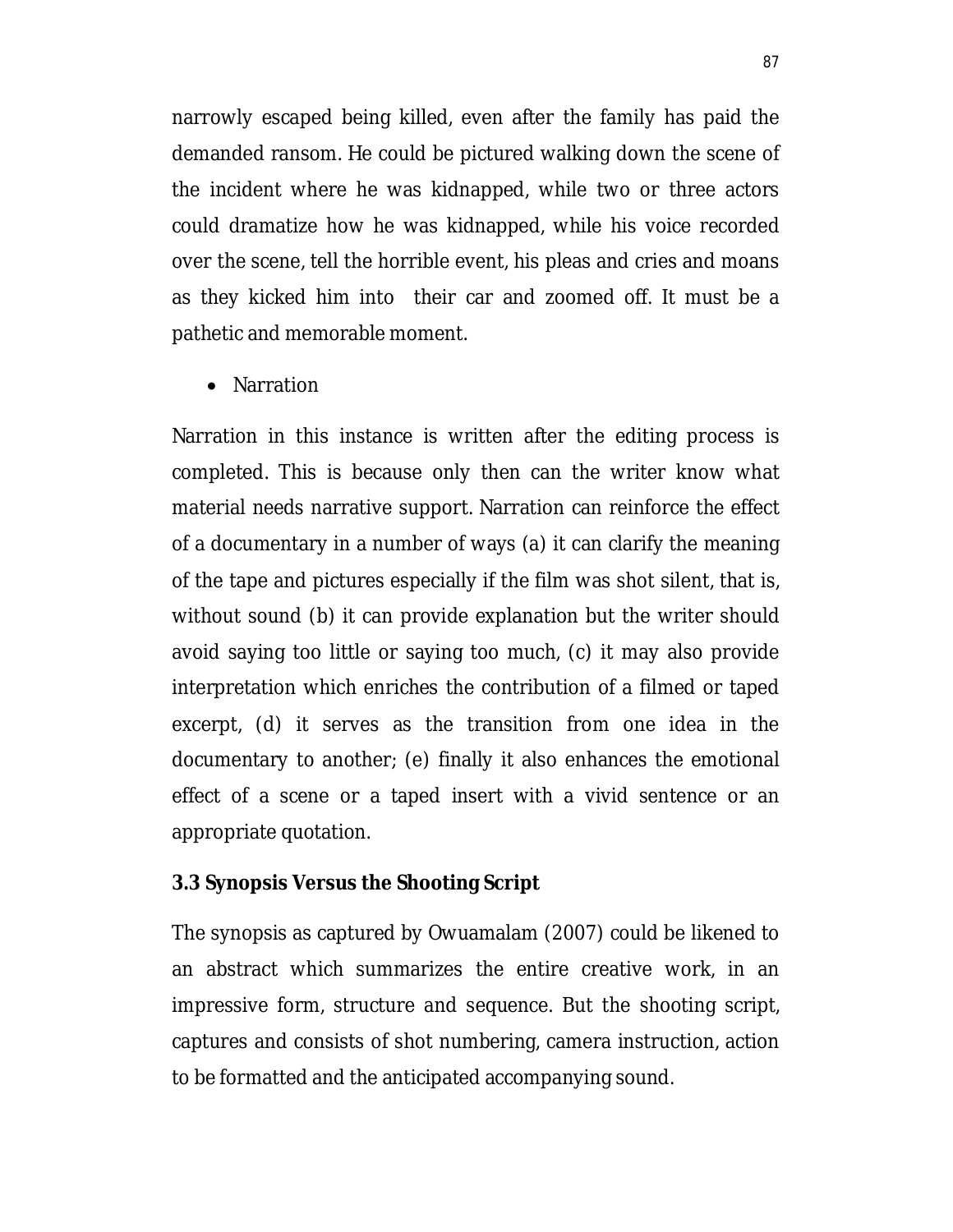narrowly escaped being killed, even after the family has paid the demanded ransom. He could be pictured walking down the scene of the incident where he was kidnapped, while two or three actors could dramatize how he was kidnapped, while his voice recorded over the scene, tell the horrible event, his pleas and cries and moans as they kicked him into their car and zoomed off. It must be a pathetic and memorable moment.

• Narration

Narration in this instance is written after the editing process is completed. This is because only then can the writer know what material needs narrative support. Narration can reinforce the effect of a documentary in a number of ways (a) it can clarify the meaning of the tape and pictures especially if the film was shot silent, that is, without sound (b) it can provide explanation but the writer should avoid saying too little or saying too much, (c) it may also provide interpretation which enriches the contribution of a filmed or taped excerpt, (d) it serves as the transition from one idea in the documentary to another; (e) finally it also enhances the emotional effect of a scene or a taped insert with a vivid sentence or an appropriate quotation.

#### **3.3 Synopsis Versus the Shooting Script**

The synopsis as captured by Owuamalam (2007) could be likened to an abstract which summarizes the entire creative work, in an impressive form, structure and sequence. But the shooting script, captures and consists of shot numbering, camera instruction, action to be formatted and the anticipated accompanying sound.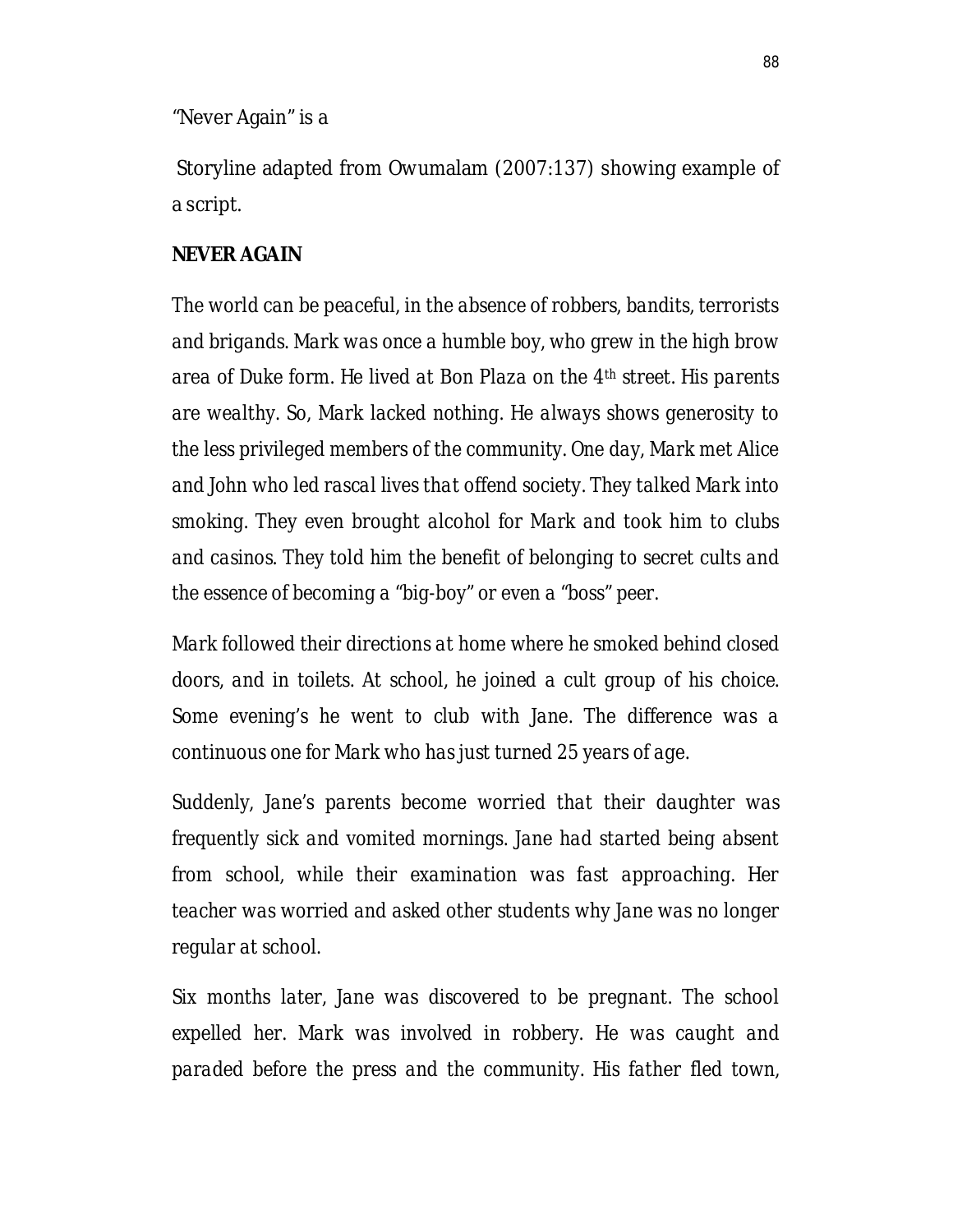"Never Again" is a

Storyline adapted from Owumalam (2007:137) showing example of a script.

#### **NEVER AGAIN**

*The world can be peaceful, in the absence of robbers, bandits, terrorists and brigands. Mark was once a humble boy, who grew in the high brow area of Duke form. He lived at Bon Plaza on the 4th street. His parents are wealthy. So, Mark lacked nothing. He always shows generosity to the less privileged members of the community. One day, Mark met Alice and John who led rascal lives that offend society. They talked Mark into smoking. They even brought alcohol for Mark and took him to clubs and casinos. They told him the benefit of belonging to secret cults and the essence of becoming a "big-boy" or even a "boss" peer.*

*Mark followed their directions at home where he smoked behind closed doors, and in toilets. At school, he joined a cult group of his choice. Some evening's he went to club with Jane. The difference was a continuous one for Mark who has just turned 25 years of age.*

*Suddenly, Jane's parents become worried that their daughter was frequently sick and vomited mornings. Jane had started being absent from school, while their examination was fast approaching. Her teacher was worried and asked other students why Jane was no longer regular at school.*

*Six months later, Jane was discovered to be pregnant. The school expelled her. Mark was involved in robbery. He was caught and paraded before the press and the community. His father fled town,*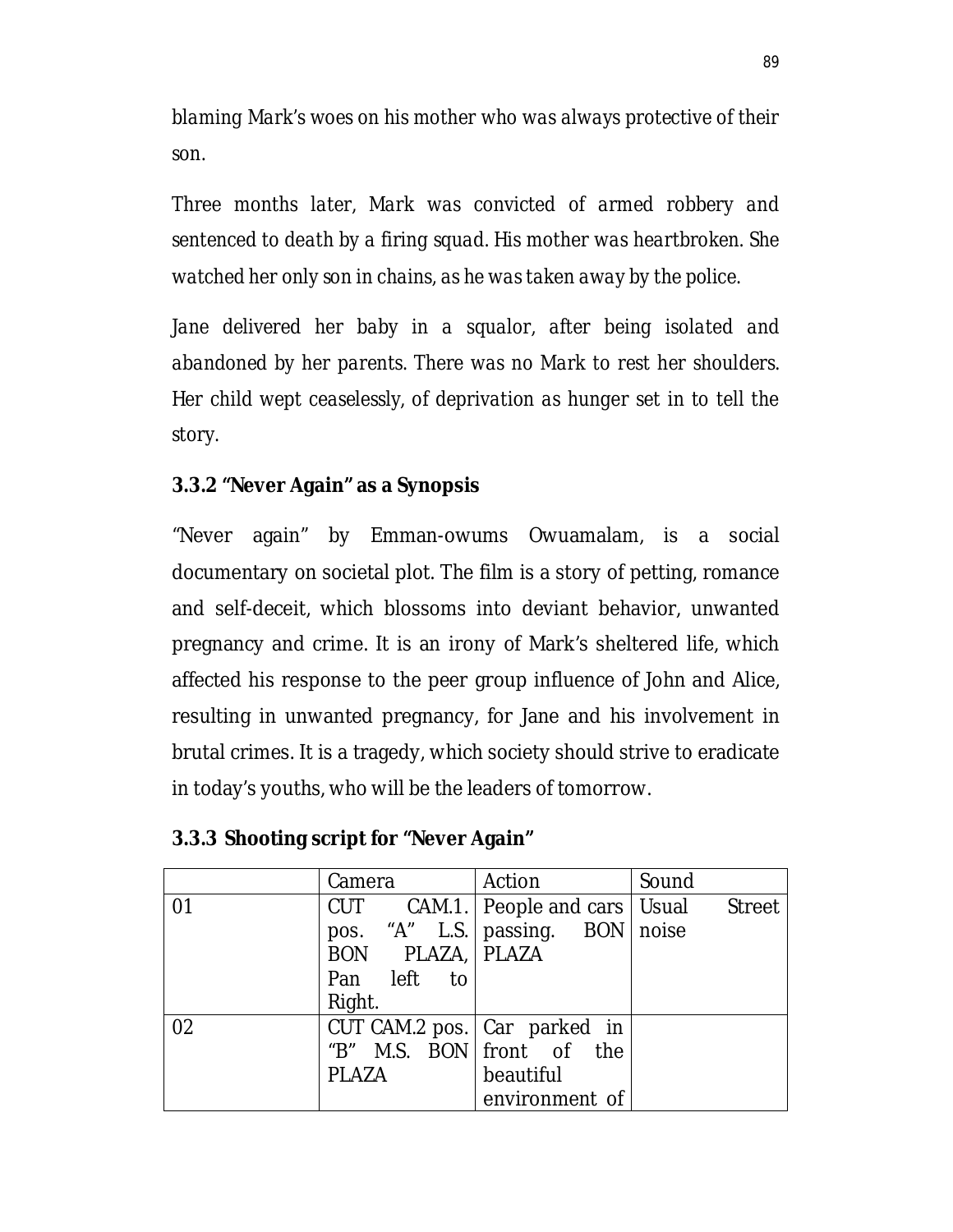*blaming Mark's woes on his mother who was always protective of their son.*

*Three months later, Mark was convicted of armed robbery and sentenced to death by a firing squad. His mother was heartbroken. She watched her only son in chains, as he was taken away by the police.*

*Jane delivered her baby in a squalor, after being isolated and abandoned by her parents. There was no Mark to rest her shoulders. Her child wept ceaselessly, of deprivation as hunger set in to tell the story.*

#### **3.3.2 "Never Again" as a Synopsis**

"Never again" by Emman-owums Owuamalam, is a social documentary on societal plot. The film is a story of petting, romance and self-deceit, which blossoms into deviant behavior, unwanted pregnancy and crime. It is an irony of Mark's sheltered life, which affected his response to the peer group influence of John and Alice, resulting in unwanted pregnancy, for Jane and his involvement in brutal crimes. It is a tragedy, which society should strive to eradicate in today's youths, who will be the leaders of tomorrow.

|    | Camera             | Action                                      | Sound |
|----|--------------------|---------------------------------------------|-------|
| 01 |                    | CUT CAM.1.   People and cars   Usual Street |       |
|    |                    | pos. "A" L.S.   passing. BON   noise        |       |
|    | BON PLAZA,   PLAZA |                                             |       |
|    | Pan left to        |                                             |       |
|    | Right.             |                                             |       |
| 02 |                    | CUT CAM.2 pos. $ $ Car parked in            |       |
|    |                    | "B" M.S. BON front of the                   |       |
|    | PLAZA              | beautiful                                   |       |
|    |                    | environment of                              |       |

#### **3.3.3 Shooting script for "Never Again"**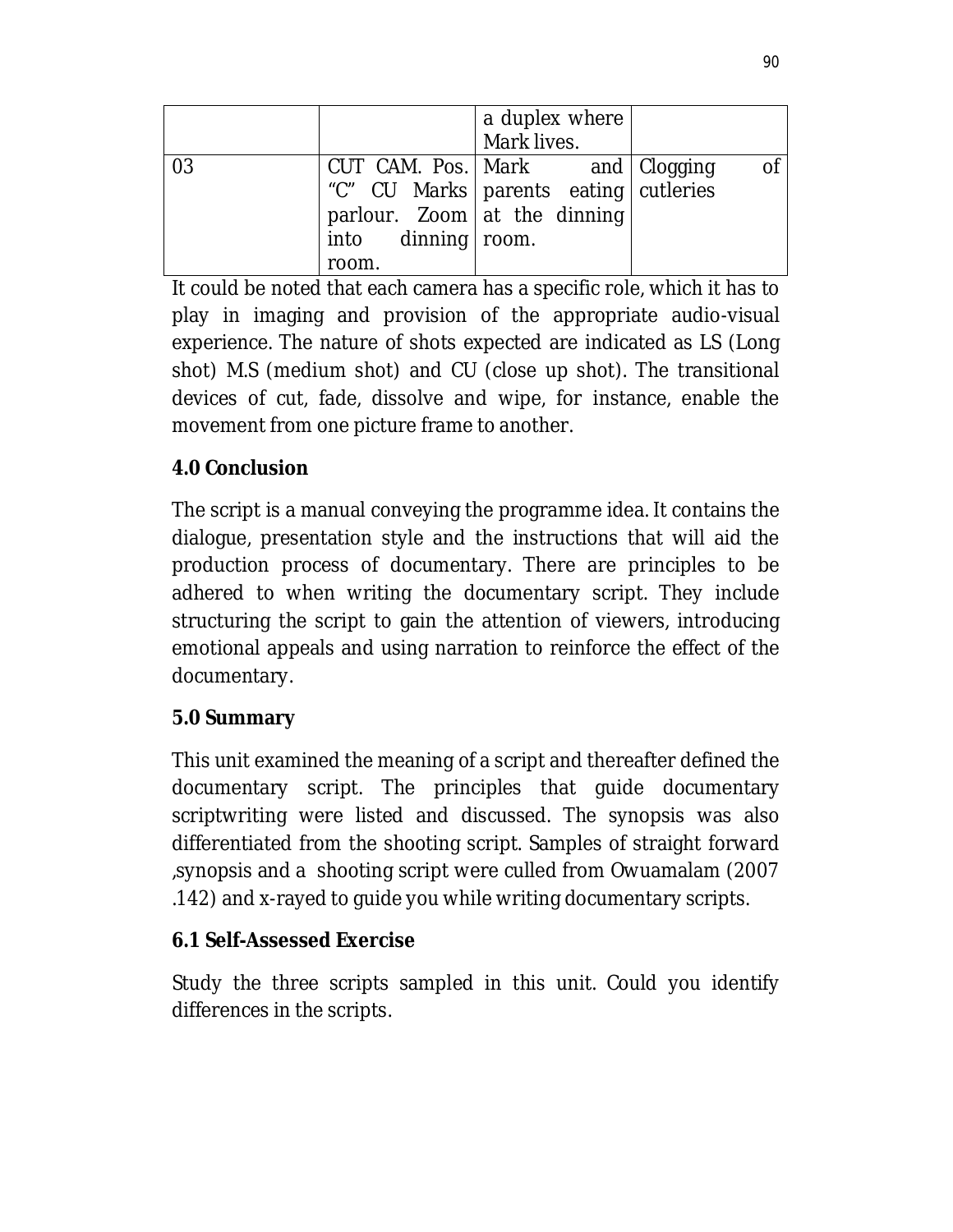|    |                                                               | a duplex where<br>Mark lives.                                                    |    |
|----|---------------------------------------------------------------|----------------------------------------------------------------------------------|----|
| 03 | parlour. Zoom at the dinning<br>into dinning   room.<br>room. | CUT CAM. Pos.   Mark and   Clogging<br>"C" CU Marks   parents eating   cutleries | Οf |

It could be noted that each camera has a specific role, which it has to play in imaging and provision of the appropriate audio-visual experience. The nature of shots expected are indicated as LS (Long shot) M.S (medium shot) and CU (close up shot). The transitional devices of cut, fade, dissolve and wipe, for instance, enable the movement from one picture frame to another.

# **4.0 Conclusion**

The script is a manual conveying the programme idea. It contains the dialogue, presentation style and the instructions that will aid the production process of documentary. There are principles to be adhered to when writing the documentary script. They include structuring the script to gain the attention of viewers, introducing emotional appeals and using narration to reinforce the effect of the documentary.

## **5.0 Summary**

This unit examined the meaning of a script and thereafter defined the documentary script. The principles that guide documentary scriptwriting were listed and discussed. The synopsis was also differentiated from the shooting script. Samples of straight forward ,synopsis and a shooting script were culled from Owuamalam (2007 .142) and x-rayed to guide you while writing documentary scripts.

## **6.1 Self-Assessed Exercise**

Study the three scripts sampled in this unit. Could you identify differences in the scripts.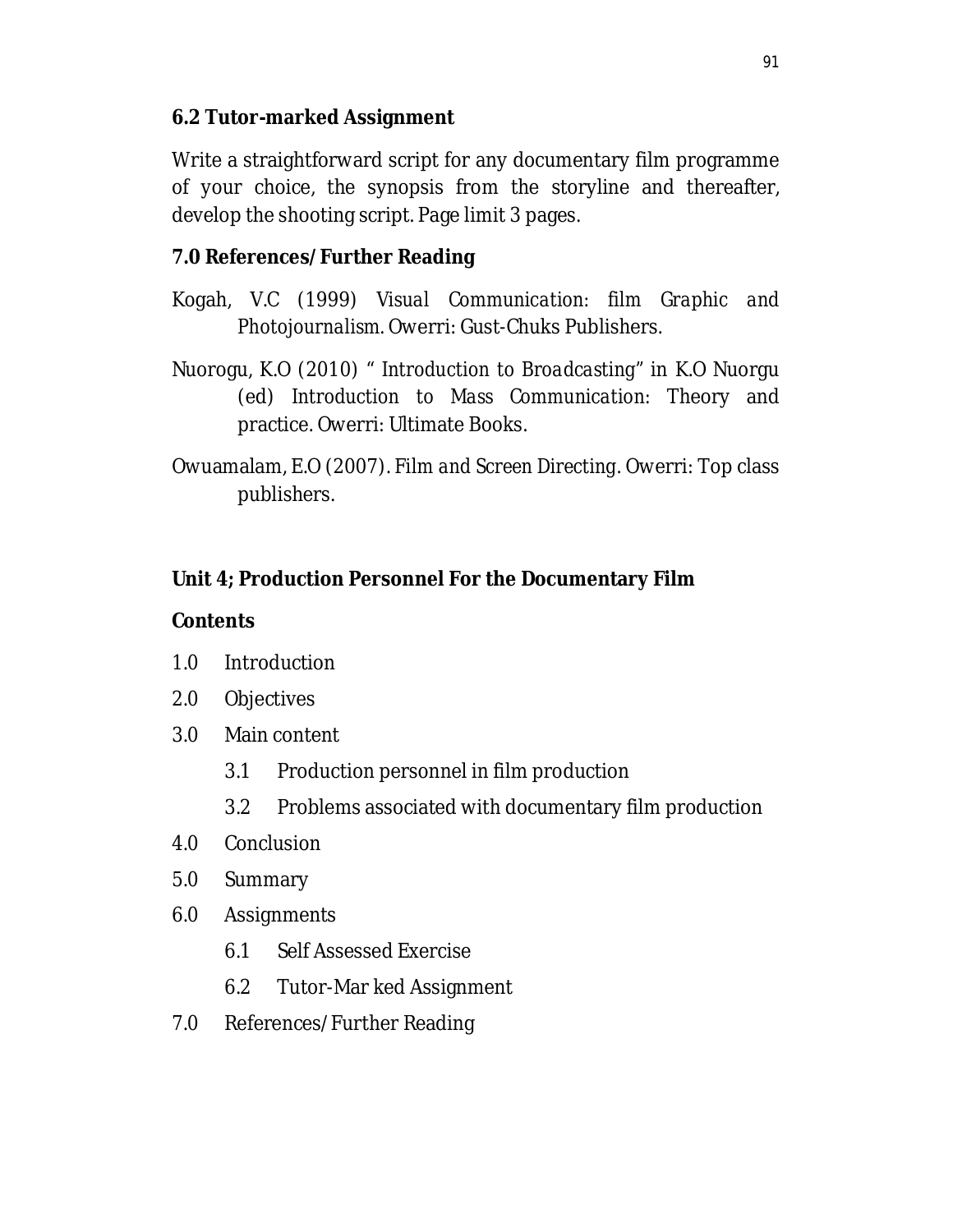## **6.2 Tutor-marked Assignment**

Write a straightforward script for any documentary film programme of your choice, the synopsis from the storyline and thereafter, develop the shooting script. Page limit 3 pages.

## **7.0 References/Further Reading**

- Kogah, V.C (1999) *Visual Communication: film Graphic and Photojournalism.* Owerri: Gust-Chuks Publishers.
- Nuorogu, K.O (2010) " *Introduction to Broadcasting"* in K.O Nuorgu (ed) *Introduction to Mass Communication:* Theory and practice. Owerri: Ultimate Books.
- Owuamalam, E.O (2007). *Film and Screen Directing.* Owerri: Top class publishers.

## **Unit 4; Production Personnel For the Documentary Film**

## **Contents**

- 1.0 Introduction
- 2.0 Objectives
- 3.0 Main content
	- 3.1 Production personnel in film production
	- 3.2 Problems associated with documentary film production
- 4.0 Conclusion
- 5.0 Summary
- 6.0 Assignments
	- 6.1 Self Assessed Exercise
	- 6.2 Tutor-Mar ked Assignment
- 7.0 References/Further Reading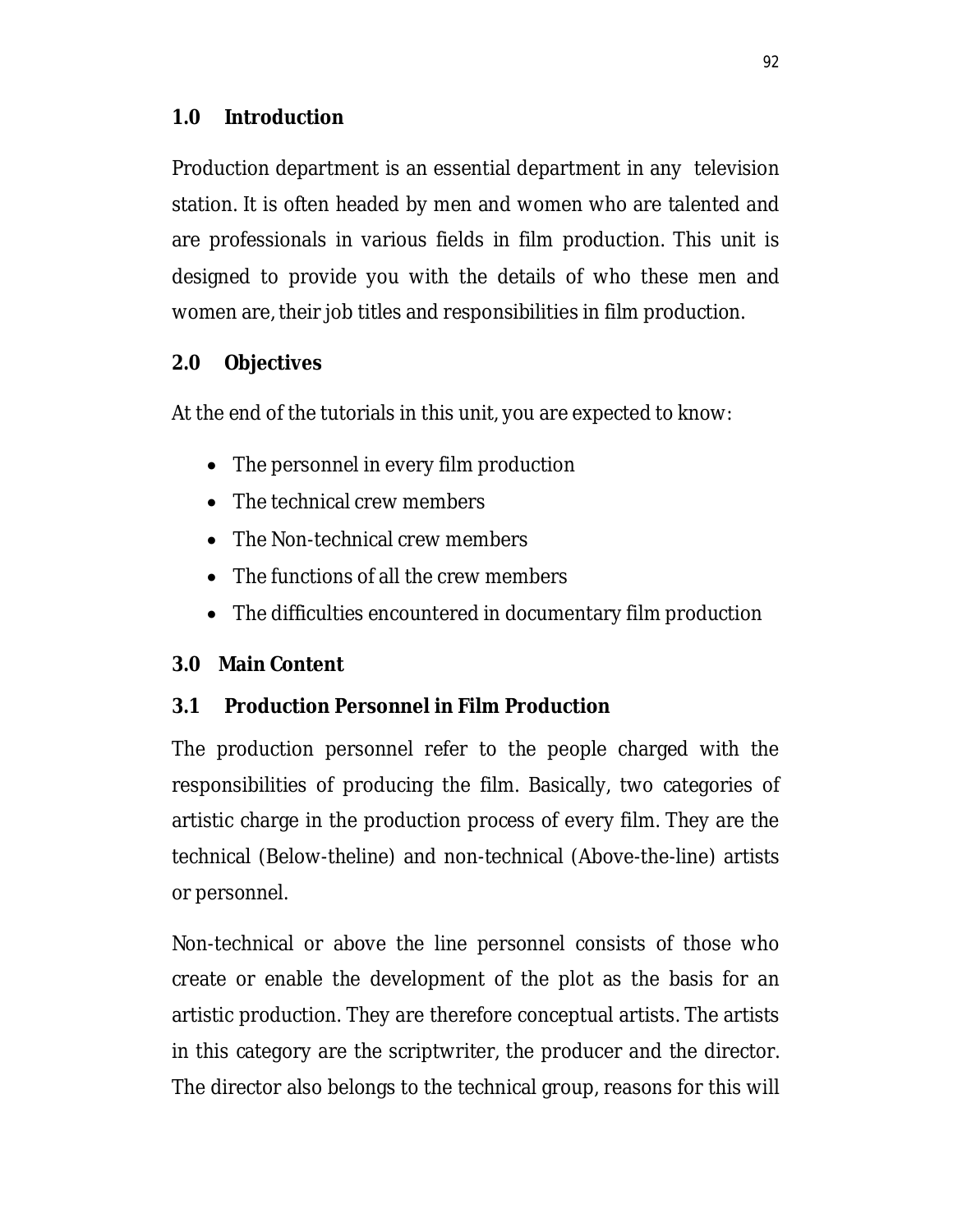## **1.0 Introduction**

Production department is an essential department in any television station. It is often headed by men and women who are talented and are professionals in various fields in film production. This unit is designed to provide you with the details of who these men and women are, their job titles and responsibilities in film production.

## **2.0 Objectives**

At the end of the tutorials in this unit, you are expected to know:

- The personnel in every film production
- The technical crew members
- The Non-technical crew members
- The functions of all the crew members
- The difficulties encountered in documentary film production

## **3.0 Main Content**

## **3.1 Production Personnel in Film Production**

The production personnel refer to the people charged with the responsibilities of producing the film. Basically, two categories of artistic charge in the production process of every film. They are the technical (Below-theline) and non-technical (Above-the-line) artists or personnel.

Non-technical or above the line personnel consists of those who create or enable the development of the plot as the basis for an artistic production. They are therefore conceptual artists. The artists in this category are the scriptwriter, the producer and the director. The director also belongs to the technical group, reasons for this will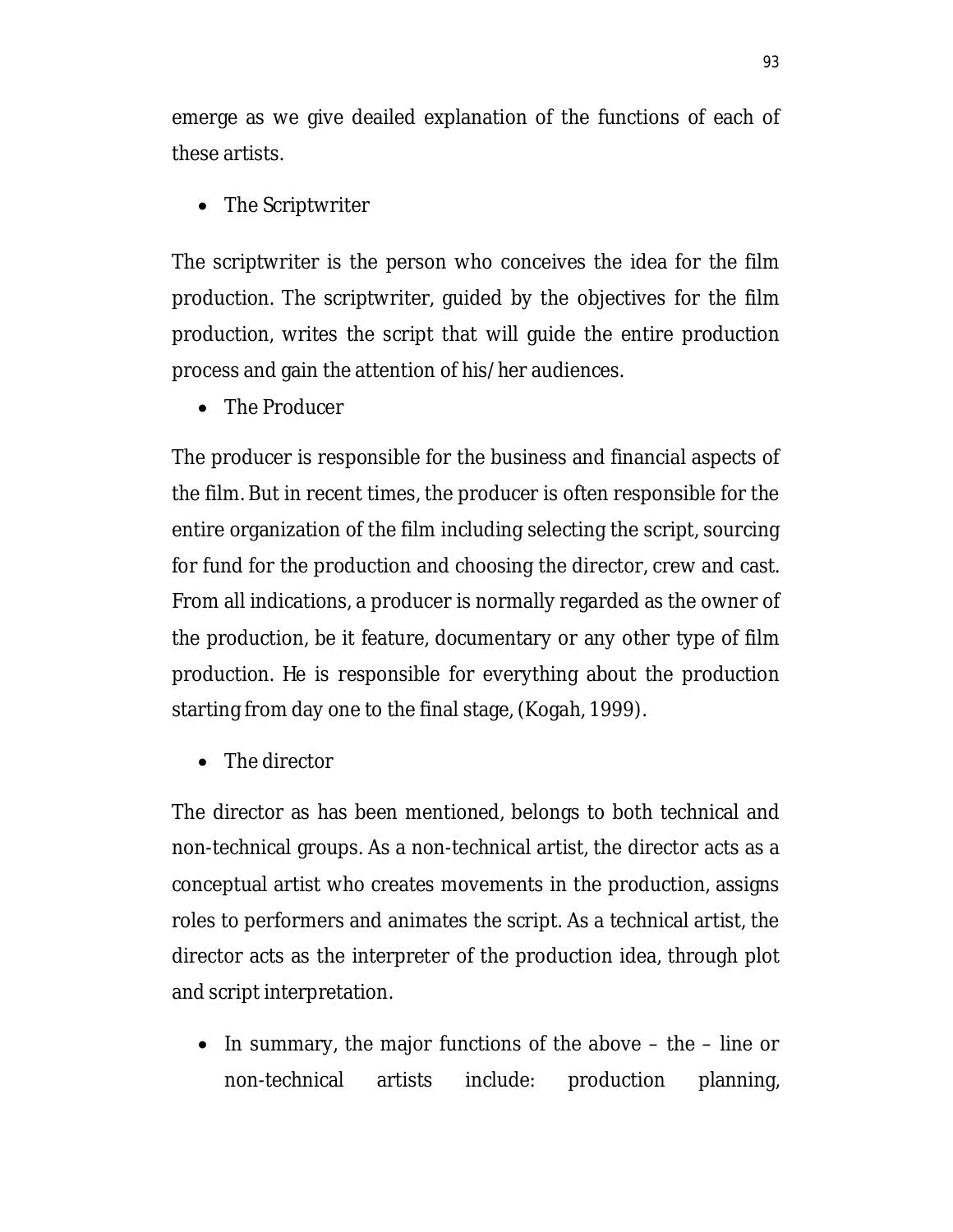emerge as we give deailed explanation of the functions of each of these artists.

• The Scriptwriter

The scriptwriter is the person who conceives the idea for the film production. The scriptwriter, guided by the objectives for the film production, writes the script that will guide the entire production process and gain the attention of his/her audiences.

• The Producer

The producer is responsible for the business and financial aspects of the film. But in recent times, the producer is often responsible for the entire organization of the film including selecting the script, sourcing for fund for the production and choosing the director, crew and cast. From all indications, a producer is normally regarded as the owner of the production, be it feature, documentary or any other type of film production. He is responsible for everything about the production starting from day one to the final stage, (Kogah, 1999).

• The director

The director as has been mentioned, belongs to both technical and non-technical groups. As a non-technical artist, the director acts as a conceptual artist who creates movements in the production, assigns roles to performers and animates the script. As a technical artist, the director acts as the interpreter of the production idea, through plot and script interpretation.

 $\bullet$  In summary, the major functions of the above  $-$  the  $-$  line or non-technical artists include: production planning,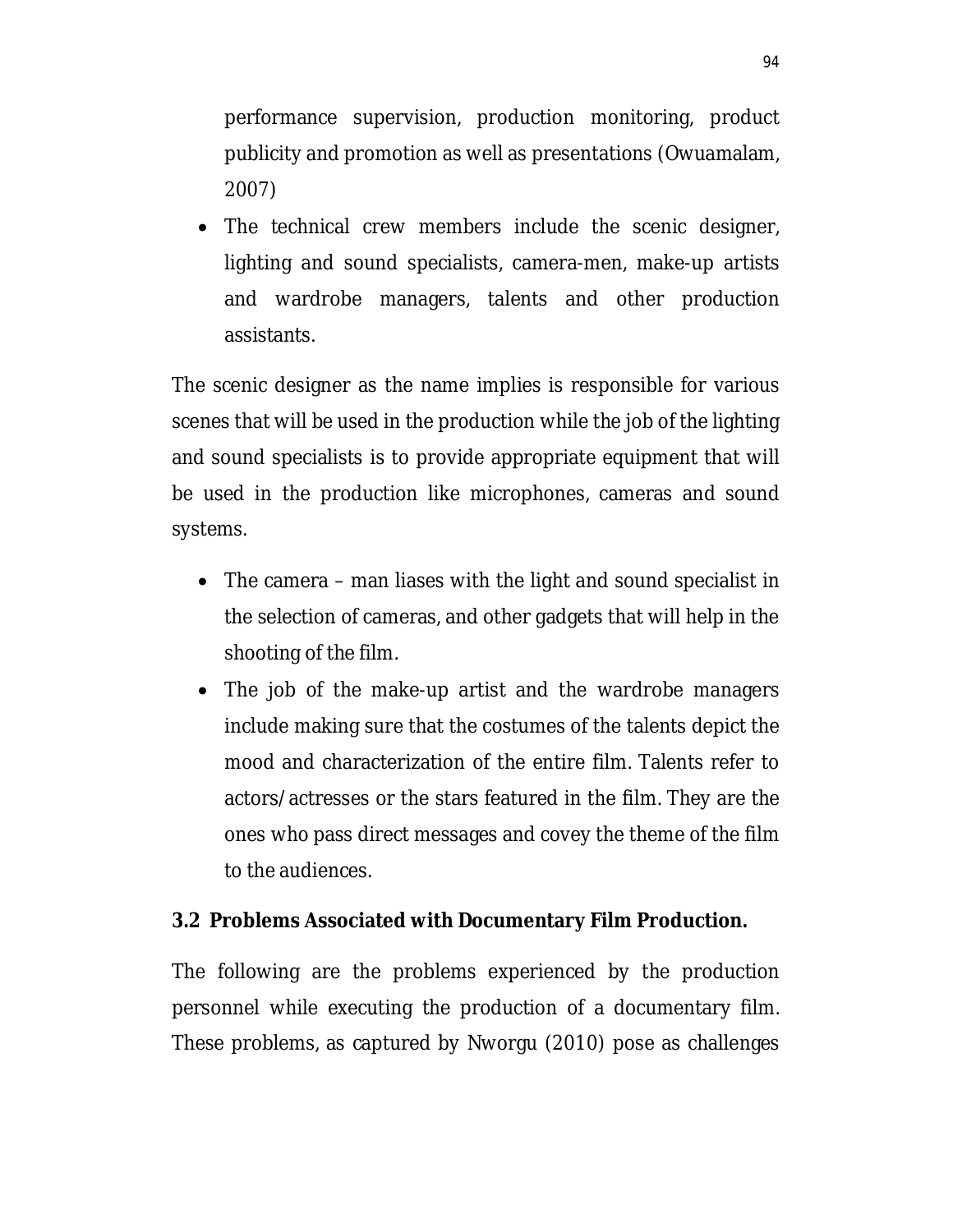performance supervision, production monitoring, product publicity and promotion as well as presentations (Owuamalam, 2007)

 The technical crew members include the scenic designer, lighting and sound specialists, camera-men, make-up artists and wardrobe managers, talents and other production assistants.

The scenic designer as the name implies is responsible for various scenes that will be used in the production while the job of the lighting and sound specialists is to provide appropriate equipment that will be used in the production like microphones, cameras and sound systems.

- The camera man liases with the light and sound specialist in the selection of cameras, and other gadgets that will help in the shooting of the film.
- The job of the make-up artist and the wardrobe managers include making sure that the costumes of the talents depict the mood and characterization of the entire film. Talents refer to actors/actresses or the stars featured in the film. They are the ones who pass direct messages and covey the theme of the film to the audiences.

#### **3.2 Problems Associated with Documentary Film Production.**

The following are the problems experienced by the production personnel while executing the production of a documentary film. These problems, as captured by Nworgu (2010) pose as challenges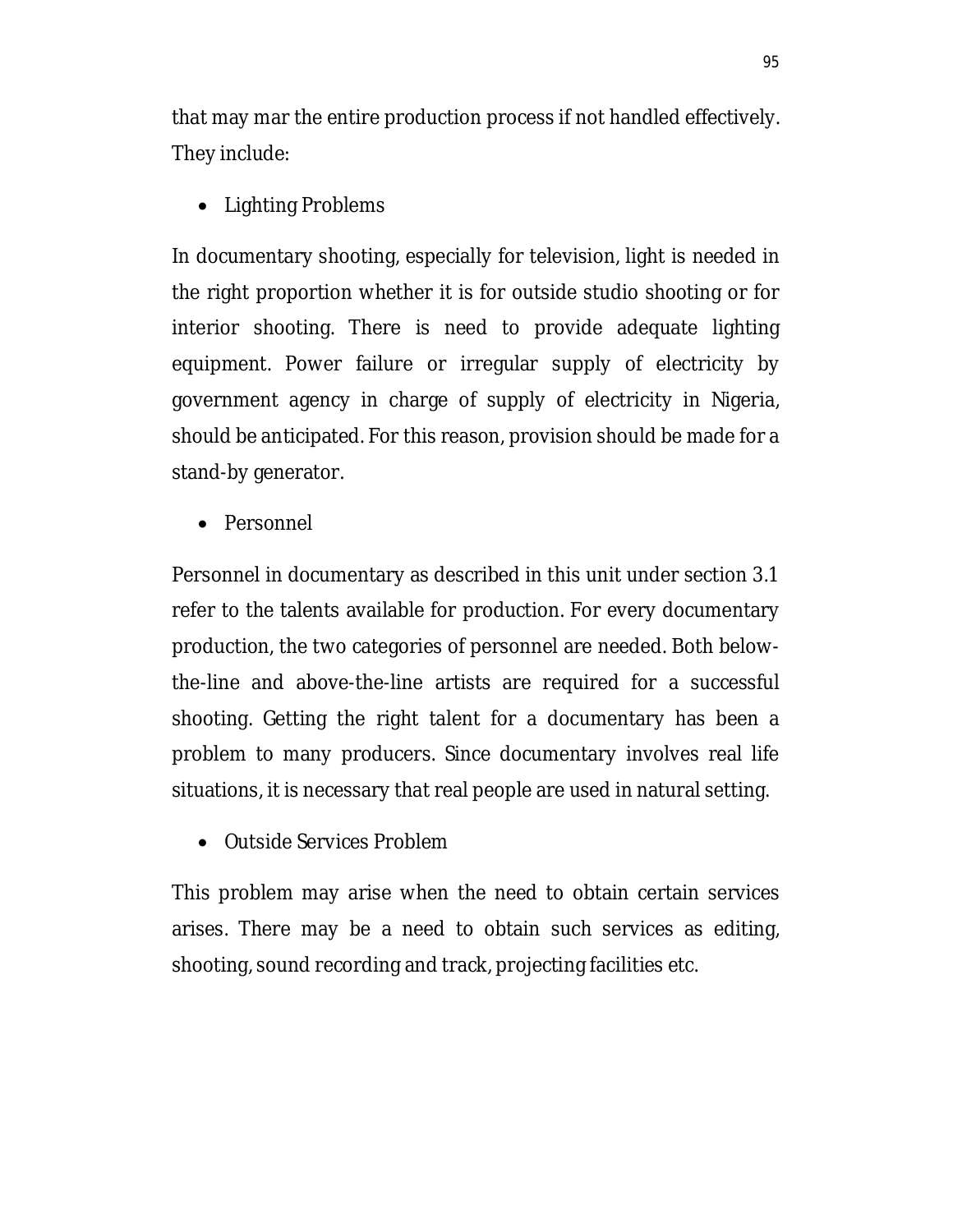that may mar the entire production process if not handled effectively. They include:

• Lighting Problems

In documentary shooting, especially for television, light is needed in the right proportion whether it is for outside studio shooting or for interior shooting. There is need to provide adequate lighting equipment. Power failure or irregular supply of electricity by government agency in charge of supply of electricity in Nigeria, should be anticipated. For this reason, provision should be made for a stand-by generator.

• Personnel

Personnel in documentary as described in this unit under section 3.1 refer to the talents available for production. For every documentary production, the two categories of personnel are needed. Both belowthe-line and above-the-line artists are required for a successful shooting. Getting the right talent for a documentary has been a problem to many producers. Since documentary involves real life situations, it is necessary that real people are used in natural setting.

• Outside Services Problem

This problem may arise when the need to obtain certain services arises. There may be a need to obtain such services as editing, shooting, sound recording and track, projecting facilities etc.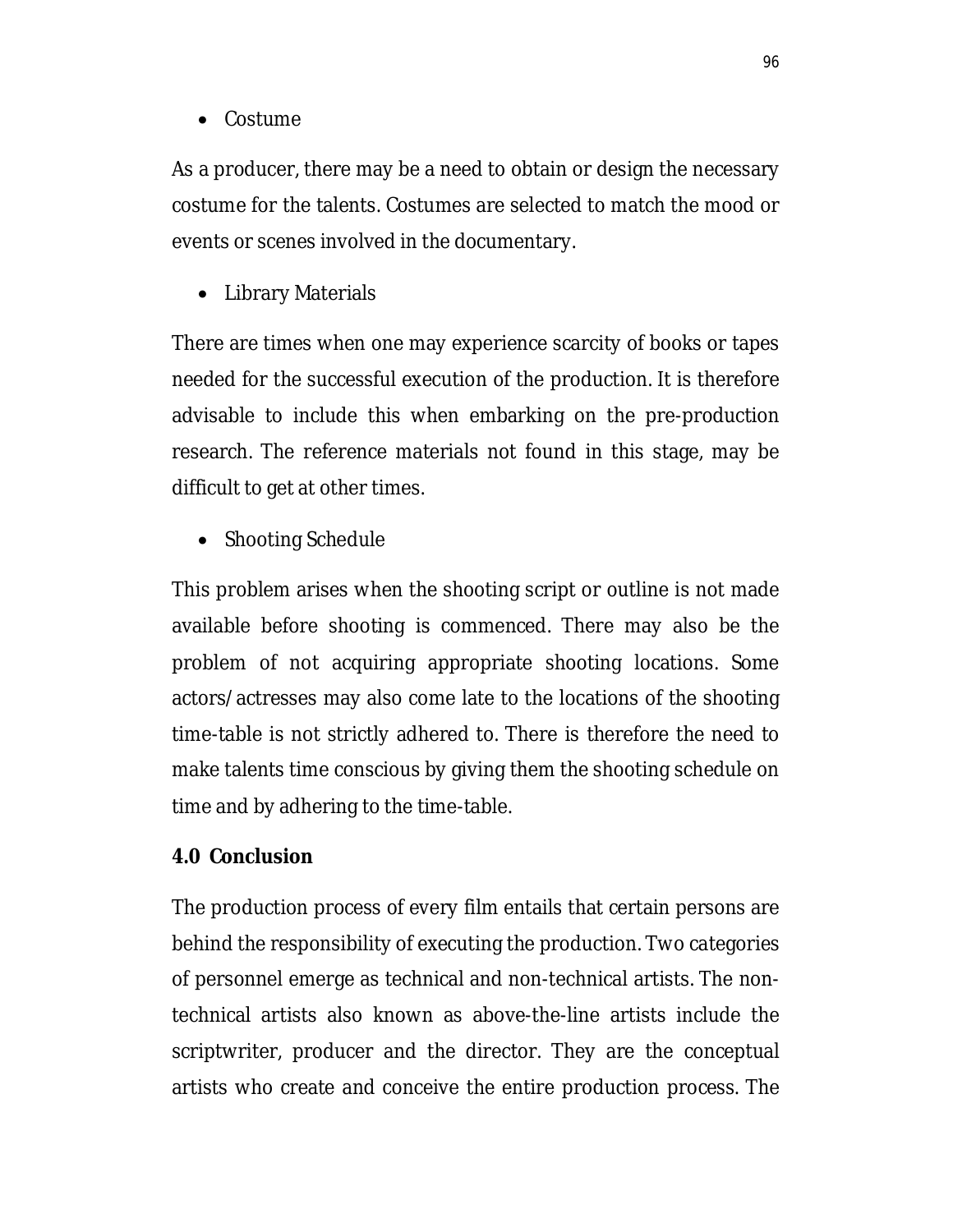• Costume

As a producer, there may be a need to obtain or design the necessary costume for the talents. Costumes are selected to match the mood or events or scenes involved in the documentary.

• Library Materials

There are times when one may experience scarcity of books or tapes needed for the successful execution of the production. It is therefore advisable to include this when embarking on the pre-production research. The reference materials not found in this stage, may be difficult to get at other times.

• Shooting Schedule

This problem arises when the shooting script or outline is not made available before shooting is commenced. There may also be the problem of not acquiring appropriate shooting locations. Some actors/actresses may also come late to the locations of the shooting time-table is not strictly adhered to. There is therefore the need to make talents time conscious by giving them the shooting schedule on time and by adhering to the time-table.

#### **4.0 Conclusion**

The production process of every film entails that certain persons are behind the responsibility of executing the production. Two categories of personnel emerge as technical and non-technical artists. The nontechnical artists also known as above-the-line artists include the scriptwriter, producer and the director. They are the conceptual artists who create and conceive the entire production process. The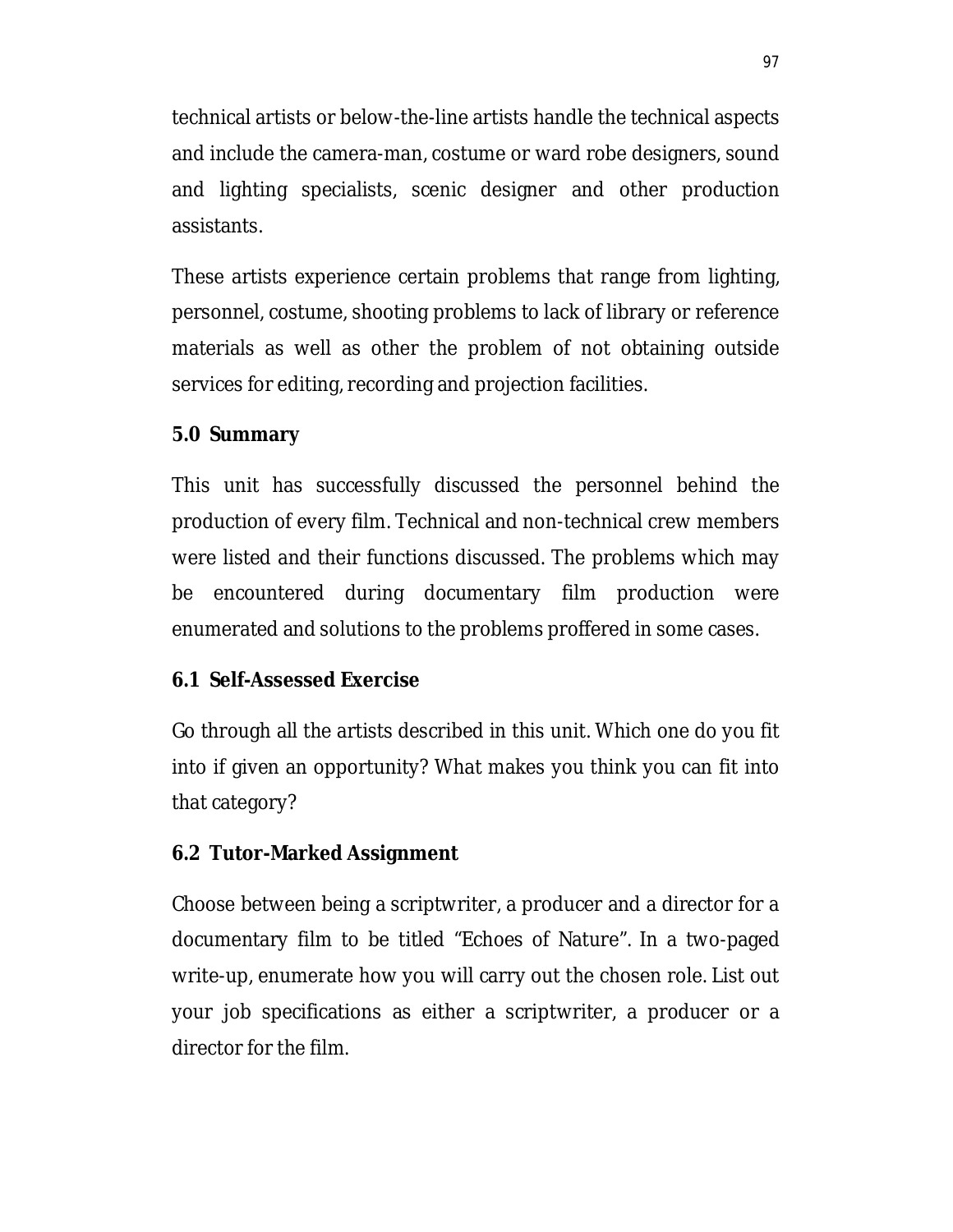technical artists or below-the-line artists handle the technical aspects and include the camera-man, costume or ward robe designers, sound and lighting specialists, scenic designer and other production assistants.

These artists experience certain problems that range from lighting, personnel, costume, shooting problems to lack of library or reference materials as well as other the problem of not obtaining outside services for editing, recording and projection facilities.

## **5.0 Summary**

This unit has successfully discussed the personnel behind the production of every film. Technical and non-technical crew members were listed and their functions discussed. The problems which may be encountered during documentary film production were enumerated and solutions to the problems proffered in some cases.

## **6.1 Self-Assessed Exercise**

Go through all the artists described in this unit. Which one do you fit into if given an opportunity? What makes you think you can fit into that category?

## **6.2 Tutor-Marked Assignment**

Choose between being a scriptwriter, a producer and a director for a documentary film to be titled "Echoes of Nature". In a two-paged write-up, enumerate how you will carry out the chosen role. List out your job specifications as either a scriptwriter, a producer or a director for the film.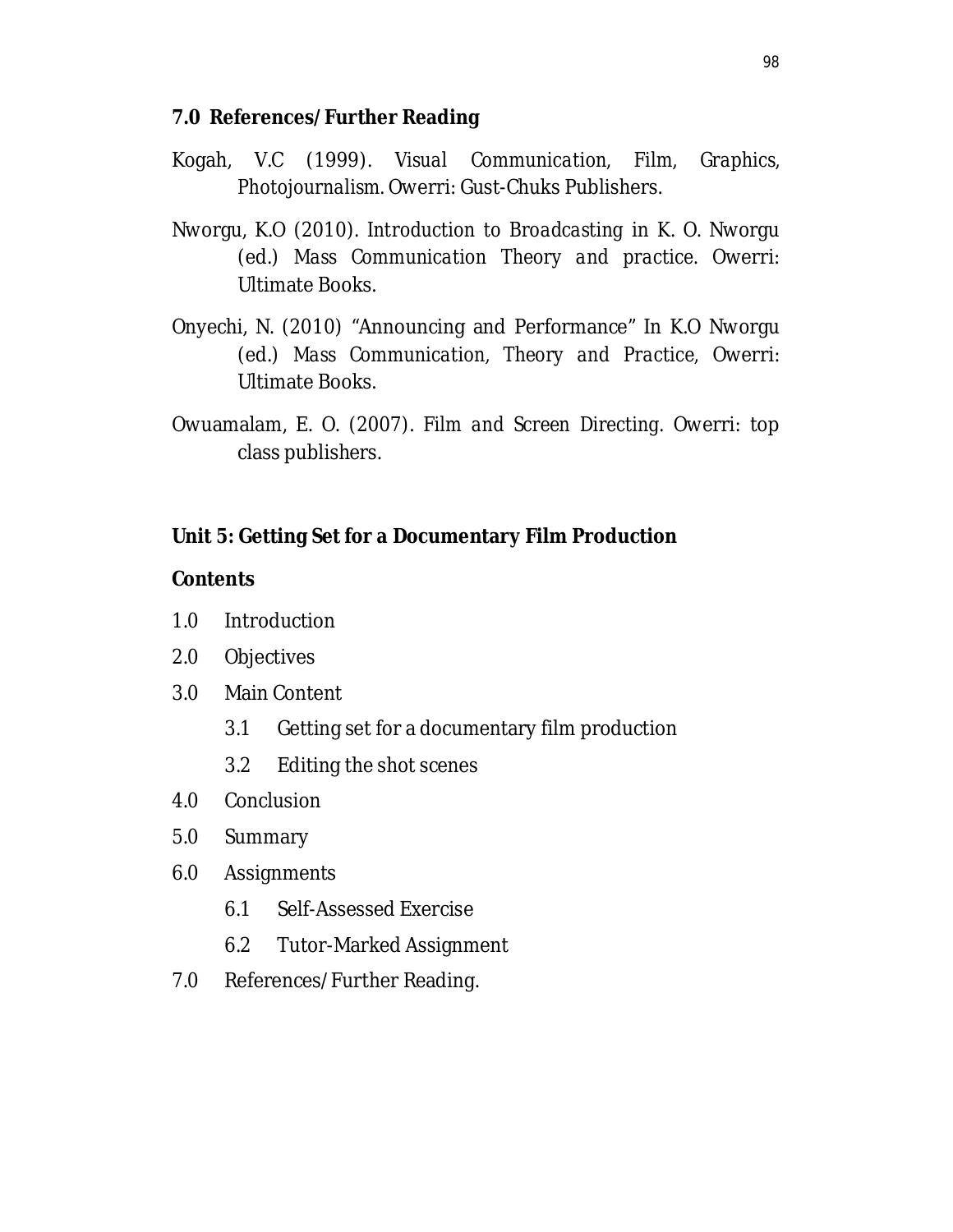#### **7.0 References/Further Reading**

- Kogah, V.C (1999). *Visual Communication, Film, Graphics, Photojournalism.* Owerri: Gust-Chuks Publishers.
- Nworgu, K.O (2010). *Introduction to Broadcasting* in K. O. Nworgu (ed.) *Mass Communication Theory and practice*. Owerri: Ultimate Books.
- Onyechi, N. (2010) "Announcing and Performance" In K.O Nworgu (ed.) *Mass Communication, Theory and Practice,* Owerri: Ultimate Books.
- Owuamalam, E. O. (2007). *Film and Screen Directing.* Owerri: top class publishers.

## **Unit 5: Getting Set for a Documentary Film Production**

#### **Contents**

- 1.0 Introduction
- 2.0 Objectives
- 3.0 Main Content
	- 3.1 Getting set for a documentary film production
	- 3.2 Editing the shot scenes
- 4.0 Conclusion
- 5.0 Summary
- 6.0 Assignments
	- 6.1 Self-Assessed Exercise
	- 6.2 Tutor-Marked Assignment
- 7.0 References/Further Reading.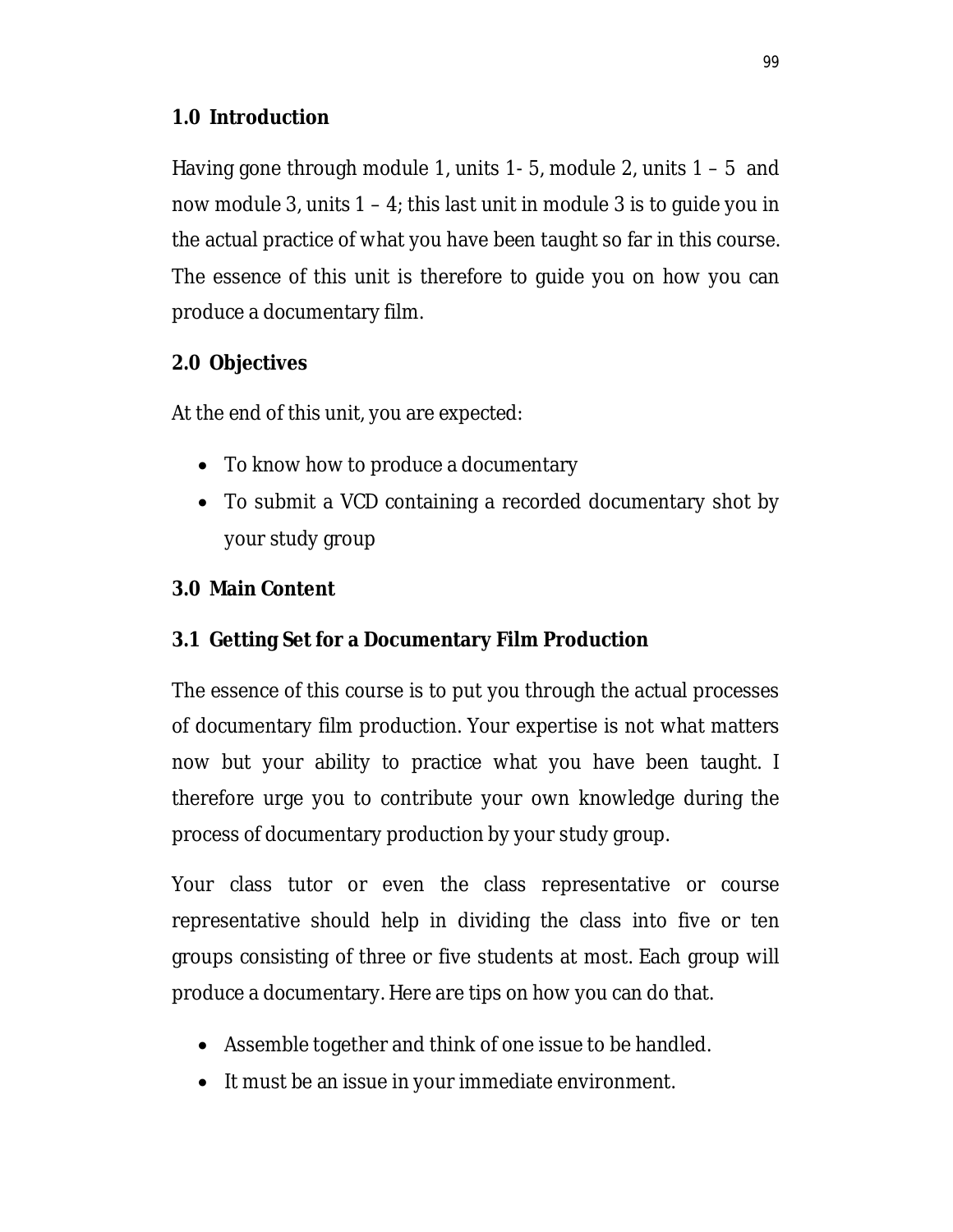## **1.0 Introduction**

Having gone through module 1, units 1- 5, module 2, units 1 – 5 and now module 3, units  $1 - 4$ ; this last unit in module 3 is to guide you in the actual practice of what you have been taught so far in this course. The essence of this unit is therefore to guide you on how you can produce a documentary film.

# **2.0 Objectives**

At the end of this unit, you are expected:

- To know how to produce a documentary
- To submit a VCD containing a recorded documentary shot by your study group

# **3.0 Main Content**

# **3.1 Getting Set for a Documentary Film Production**

The essence of this course is to put you through the actual processes of documentary film production. Your expertise is not what matters now but your ability to practice what you have been taught. I therefore urge you to contribute your own knowledge during the process of documentary production by your study group.

Your class tutor or even the class representative or course representative should help in dividing the class into five or ten groups consisting of three or five students at most. Each group will produce a documentary. Here are tips on how you can do that.

- Assemble together and think of one issue to be handled.
- It must be an issue in your immediate environment.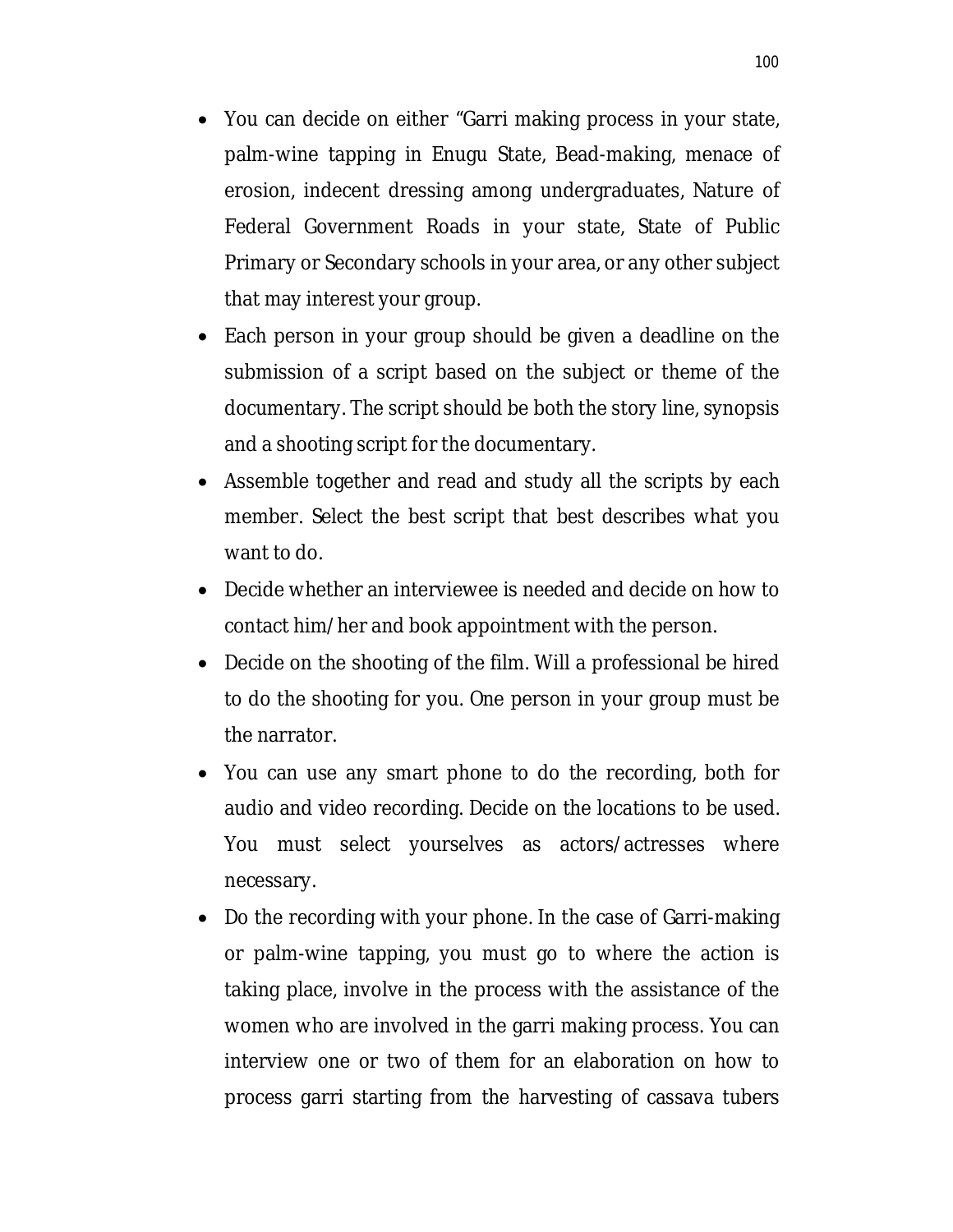- You can decide on either "Garri making process in your state, palm-wine tapping in Enugu State, Bead-making, menace of erosion, indecent dressing among undergraduates, Nature of Federal Government Roads in your state, State of Public Primary or Secondary schools in your area, or any other subject that may interest your group.
- Each person in your group should be given a deadline on the submission of a script based on the subject or theme of the documentary. The script should be both the story line, synopsis and a shooting script for the documentary.
- Assemble together and read and study all the scripts by each member. Select the best script that best describes what you want to do.
- Decide whether an interviewee is needed and decide on how to contact him/her and book appointment with the person.
- Decide on the shooting of the film. Will a professional be hired to do the shooting for you. One person in your group must be the narrator.
- You can use any smart phone to do the recording, both for audio and video recording. Decide on the locations to be used. You must select yourselves as actors/actresses where necessary.
- Do the recording with your phone. In the case of Garri-making or palm-wine tapping, you must go to where the action is taking place, involve in the process with the assistance of the women who are involved in the garri making process. You can interview one or two of them for an elaboration on how to process garri starting from the harvesting of cassava tubers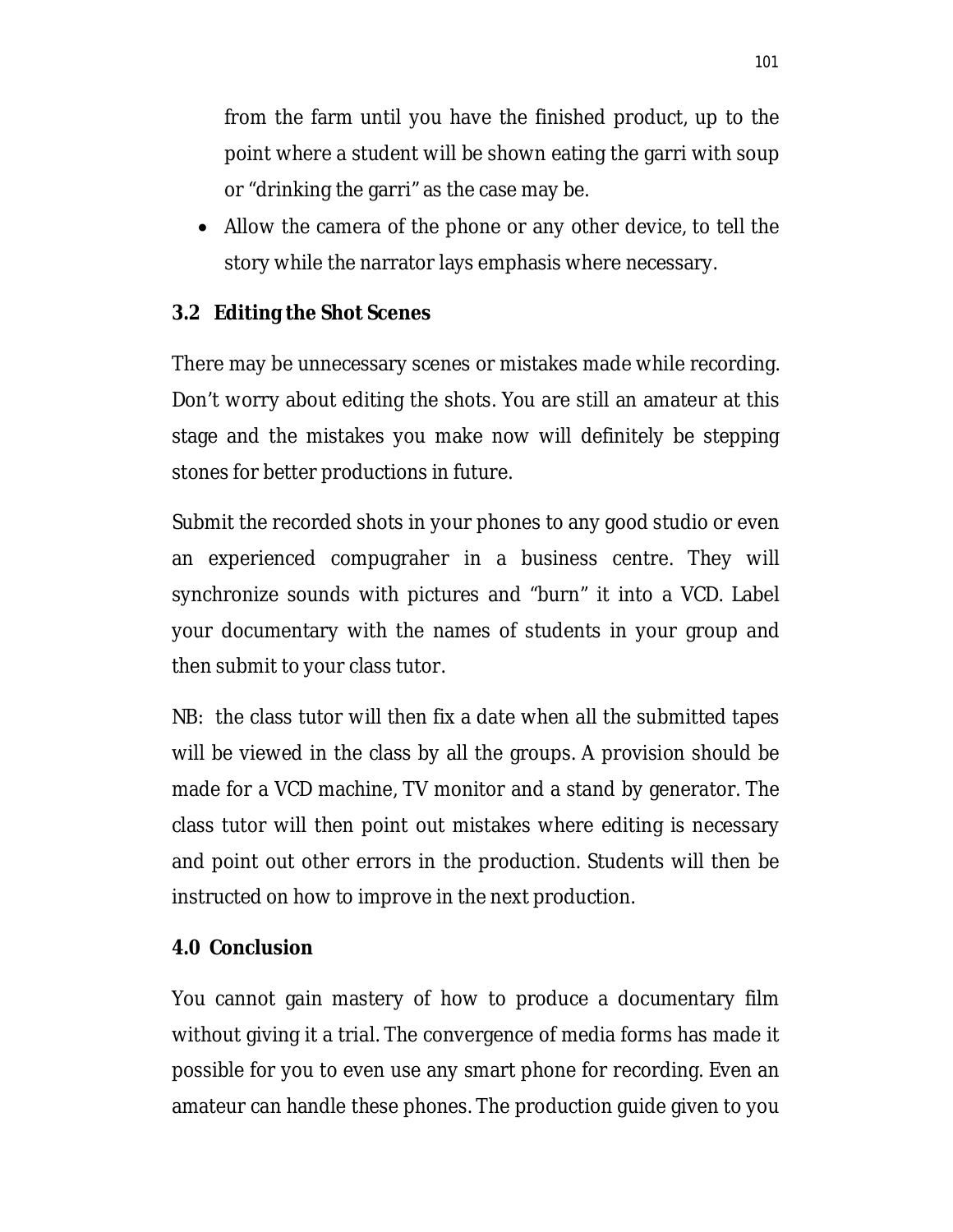from the farm until you have the finished product, up to the point where a student will be shown eating the garri with soup or "drinking the garri" as the case may be.

 Allow the camera of the phone or any other device, to tell the story while the narrator lays emphasis where necessary.

## **3.2 Editing the Shot Scenes**

There may be unnecessary scenes or mistakes made while recording. Don't worry about editing the shots. You are still an amateur at this stage and the mistakes you make now will definitely be stepping stones for better productions in future.

Submit the recorded shots in your phones to any good studio or even an experienced compugraher in a business centre. They will synchronize sounds with pictures and "burn" it into a VCD. Label your documentary with the names of students in your group and then submit to your class tutor.

NB: the class tutor will then fix a date when all the submitted tapes will be viewed in the class by all the groups. A provision should be made for a VCD machine, TV monitor and a stand by generator. The class tutor will then point out mistakes where editing is necessary and point out other errors in the production. Students will then be instructed on how to improve in the next production.

## **4.0 Conclusion**

You cannot gain mastery of how to produce a documentary film without giving it a trial. The convergence of media forms has made it possible for you to even use any smart phone for recording. Even an amateur can handle these phones. The production guide given to you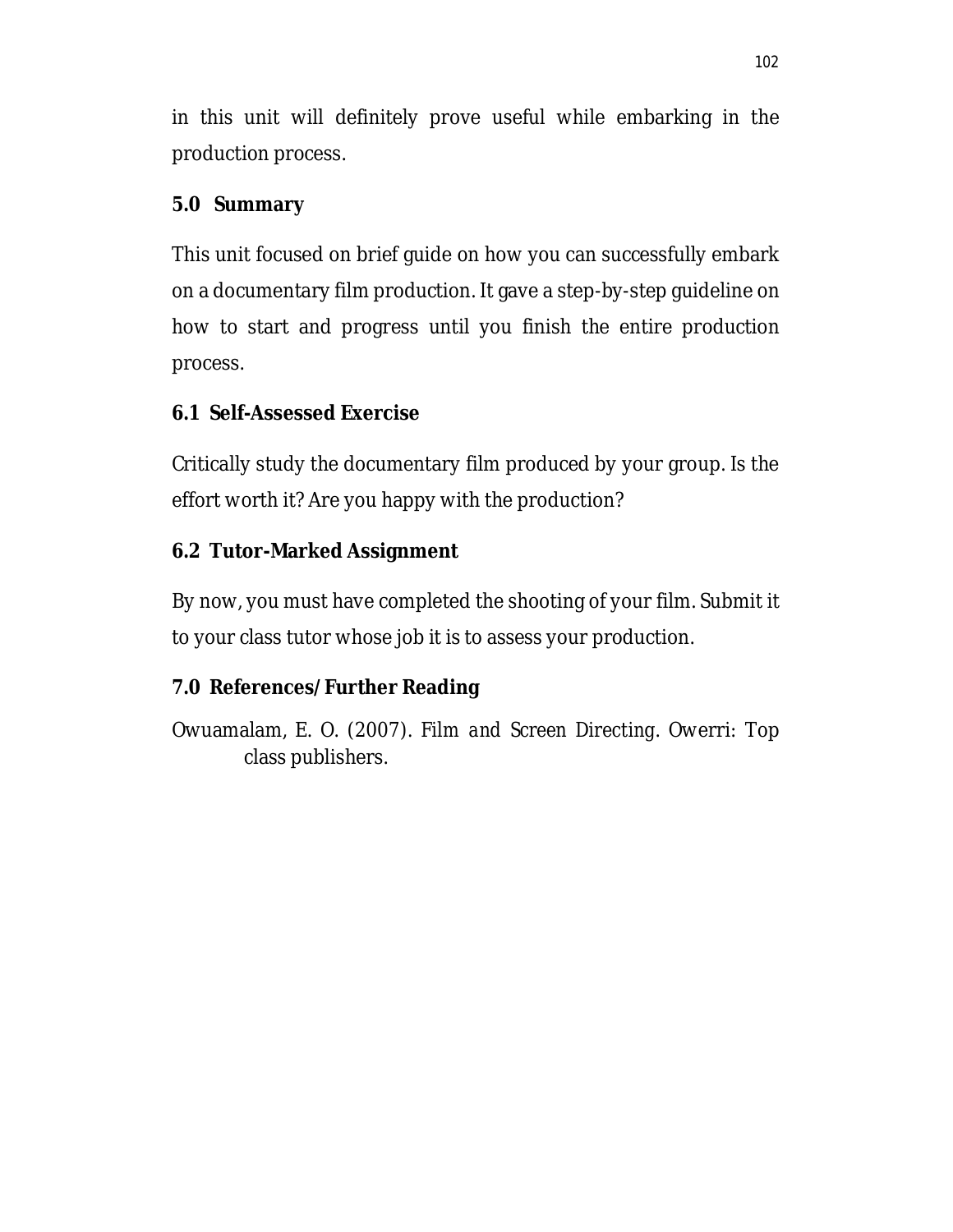in this unit will definitely prove useful while embarking in the production process.

## **5.0 Summary**

This unit focused on brief guide on how you can successfully embark on a documentary film production. It gave a step-by-step guideline on how to start and progress until you finish the entire production process.

# **6.1 Self-Assessed Exercise**

Critically study the documentary film produced by your group. Is the effort worth it? Are you happy with the production?

# **6.2 Tutor-Marked Assignment**

By now, you must have completed the shooting of your film. Submit it to your class tutor whose job it is to assess your production.

# **7.0 References/Further Reading**

Owuamalam, E. O. (2007). *Film and Screen Directing*. Owerri: Top class publishers.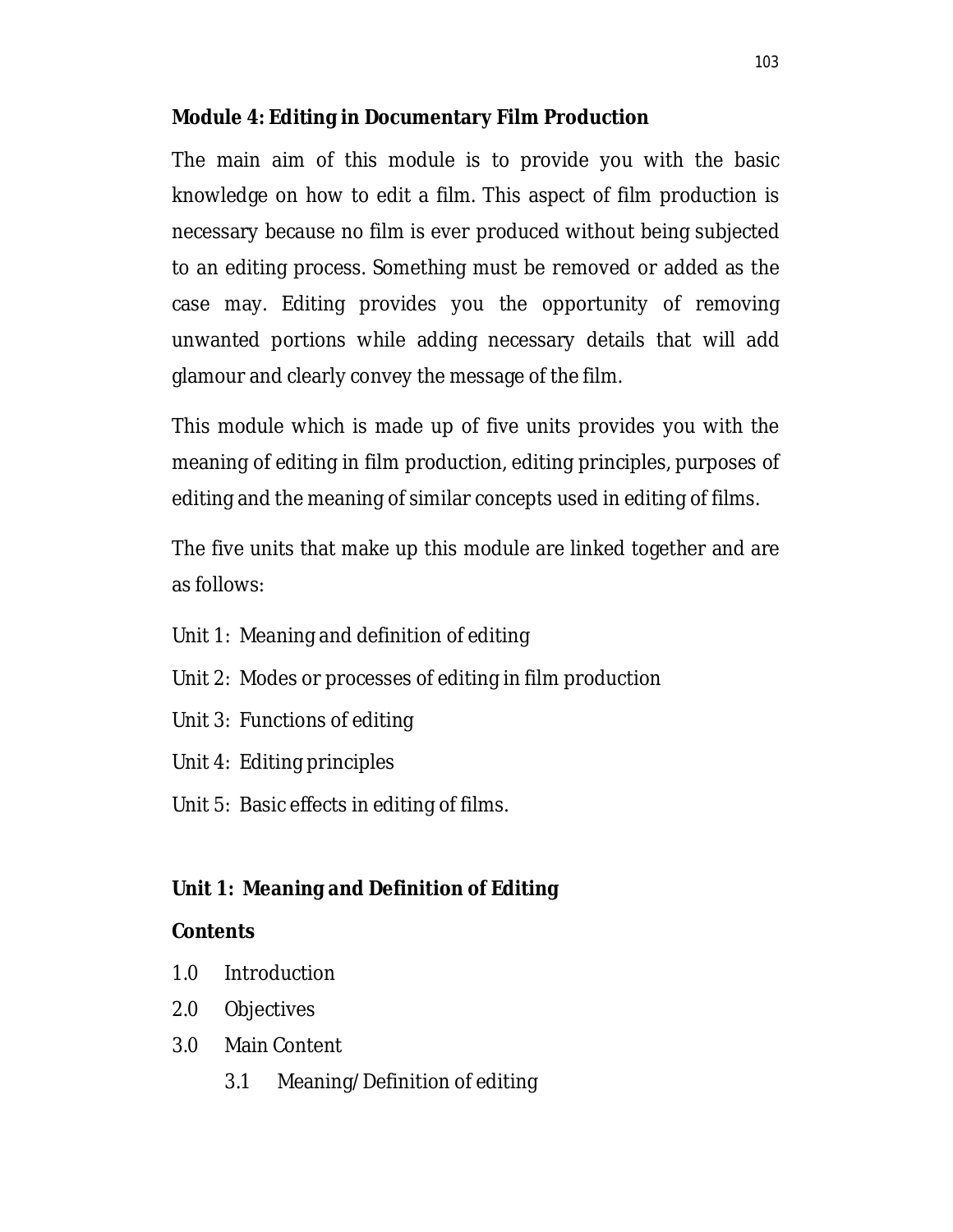## **Module 4: Editing in Documentary Film Production**

The main aim of this module is to provide you with the basic knowledge on how to edit a film. This aspect of film production is necessary because no film is ever produced without being subjected to an editing process. Something must be removed or added as the case may. Editing provides you the opportunity of removing unwanted portions while adding necessary details that will add glamour and clearly convey the message of the film.

This module which is made up of five units provides you with the meaning of editing in film production, editing principles, purposes of editing and the meaning of similar concepts used in editing of films.

The five units that make up this module are linked together and are as follows:

- Unit 1: Meaning and definition of editing
- Unit 2: Modes or processes of editing in film production
- Unit 3: Functions of editing
- Unit 4: Editing principles
- Unit 5: Basic effects in editing of films.

## **Unit 1: Meaning and Definition of Editing**

## **Contents**

- 1.0 Introduction
- 2.0 Objectives
- 3.0 Main Content
	- 3.1 Meaning/Definition of editing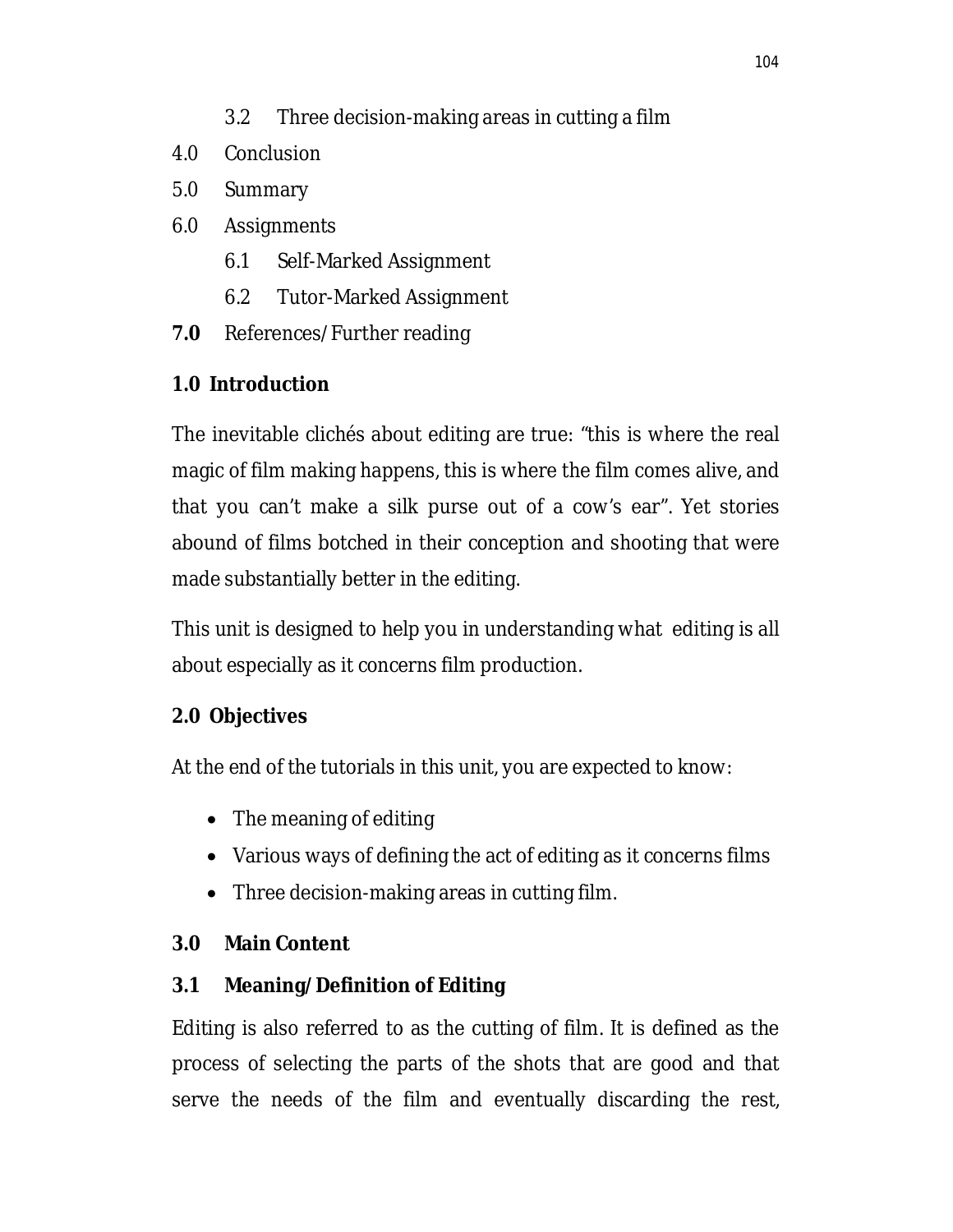- 4.0 Conclusion
- 5.0 Summary
- 6.0 Assignments
	- 6.1 Self-Marked Assignment
	- 6.2 Tutor-Marked Assignment
- **7.0** References/Further reading

# **1.0 Introduction**

The inevitable clichés about editing are true: "this is where the real magic of film making happens, this is where the film comes alive, and that you can't make a silk purse out of a cow's ear". Yet stories abound of films botched in their conception and shooting that were made substantially better in the editing.

This unit is designed to help you in understanding what editing is all about especially as it concerns film production.

# **2.0 Objectives**

At the end of the tutorials in this unit, you are expected to know:

- The meaning of editing
- Various ways of defining the act of editing as it concerns films
- Three decision-making areas in cutting film.

# **3.0 Main Content**

# **3.1 Meaning/Definition of Editing**

Editing is also referred to as the cutting of film. It is defined as the process of selecting the parts of the shots that are good and that serve the needs of the film and eventually discarding the rest,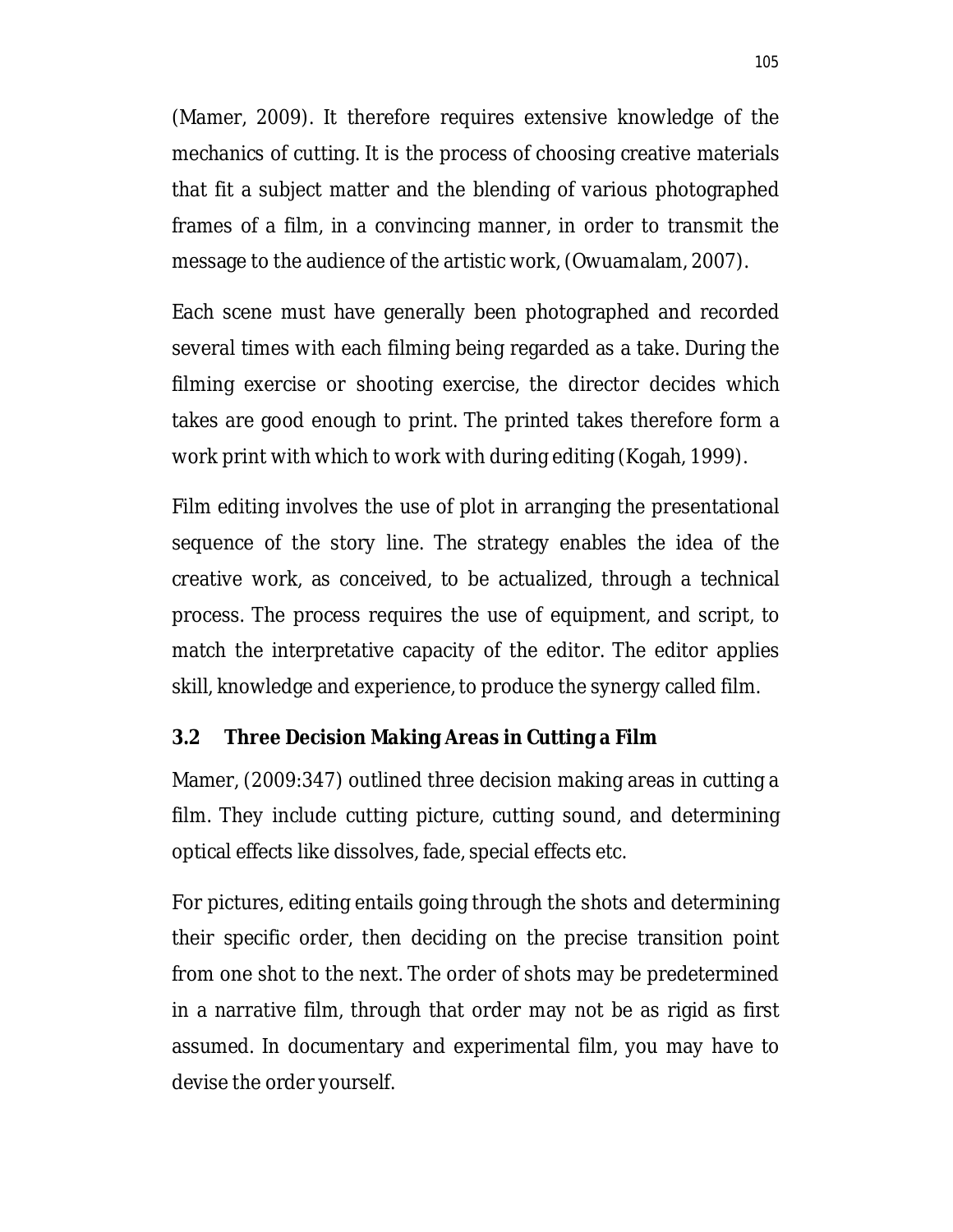(Mamer, 2009). It therefore requires extensive knowledge of the mechanics of cutting. It is the process of choosing creative materials that fit a subject matter and the blending of various photographed frames of a film, in a convincing manner, in order to transmit the message to the audience of the artistic work, (Owuamalam, 2007).

Each scene must have generally been photographed and recorded several times with each filming being regarded as a take. During the filming exercise or shooting exercise, the director decides which takes are good enough to print. The printed takes therefore form a work print with which to work with during editing (Kogah, 1999).

Film editing involves the use of plot in arranging the presentational sequence of the story line. The strategy enables the idea of the creative work, as conceived, to be actualized, through a technical process. The process requires the use of equipment, and script, to match the interpretative capacity of the editor. The editor applies skill, knowledge and experience, to produce the synergy called film.

## **3.2 Three Decision Making Areas in Cutting a Film**

Mamer, (2009:347) outlined three decision making areas in cutting a film. They include cutting picture, cutting sound, and determining optical effects like dissolves, fade, special effects etc.

For pictures, editing entails going through the shots and determining their specific order, then deciding on the precise transition point from one shot to the next. The order of shots may be predetermined in a narrative film, through that order may not be as rigid as first assumed. In documentary and experimental film, you may have to devise the order yourself.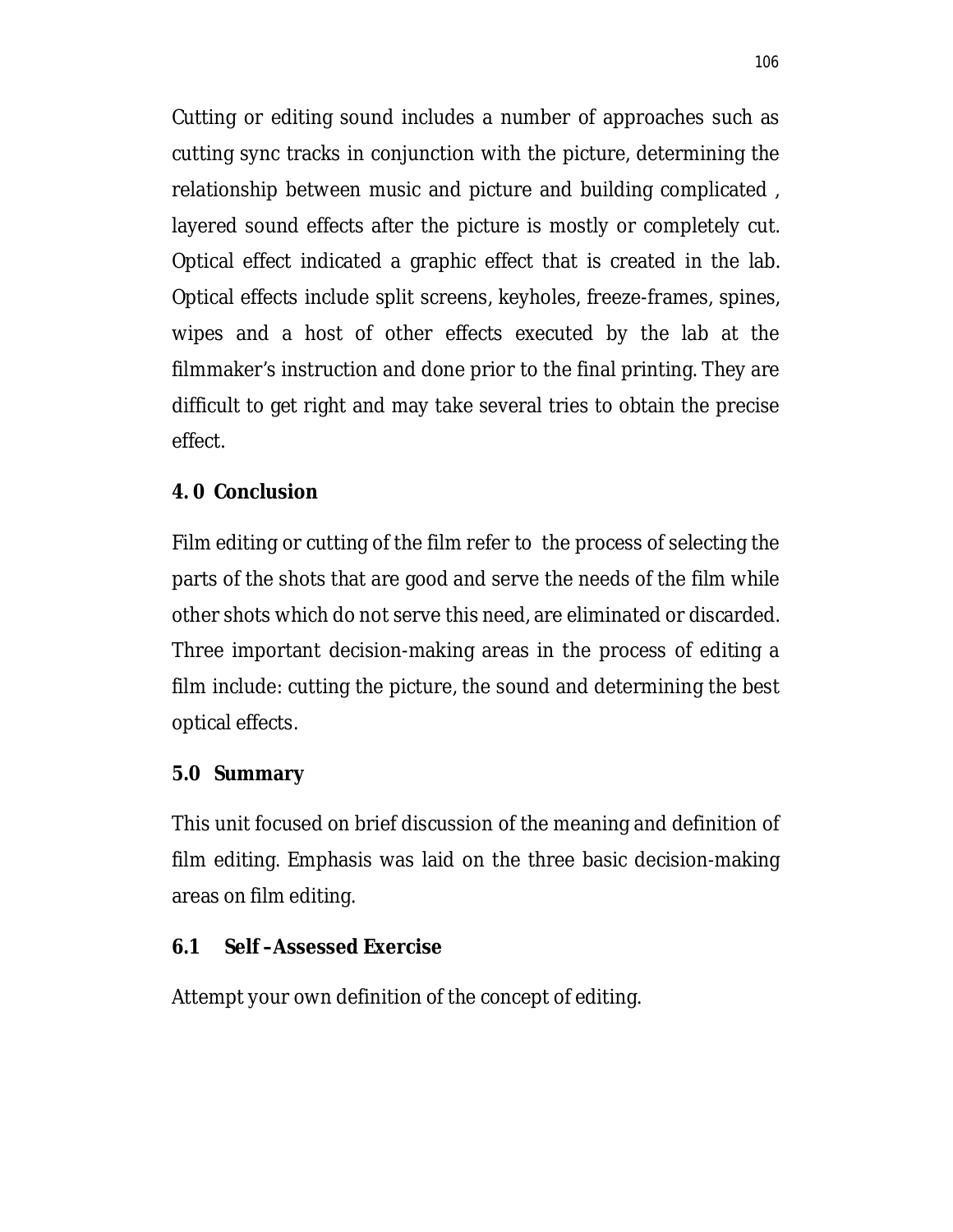Cutting or editing sound includes a number of approaches such as cutting sync tracks in conjunction with the picture, determining the relationship between music and picture and building complicated , layered sound effects after the picture is mostly or completely cut. Optical effect indicated a graphic effect that is created in the lab. Optical effects include split screens, keyholes, freeze-frames, spines, wipes and a host of other effects executed by the lab at the filmmaker's instruction and done prior to the final printing. They are difficult to get right and may take several tries to obtain the precise effect.

## **4. 0 Conclusion**

Film editing or cutting of the film refer to the process of selecting the parts of the shots that are good and serve the needs of the film while other shots which do not serve this need, are eliminated or discarded. Three important decision-making areas in the process of editing a film include: cutting the picture, the sound and determining the best optical effects.

## **5.0 Summary**

This unit focused on brief discussion of the meaning and definition of film editing. Emphasis was laid on the three basic decision-making areas on film editing.

## **6.1 Self –Assessed Exercise**

Attempt your own definition of the concept of editing.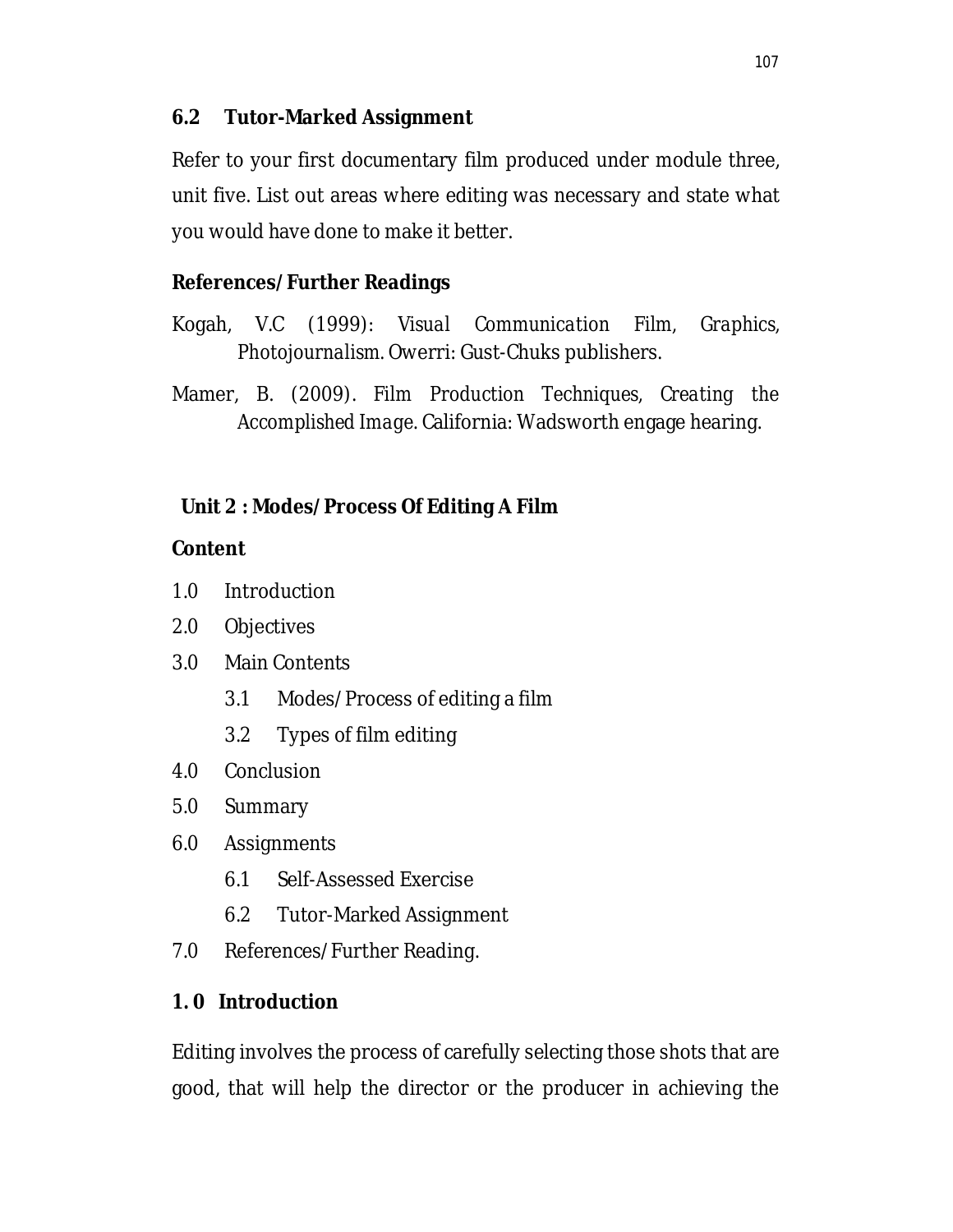## **6.2 Tutor-Marked Assignment**

Refer to your first documentary film produced under module three, unit five. List out areas where editing was necessary and state what you would have done to make it better.

## **References/Further Readings**

- Kogah, V.C (1999): *Visual Communication Film, Graphics, Photojournalism.* Owerri: Gust-Chuks publishers.
- Mamer, B. (2009). *Film Production Techniques, Creating the Accomplished Image*. California: Wadsworth engage hearing.

# **Unit 2 : Modes/Process Of Editing A Film**

## **Content**

- 1.0 Introduction
- 2.0 Objectives
- 3.0 Main Contents
	- 3.1 Modes/Process of editing a film
	- 3.2 Types of film editing
- 4.0 Conclusion
- 5.0 Summary
- 6.0 Assignments
	- 6.1 Self-Assessed Exercise
	- 6.2 Tutor-Marked Assignment
- 7.0 References/Further Reading.

## **1. 0 Introduction**

Editing involves the process of carefully selecting those shots that are good, that will help the director or the producer in achieving the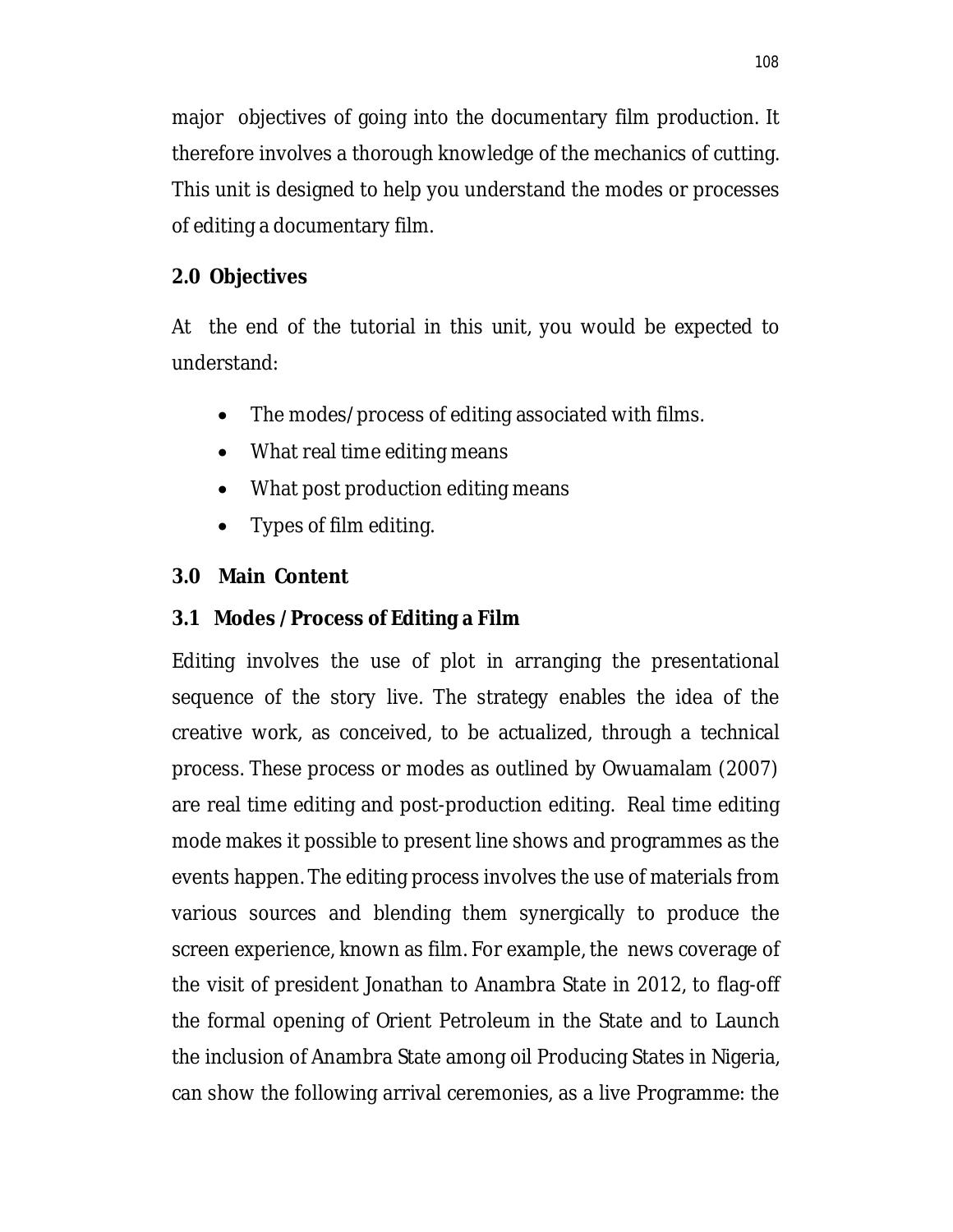major objectives of going into the documentary film production. It therefore involves a thorough knowledge of the mechanics of cutting. This unit is designed to help you understand the modes or processes of editing a documentary film.

# **2.0 Objectives**

At the end of the tutorial in this unit, you would be expected to understand:

- The modes/process of editing associated with films.
- What real time editing means
- What post production editing means
- Types of film editing.

# **3.0 Main Content**

# **3.1 Modes /Process of Editing a Film**

Editing involves the use of plot in arranging the presentational sequence of the story live. The strategy enables the idea of the creative work, as conceived, to be actualized, through a technical process. These process or modes as outlined by Owuamalam (2007) are real time editing and post-production editing. Real time editing mode makes it possible to present line shows and programmes as the events happen. The editing process involves the use of materials from various sources and blending them synergically to produce the screen experience, known as film. For example, the news coverage of the visit of president Jonathan to Anambra State in 2012, to flag-off the formal opening of Orient Petroleum in the State and to Launch the inclusion of Anambra State among oil Producing States in Nigeria, can show the following arrival ceremonies, as a live Programme: the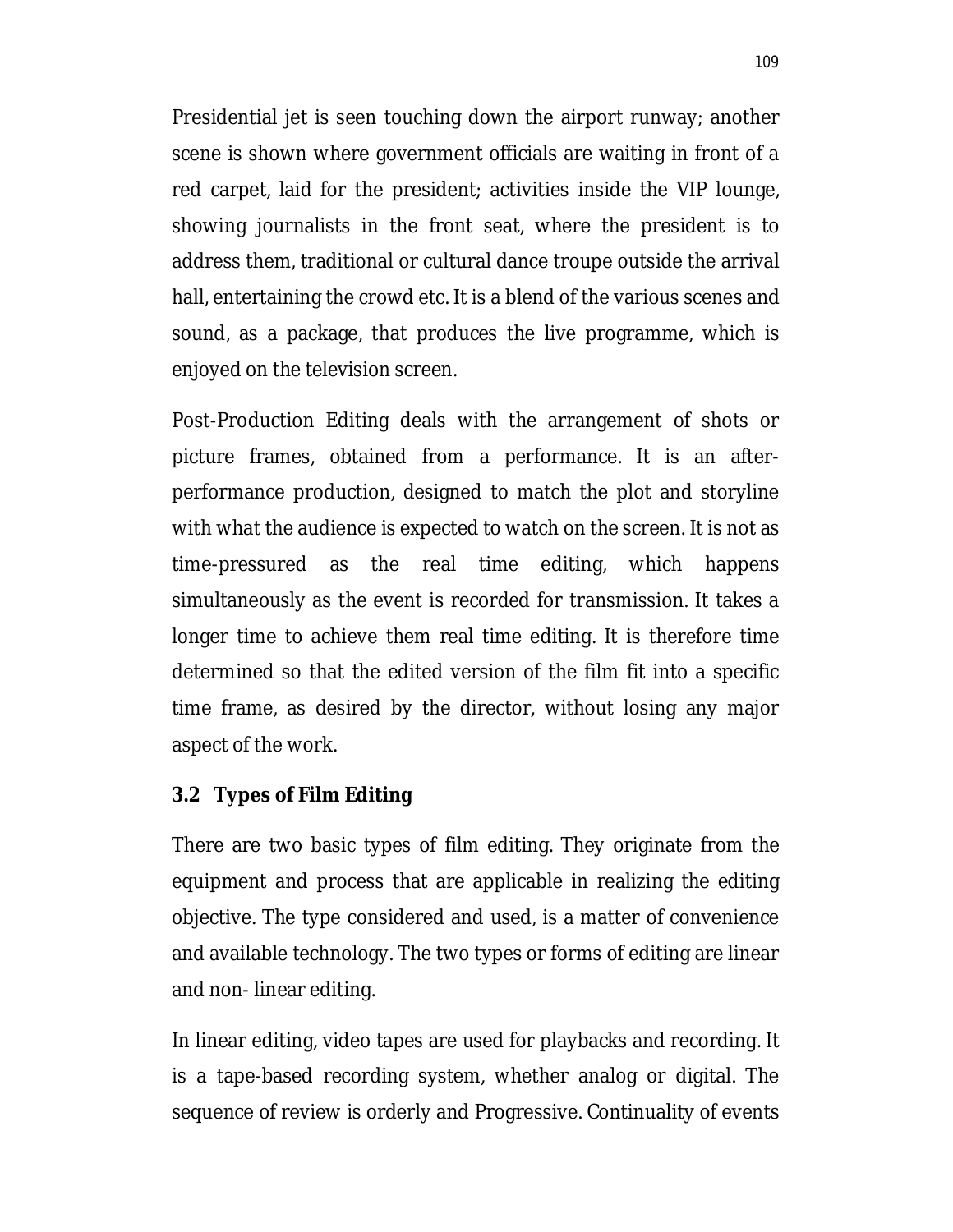Presidential jet is seen touching down the airport runway; another scene is shown where government officials are waiting in front of a red carpet, laid for the president; activities inside the VIP lounge, showing journalists in the front seat, where the president is to address them, traditional or cultural dance troupe outside the arrival hall, entertaining the crowd etc. It is a blend of the various scenes and sound, as a package, that produces the live programme, which is enjoyed on the television screen.

Post-Production Editing deals with the arrangement of shots or picture frames, obtained from a performance. It is an afterperformance production, designed to match the plot and storyline with what the audience is expected to watch on the screen. It is not as time-pressured as the real time editing, which happens simultaneously as the event is recorded for transmission. It takes a longer time to achieve them real time editing. It is therefore time determined so that the edited version of the film fit into a specific time frame, as desired by the director, without losing any major aspect of the work.

#### **3.2 Types of Film Editing**

There are two basic types of film editing. They originate from the equipment and process that are applicable in realizing the editing objective. The type considered and used, is a matter of convenience and available technology. The two types or forms of editing are linear and non- linear editing.

In linear editing, video tapes are used for playbacks and recording. It is a tape-based recording system, whether analog or digital. The sequence of review is orderly and Progressive. Continuality of events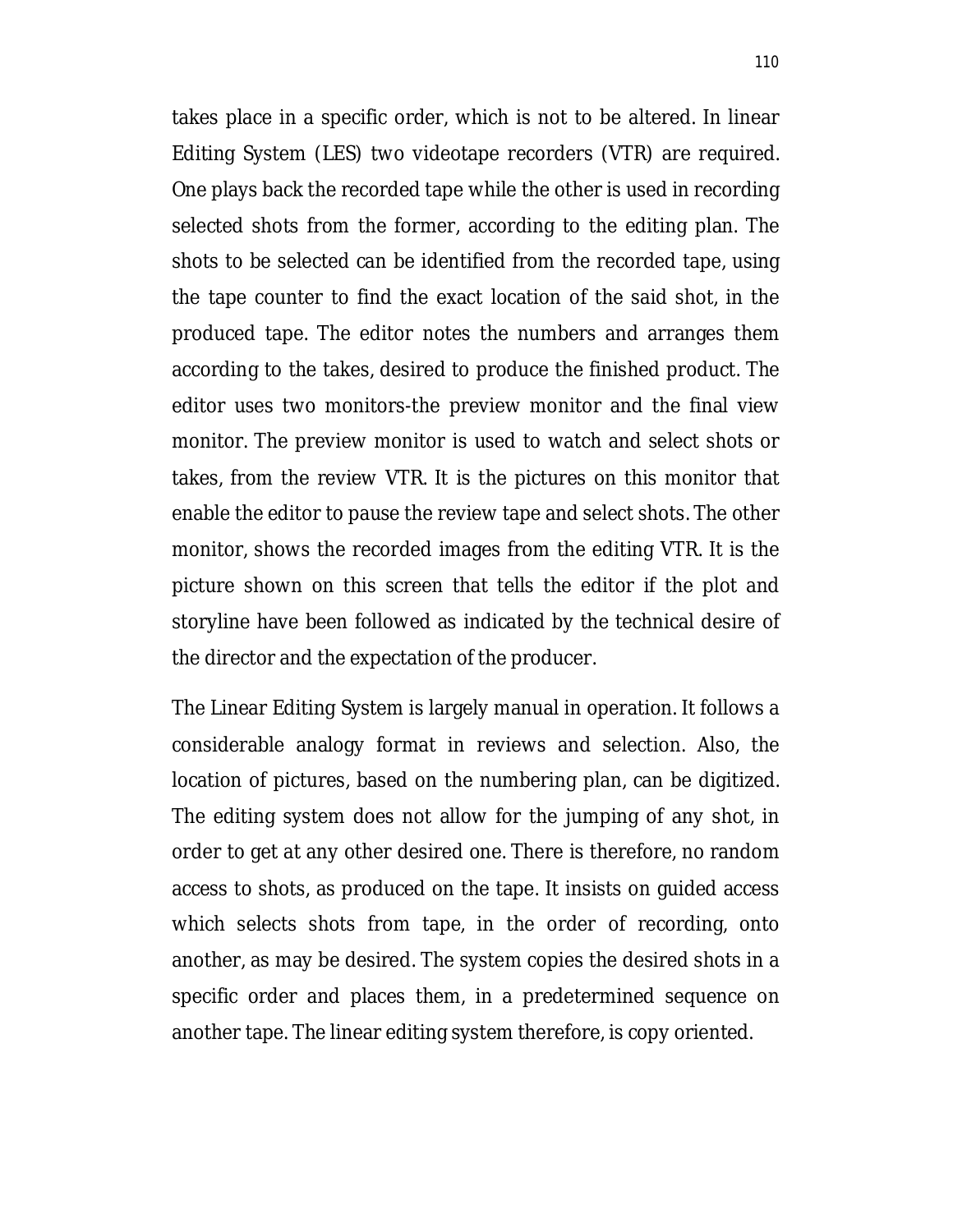takes place in a specific order, which is not to be altered. In linear Editing System (LES) two videotape recorders (VTR) are required. One plays back the recorded tape while the other is used in recording selected shots from the former, according to the editing plan. The shots to be selected can be identified from the recorded tape, using the tape counter to find the exact location of the said shot, in the produced tape. The editor notes the numbers and arranges them according to the takes, desired to produce the finished product. The editor uses two monitors-the preview monitor and the final view monitor. The preview monitor is used to watch and select shots or takes, from the review VTR. It is the pictures on this monitor that enable the editor to pause the review tape and select shots. The other monitor, shows the recorded images from the editing VTR. It is the picture shown on this screen that tells the editor if the plot and storyline have been followed as indicated by the technical desire of the director and the expectation of the producer.

The Linear Editing System is largely manual in operation. It follows a considerable analogy format in reviews and selection. Also, the location of pictures, based on the numbering plan, can be digitized. The editing system does not allow for the jumping of any shot, in order to get at any other desired one. There is therefore, no random access to shots, as produced on the tape. It insists on guided access which selects shots from tape, in the order of recording, onto another, as may be desired. The system copies the desired shots in a specific order and places them, in a predetermined sequence on another tape. The linear editing system therefore, is copy oriented.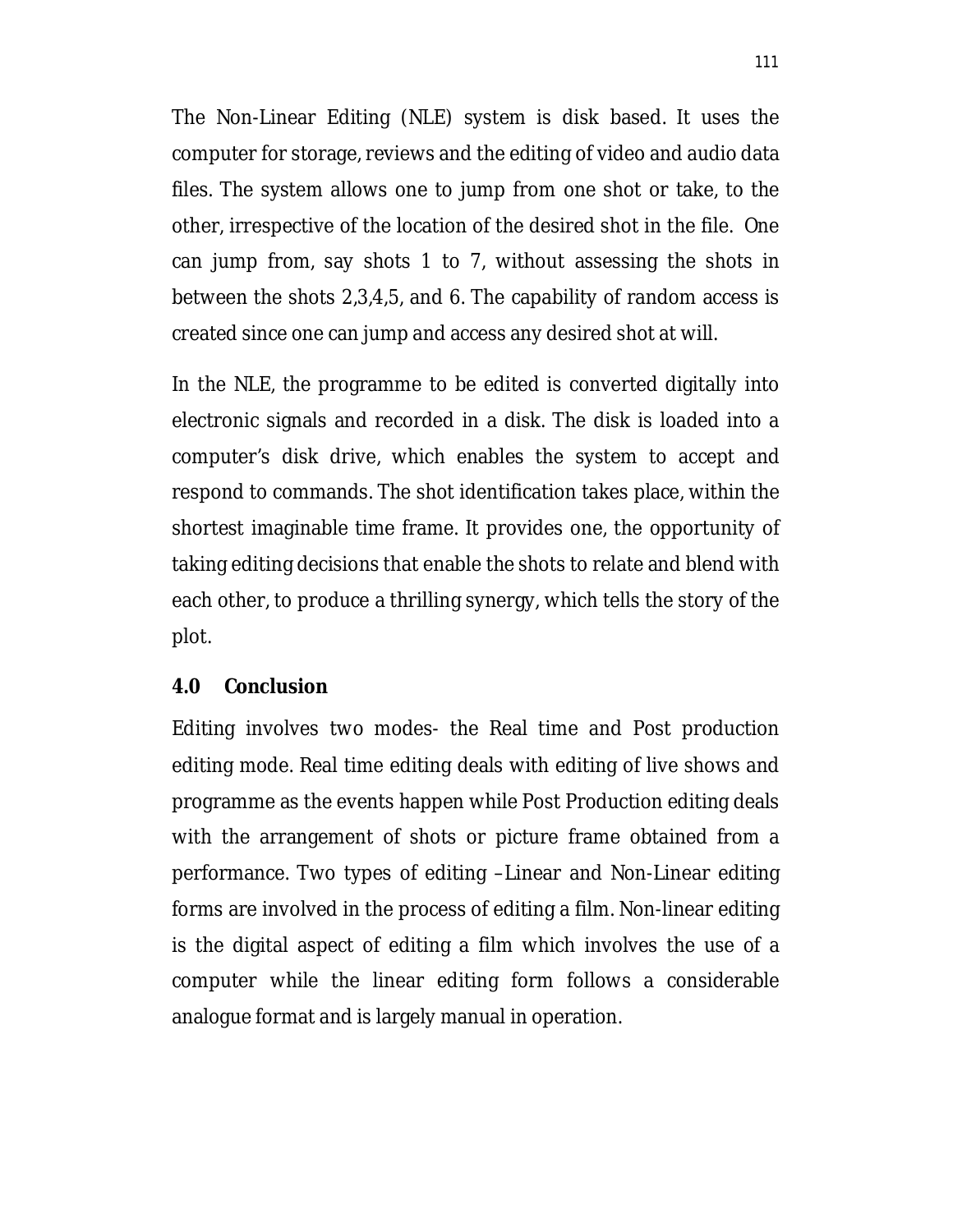The Non-Linear Editing (NLE) system is disk based. It uses the computer for storage, reviews and the editing of video and audio data files. The system allows one to jump from one shot or take, to the other, irrespective of the location of the desired shot in the file. One can jump from, say shots 1 to 7, without assessing the shots in between the shots 2,3,4,5, and 6. The capability of random access is created since one can jump and access any desired shot at will.

In the NLE, the programme to be edited is converted digitally into electronic signals and recorded in a disk. The disk is loaded into a computer's disk drive, which enables the system to accept and respond to commands. The shot identification takes place, within the shortest imaginable time frame. It provides one, the opportunity of taking editing decisions that enable the shots to relate and blend with each other, to produce a thrilling synergy, which tells the story of the plot.

#### **4.0 Conclusion**

Editing involves two modes- the Real time and Post production editing mode. Real time editing deals with editing of live shows and programme as the events happen while Post Production editing deals with the arrangement of shots or picture frame obtained from a performance. Two types of editing –Linear and Non-Linear editing forms are involved in the process of editing a film. Non-linear editing is the digital aspect of editing a film which involves the use of a computer while the linear editing form follows a considerable analogue format and is largely manual in operation.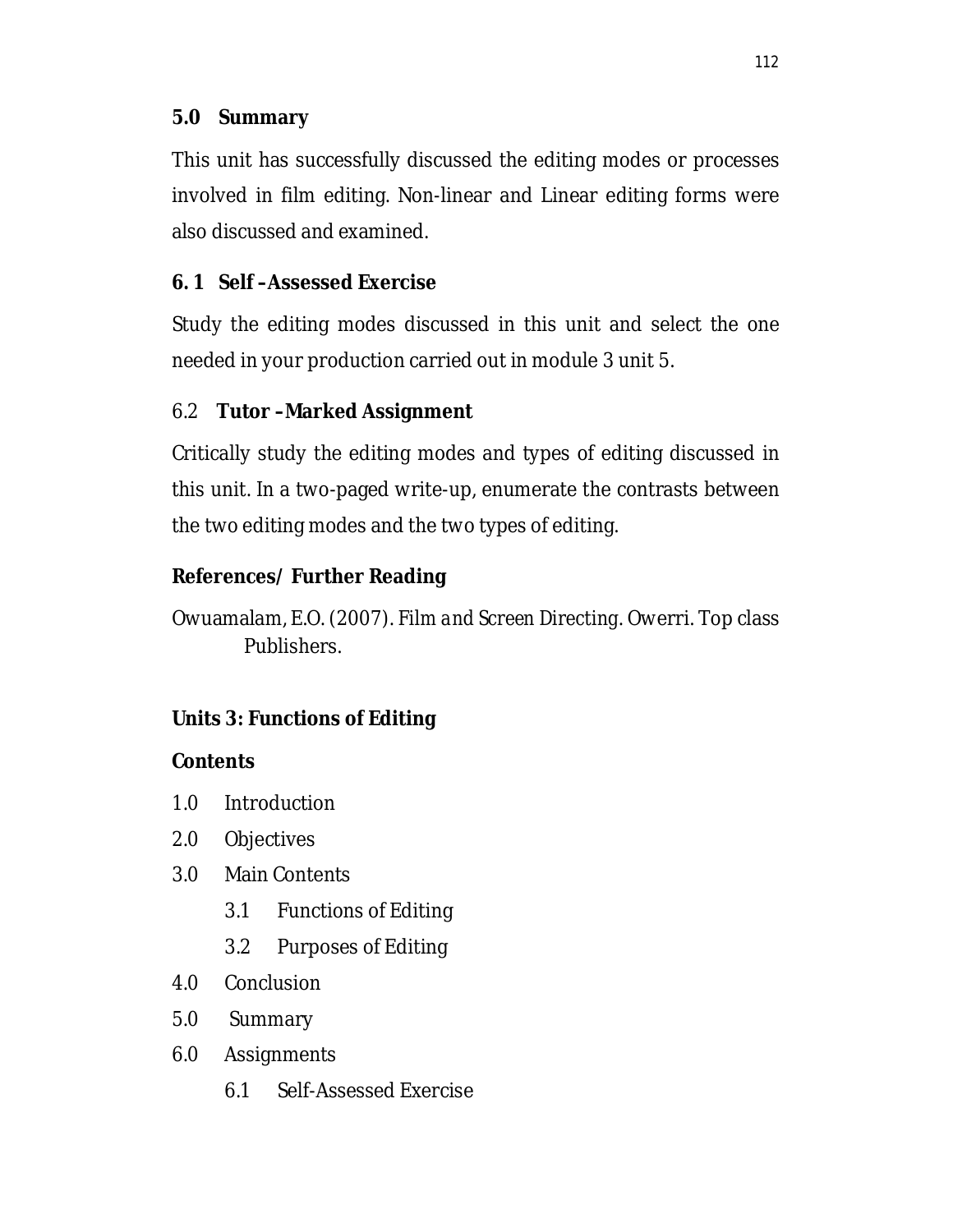### **5.0 Summary**

This unit has successfully discussed the editing modes or processes involved in film editing. Non-linear and Linear editing forms were also discussed and examined.

# **6. 1 Self –Assessed Exercise**

Study the editing modes discussed in this unit and select the one needed in your production carried out in module 3 unit 5.

# 6.2 **Tutor –Marked Assignment**

Critically study the editing modes and types of editing discussed in this unit. In a two-paged write-up, enumerate the contrasts between the two editing modes and the two types of editing.

# **References/ Further Reading**

Owuamalam, E.O. (2007). *Film and Screen Directing*. Owerri. Top class Publishers.

# **Units 3: Functions of Editing**

# **Contents**

- 1.0 Introduction
- 2.0 Objectives
- 3.0 Main Contents
	- 3.1 Functions of Editing
	- 3.2 Purposes of Editing
- 4.0 Conclusion
- 5.0 Summary
- 6.0 Assignments
	- 6.1 Self-Assessed Exercise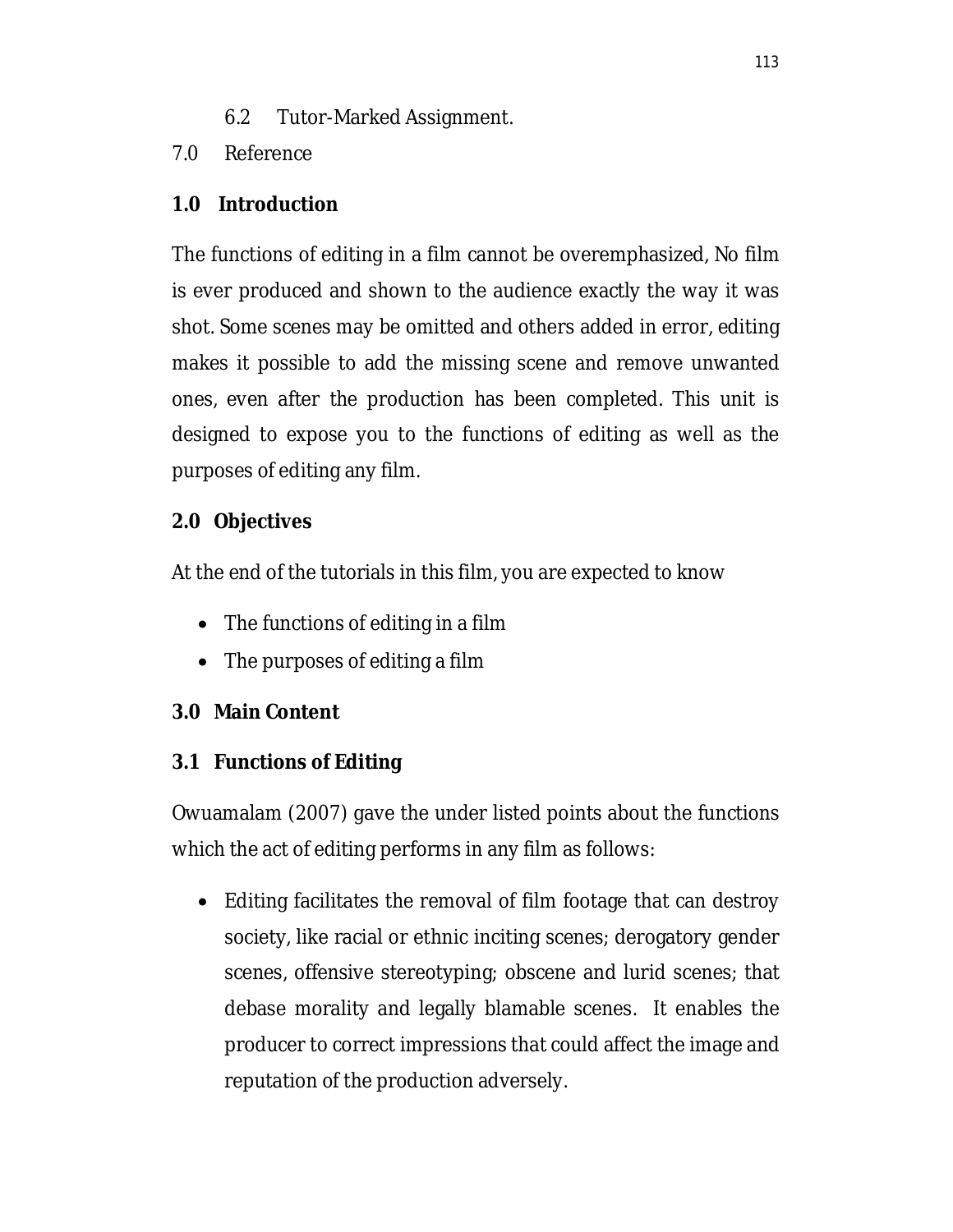- 6.2 Tutor-Marked Assignment.
- 7.0 Reference

### **1.0 Introduction**

The functions of editing in a film cannot be overemphasized, No film is ever produced and shown to the audience exactly the way it was shot. Some scenes may be omitted and others added in error, editing makes it possible to add the missing scene and remove unwanted ones, even after the production has been completed. This unit is designed to expose you to the functions of editing as well as the purposes of editing any film.

# **2.0 Objectives**

At the end of the tutorials in this film, you are expected to know

- The functions of editing in a film
- The purposes of editing a film

# **3.0 Main Content**

# **3.1 Functions of Editing**

Owuamalam (2007) gave the under listed points about the functions which the act of editing performs in any film as follows:

 Editing facilitates the removal of film footage that can destroy society, like racial or ethnic inciting scenes; derogatory gender scenes, offensive stereotyping; obscene and lurid scenes; that debase morality and legally blamable scenes. It enables the producer to correct impressions that could affect the image and reputation of the production adversely.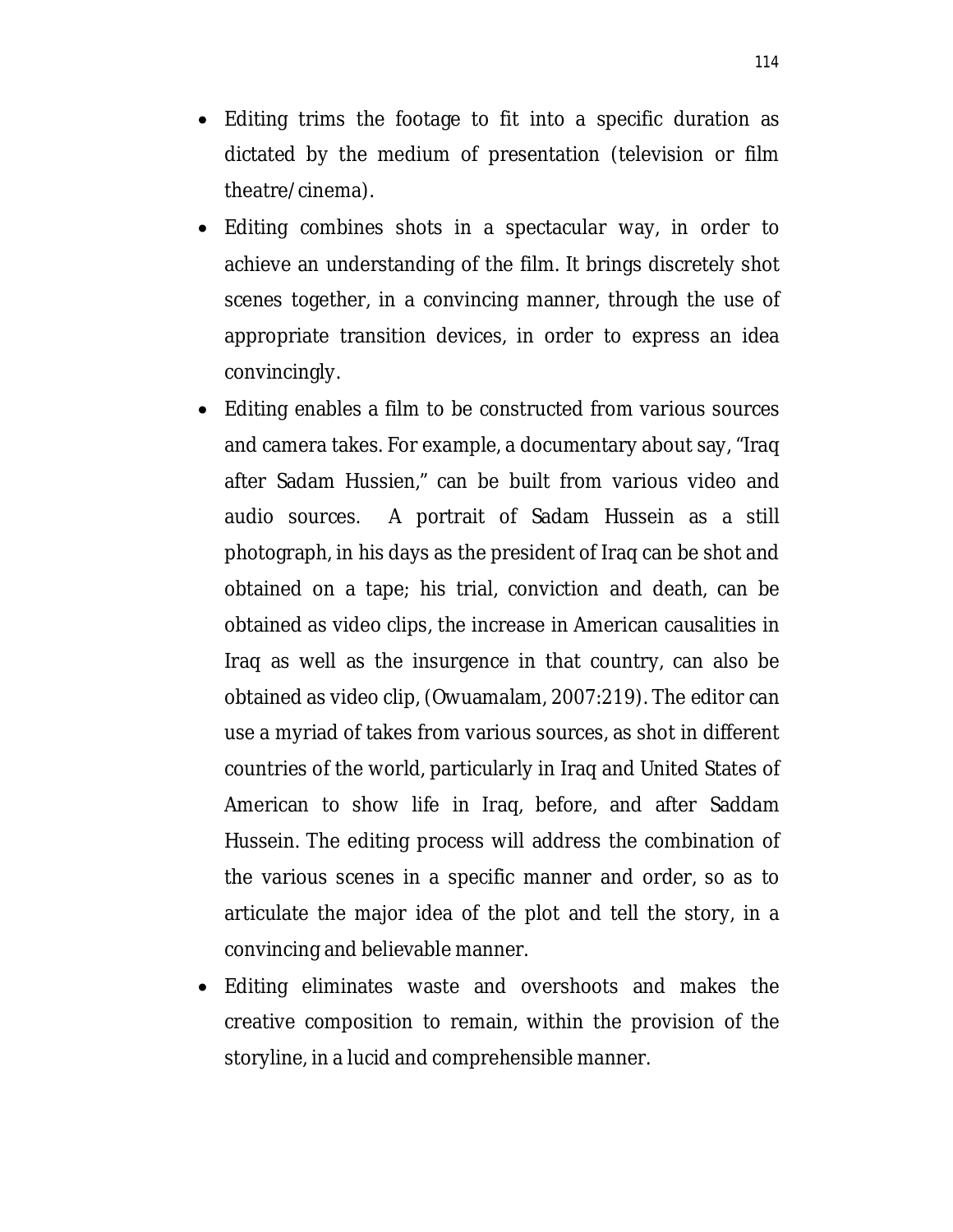- Editing trims the footage to fit into a specific duration as dictated by the medium of presentation (television or film theatre/cinema).
- Editing combines shots in a spectacular way, in order to achieve an understanding of the film. It brings discretely shot scenes together, in a convincing manner, through the use of appropriate transition devices, in order to express an idea convincingly.
- Editing enables a film to be constructed from various sources and camera takes. For example, a documentary about say, "Iraq after Sadam Hussien," can be built from various video and audio sources. A portrait of Sadam Hussein as a still photograph, in his days as the president of Iraq can be shot and obtained on a tape; his trial, conviction and death, can be obtained as video clips, the increase in American causalities in Iraq as well as the insurgence in that country, can also be obtained as video clip, (Owuamalam, 2007:219). The editor can use a myriad of takes from various sources, as shot in different countries of the world, particularly in Iraq and United States of American to show life in Iraq, before, and after Saddam Hussein. The editing process will address the combination of the various scenes in a specific manner and order, so as to articulate the major idea of the plot and tell the story, in a convincing and believable manner.
- Editing eliminates waste and overshoots and makes the creative composition to remain, within the provision of the storyline, in a lucid and comprehensible manner.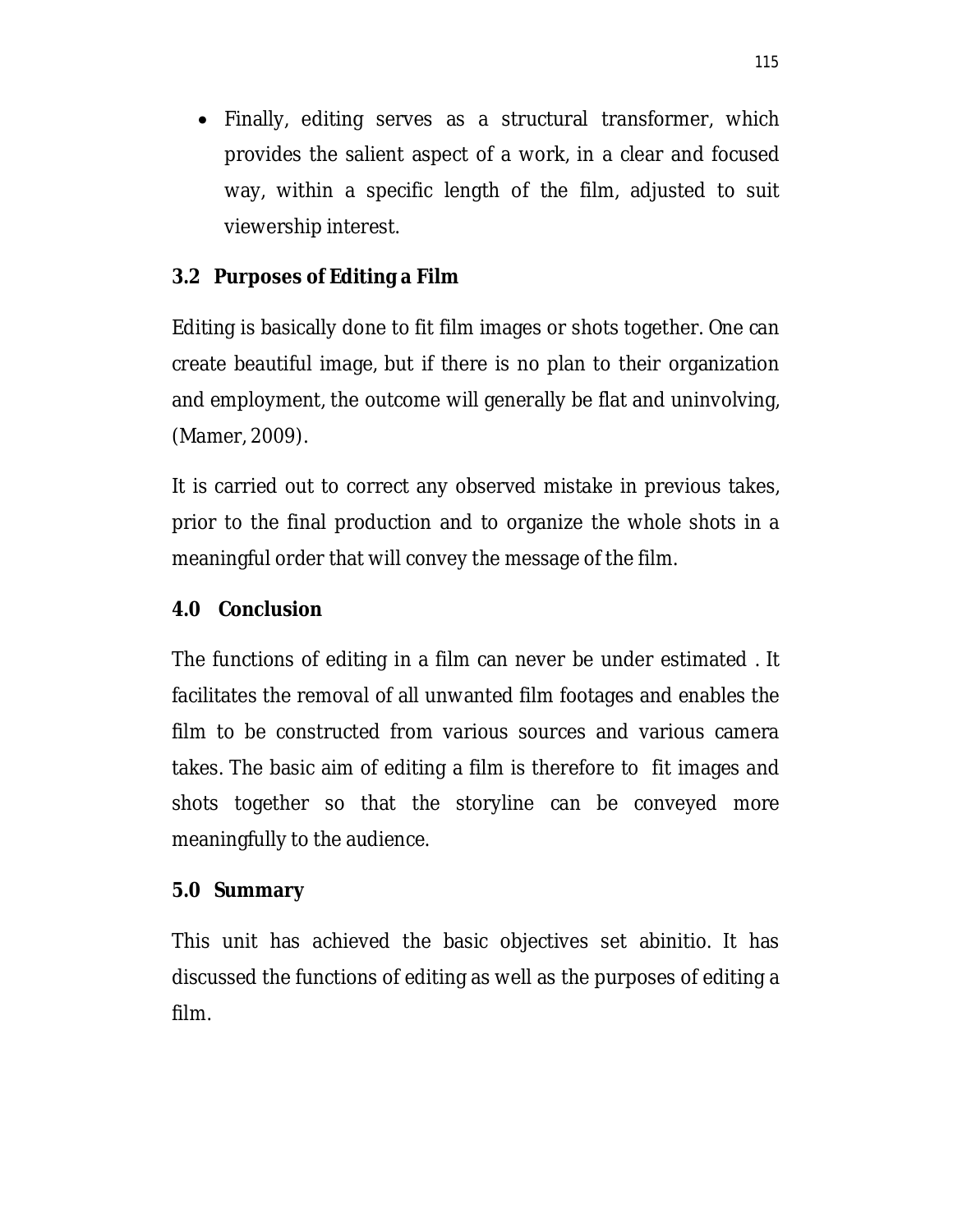• Finally, editing serves as a structural transformer, which provides the salient aspect of a work, in a clear and focused way, within a specific length of the film, adjusted to suit viewership interest.

#### **3.2 Purposes of Editing a Film**

Editing is basically done to fit film images or shots together. One can create beautiful image, but if there is no plan to their organization and employment, the outcome will generally be flat and uninvolving, (Mamer, 2009).

It is carried out to correct any observed mistake in previous takes, prior to the final production and to organize the whole shots in a meaningful order that will convey the message of the film.

#### **4.0 Conclusion**

The functions of editing in a film can never be under estimated . It facilitates the removal of all unwanted film footages and enables the film to be constructed from various sources and various camera takes. The basic aim of editing a film is therefore to fit images and shots together so that the storyline can be conveyed more meaningfully to the audience.

#### **5.0 Summary**

This unit has achieved the basic objectives set abinitio. It has discussed the functions of editing as well as the purposes of editing a film.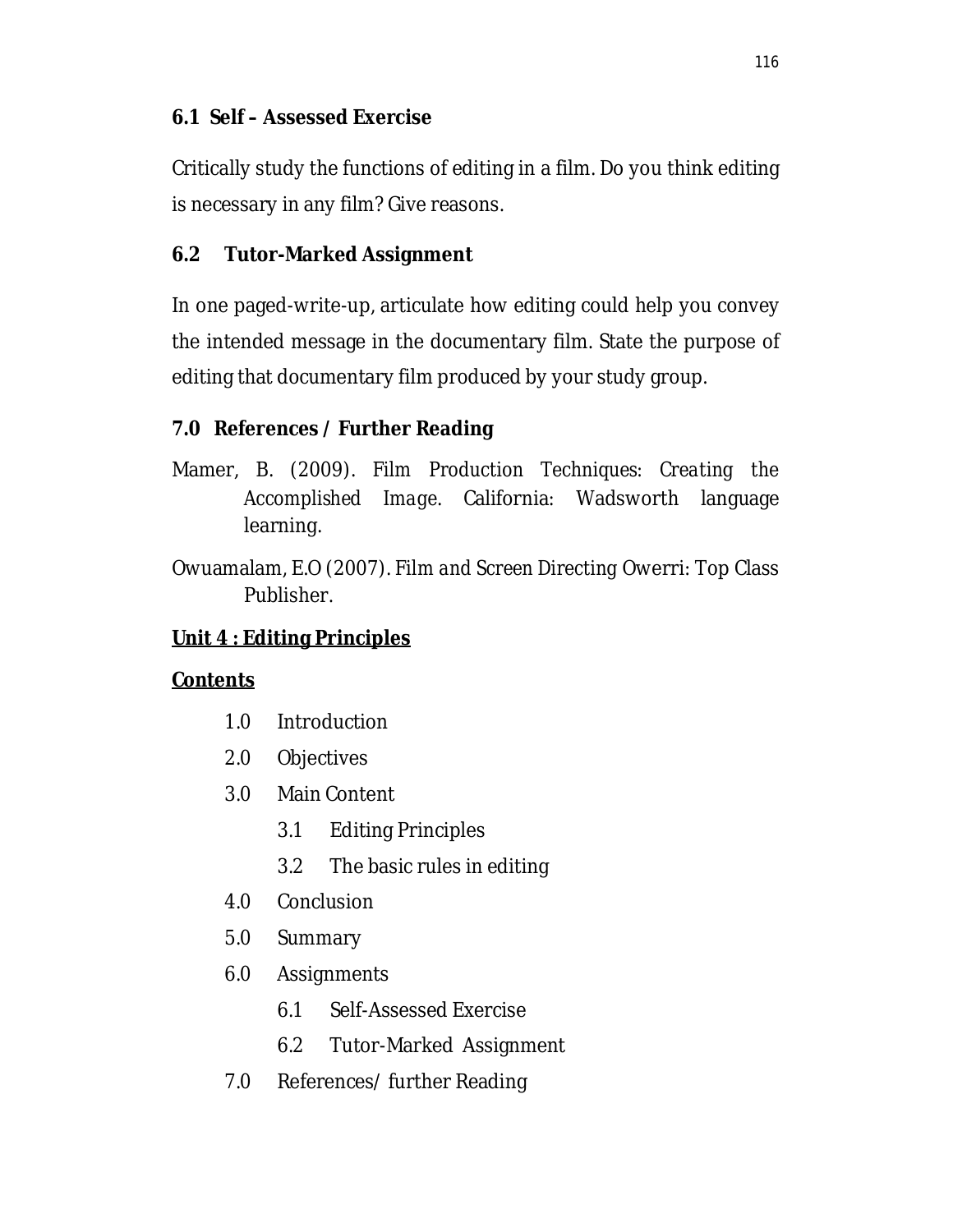### **6.1 Self – Assessed Exercise**

Critically study the functions of editing in a film. Do you think editing is necessary in any film? Give reasons.

# **6.2 Tutor-Marked Assignment**

In one paged-write-up, articulate how editing could help you convey the intended message in the documentary film. State the purpose of editing that documentary film produced by your study group.

# **7.0 References / Further Reading**

- Mamer, B. (2009). *Film Production Techniques: Creating the Accomplished Image*. California: Wadsworth language learning.
- Owuamalam, E.O (2007). *Film and Screen Directing* Owerri: Top Class Publisher.

# **Unit 4 : Editing Principles**

# **Contents**

- 1.0 Introduction
- 2.0 Objectives
- 3.0 Main Content
	- 3.1 Editing Principles
	- 3.2 The basic rules in editing
- 4.0 Conclusion
- 5.0 Summary
- 6.0 Assignments
	- 6.1 Self-Assessed Exercise
	- 6.2 Tutor-Marked Assignment
- 7.0 References/ further Reading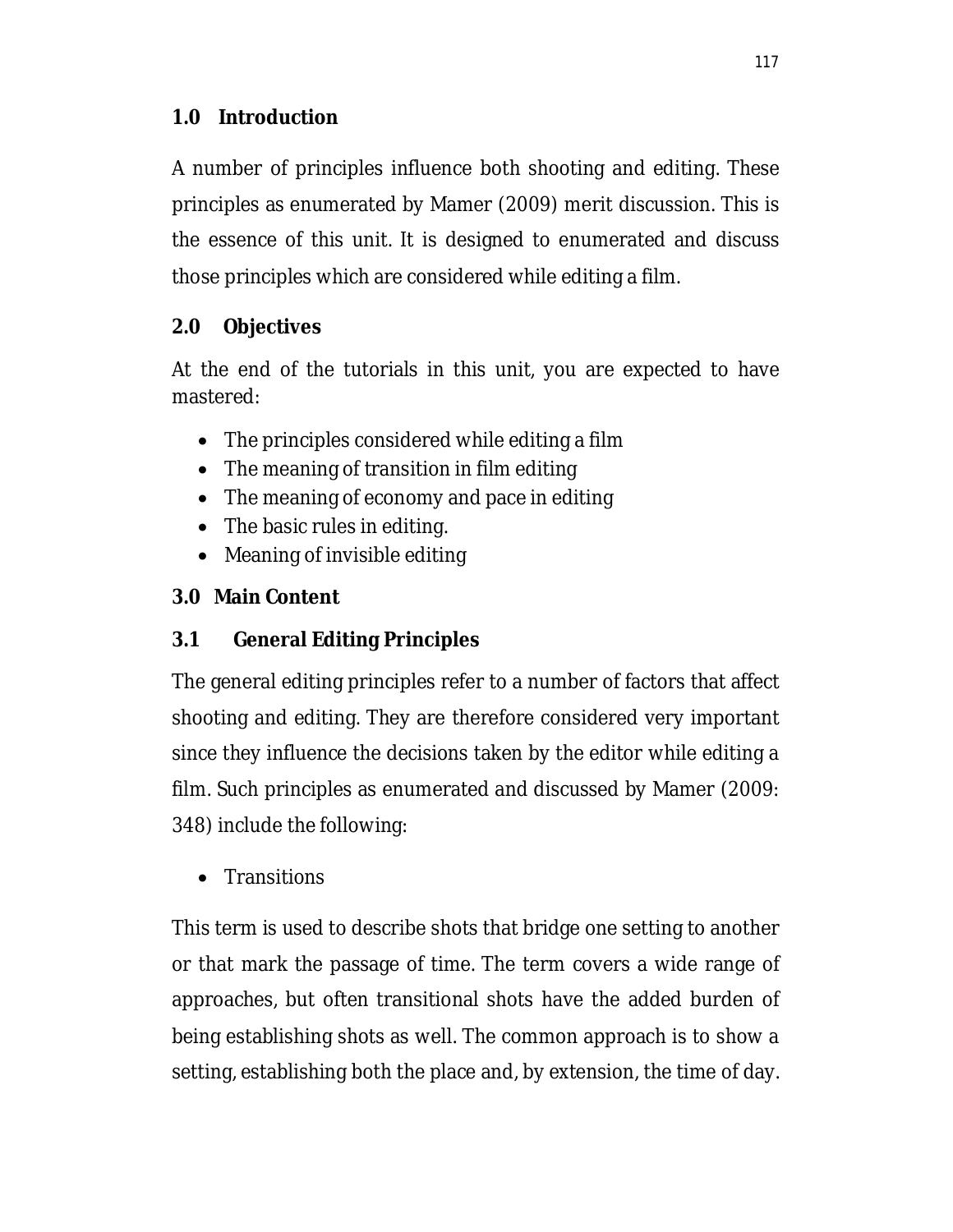### **1.0 Introduction**

A number of principles influence both shooting and editing. These principles as enumerated by Mamer (2009) merit discussion. This is the essence of this unit. It is designed to enumerated and discuss those principles which are considered while editing a film.

# **2.0 Objectives**

At the end of the tutorials in this unit, you are expected to have mastered:

- The principles considered while editing a film
- The meaning of transition in film editing
- The meaning of economy and pace in editing
- The basic rules in editing.
- Meaning of invisible editing

# **3.0 Main Content**

# **3.1 General Editing Principles**

The general editing principles refer to a number of factors that affect shooting and editing. They are therefore considered very important since they influence the decisions taken by the editor while editing a film. Such principles as enumerated and discussed by Mamer (2009: 348) include the following:

• Transitions

This term is used to describe shots that bridge one setting to another or that mark the passage of time. The term covers a wide range of approaches, but often transitional shots have the added burden of being establishing shots as well. The common approach is to show a setting, establishing both the place and, by extension, the time of day.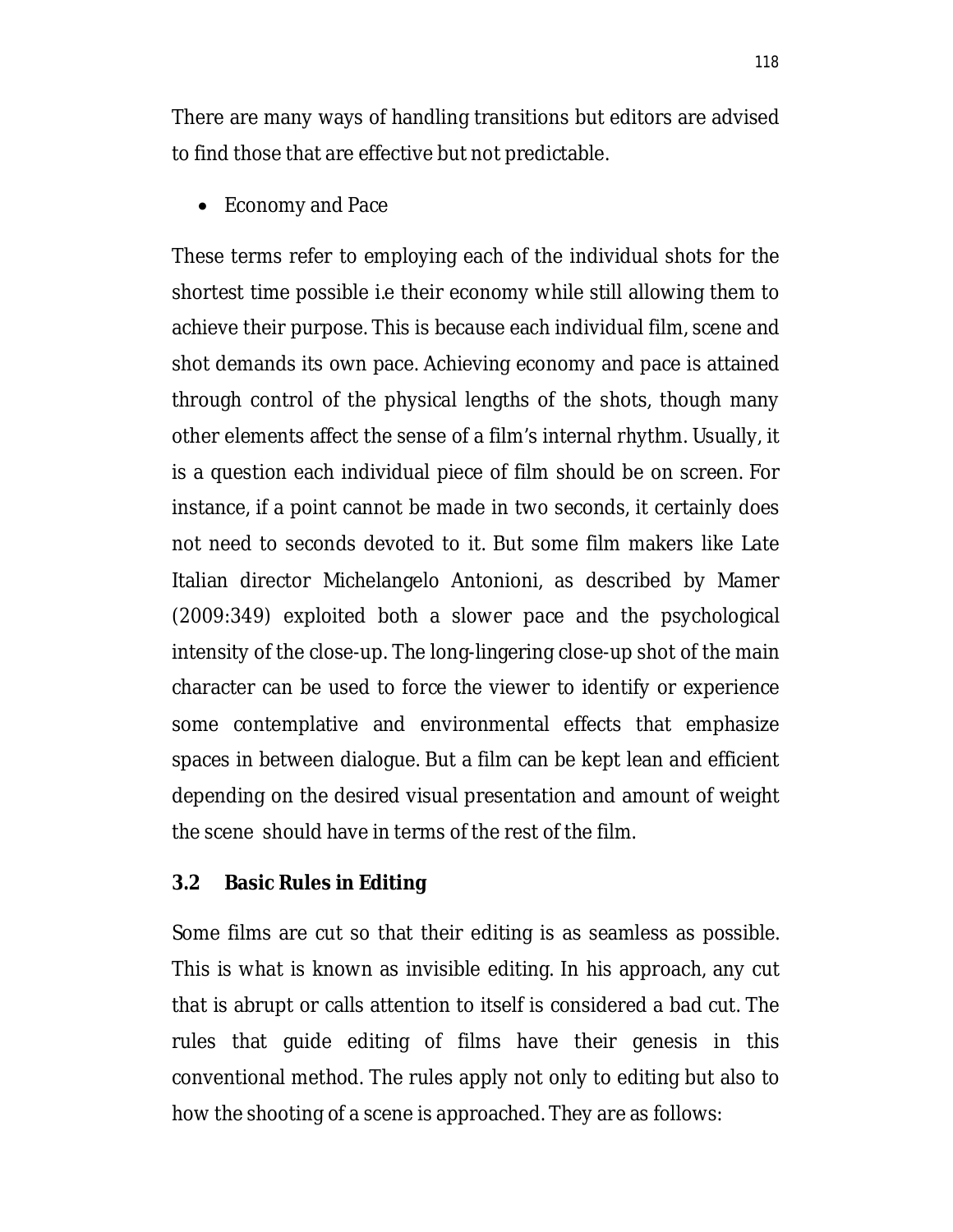There are many ways of handling transitions but editors are advised to find those that are effective but not predictable.

• Economy and Pace

These terms refer to employing each of the individual shots for the shortest time possible i.e their economy while still allowing them to achieve their purpose. This is because each individual film, scene and shot demands its own pace. Achieving economy and pace is attained through control of the physical lengths of the shots, though many other elements affect the sense of a film's internal rhythm. Usually, it is a question each individual piece of film should be on screen. For instance, if a point cannot be made in two seconds, it certainly does not need to seconds devoted to it. But some film makers like Late Italian director Michelangelo Antonioni, as described by Mamer (2009:349) exploited both a slower pace and the psychological intensity of the close-up. The long-lingering close-up shot of the main character can be used to force the viewer to identify or experience some contemplative and environmental effects that emphasize spaces in between dialogue. But a film can be kept lean and efficient depending on the desired visual presentation and amount of weight the scene should have in terms of the rest of the film.

#### **3.2 Basic Rules in Editing**

Some films are cut so that their editing is as seamless as possible. This is what is known as invisible editing. In his approach, any cut that is abrupt or calls attention to itself is considered a bad cut. The rules that guide editing of films have their genesis in this conventional method. The rules apply not only to editing but also to how the shooting of a scene is approached. They are as follows: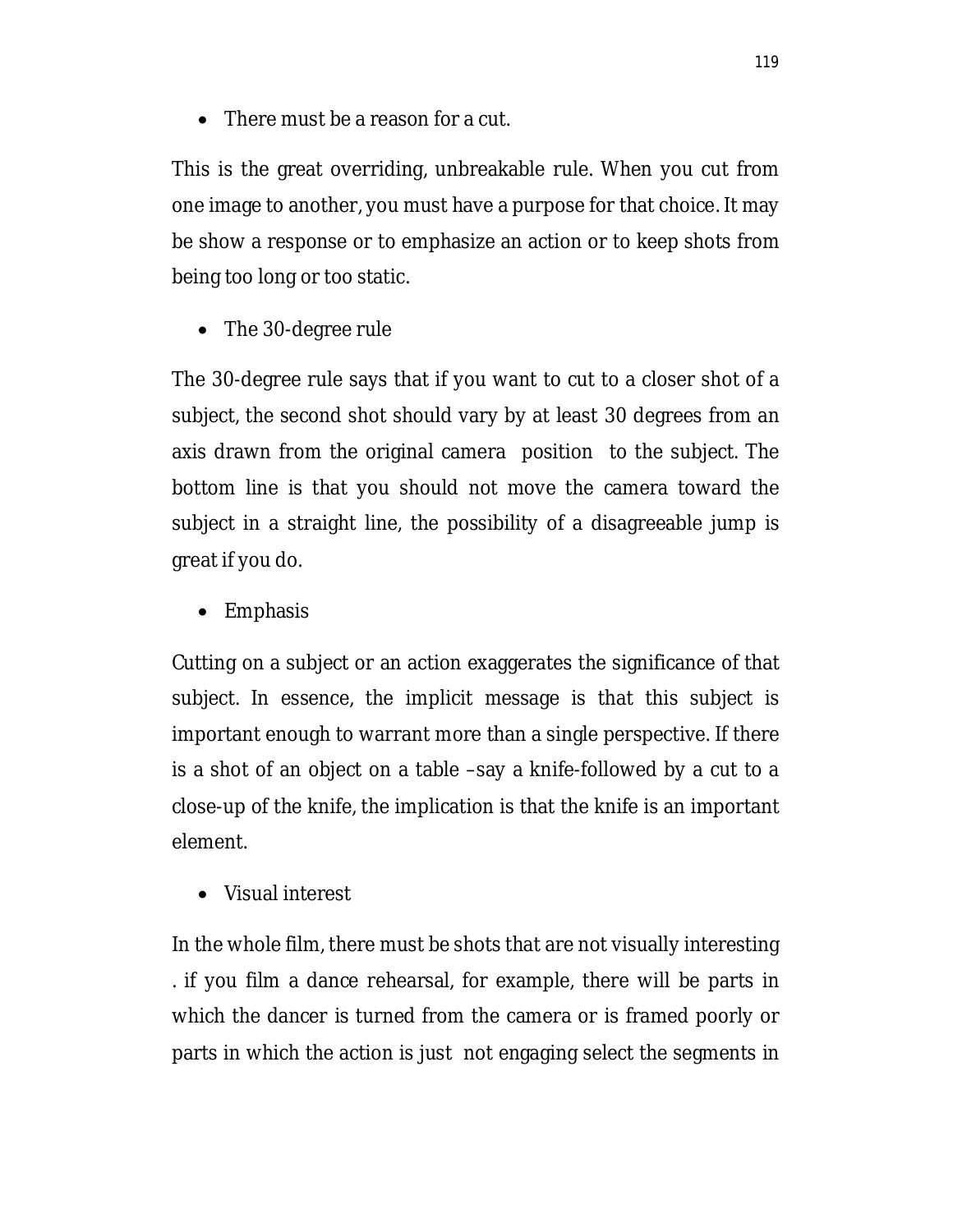There must be a reason for a cut.

This is the great overriding, unbreakable rule. When you cut from one image to another, you must have a purpose for that choice. It may be show a response or to emphasize an action or to keep shots from being too long or too static.

• The 30-degree rule

The 30-degree rule says that if you want to cut to a closer shot of a subject, the second shot should vary by at least 30 degrees from an axis drawn from the original camera position to the subject. The bottom line is that you should not move the camera toward the subject in a straight line, the possibility of a disagreeable jump is great if you do.

• Emphasis

Cutting on a subject or an action exaggerates the significance of that subject. In essence, the implicit message is that this subject is important enough to warrant more than a single perspective. If there is a shot of an object on a table –say a knife-followed by a cut to a close-up of the knife, the implication is that the knife is an important element.

Visual interest

In the whole film, there must be shots that are not visually interesting . if you film a dance rehearsal, for example, there will be parts in which the dancer is turned from the camera or is framed poorly or parts in which the action is just not engaging select the segments in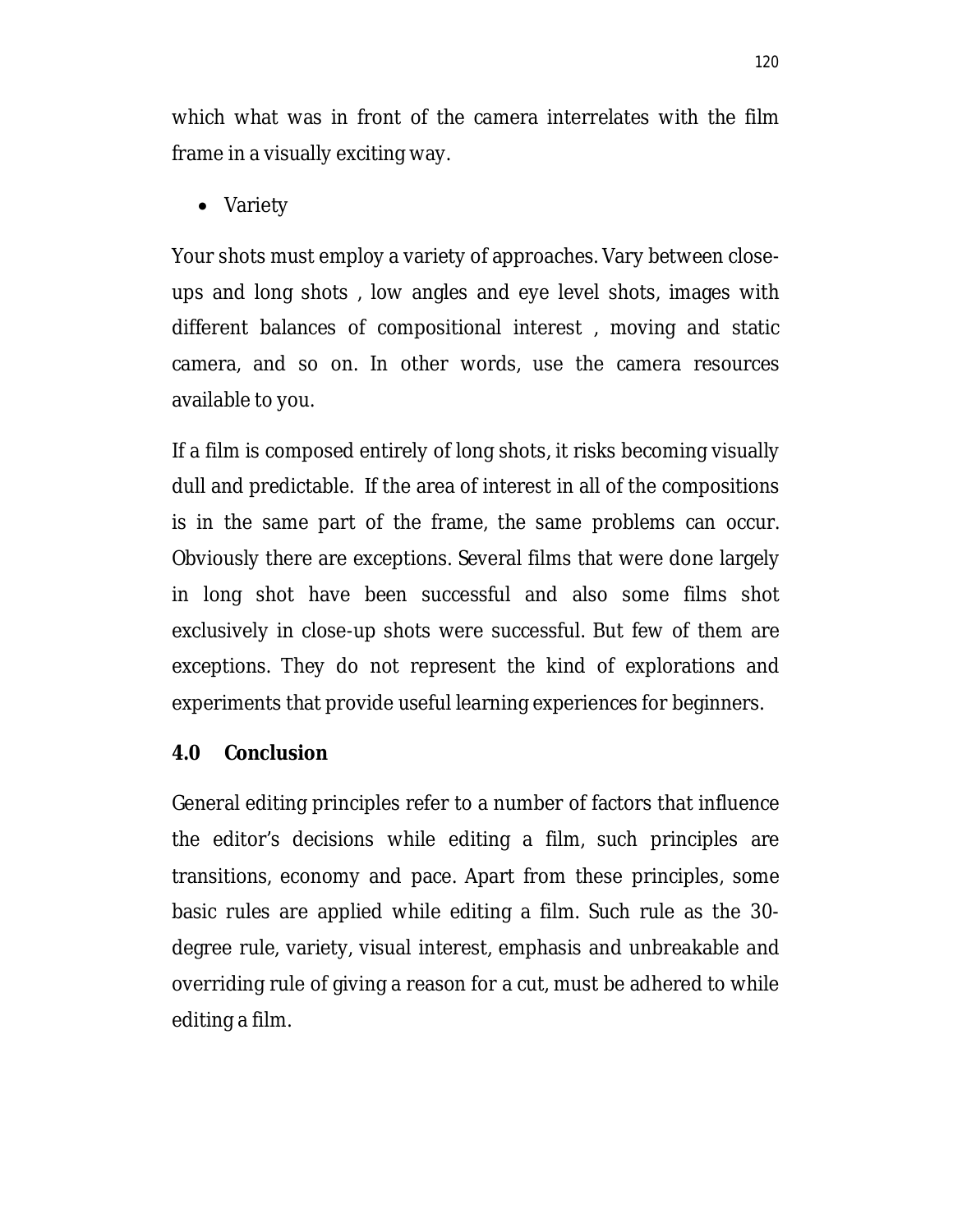which what was in front of the camera interrelates with the film frame in a visually exciting way.

• Variety

Your shots must employ a variety of approaches. Vary between closeups and long shots , low angles and eye level shots, images with different balances of compositional interest , moving and static camera, and so on. In other words, use the camera resources available to you.

If a film is composed entirely of long shots, it risks becoming visually dull and predictable. If the area of interest in all of the compositions is in the same part of the frame, the same problems can occur. Obviously there are exceptions. Several films that were done largely in long shot have been successful and also some films shot exclusively in close-up shots were successful. But few of them are exceptions. They do not represent the kind of explorations and experiments that provide useful learning experiences for beginners.

#### **4.0 Conclusion**

General editing principles refer to a number of factors that influence the editor's decisions while editing a film, such principles are transitions, economy and pace. Apart from these principles, some basic rules are applied while editing a film. Such rule as the 30 degree rule, variety, visual interest, emphasis and unbreakable and overriding rule of giving a reason for a cut, must be adhered to while editing a film.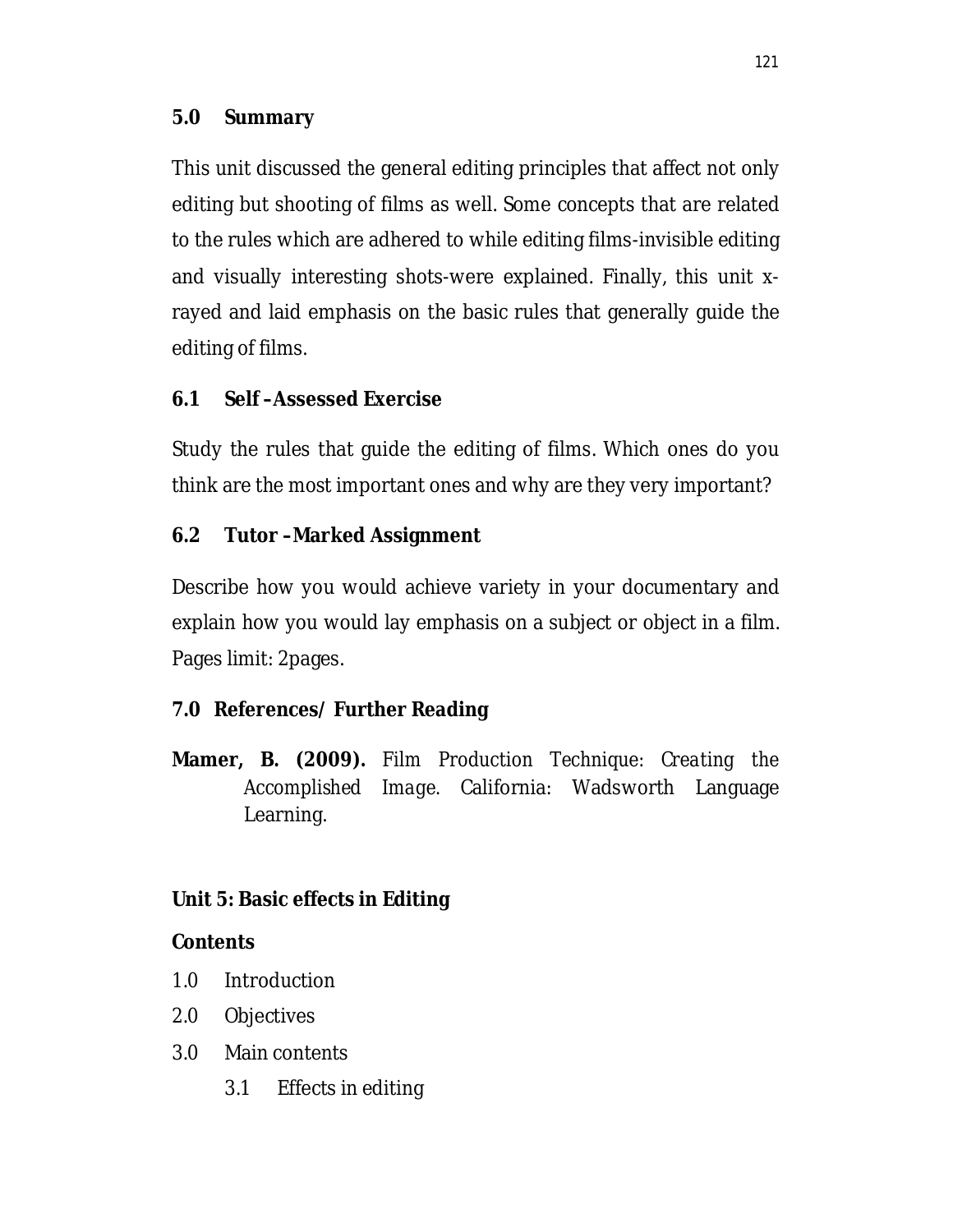#### **5.0 Summary**

This unit discussed the general editing principles that affect not only editing but shooting of films as well. Some concepts that are related to the rules which are adhered to while editing films-invisible editing and visually interesting shots-were explained. Finally, this unit xrayed and laid emphasis on the basic rules that generally guide the editing of films.

### **6.1 Self –Assessed Exercise**

Study the rules that guide the editing of films. Which ones do you think are the most important ones and why are they very important?

#### **6.2 Tutor –Marked Assignment**

Describe how you would achieve variety in your documentary and explain how you would lay emphasis on a subject or object in a film. Pages limit: 2pages.

### **7.0 References/ Further Reading**

**Mamer, B. (2009).** *Film Production Technique: Creating the Accomplished Image.* California: Wadsworth Language Learning.

### **Unit 5: Basic effects in Editing**

#### **Contents**

- 1.0 Introduction
- 2.0 Objectives
- 3.0 Main contents
	- 3.1 Effects in editing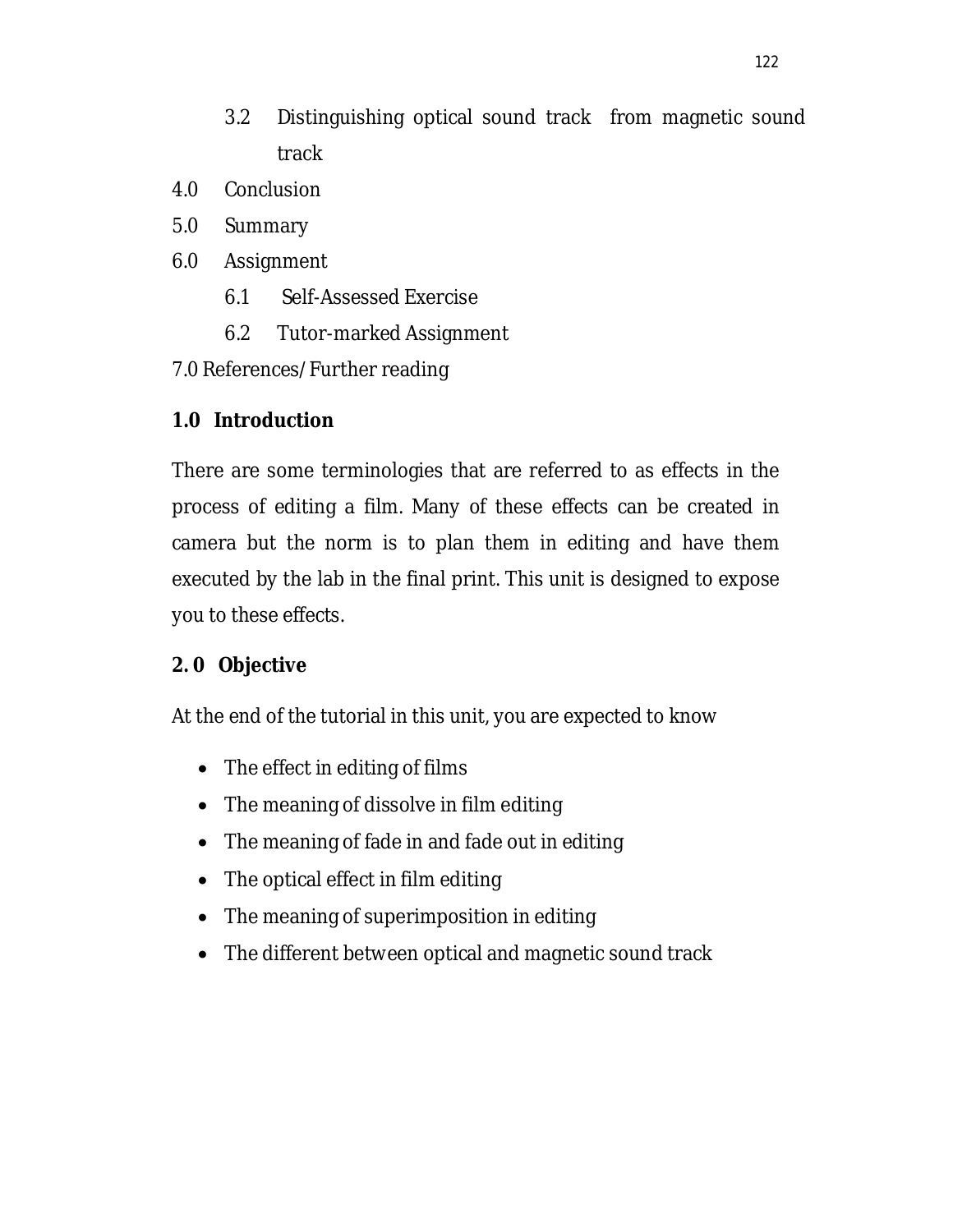- 3.2 Distinguishing optical sound track from magnetic sound track
- 4.0 Conclusion
- 5.0 Summary
- 6.0 Assignment
	- 6.1 Self-Assessed Exercise
	- 6.2 Tutor-marked Assignment
- 7.0 References/Further reading

### **1.0 Introduction**

There are some terminologies that are referred to as effects in the process of editing a film. Many of these effects can be created in camera but the norm is to plan them in editing and have them executed by the lab in the final print. This unit is designed to expose you to these effects.

# **2. 0 Objective**

At the end of the tutorial in this unit, you are expected to know

- The effect in editing of films
- The meaning of dissolve in film editing
- The meaning of fade in and fade out in editing
- The optical effect in film editing
- The meaning of superimposition in editing
- The different between optical and magnetic sound track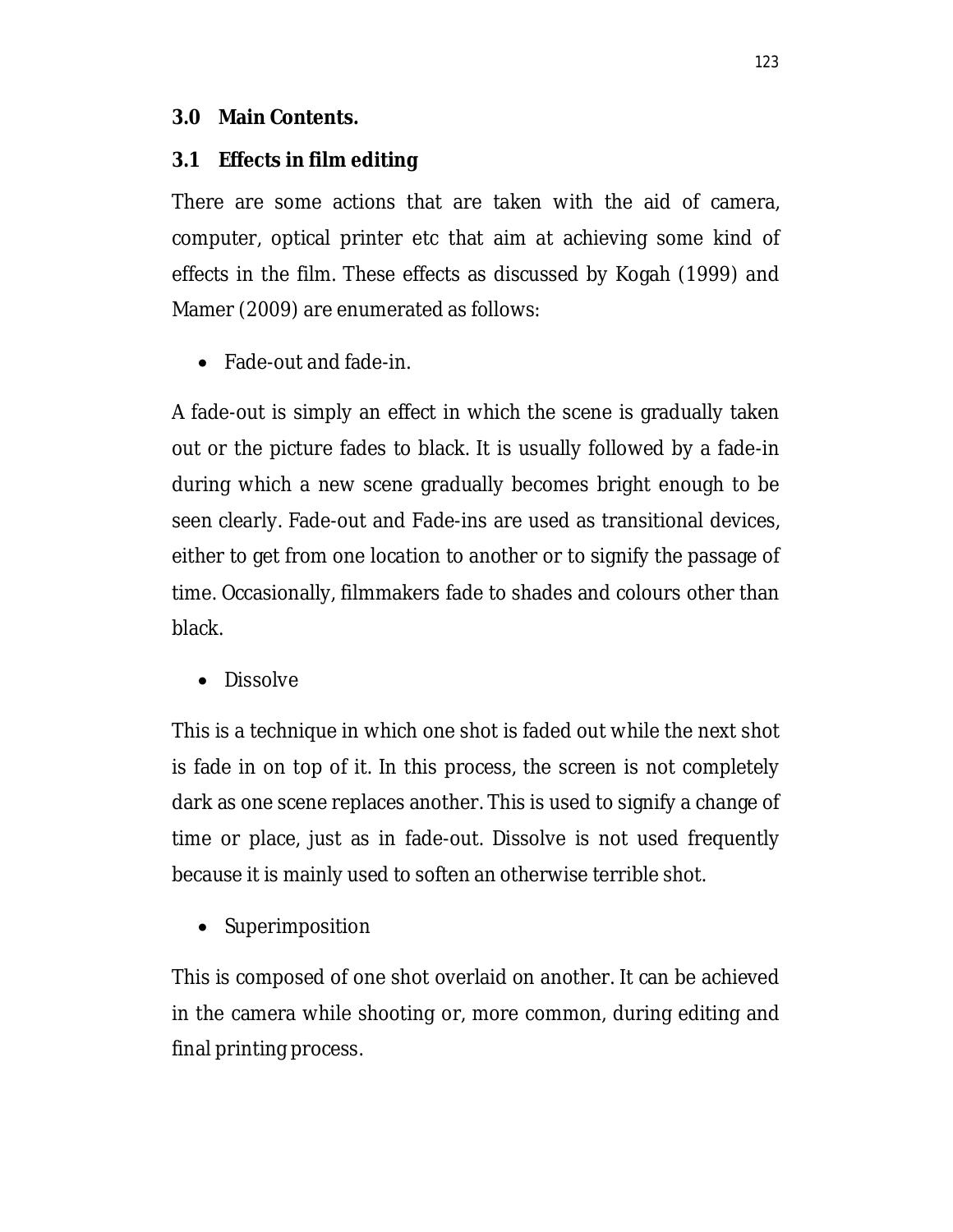#### **3.0 Main Contents.**

#### **3.1 Effects in film editing**

There are some actions that are taken with the aid of camera, computer, optical printer etc that aim at achieving some kind of effects in the film. These effects as discussed by Kogah (1999) and Mamer (2009) are enumerated as follows:

Fade-out and fade-in.

A fade-out is simply an effect in which the scene is gradually taken out or the picture fades to black. It is usually followed by a fade-in during which a new scene gradually becomes bright enough to be seen clearly. Fade-out and Fade-ins are used as transitional devices, either to get from one location to another or to signify the passage of time. Occasionally, filmmakers fade to shades and colours other than black.

• Dissolve

This is a technique in which one shot is faded out while the next shot is fade in on top of it. In this process, the screen is not completely dark as one scene replaces another. This is used to signify a change of time or place, just as in fade-out. Dissolve is not used frequently because it is mainly used to soften an otherwise terrible shot.

• Superimposition

This is composed of one shot overlaid on another. It can be achieved in the camera while shooting or, more common, during editing and final printing process.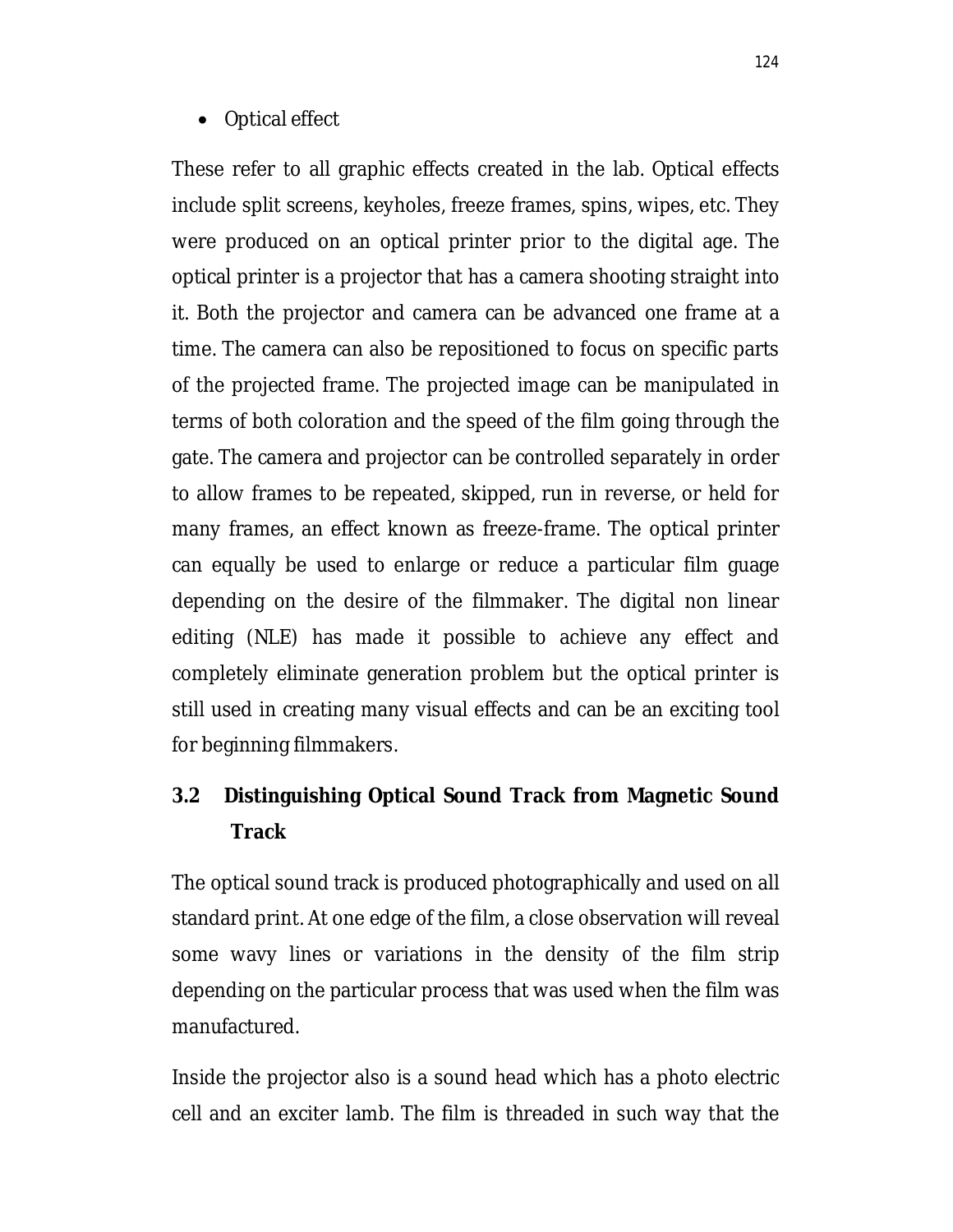#### Optical effect

These refer to all graphic effects created in the lab. Optical effects include split screens, keyholes, freeze frames, spins, wipes, etc. They were produced on an optical printer prior to the digital age. The optical printer is a projector that has a camera shooting straight into it. Both the projector and camera can be advanced one frame at a time. The camera can also be repositioned to focus on specific parts of the projected frame. The projected image can be manipulated in terms of both coloration and the speed of the film going through the gate. The camera and projector can be controlled separately in order to allow frames to be repeated, skipped, run in reverse, or held for many frames, an effect known as freeze-frame. The optical printer can equally be used to enlarge or reduce a particular film guage depending on the desire of the filmmaker. The digital non linear editing (NLE) has made it possible to achieve any effect and completely eliminate generation problem but the optical printer is still used in creating many visual effects and can be an exciting tool for beginning filmmakers.

# **3.2 Distinguishing Optical Sound Track from Magnetic Sound Track**

The optical sound track is produced photographically and used on all standard print. At one edge of the film, a close observation will reveal some wavy lines or variations in the density of the film strip depending on the particular process that was used when the film was manufactured.

Inside the projector also is a sound head which has a photo electric cell and an exciter lamb. The film is threaded in such way that the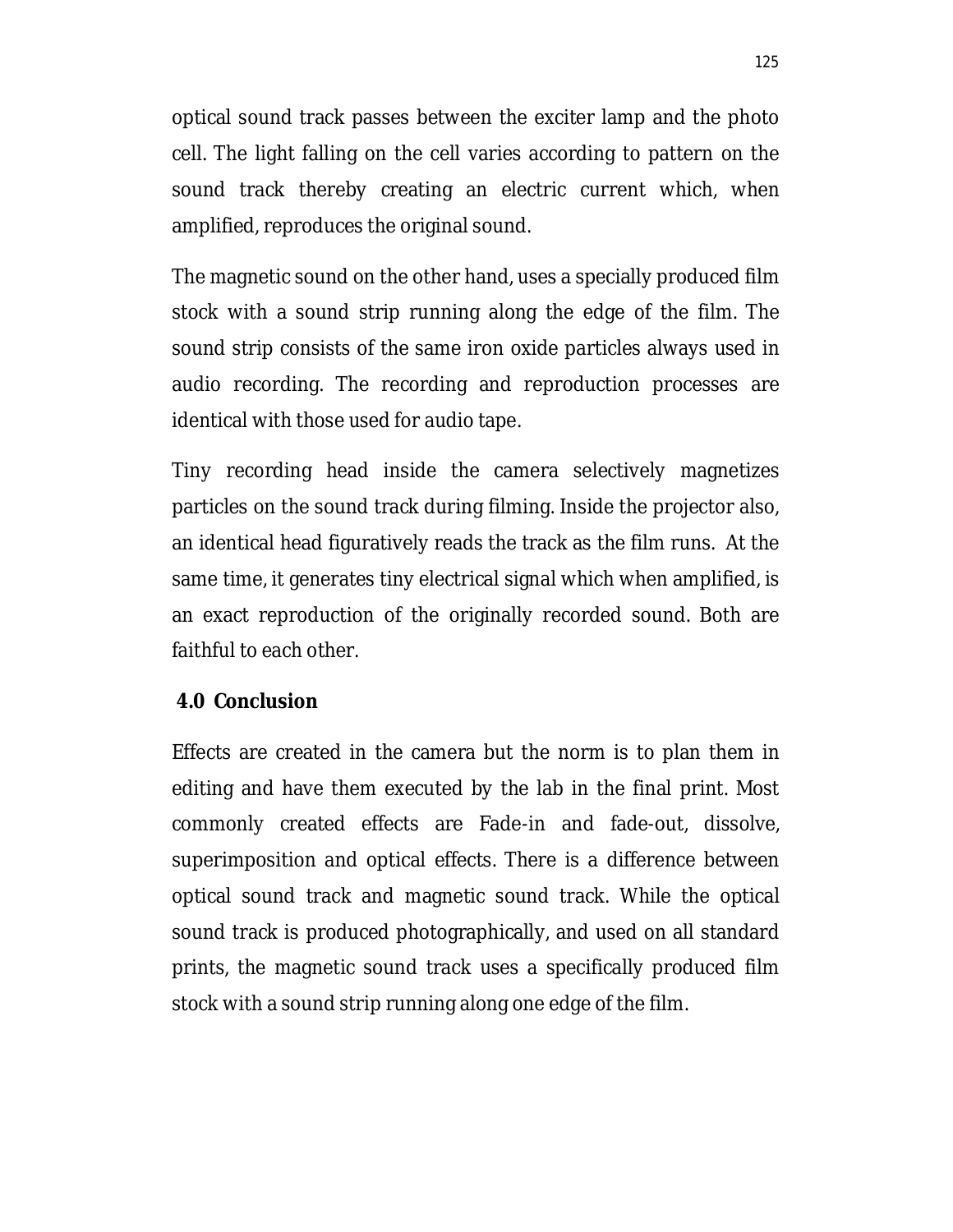optical sound track passes between the exciter lamp and the photo cell. The light falling on the cell varies according to pattern on the sound track thereby creating an electric current which, when amplified, reproduces the original sound.

The magnetic sound on the other hand, uses a specially produced film stock with a sound strip running along the edge of the film. The sound strip consists of the same iron oxide particles always used in audio recording. The recording and reproduction processes are identical with those used for audio tape.

Tiny recording head inside the camera selectively magnetizes particles on the sound track during filming. Inside the projector also, an identical head figuratively reads the track as the film runs. At the same time, it generates tiny electrical signal which when amplified, is an exact reproduction of the originally recorded sound. Both are faithful to each other.

#### **4.0 Conclusion**

Effects are created in the camera but the norm is to plan them in editing and have them executed by the lab in the final print. Most commonly created effects are Fade-in and fade-out, dissolve, superimposition and optical effects. There is a difference between optical sound track and magnetic sound track. While the optical sound track is produced photographically, and used on all standard prints, the magnetic sound track uses a specifically produced film stock with a sound strip running along one edge of the film.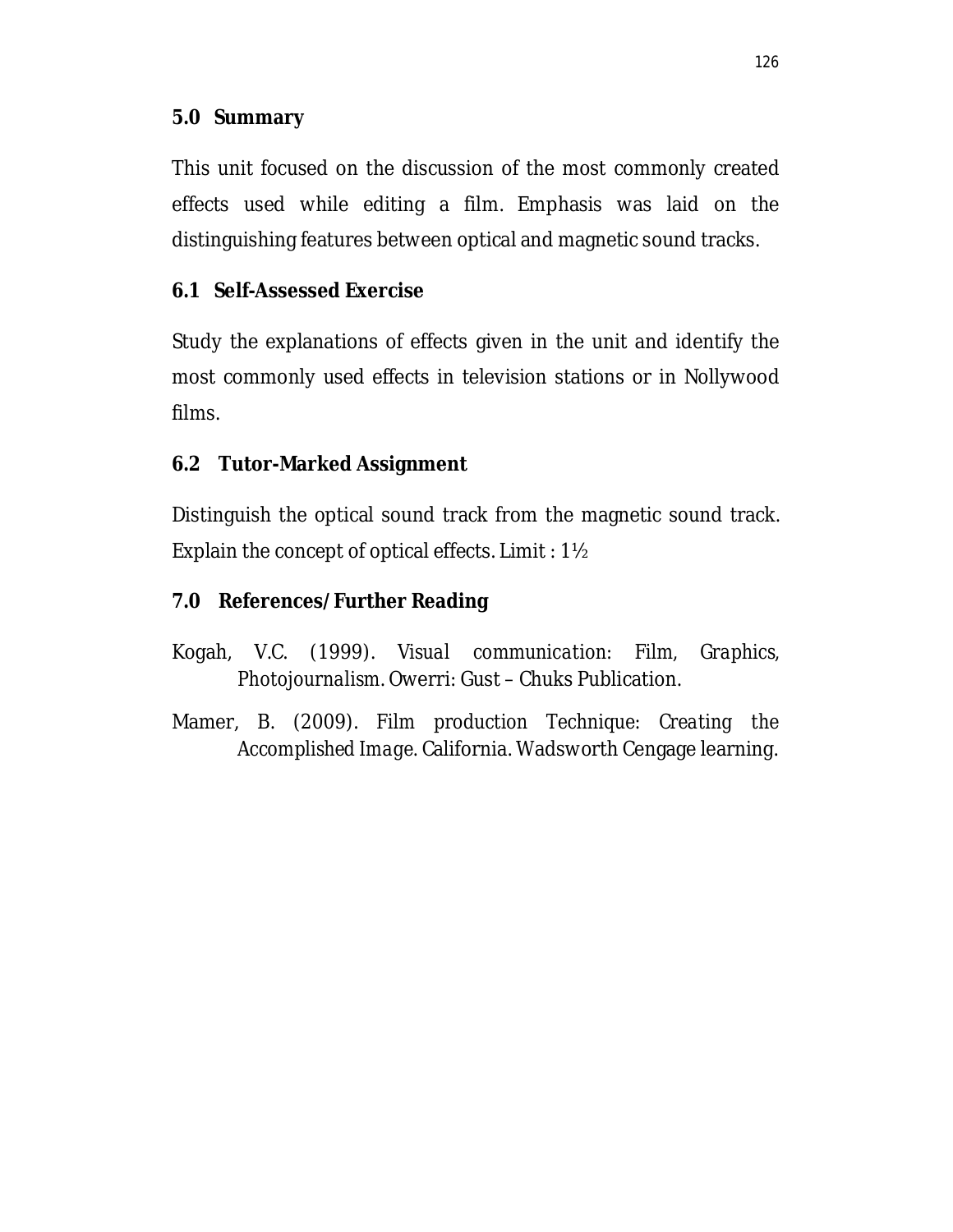#### **5.0 Summary**

This unit focused on the discussion of the most commonly created effects used while editing a film. Emphasis was laid on the distinguishing features between optical and magnetic sound tracks.

### **6.1 Self-Assessed Exercise**

Study the explanations of effects given in the unit and identify the most commonly used effects in television stations or in Nollywood films.

#### **6.2 Tutor-Marked Assignment**

Distinguish the optical sound track from the magnetic sound track. Explain the concept of optical effects. Limit : 1½

### **7.0 References/Further Reading**

Kogah, V.C. (1999). *Visual communication: Film, Graphics, Photojournalism*. Owerri: Gust – Chuks Publication.

Mamer, B. (2009). *Film production Technique: Creating the Accomplished Image.* California. Wadsworth Cengage learning.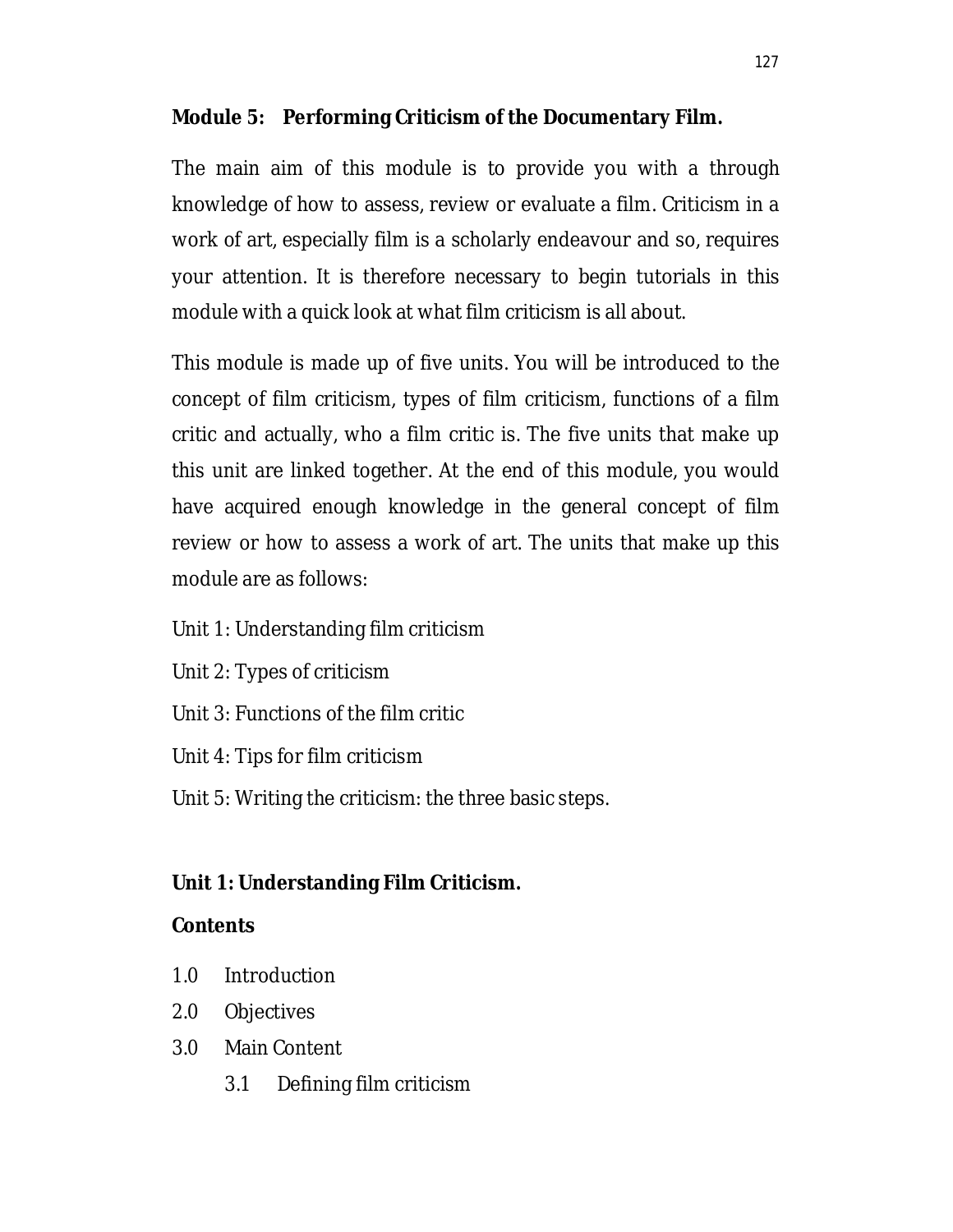### **Module 5: Performing Criticism of the Documentary Film.**

The main aim of this module is to provide you with a through knowledge of how to assess, review or evaluate a film. Criticism in a work of art, especially film is a scholarly endeavour and so, requires your attention. It is therefore necessary to begin tutorials in this module with a quick look at what film criticism is all about.

This module is made up of five units. You will be introduced to the concept of film criticism, types of film criticism, functions of a film critic and actually, who a film critic is. The five units that make up this unit are linked together. At the end of this module, you would have acquired enough knowledge in the general concept of film review or how to assess a work of art. The units that make up this module are as follows:

- Unit 1: Understanding film criticism
- Unit 2: Types of criticism
- Unit 3: Functions of the film critic
- Unit 4: Tips for film criticism
- Unit 5: Writing the criticism: the three basic steps.

# **Unit 1: Understanding Film Criticism.**

### **Contents**

- 1.0 Introduction
- 2.0 Objectives
- 3.0 Main Content
	- 3.1 Defining film criticism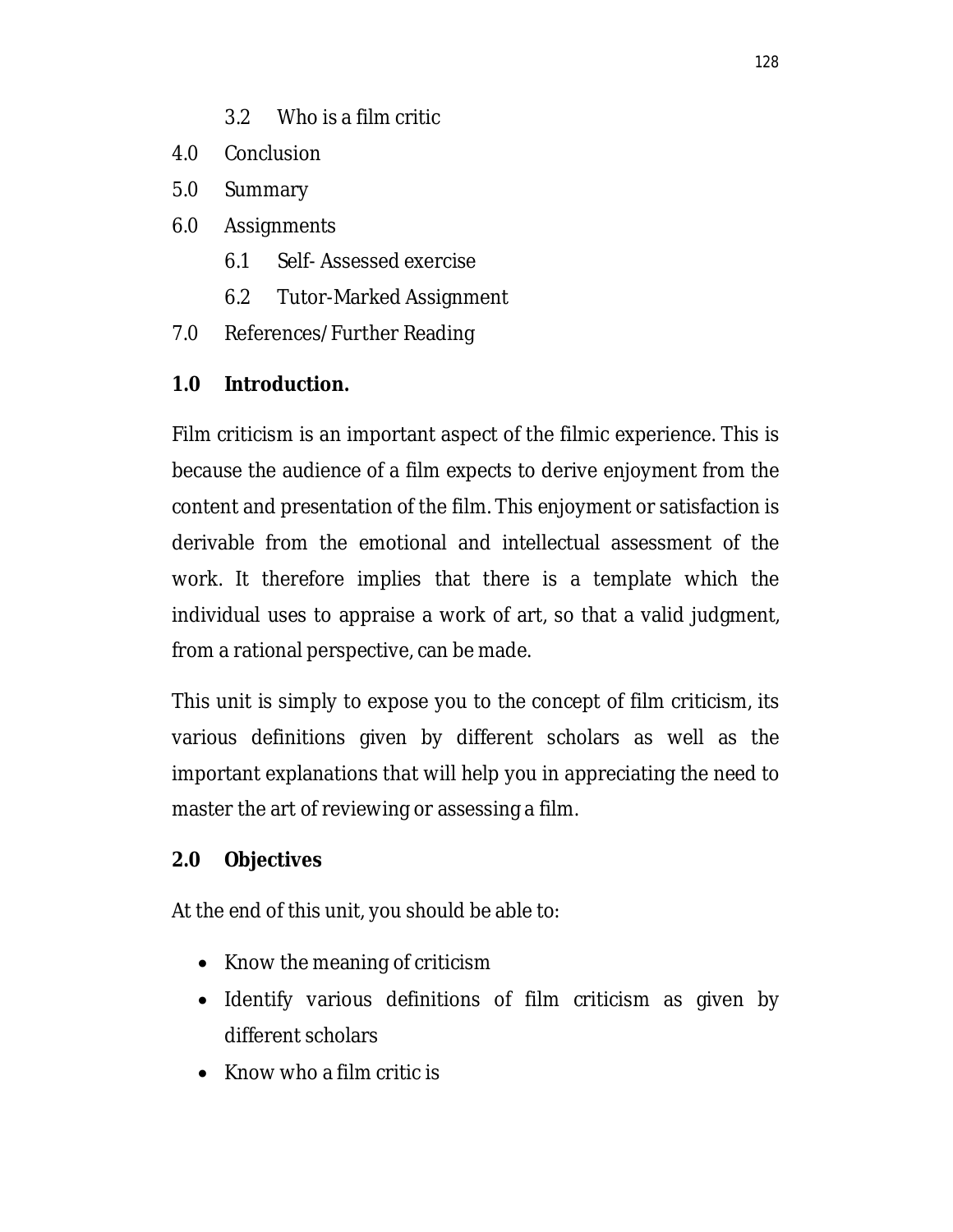- 3.2 Who is a film critic
- 4.0 Conclusion
- 5.0 Summary
- 6.0 Assignments
	- 6.1 Self- Assessed exercise
	- 6.2 Tutor-Marked Assignment
- 7.0 References/Further Reading

### **1.0 Introduction.**

Film criticism is an important aspect of the filmic experience. This is because the audience of a film expects to derive enjoyment from the content and presentation of the film. This enjoyment or satisfaction is derivable from the emotional and intellectual assessment of the work. It therefore implies that there is a template which the individual uses to appraise a work of art, so that a valid judgment, from a rational perspective, can be made.

This unit is simply to expose you to the concept of film criticism, its various definitions given by different scholars as well as the important explanations that will help you in appreciating the need to master the art of reviewing or assessing a film.

### **2.0 Objectives**

At the end of this unit, you should be able to:

- Know the meaning of criticism
- Identify various definitions of film criticism as given by different scholars
- $\bullet$  Know who a film critic is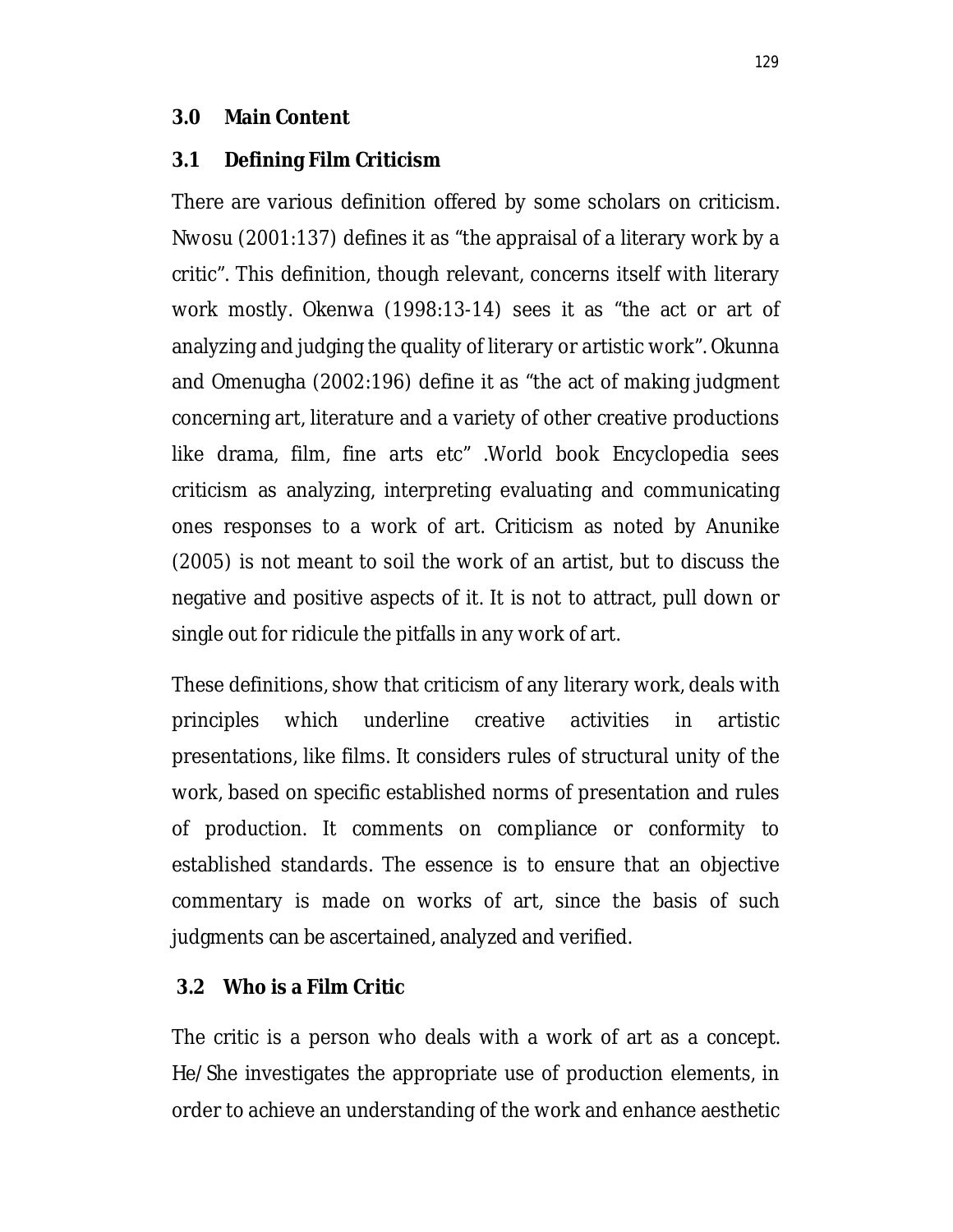#### **3.0 Main Content**

#### **3.1 Defining Film Criticism**

There are various definition offered by some scholars on criticism. Nwosu (2001:137) defines it as "the appraisal of a literary work by a critic". This definition, though relevant, concerns itself with literary work mostly. Okenwa (1998:13-14) sees it as "the act or art of analyzing and judging the quality of literary or artistic work". Okunna and Omenugha (2002:196) define it as "the act of making judgment concerning art, literature and a variety of other creative productions like drama, film, fine arts etc" .World book Encyclopedia sees criticism as analyzing, interpreting evaluating and communicating ones responses to a work of art. Criticism as noted by Anunike (2005) is not meant to soil the work of an artist, but to discuss the negative and positive aspects of it. It is not to attract, pull down or single out for ridicule the pitfalls in any work of art.

These definitions, show that criticism of any literary work, deals with principles which underline creative activities in artistic presentations, like films. It considers rules of structural unity of the work, based on specific established norms of presentation and rules of production. It comments on compliance or conformity to established standards. The essence is to ensure that an objective commentary is made on works of art, since the basis of such judgments can be ascertained, analyzed and verified.

#### **3.2 Who is a Film Critic**

The critic is a person who deals with a work of art as a concept. He/She investigates the appropriate use of production elements, in order to achieve an understanding of the work and enhance aesthetic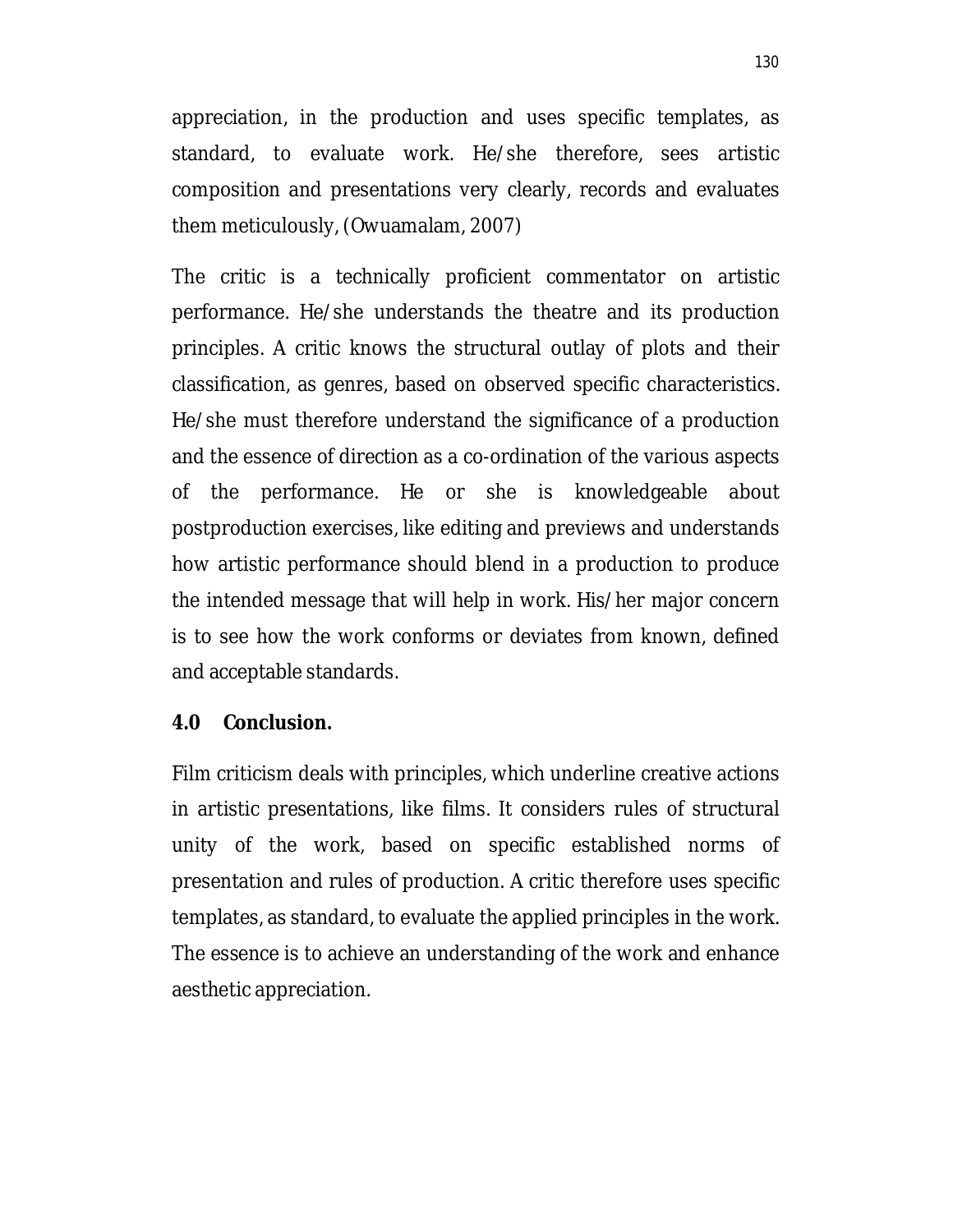appreciation, in the production and uses specific templates, as standard, to evaluate work. He/she therefore, sees artistic composition and presentations very clearly, records and evaluates them meticulously, (Owuamalam, 2007)

The critic is a technically proficient commentator on artistic performance. He/she understands the theatre and its production principles. A critic knows the structural outlay of plots and their classification, as genres, based on observed specific characteristics. He/she must therefore understand the significance of a production and the essence of direction as a co-ordination of the various aspects of the performance. He or she is knowledgeable about postproduction exercises, like editing and previews and understands how artistic performance should blend in a production to produce the intended message that will help in work. His/her major concern is to see how the work conforms or deviates from known, defined and acceptable standards.

#### **4.0 Conclusion.**

Film criticism deals with principles, which underline creative actions in artistic presentations, like films. It considers rules of structural unity of the work, based on specific established norms of presentation and rules of production. A critic therefore uses specific templates, as standard, to evaluate the applied principles in the work. The essence is to achieve an understanding of the work and enhance aesthetic appreciation.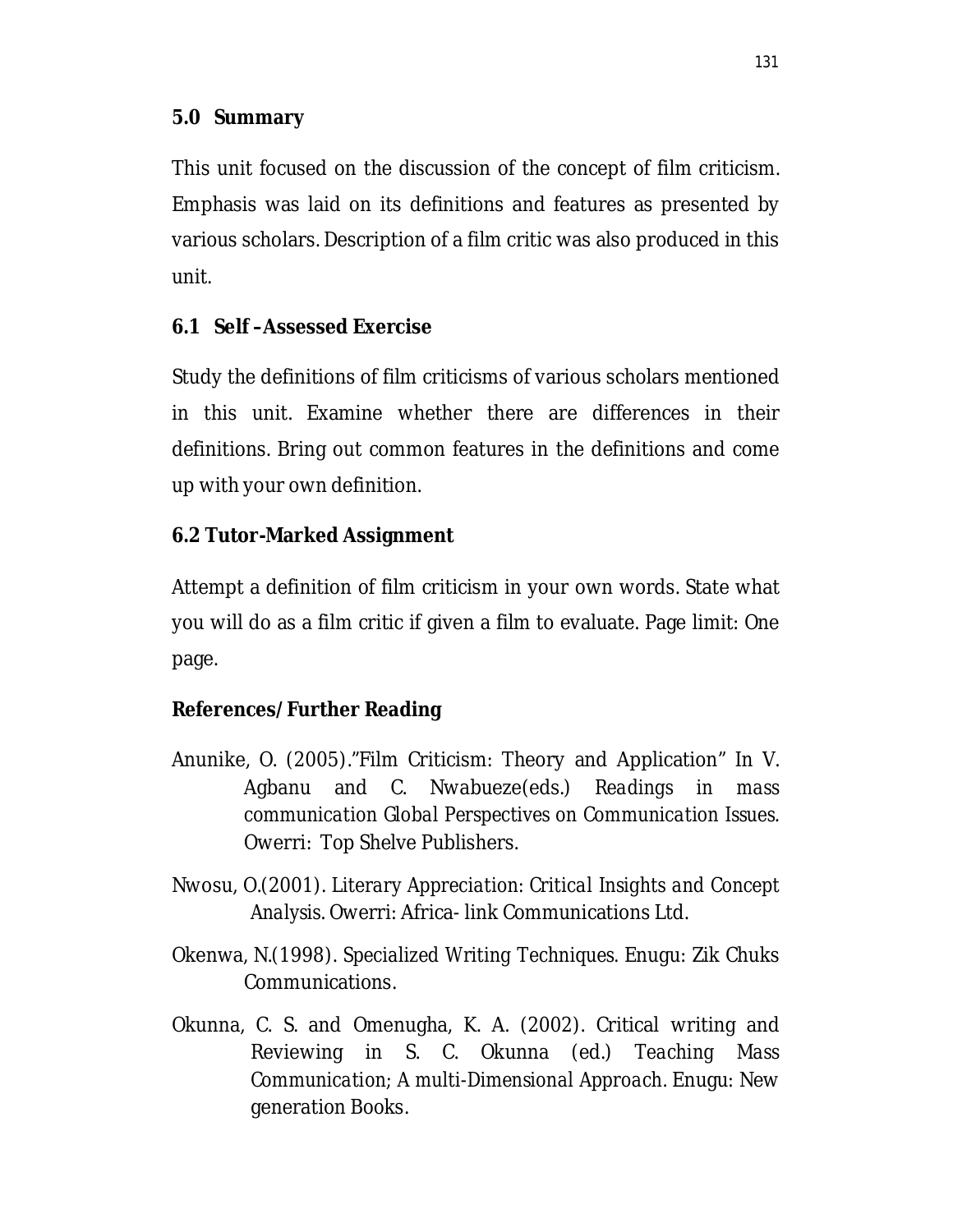This unit focused on the discussion of the concept of film criticism. Emphasis was laid on its definitions and features as presented by various scholars. Description of a film critic was also produced in this unit.

# **6.1 Self –Assessed Exercise**

Study the definitions of film criticisms of various scholars mentioned in this unit. Examine whether there are differences in their definitions. Bring out common features in the definitions and come up with your own definition.

# **6.2 Tutor-Marked Assignment**

Attempt a definition of film criticism in your own words. State what you will do as a film critic if given a film to evaluate. Page limit: One page.

# **References/Further Reading**

- Anunike, O. (2005)."Film Criticism: Theory and Application" In V. Agbanu and C. Nwabueze(eds.) *Readings in mass communication Global Perspectives on Communication Issues*. Owerri: Top Shelve Publishers.
- Nwosu, O.(2001). *Literary Appreciation: Critical Insights and Concept Analysis*. Owerri: Africa- link Communications Ltd.
- Okenwa, N.(1998). *Specialized Writing Techniques.* Enugu: Zik Chuks Communications.
- Okunna, C. S. and Omenugha, K. A. (2002). Critical writing and Reviewing in S. C. Okunna (ed.) *Teaching Mass Communication; A multi-Dimensional Approach.* Enugu: New generation Books.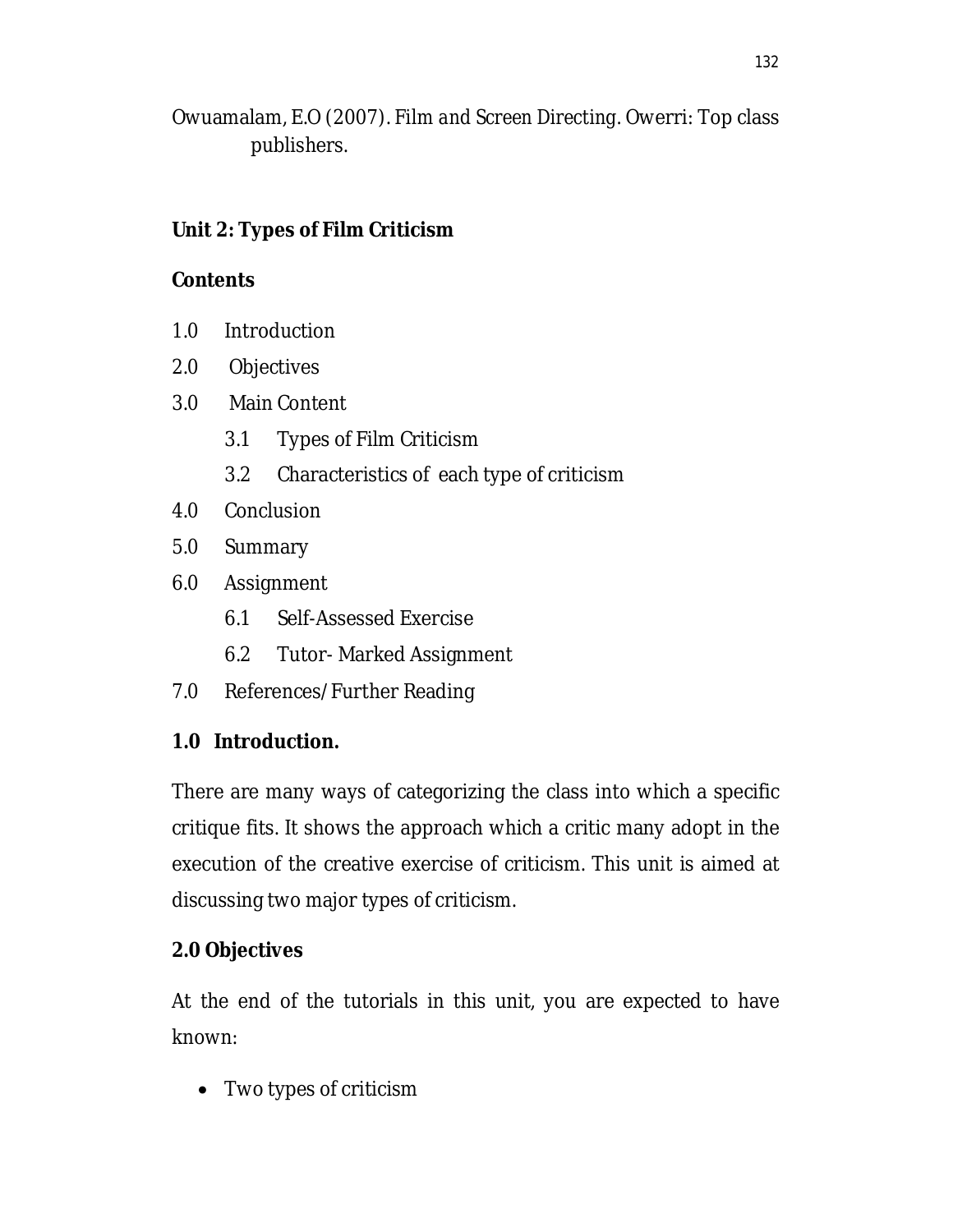Owuamalam, E.O (2007). *Film and Screen Directing.* Owerri: Top class publishers.

# **Unit 2: Types of Film Criticism**

### **Contents**

- 1.0 Introduction
- 2.0 Objectives
- 3.0 Main Content
	- 3.1 Types of Film Criticism
	- 3.2 Characteristics of each type of criticism
- 4.0 Conclusion
- 5.0 Summary
- 6.0 Assignment
	- 6.1 Self-Assessed Exercise
	- 6.2 Tutor- Marked Assignment
- 7.0 References/Further Reading

# **1.0 Introduction.**

There are many ways of categorizing the class into which a specific critique fits. It shows the approach which a critic many adopt in the execution of the creative exercise of criticism. This unit is aimed at discussing two major types of criticism.

### **2.0 Objectives**

At the end of the tutorials in this unit, you are expected to have known:

• Two types of criticism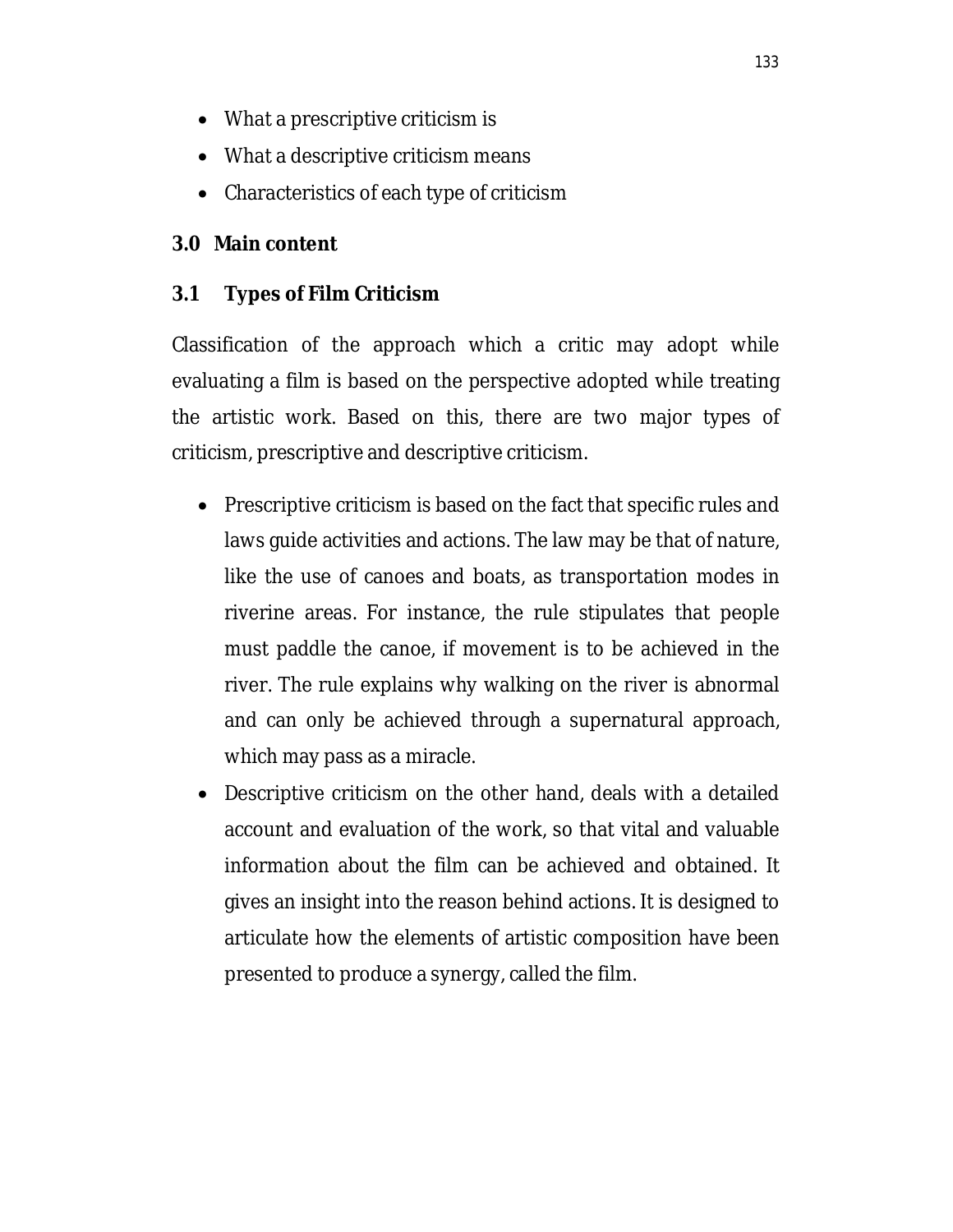- What a prescriptive criticism is
- What a descriptive criticism means
- Characteristics of each type of criticism

# **3.0 Main content**

# **3.1 Types of Film Criticism**

Classification of the approach which a critic may adopt while evaluating a film is based on the perspective adopted while treating the artistic work. Based on this, there are two major types of criticism, prescriptive and descriptive criticism.

- Prescriptive criticism is based on the fact that specific rules and laws guide activities and actions. The law may be that of nature, like the use of canoes and boats, as transportation modes in riverine areas. For instance, the rule stipulates that people must paddle the canoe, if movement is to be achieved in the river. The rule explains why walking on the river is abnormal and can only be achieved through a supernatural approach, which may pass as a miracle.
- Descriptive criticism on the other hand, deals with a detailed account and evaluation of the work, so that vital and valuable information about the film can be achieved and obtained. It gives an insight into the reason behind actions. It is designed to articulate how the elements of artistic composition have been presented to produce a synergy, called the film.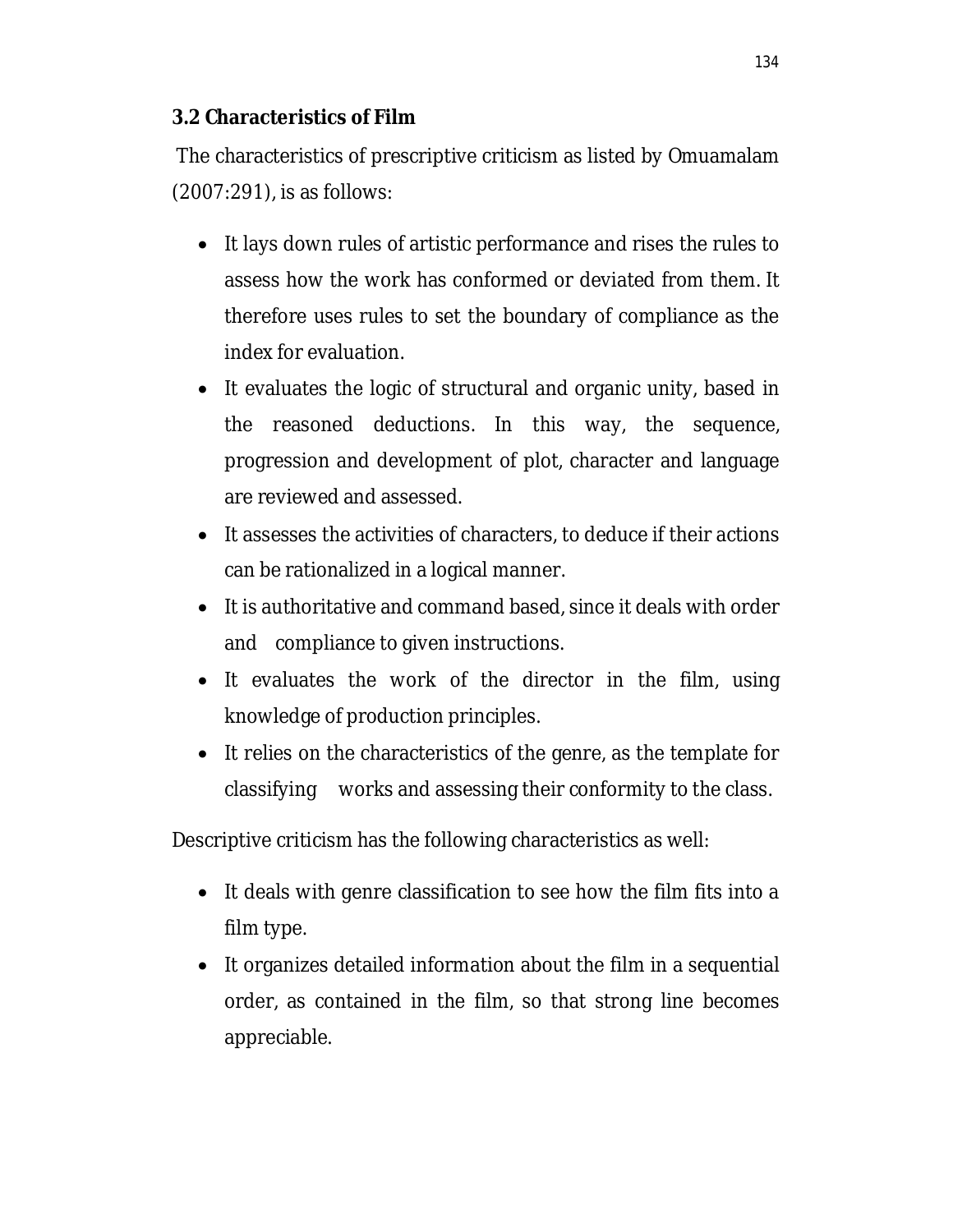### **3.2 Characteristics of Film**

The characteristics of prescriptive criticism as listed by Omuamalam (2007:291), is as follows:

- It lays down rules of artistic performance and rises the rules to assess how the work has conformed or deviated from them. It therefore uses rules to set the boundary of compliance as the index for evaluation.
- It evaluates the logic of structural and organic unity, based in the reasoned deductions. In this way, the sequence, progression and development of plot, character and language are reviewed and assessed.
- It assesses the activities of characters, to deduce if their actions can be rationalized in a logical manner.
- It is authoritative and command based, since it deals with order and compliance to given instructions.
- It evaluates the work of the director in the film, using knowledge of production principles.
- It relies on the characteristics of the genre, as the template for classifying works and assessing their conformity to the class.

Descriptive criticism has the following characteristics as well:

- It deals with genre classification to see how the film fits into a film type.
- It organizes detailed information about the film in a sequential order, as contained in the film, so that strong line becomes appreciable.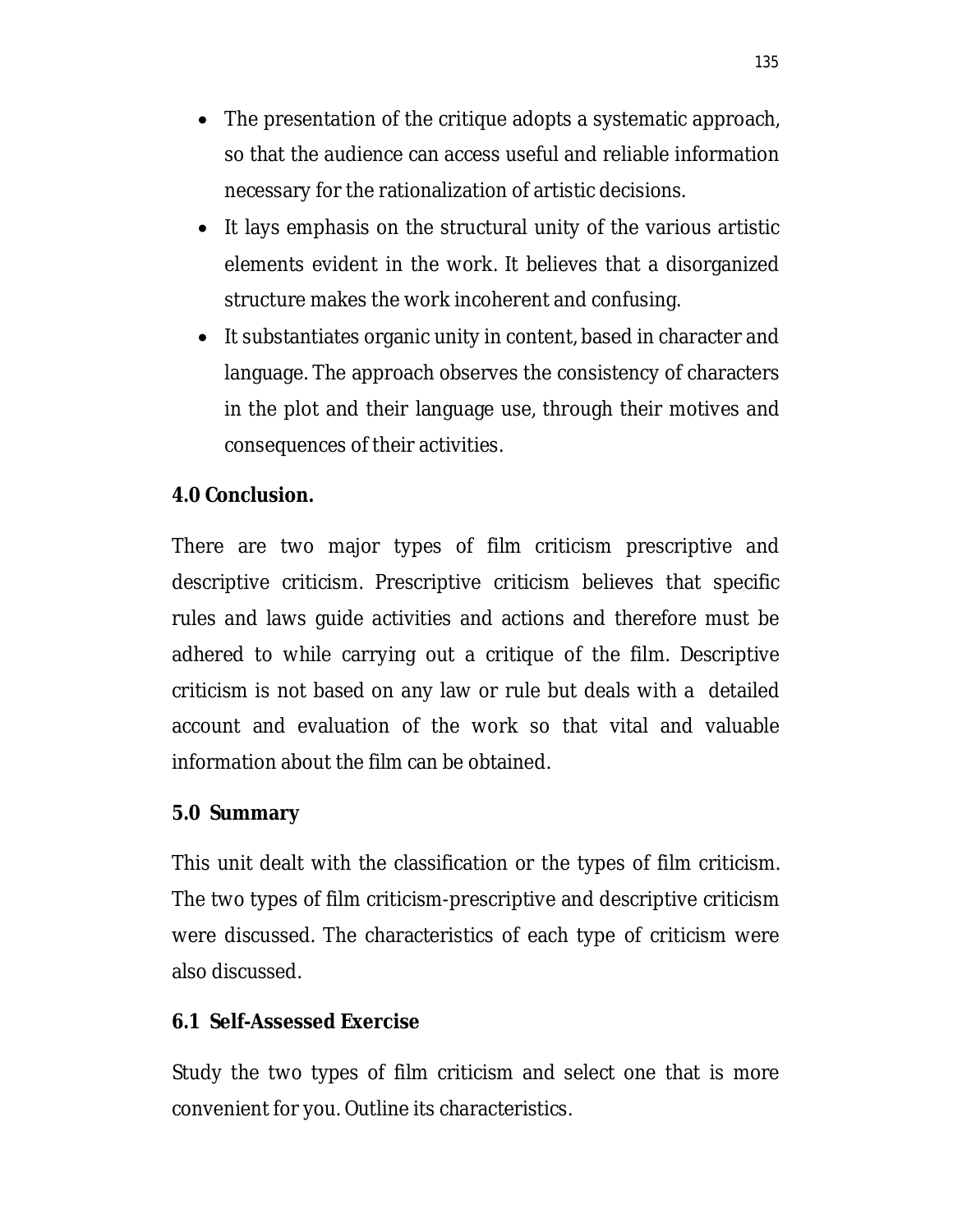- The presentation of the critique adopts a systematic approach, so that the audience can access useful and reliable information necessary for the rationalization of artistic decisions.
- It lays emphasis on the structural unity of the various artistic elements evident in the work. It believes that a disorganized structure makes the work incoherent and confusing.
- It substantiates organic unity in content, based in character and language. The approach observes the consistency of characters in the plot and their language use, through their motives and consequences of their activities.

### **4.0 Conclusion.**

There are two major types of film criticism prescriptive and descriptive criticism. Prescriptive criticism believes that specific rules and laws guide activities and actions and therefore must be adhered to while carrying out a critique of the film. Descriptive criticism is not based on any law or rule but deals with a detailed account and evaluation of the work so that vital and valuable information about the film can be obtained.

#### **5.0 Summary**

This unit dealt with the classification or the types of film criticism. The two types of film criticism-prescriptive and descriptive criticism were discussed. The characteristics of each type of criticism were also discussed.

#### **6.1 Self-Assessed Exercise**

Study the two types of film criticism and select one that is more convenient for you. Outline its characteristics.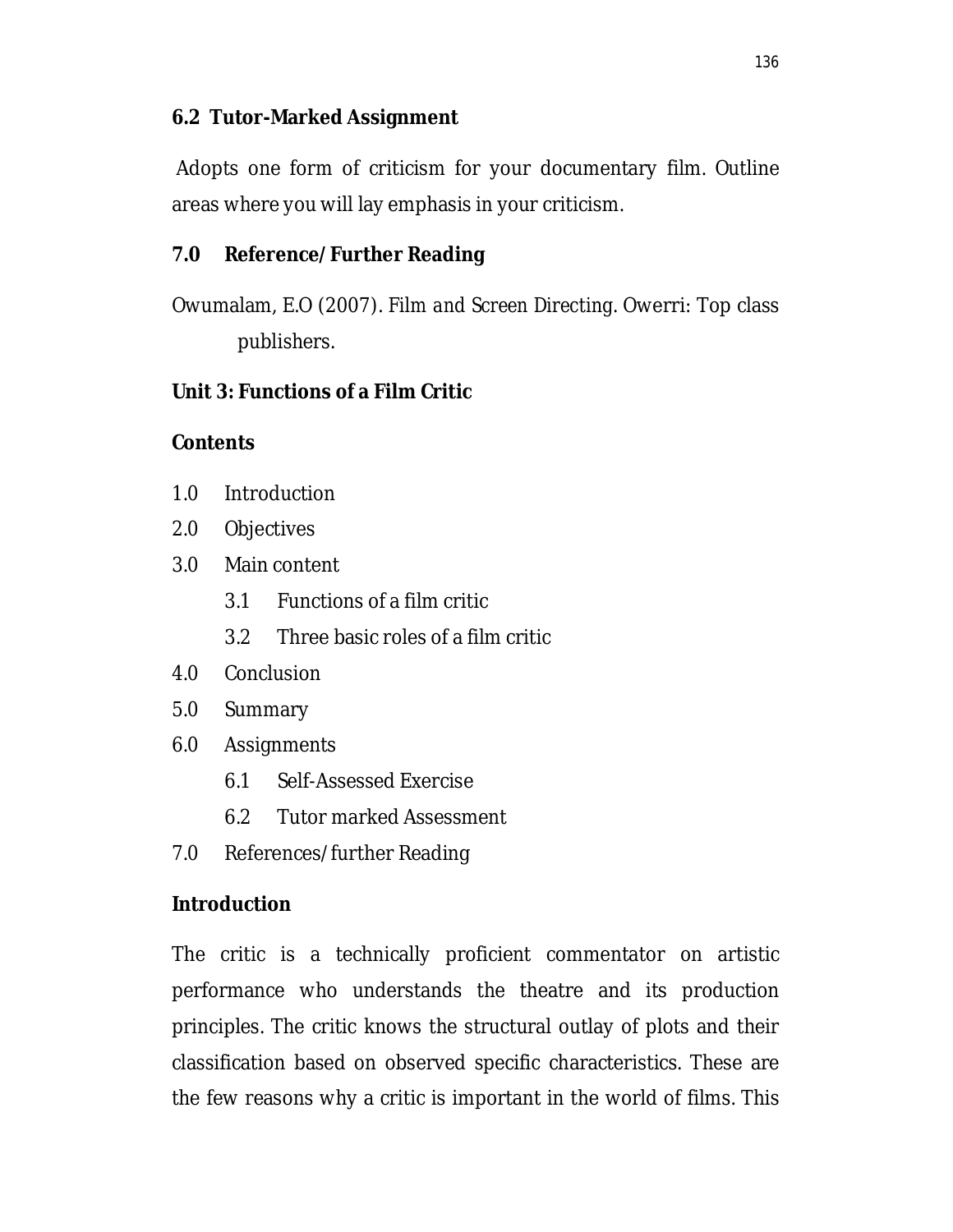#### **6.2 Tutor-Marked Assignment**

Adopts one form of criticism for your documentary film. Outline areas where you will lay emphasis in your criticism.

### **7.0 Reference/Further Reading**

Owumalam, E.O (2007). *Film and Screen Directing*. Owerri: Top class publishers.

### **Unit 3: Functions of a Film Critic**

#### **Contents**

- 1.0 Introduction
- 2.0 Objectives
- 3.0 Main content
	- 3.1 Functions of a film critic
	- 3.2 Three basic roles of a film critic
- 4.0 Conclusion
- 5.0 Summary
- 6.0 Assignments
	- 6.1 Self-Assessed Exercise
	- 6.2 Tutor marked Assessment
- 7.0 References/further Reading

#### **Introduction**

The critic is a technically proficient commentator on artistic performance who understands the theatre and its production principles. The critic knows the structural outlay of plots and their classification based on observed specific characteristics. These are the few reasons why a critic is important in the world of films. This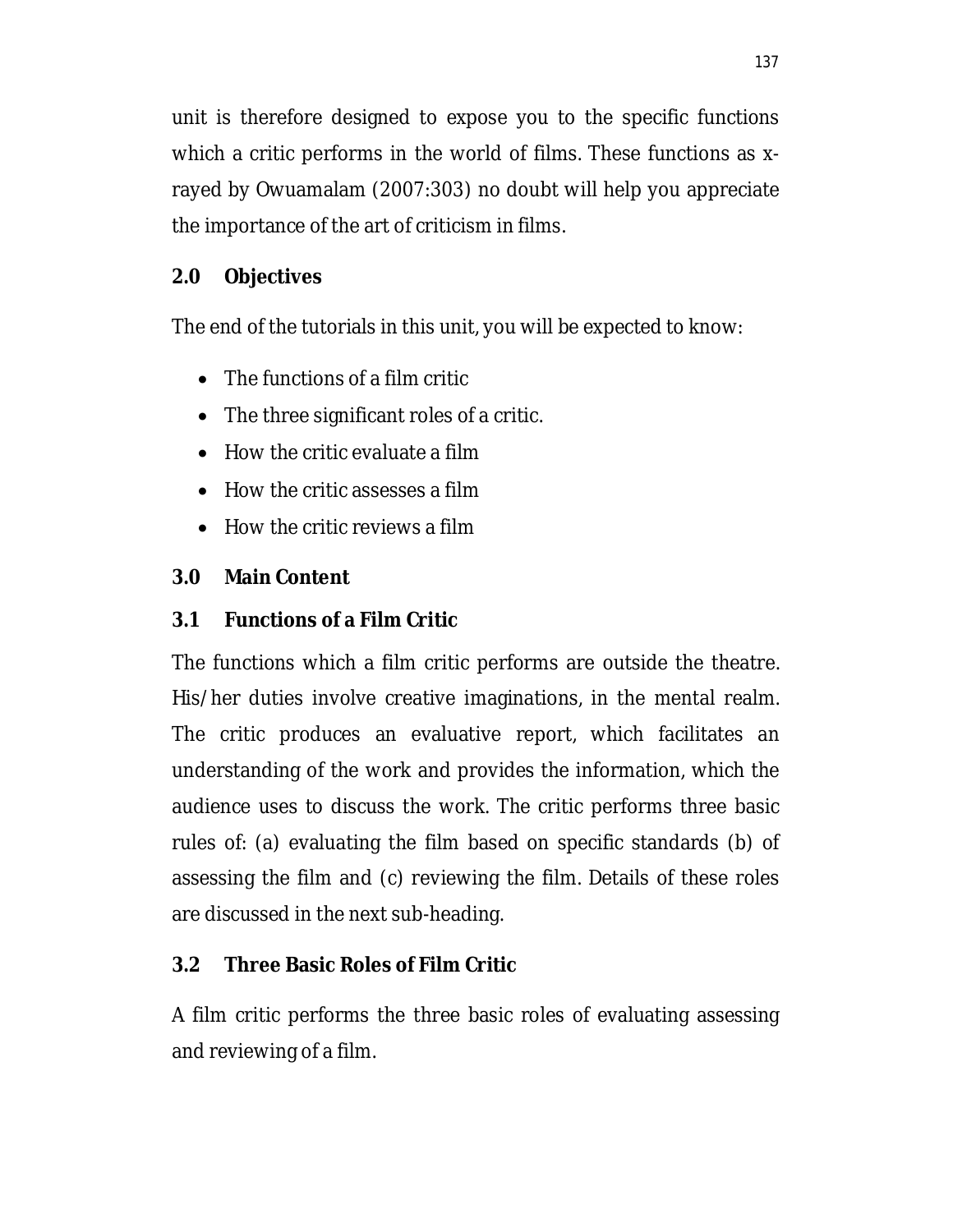unit is therefore designed to expose you to the specific functions which a critic performs in the world of films. These functions as xrayed by Owuamalam (2007:303) no doubt will help you appreciate the importance of the art of criticism in films.

# **2.0 Objectives**

The end of the tutorials in this unit, you will be expected to know:

- The functions of a film critic
- The three significant roles of a critic.
- $\bullet$  How the critic evaluate a film
- How the critic assesses a film
- How the critic reviews a film

# **3.0 Main Content**

# **3.1 Functions of a Film Critic**

The functions which a film critic performs are outside the theatre. His/her duties involve creative imaginations, in the mental realm. The critic produces an evaluative report, which facilitates an understanding of the work and provides the information, which the audience uses to discuss the work. The critic performs three basic rules of: (a) evaluating the film based on specific standards (b) of assessing the film and (c) reviewing the film. Details of these roles are discussed in the next sub-heading.

# **3.2 Three Basic Roles of Film Critic**

A film critic performs the three basic roles of evaluating assessing and reviewing of a film.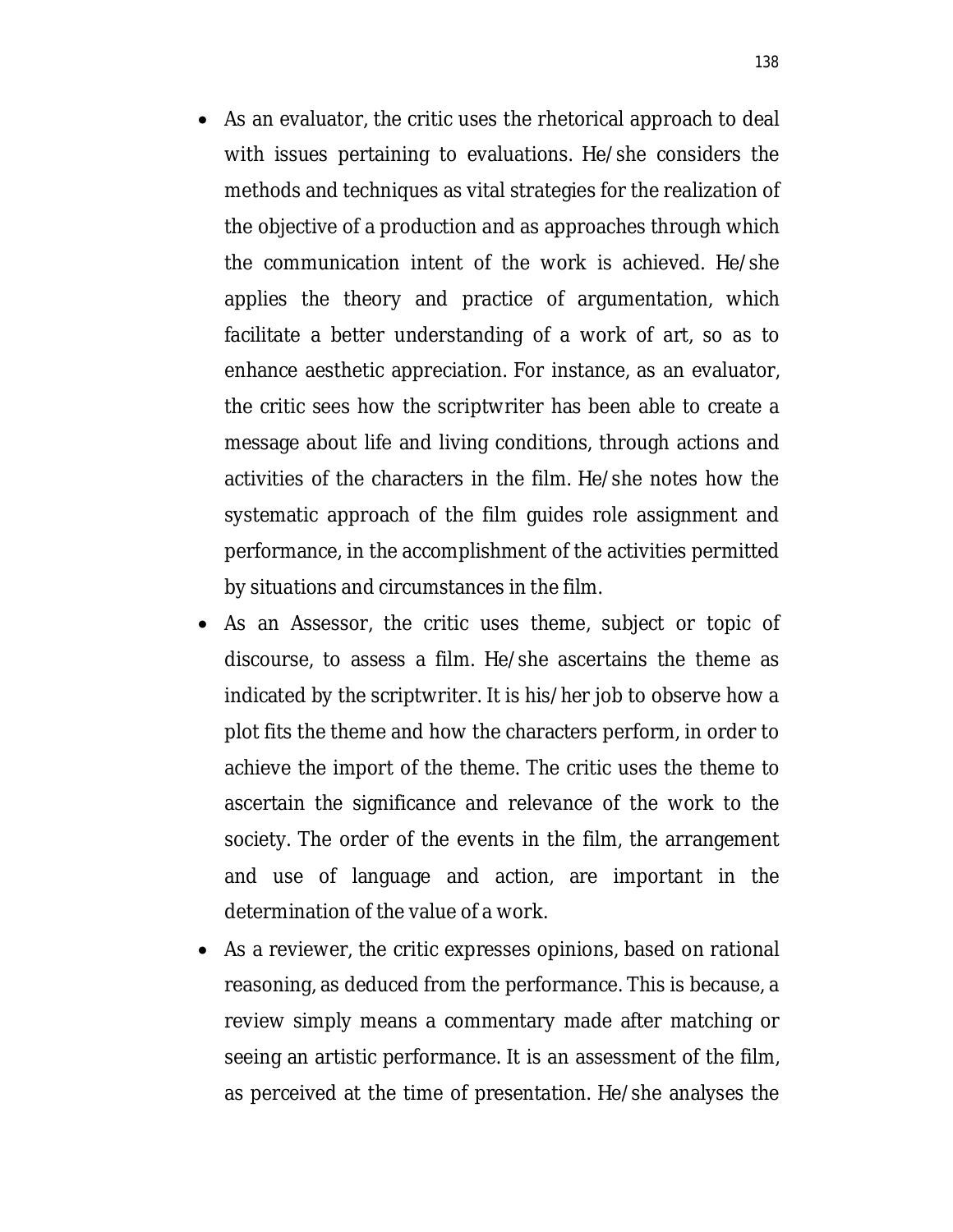- As an evaluator, the critic uses the rhetorical approach to deal with issues pertaining to evaluations. He/she considers the methods and techniques as vital strategies for the realization of the objective of a production and as approaches through which the communication intent of the work is achieved. He/she applies the theory and practice of argumentation, which facilitate a better understanding of a work of art, so as to enhance aesthetic appreciation. For instance, as an evaluator, the critic sees how the scriptwriter has been able to create a message about life and living conditions, through actions and activities of the characters in the film. He/she notes how the systematic approach of the film guides role assignment and performance, in the accomplishment of the activities permitted by situations and circumstances in the film.
- As an Assessor, the critic uses theme, subject or topic of discourse, to assess a film. He/she ascertains the theme as indicated by the scriptwriter. It is his/her job to observe how a plot fits the theme and how the characters perform, in order to achieve the import of the theme. The critic uses the theme to ascertain the significance and relevance of the work to the society. The order of the events in the film, the arrangement and use of language and action, are important in the determination of the value of a work.
- As a reviewer, the critic expresses opinions, based on rational reasoning, as deduced from the performance. This is because, a review simply means a commentary made after matching or seeing an artistic performance. It is an assessment of the film, as perceived at the time of presentation. He/she analyses the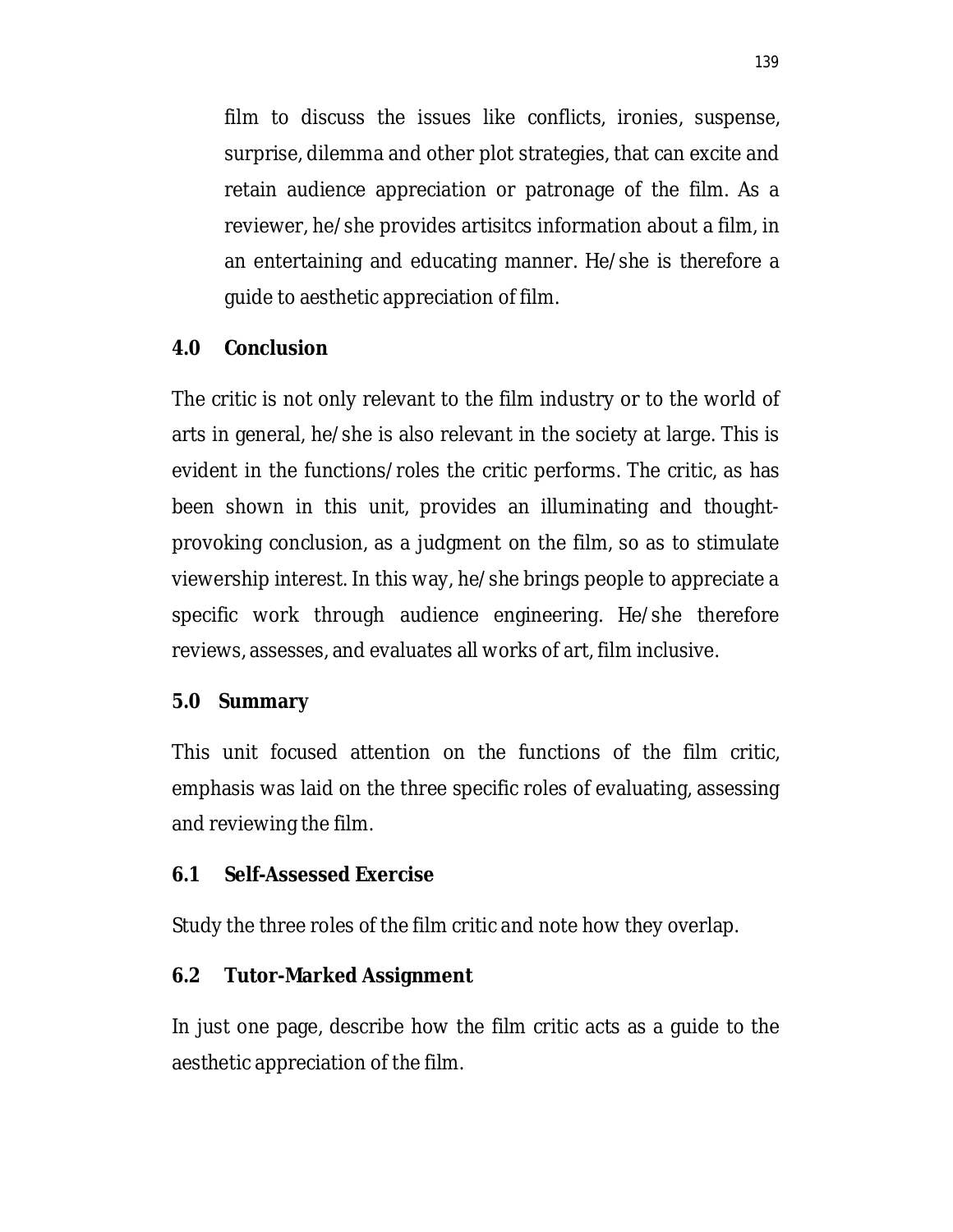film to discuss the issues like conflicts, ironies, suspense, surprise, dilemma and other plot strategies, that can excite and retain audience appreciation or patronage of the film. As a reviewer, he/she provides artisitcs information about a film, in an entertaining and educating manner. He/she is therefore a guide to aesthetic appreciation of film.

#### **4.0 Conclusion**

The critic is not only relevant to the film industry or to the world of arts in general, he/she is also relevant in the society at large. This is evident in the functions/roles the critic performs. The critic, as has been shown in this unit, provides an illuminating and thoughtprovoking conclusion, as a judgment on the film, so as to stimulate viewership interest. In this way, he/she brings people to appreciate a specific work through audience engineering. He/she therefore reviews, assesses, and evaluates all works of art, film inclusive.

#### **5.0 Summary**

This unit focused attention on the functions of the film critic, emphasis was laid on the three specific roles of evaluating, assessing and reviewing the film.

#### **6.1 Self-Assessed Exercise**

Study the three roles of the film critic and note how they overlap.

#### **6.2 Tutor-Marked Assignment**

In just one page, describe how the film critic acts as a guide to the aesthetic appreciation of the film.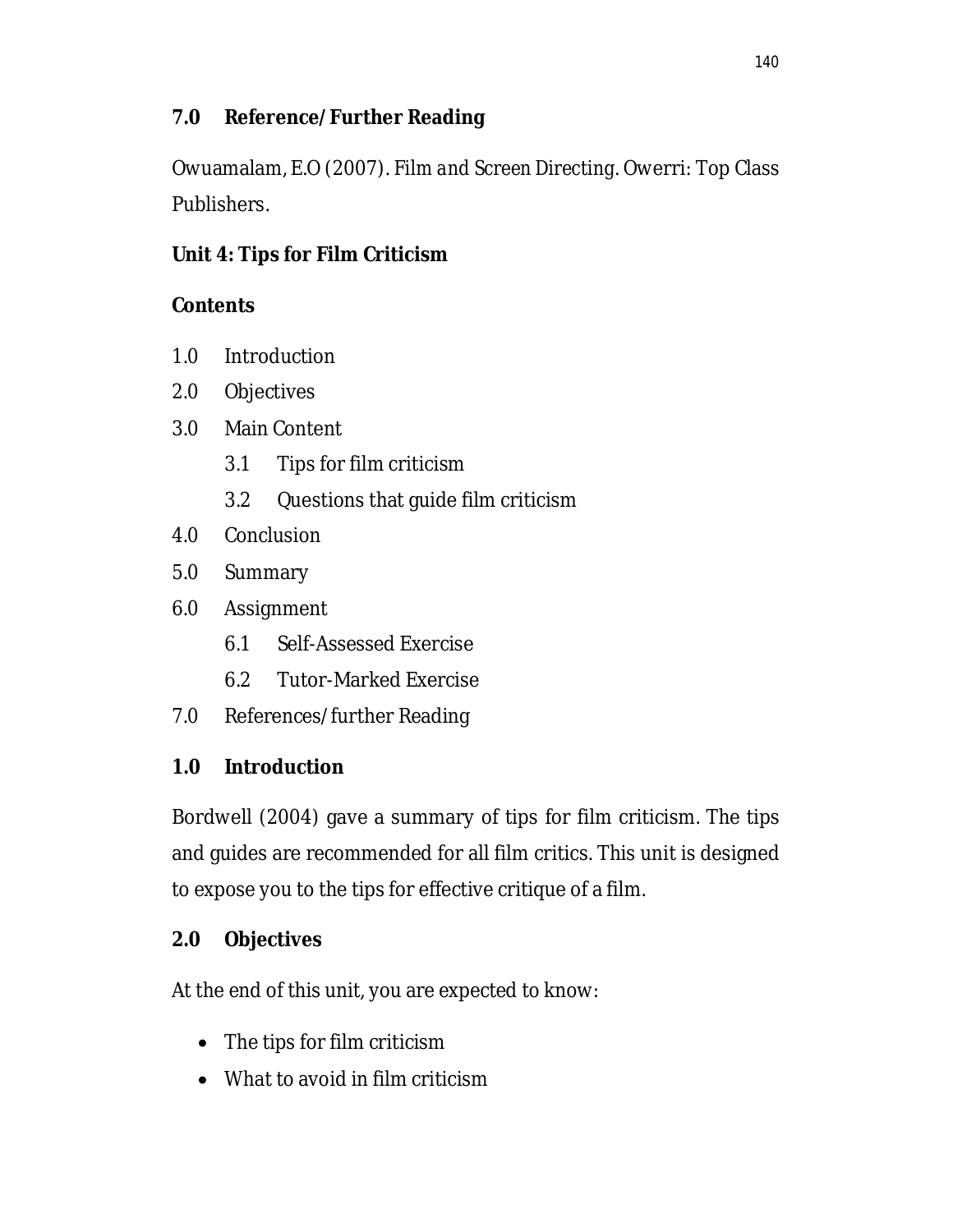# **7.0 Reference/Further Reading**

Owuamalam, E.O (2007). *Film and Screen Directing.* Owerri: Top Class Publishers.

# **Unit 4: Tips for Film Criticism**

# **Contents**

- 1.0 Introduction
- 2.0 Objectives
- 3.0 Main Content
	- 3.1 Tips for film criticism
	- 3.2 Questions that guide film criticism
- 4.0 Conclusion
- 5.0 Summary
- 6.0 Assignment
	- 6.1 Self-Assessed Exercise
	- 6.2 Tutor-Marked Exercise
- 7.0 References/further Reading

# **1.0 Introduction**

Bordwell (2004) gave a summary of tips for film criticism. The tips and guides are recommended for all film critics. This unit is designed to expose you to the tips for effective critique of a film.

# **2.0 Objectives**

At the end of this unit, you are expected to know:

- The tips for film criticism
- What to avoid in film criticism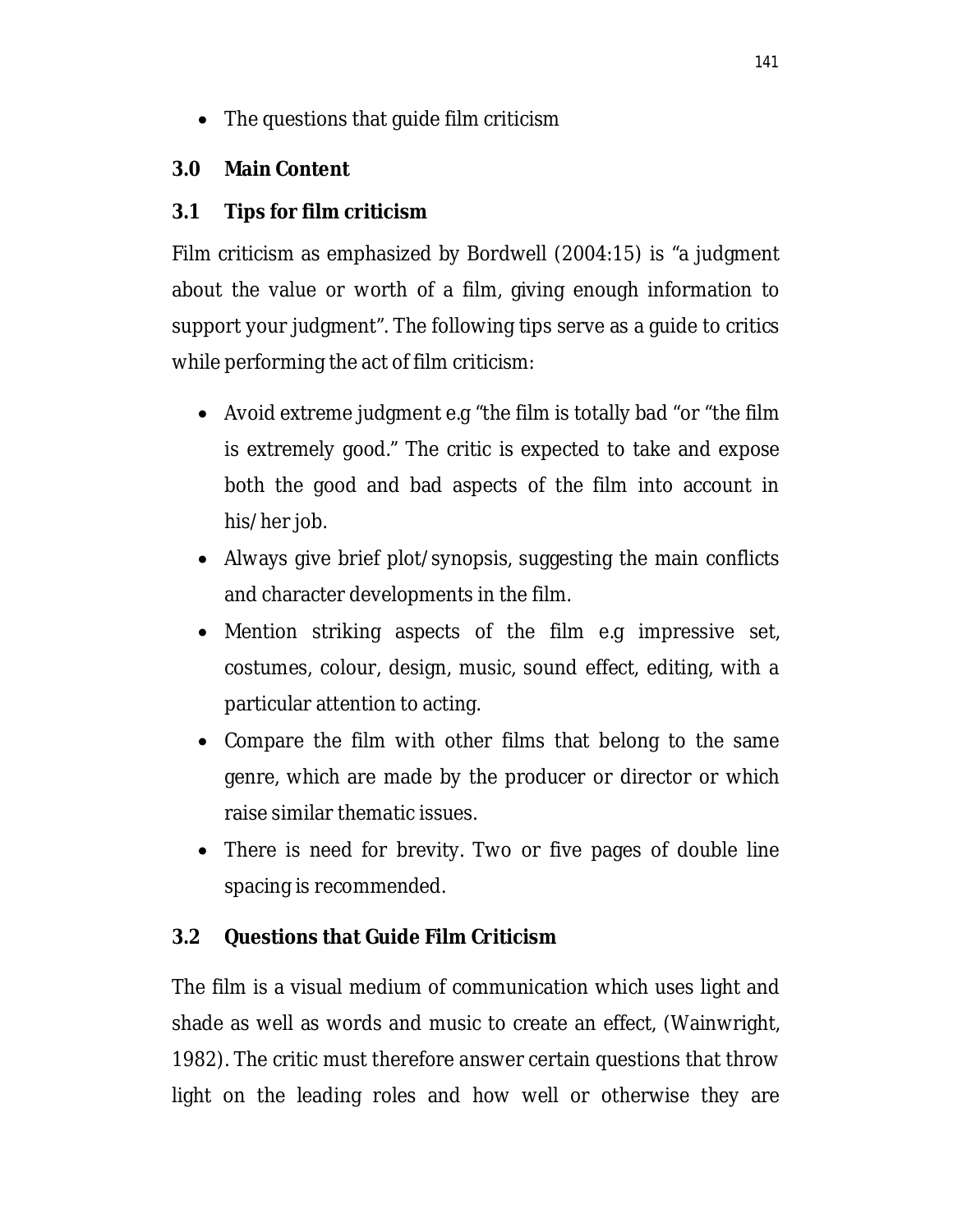• The questions that guide film criticism

### **3.0 Main Content**

### **3.1 Tips for film criticism**

Film criticism as emphasized by Bordwell (2004:15) is "a judgment about the value or worth of a film, giving enough information to support your judgment". The following tips serve as a guide to critics while performing the act of film criticism:

- Avoid extreme judgment e.g "the film is totally bad "or "the film is extremely good." The critic is expected to take and expose both the good and bad aspects of the film into account in his/her job.
- Always give brief plot/synopsis, suggesting the main conflicts and character developments in the film.
- Mention striking aspects of the film e.g impressive set, costumes, colour, design, music, sound effect, editing, with a particular attention to acting.
- Compare the film with other films that belong to the same genre, which are made by the producer or director or which raise similar thematic issues.
- There is need for brevity. Two or five pages of double line spacing is recommended.

# **3.2 Questions that Guide Film Criticism**

The film is a visual medium of communication which uses light and shade as well as words and music to create an effect, (Wainwright, 1982). The critic must therefore answer certain questions that throw light on the leading roles and how well or otherwise they are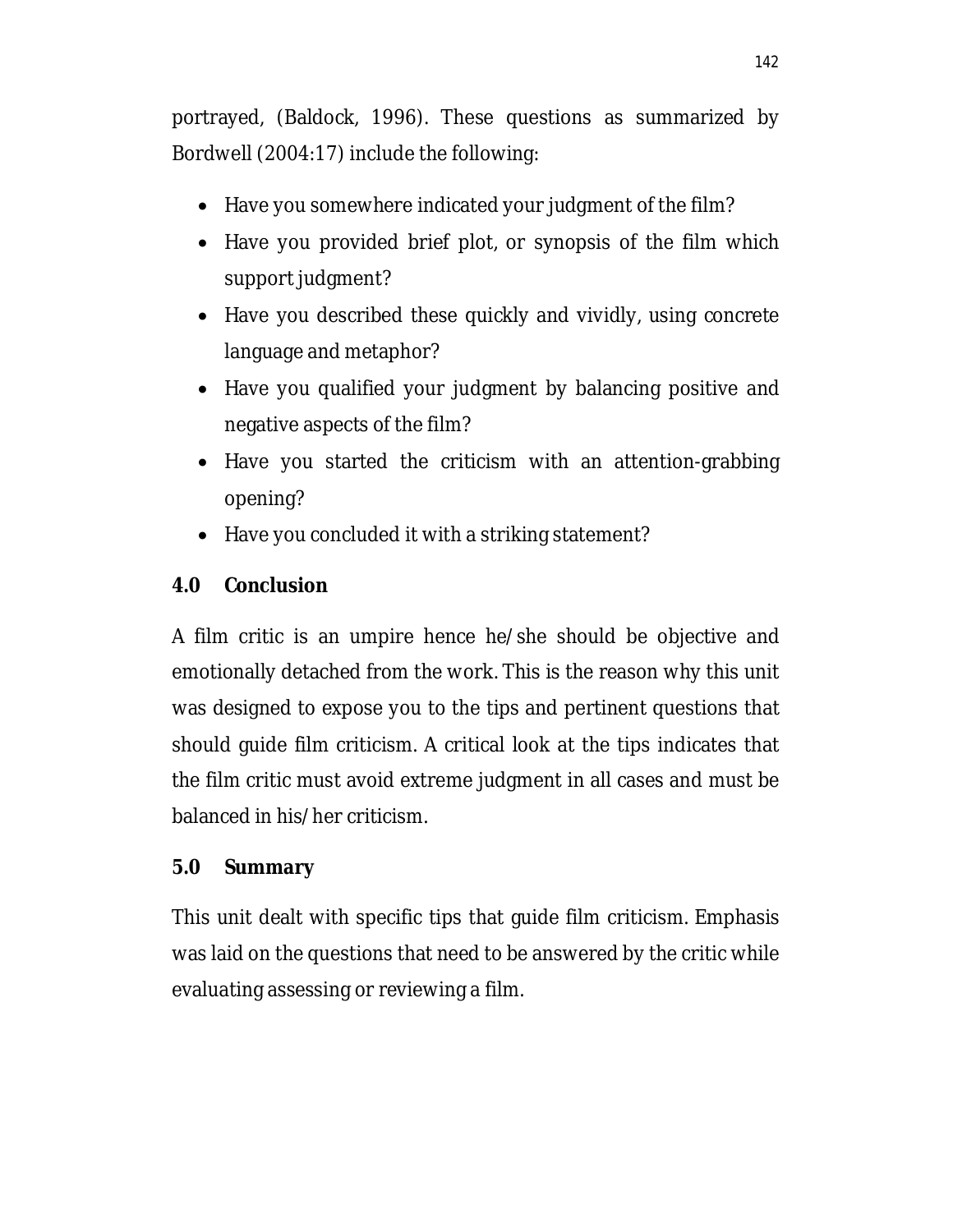portrayed, (Baldock, 1996). These questions as summarized by Bordwell (2004:17) include the following:

- Have you somewhere indicated your judgment of the film?
- Have you provided brief plot, or synopsis of the film which support judgment?
- Have you described these quickly and vividly, using concrete language and metaphor?
- Have you qualified your judgment by balancing positive and negative aspects of the film?
- Have you started the criticism with an attention-grabbing opening?
- Have you concluded it with a striking statement?

# **4.0 Conclusion**

A film critic is an umpire hence he/she should be objective and emotionally detached from the work. This is the reason why this unit was designed to expose you to the tips and pertinent questions that should guide film criticism. A critical look at the tips indicates that the film critic must avoid extreme judgment in all cases and must be balanced in his/her criticism.

# **5.0 Summary**

This unit dealt with specific tips that guide film criticism. Emphasis was laid on the questions that need to be answered by the critic while evaluating assessing or reviewing a film.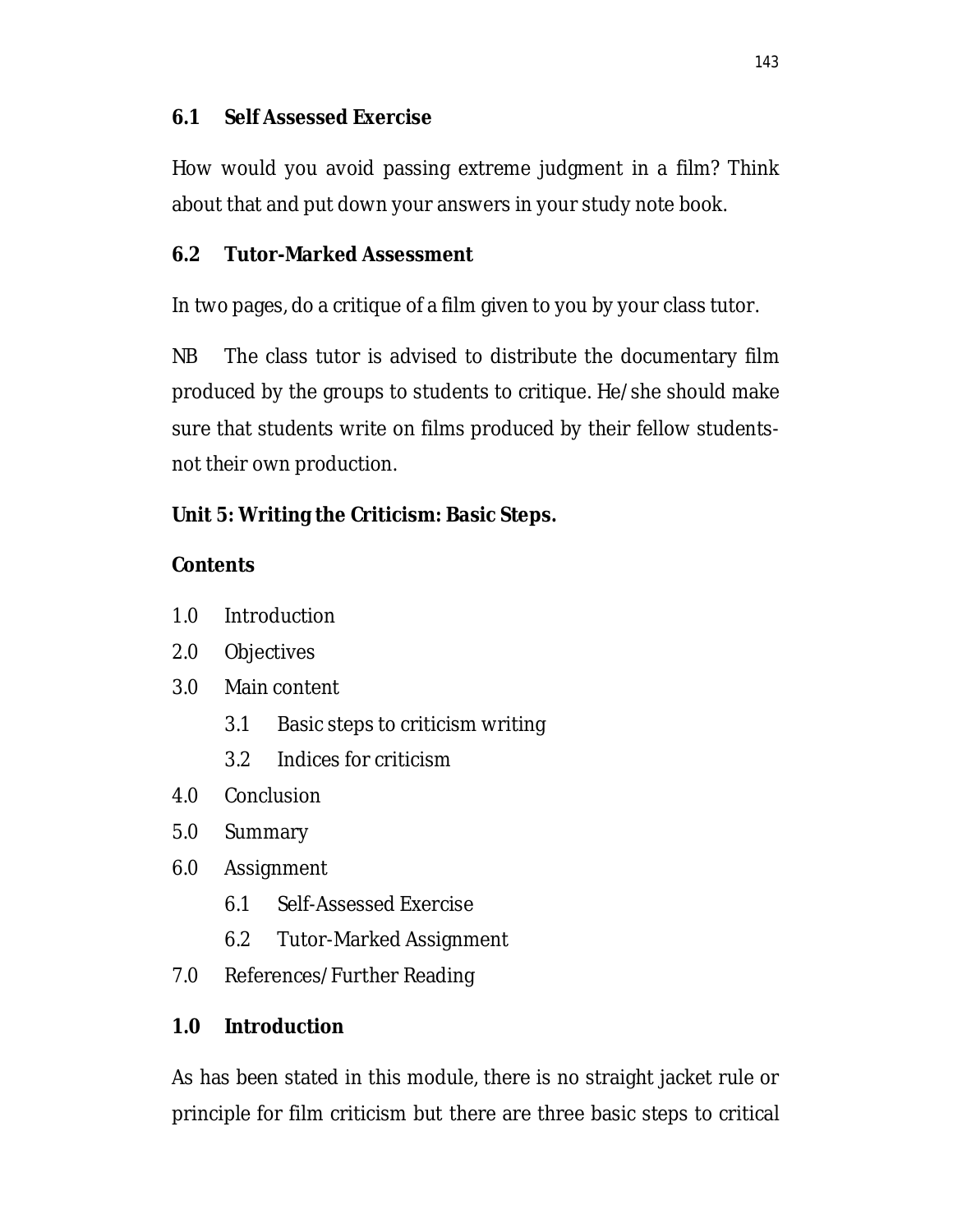### **6.1 Self Assessed Exercise**

How would you avoid passing extreme judgment in a film? Think about that and put down your answers in your study note book.

#### **6.2 Tutor-Marked Assessment**

In two pages, do a critique of a film given to you by your class tutor.

NB The class tutor is advised to distribute the documentary film produced by the groups to students to critique. He/she should make sure that students write on films produced by their fellow studentsnot their own production.

### **Unit 5: Writing the Criticism: Basic Steps.**

### **Contents**

- 1.0 Introduction
- 2.0 Objectives
- 3.0 Main content
	- 3.1 Basic steps to criticism writing
	- 3.2 Indices for criticism
- 4.0 Conclusion
- 5.0 Summary
- 6.0 Assignment
	- 6.1 Self-Assessed Exercise
	- 6.2 Tutor-Marked Assignment
- 7.0 References/Further Reading

### **1.0 Introduction**

As has been stated in this module, there is no straight jacket rule or principle for film criticism but there are three basic steps to critical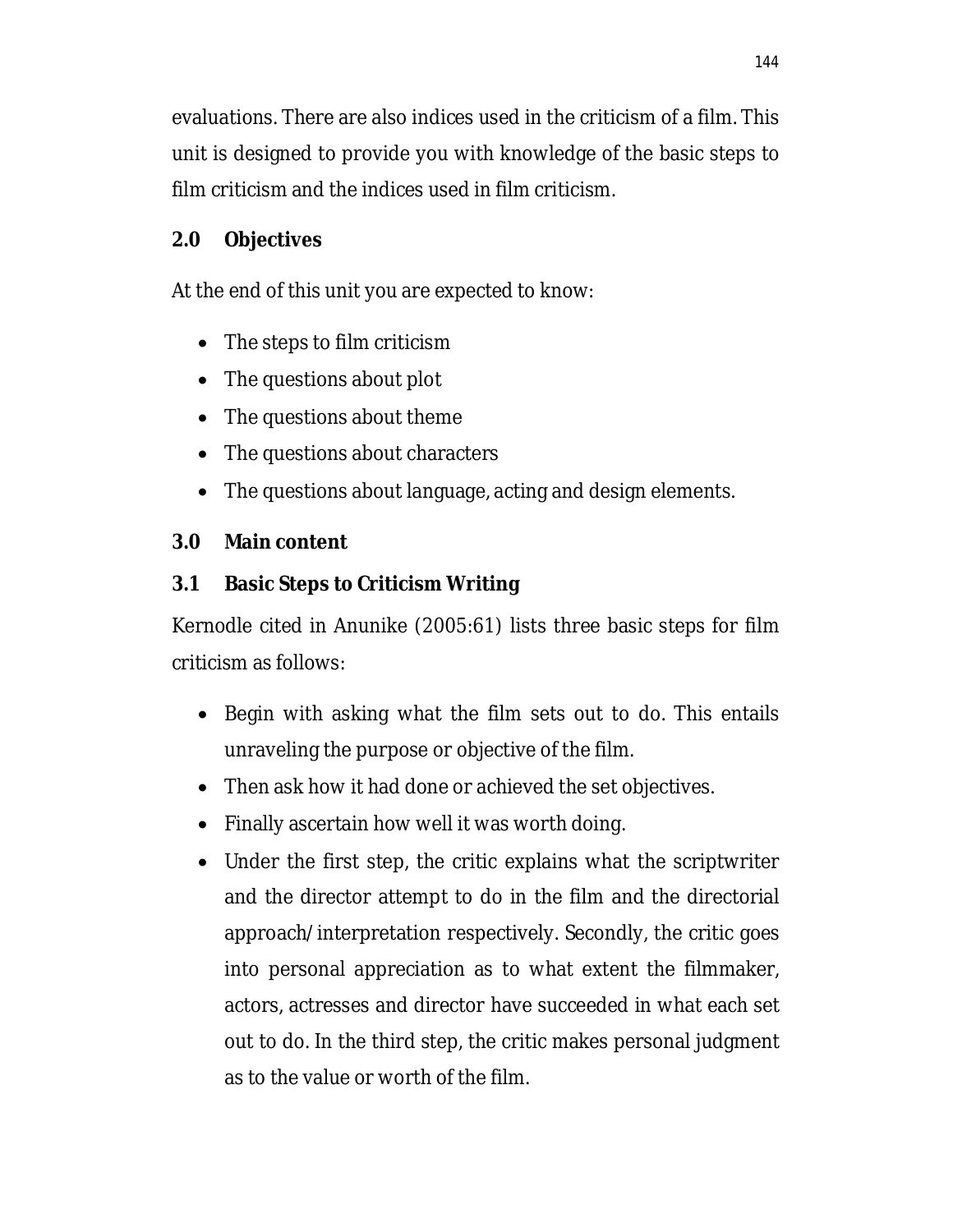evaluations. There are also indices used in the criticism of a film. This unit is designed to provide you with knowledge of the basic steps to film criticism and the indices used in film criticism.

# **2.0 Objectives**

At the end of this unit you are expected to know:

- The steps to film criticism
- The questions about plot
- The questions about theme
- The questions about characters
- The questions about language, acting and design elements.

# **3.0 Main content**

# **3.1 Basic Steps to Criticism Writing**

Kernodle cited in Anunike (2005:61) lists three basic steps for film criticism as follows:

- Begin with asking what the film sets out to do. This entails unraveling the purpose or objective of the film.
- Then ask how it had done or achieved the set objectives.
- Finally ascertain how well it was worth doing.
- Under the first step, the critic explains what the scriptwriter and the director attempt to do in the film and the directorial approach/interpretation respectively. Secondly, the critic goes into personal appreciation as to what extent the filmmaker, actors, actresses and director have succeeded in what each set out to do. In the third step, the critic makes personal judgment as to the value or worth of the film.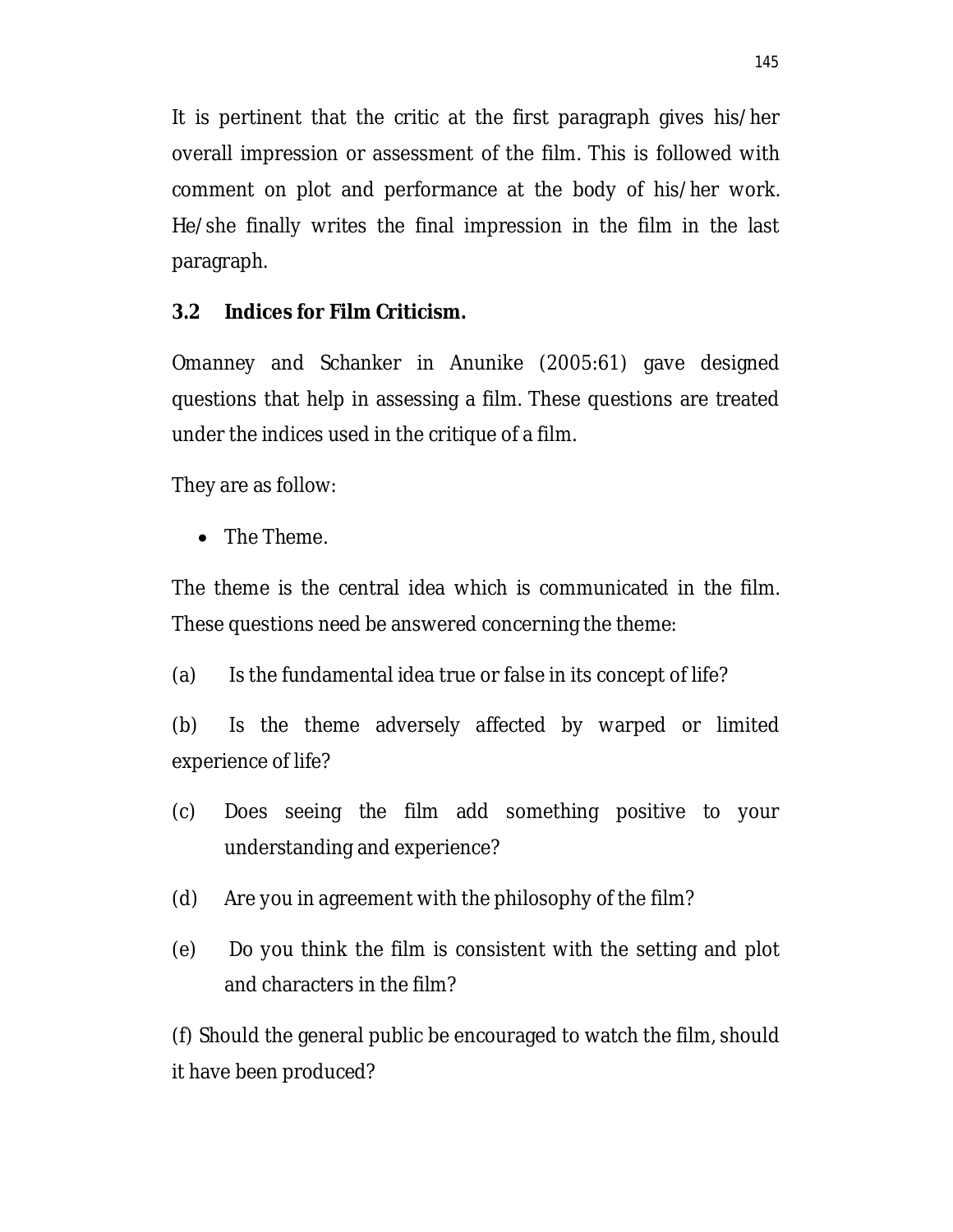It is pertinent that the critic at the first paragraph gives his/her overall impression or assessment of the film. This is followed with comment on plot and performance at the body of his/her work. He/she finally writes the final impression in the film in the last paragraph.

# **3.2 Indices for Film Criticism.**

Omanney and Schanker in Anunike (2005:61) gave designed questions that help in assessing a film. These questions are treated under the indices used in the critique of a film.

They are as follow:

• The Theme.

The theme is the central idea which is communicated in the film. These questions need be answered concerning the theme:

(a) Is the fundamental idea true or false in its concept of life?

(b) Is the theme adversely affected by warped or limited experience of life?

- (c) Does seeing the film add something positive to your understanding and experience?
- (d) Are you in agreement with the philosophy of the film?
- (e) Do you think the film is consistent with the setting and plot and characters in the film?

(f) Should the general public be encouraged to watch the film, should it have been produced?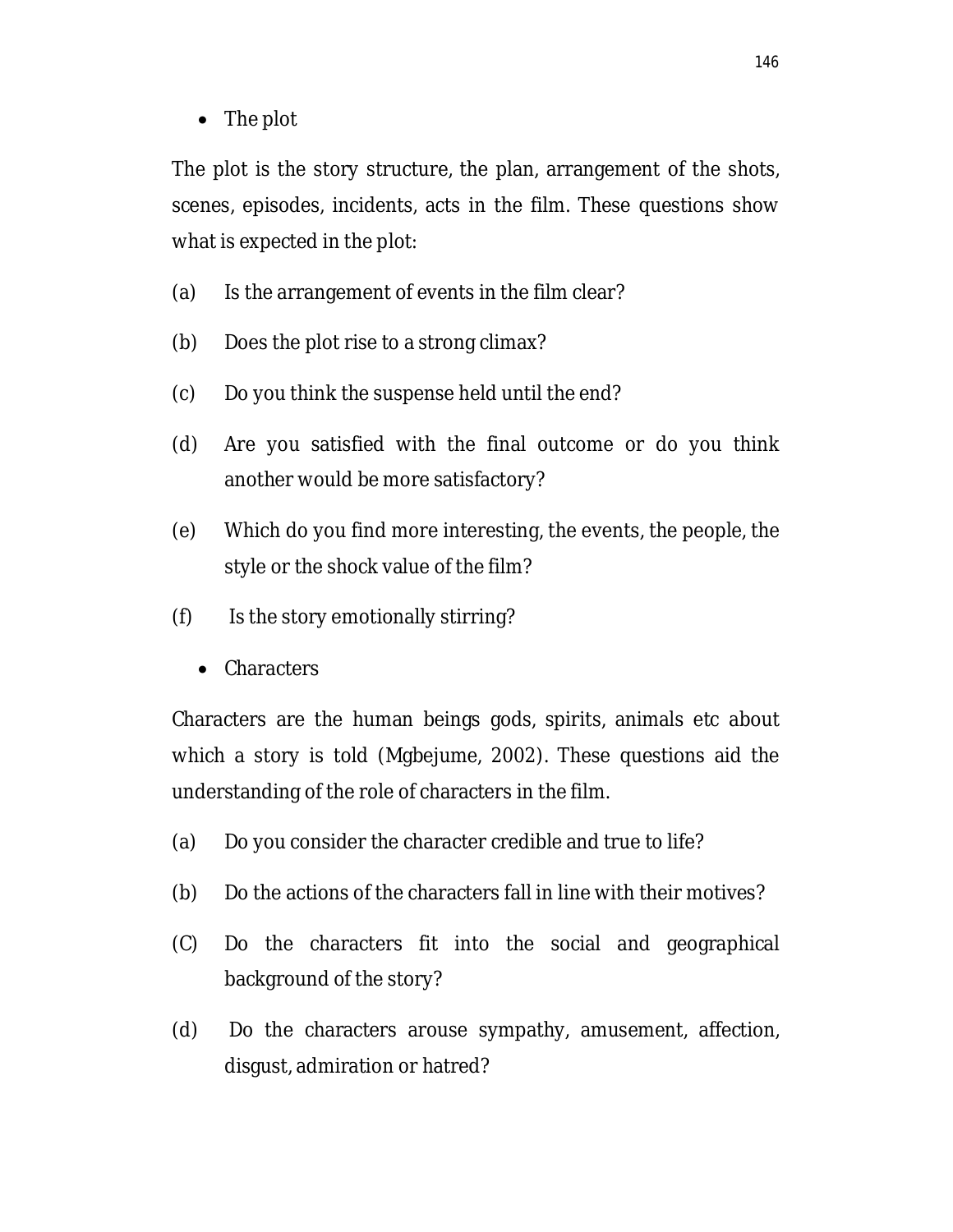• The plot

The plot is the story structure, the plan, arrangement of the shots, scenes, episodes, incidents, acts in the film. These questions show what is expected in the plot:

- (a) Is the arrangement of events in the film clear?
- (b) Does the plot rise to a strong climax?
- (c) Do you think the suspense held until the end?
- (d) Are you satisfied with the final outcome or do you think another would be more satisfactory?
- (e) Which do you find more interesting, the events, the people, the style or the shock value of the film?
- (f) Is the story emotionally stirring?
	- Characters

Characters are the human beings gods, spirits, animals etc about which a story is told (Mgbejume, 2002). These questions aid the understanding of the role of characters in the film.

- (a) Do you consider the character credible and true to life?
- (b) Do the actions of the characters fall in line with their motives?
- (C) Do the characters fit into the social and geographical background of the story?
- (d) Do the characters arouse sympathy, amusement, affection, disgust, admiration or hatred?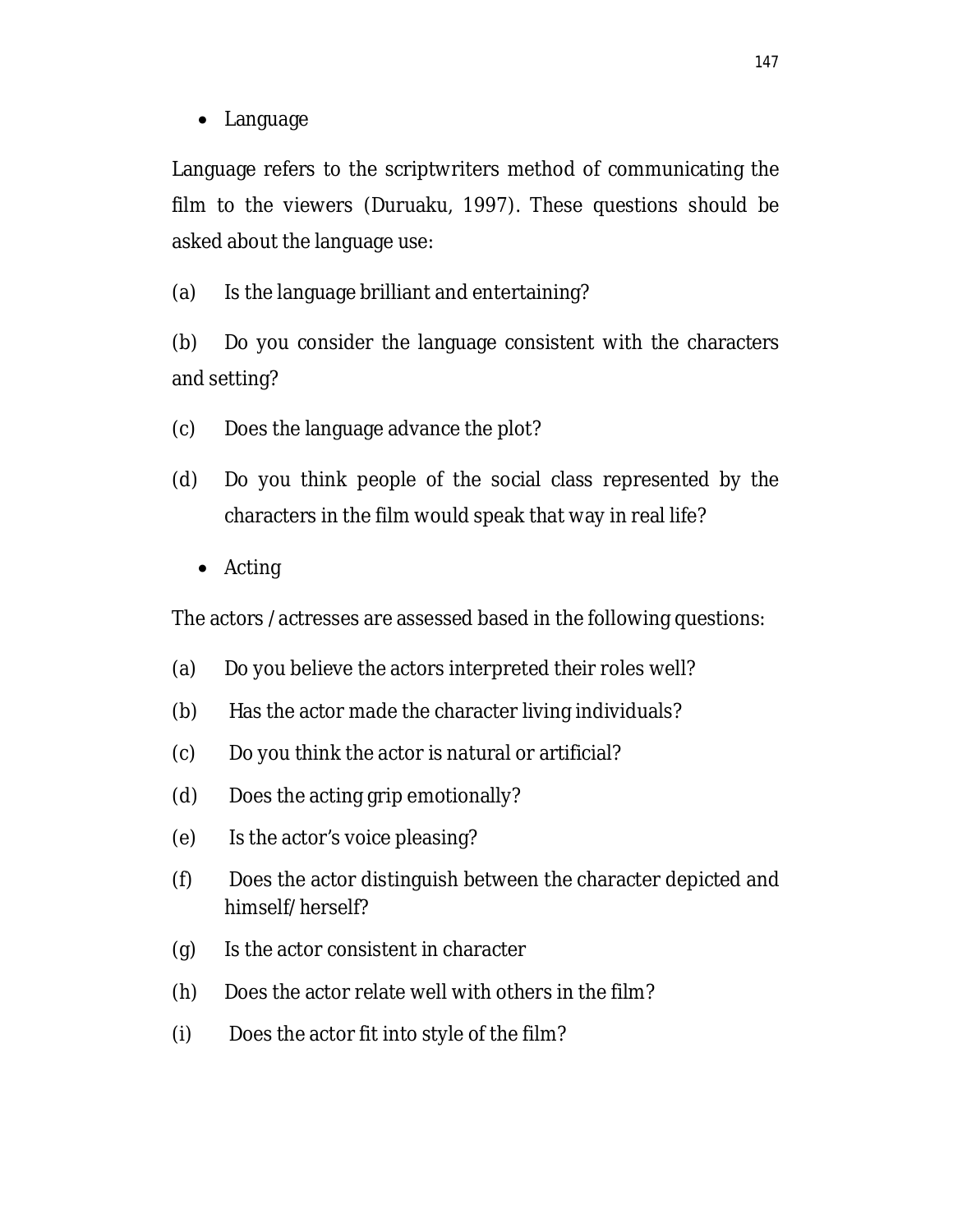• Language

Language refers to the scriptwriters method of communicating the film to the viewers (Duruaku, 1997). These questions should be asked about the language use:

(a) Is the language brilliant and entertaining?

(b) Do you consider the language consistent with the characters and setting?

- (c) Does the language advance the plot?
- (d) Do you think people of the social class represented by the characters in the film would speak that way in real life?
	- Acting

The actors /actresses are assessed based in the following questions:

- (a) Do you believe the actors interpreted their roles well?
- (b) Has the actor made the character living individuals?
- (c) Do you think the actor is natural or artificial?
- (d) Does the acting grip emotionally?
- (e) Is the actor's voice pleasing?
- (f) Does the actor distinguish between the character depicted and himself/herself?
- (g) Is the actor consistent in character
- (h) Does the actor relate well with others in the film?
- (i) Does the actor fit into style of the film?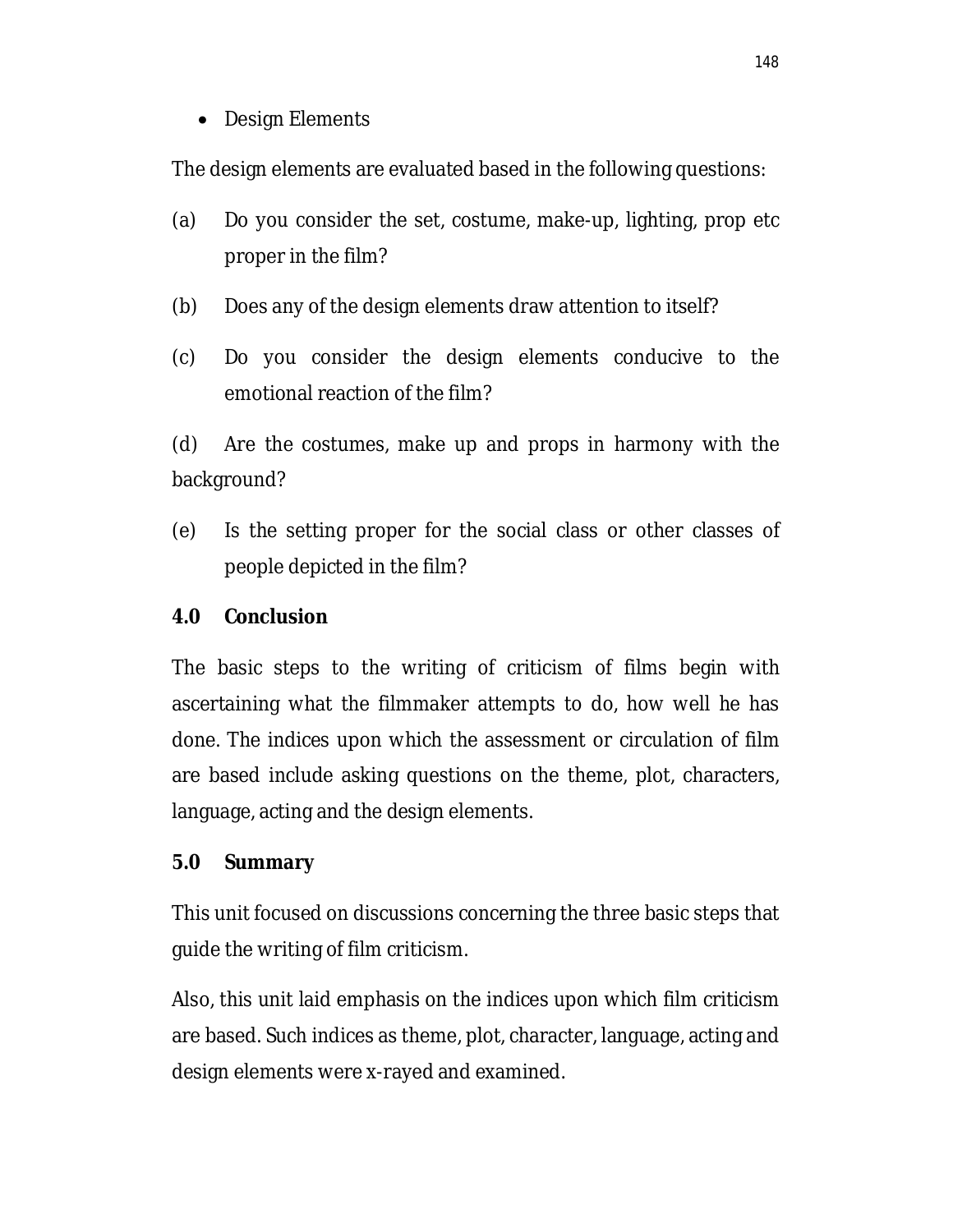• Design Elements

The design elements are evaluated based in the following questions:

- (a) Do you consider the set, costume, make-up, lighting, prop etc proper in the film?
- (b) Does any of the design elements draw attention to itself?
- (c) Do you consider the design elements conducive to the emotional reaction of the film?

(d) Are the costumes, make up and props in harmony with the background?

(e) Is the setting proper for the social class or other classes of people depicted in the film?

#### **4.0 Conclusion**

The basic steps to the writing of criticism of films begin with ascertaining what the filmmaker attempts to do, how well he has done. The indices upon which the assessment or circulation of film are based include asking questions on the theme, plot, characters, language, acting and the design elements.

#### **5.0 Summary**

This unit focused on discussions concerning the three basic steps that guide the writing of film criticism.

Also, this unit laid emphasis on the indices upon which film criticism are based. Such indices as theme, plot, character, language, acting and design elements were x-rayed and examined.